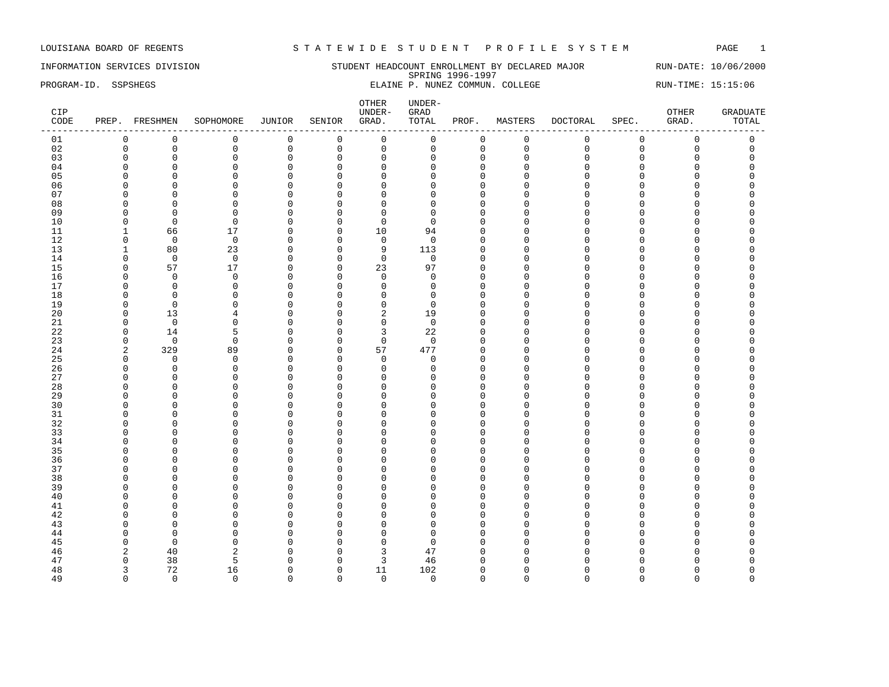INFORMATION SERVICES DIVISION STUDENT HEADCOUNT ENROLLMENT BY DECLARED MAJOR RUN-DATE: 10/06/2000 SPRING 1996-1997 PROGRAM-ID. SSPSHEGS ELAINE P. NUNEZ COMMUN. COLLEGE RUN-TIME: 15:15:06

| CIP<br>CODE |                      | PREP. FRESHMEN    | SOPHOMORE     | JUNIOR                      | SENIOR                     | OTHER<br>UNDER-<br>GRAD. | UNDER-<br>GRAD<br>TOTAL | PROF.                | MASTERS       | <b>DOCTORAL</b> | SPEC.       | OTHER<br>GRAD.<br>--- | <b>GRADUATE</b><br>TOTAL |
|-------------|----------------------|-------------------|---------------|-----------------------------|----------------------------|--------------------------|-------------------------|----------------------|---------------|-----------------|-------------|-----------------------|--------------------------|
| 01          | 0                    | 0                 | 0             | 0                           | $\overline{0}$             | $\mathbf 0$              | 0                       | $\mathbf 0$          | $\mathbf 0$   | $\mathbf 0$     | $\mathbf 0$ | $\mathbf 0$           | 0                        |
| 02          | $\mathbf 0$          | $\mathbf 0$       | $\mathbf 0$   | $\mathbf 0$                 | $\mathbf 0$                | $\mathsf 0$              | $\mathbf 0$             | $\mathbf{0}$         | $\mathbf 0$   | $\mathbf{0}$    | $\mathbf 0$ | $\mathbf 0$           | $\mathsf 0$              |
| 03          | $\Omega$             | $\mathbf 0$       | $\mathbf 0$   | $\mathbf 0$                 | $\mathbf 0$                | $\mathbf 0$              | 0                       | $\mathbf 0$          | $\Omega$      | $\Omega$        | 0           | 0                     | $\Omega$                 |
| 04          | $\Omega$             | $\Omega$          | $\Omega$      | $\Omega$                    | $\mathbf 0$                | $\overline{0}$           | U                       | $\Omega$             | $\Omega$      | ∩               | C           | O                     |                          |
| 05          | $\Omega$             | $\Omega$          | $\Omega$      | $\mathbf{0}$                | $\mathbf 0$                | $\Omega$                 | $\Omega$                | $\Omega$             | Ω             | $\cap$          | $\Omega$    | O                     |                          |
| 06          | $\Omega$             | $\Omega$          | $\Omega$      | $\mathbf{0}$                | $\mathbf 0$                | $\Omega$                 | $\Omega$                | $\Omega$             | U             | ∩               | C           | O                     | C                        |
| 07          | $\Omega$             | $\Omega$          | $\Omega$      | $\mathbf 0$                 | $\mathbf 0$                | $\Omega$                 | $\Omega$                | $\Omega$             | $\Omega$      | $\cap$          | $\cap$      | O                     |                          |
| 08          | $\Omega$             | $\Omega$          | $\Omega$      | $\mathbf{0}$                | $\mathbf 0$                | $\overline{0}$           | $\Omega$                | $\Omega$             | ∩             |                 | C           | O                     |                          |
| 09          | n                    | $\Omega$          | $\Omega$      | 0                           | $\mathbf 0$                | $\mathbf 0$              | <sup>0</sup>            | $\cap$               | Λ             | ∩               | C           | U                     |                          |
| 10          | $\Omega$             | $\mathbf 0$       | $\mathbf 0$   | $\mathbf{0}$                | $\mathbf 0$                | $\mathbf 0$              | $\Omega$                | $\Omega$             | U             | ∩               | C           | O                     |                          |
| 11          | 1                    | 66                | 17            | $\mathbf{0}$                | $\mathbf 0$                | 10                       | 94                      | $\Omega$             | $\Omega$      | $\cap$          | C           | U                     |                          |
| 12          | $\mathbf 0$          | $\overline{0}$    | $\mathbf 0$   | $\mathbf{0}$                | $\mathbf 0$                | $\overline{0}$           | $\mathbf 0$             | $\Omega$             | $\Omega$      | $\cap$          | O           | 0                     | O                        |
| 13          | 1                    | 80                | 23            | $\mathbf 0$                 | $\mathbf 0$                | 9                        | 113                     | $\mathbf 0$          | $\Omega$      | $\cap$          | C           | 0                     |                          |
| 14          | $\mathbf 0$          | $\mathbf 0$       | $\mathbf 0$   | $\mathbf 0$                 | $\mathbf 0$                | $\mathbf 0$              | $\mathbf 0$             | $\Omega$             | $\Omega$      | $\Omega$        | $\Omega$    | O                     |                          |
| 15          | $\mathbf 0$          | 57                | 17            | 0                           | $\mathbf 0$                | 23                       | 97                      | $\Omega$             | O             | $\cap$          | $\Omega$    | O                     |                          |
| 16          | <sup>0</sup>         | $\mathbf 0$       | $\mathbf 0$   | $\mathbf 0$                 | $\mathbf 0$                | $\mathbf 0$              | 0                       | $\Omega$             | n             | ∩               | C           | U                     |                          |
| 17          | $\Omega$             | $\mathbf 0$       | $\mathbf 0$   | $\mathbf 0$                 | $\mathbf 0$                | $\mathbf 0$              | 0                       | $\Omega$             | <sup>0</sup>  | $\Omega$        | $\Omega$    | O                     | $\Omega$                 |
| 18          | $\Omega$             | $\Omega$          | n             | $\mathbf 0$                 | $\mathbf 0$                | $\Omega$                 | $\Omega$                | $\Omega$             | n             | ∩               | C           | O                     |                          |
| 19          | $\Omega$<br>$\Omega$ | $\mathbf 0$       | $\Omega$      | $\mathbf{0}$                | $\mathbf 0$                | $\mathbf 0$              | $\Omega$                | $\Omega$             | n             | $\cap$          | C           | O                     |                          |
| 20          | $\Omega$             | 13                | 4<br>$\Omega$ | $\mathbf{0}$<br>$\mathbf 0$ | $\Omega$                   | $\sqrt{2}$               | 19                      | $\Omega$<br>$\Omega$ | Ω<br>$\Omega$ | ∩               | O<br>C      | O<br>O                |                          |
| 21          | $\Omega$             | $\overline{0}$    | 5             | $\mathbf 0$                 | $\mathbf 0$                | $\mathbf 0$              | $\mathbf 0$<br>22       | $\mathbf{0}$         | O             | $\cap$          | C           | O                     |                          |
| 22<br>23    | $\mathbf 0$          | 14<br>$\mathbf 0$ | $\mathbf 0$   | $\mathbf{0}$                | $\mathbf 0$<br>$\mathbf 0$ | 3<br>$\mathbf 0$         | $\mathbf 0$             | $\Omega$             | $\Omega$      | $\Omega$        | O           | O                     |                          |
| 24          | 2                    | 329               | 89            | 0                           | $\mathbf 0$                | 57                       | 477                     | $\mathbf{0}$         | $\Omega$      | $\cap$          | $\Omega$    | 0                     | C                        |
| 25          | 0                    | $\Omega$          | $\mathbf 0$   | 0                           | 0                          | $\mathbf 0$              | 0                       | $\mathbf 0$          | O             | ∩               | n           | O                     |                          |
| 26          | $\Omega$             | $\mathbf 0$       | $\mathbf 0$   | $\mathbf{0}$                | $\mathbf 0$                | $\mathbf 0$              | $\Omega$                | $\Omega$             | $\Omega$      | ∩               | C           | O                     |                          |
| 27          | O                    | $\Omega$          | $\Omega$      | $\mathbf 0$                 | $\mathbf 0$                | $\Omega$                 | $\Omega$                | $\Omega$             | U             | ∩               | C           | O                     |                          |
| 28          | n                    | $\Omega$          | $\Omega$      | $\Omega$                    | $\Omega$                   | $\Omega$                 | n                       | $\cap$               | U             | ∩               | U           | U                     |                          |
| 29          | $\Omega$             | $\Omega$          | $\Omega$      | $\mathbf{0}$                | $\mathbf 0$                | $\Omega$                 | $\Omega$                | $\Omega$             | U             | $\Omega$        | O           | 0                     | O                        |
| 30          | $\Omega$             | $\mathbf 0$       | $\Omega$      | $\mathbf 0$                 | $\mathbf 0$                | $\Omega$                 | $\Omega$                | $\mathbf 0$          | O             | ∩               | C           | 0                     |                          |
| 31          | $\Omega$             | $\Omega$          | $\Omega$      | $\mathbf{0}$                | $\mathbf 0$                | $\mathbf 0$              | $\Omega$                | $\Omega$             | $\Omega$      | $\Omega$        | C           | 0                     |                          |
| 32          | $\Omega$             | $\Omega$          | $\Omega$      | $\mathbf{0}$                | $\mathbf 0$                | $\Omega$                 | $\Omega$                | $\Omega$             | O             | $\cap$          | $\Omega$    | 0                     |                          |
| 33          | $\Omega$             | $\Omega$          | $\Omega$      | $\mathbf 0$                 | $\mathbf 0$                | $\Omega$                 | $\Omega$                | $\Omega$             | U             | $\cap$          | $\Omega$    | O                     |                          |
| 34          | <sup>0</sup>         | $\Omega$          | $\Omega$      | $\mathbf 0$                 | $\mathbf 0$                | $\mathbf 0$              | <sup>0</sup>            | $\Omega$             | U             | ∩               | n           | O                     |                          |
| 35          | <sup>0</sup>         | $\Omega$          | $\Omega$      | $\mathbf{0}$                | $\Omega$                   | $\Omega$                 | U                       | $\Omega$             | n             | ∩               | n           | O                     |                          |
| 36          | <sup>0</sup>         | $\Omega$          | $\Omega$      | $\mathbf{0}$                | $\mathbf 0$                | $\Omega$                 | U                       | $\Omega$             | Λ             | ∩               | C           | O                     |                          |
| 37          | $\Omega$             | $\Omega$          | $\Omega$      | $\mathbf{0}$                | $\Omega$                   | $\Omega$                 | <sup>0</sup>            | $\Omega$             | ∩             | ∩               | U           | O                     |                          |
| 38          | $\Omega$             | $\Omega$          | $\Omega$      | $\Omega$                    | $\Omega$                   | $\Omega$                 | $\Omega$                | $\Omega$             | $\Omega$      | $\cap$          | O           | O                     |                          |
| 39          | <sup>0</sup>         | $\Omega$          | $\Omega$      | $\mathbf 0$                 | 0                          | $\Omega$                 | $\Omega$                | $\Omega$             | O             | ∩               | O           | O                     |                          |
| 40          | $\Omega$             | $\Omega$          | $\Omega$      | $\mathbf{0}$                | $\mathbf 0$                | $\Omega$                 | $\Omega$                | $\Omega$             | $\Omega$      | $\Omega$        | C           | O                     |                          |
| 41          | $\Omega$             | $\Omega$          | $\Omega$      | $\mathbf{0}$                | $\mathbf 0$                | $\Omega$                 | $\Omega$                | $\Omega$             | $\Omega$      | $\Omega$        | $\Omega$    | O                     |                          |
| 42          | $\Omega$             | $\Omega$          | $\Omega$      | 0                           | $\mathbf 0$                | $\Omega$                 | $\Omega$                | $\Omega$             | $\Omega$      | $\cap$          | C           | O                     | C                        |
| 43          | $\Omega$             | $\Omega$          | $\Omega$      | $\mathbf 0$                 | $\mathbf 0$                | $\Omega$                 | $\Omega$                | $\Omega$             | Λ             | $\cap$          | C           | O                     |                          |
| 44          | $\Omega$             | $\Omega$          | $\Omega$      | $\mathbf{0}$                | $\mathbf 0$                | $\Omega$                 | $\Omega$                | $\Omega$             | U             | $\cap$          | C           | O                     |                          |
| 45          | <sup>0</sup>         | $\mathbf 0$       | $\Omega$      | $\Omega$                    | $\mathbf 0$                | $\overline{0}$           | $\Omega$                | $\cap$               | Λ             | ∩               | C           | U                     |                          |
| 46          | 2                    | 40                | 2             | $\mathbf{0}$                | $\Omega$                   | 3                        | 47                      | $\Omega$             | Λ             | ∩               | C           | O                     |                          |
| 47          | $\Omega$             | 38                | 5             | $\Omega$                    | $\Omega$                   | 3                        | 46                      | $\Omega$             | Λ             |                 |             | O                     |                          |
| 48          | 3                    | 72                | 16            | 0                           | $\mathbf 0$                | 11                       | 102                     | $\mathbf 0$          | $\Omega$      | ∩               | O           | 0                     | $\Omega$                 |
| 49          | $\Omega$             | $\Omega$          | $\Omega$      | $\Omega$                    | $\Omega$                   | $\mathbf 0$              | $\Omega$                | $\Omega$             | $\Omega$      | $\Omega$        | $\Omega$    | $\Omega$              | $\Omega$                 |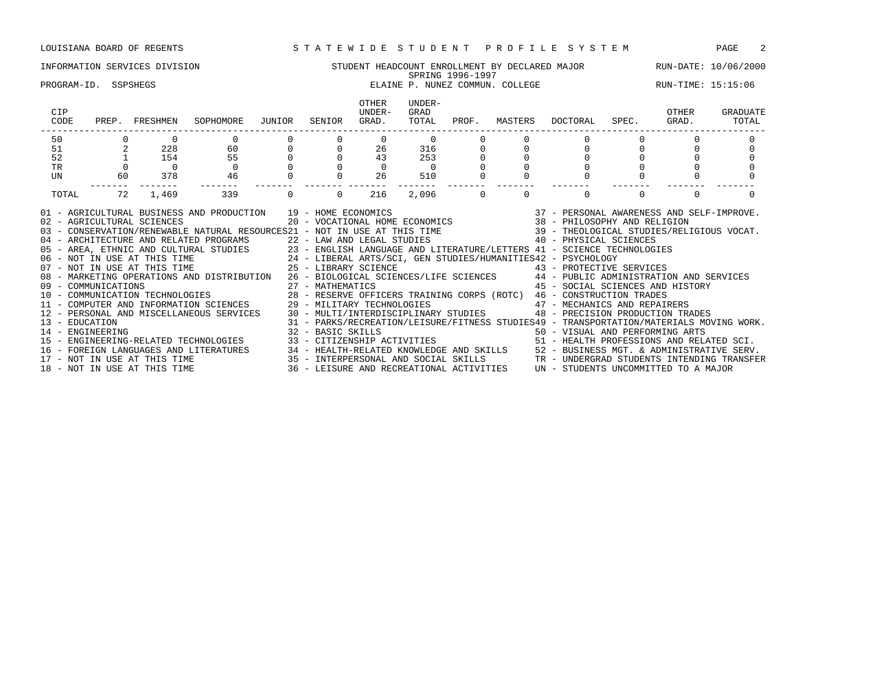### INFORMATION SERVICES DIVISION STUDENT HEADCOUNT ENROLLMENT BY DECLARED MAJOR RUN-DATE: 10/06/2000 SPRING 1996-1997 PROGRAM-ID. SSPSHEGS ELAINE P. NUNEZ COMMUN. COLLEGE RUN-TIME: 15:15:06 OTHER UNDER-<br>UNDER- GRAD CIP UNDER- GRAD OTHER GRADUATE CODE PREP. FRESHMEN SOPHOMORE JUNIOR SENIOR GRAD. TOTAL PROF. MASTERS DOCTORAL SPEC. GRAD. TOTAL ------------------------------------------------------------------------------------------------------------------------------------ 50 0 0 0 0 0 0 0 0 0 0 0 0 0 51 2 228 60 0 0 26 316 0 0 0 0 0 0 52 1 154 55 0 0 43 253 0 0 0 0 0 0 TR 0 0 0 0 0 0 0 0 0 0 0 0 0 UN 60 378 46 0 0 26 510 0 0 0 0 0 0 ------- ------- ------- ------- ------- ------- ------- ------- ------- ------- ------- ------- ------- TOTAL 72 1,469 339 0 0 216 2,096 0 0 0 0 0 0 01 - AGRICULTURAL BUSINESS AND PRODUCTION 39 - HOME ECONOMICS 37 - PERSONAL AWARENESS AND SELF-IMPROVE. 02 - AGRICULTURAL SCIENCES 20 - VOCATIONAL HOME ECONOMICS 38 - PHILOSOPHY AND RELIGION 03 - CONSERVATION/RENEWABLE NATURAL RESOURCES21 - NOT IN USE AT THIS TIME 39 - THEOLOGICAL STUDIES/RELIGIOUS VOCAT. 04 - ARCHITECTURE AND RELATED PROGRAMS 22 - LAW AND LEGAL STUDIES 40 - PHYSICAL SCIENCES 05 - AREA, ETHNIC AND CULTURAL STUDIES 23 - ENGLISH LANGUAGE AND LITERATURE/LETTERS 41 - SCIENCE TECHNOLOGIES<br>06 - NOT IN USE AT THIS TIME 24 - LIBERAL ARTS/SCI, GEN STUDIES/HUMANITIES42 - PSYCHOLOGY 06 - NOT IN USE AT THIS TIME 24 - LIBERAL ARTS/SCI, GEN STUDIES/HUMANITIES42 - PSYCHOLOGY 07 - NOT IN USE AT THIS TIME  $25$  - LIBRARY SCIENCE  $43$  - PROTECTIVE SERVICES 08 - MARKETING OPERATIONS AND DISTRIBUTION 26 - BIOLOGICAL SCIENCES/LIFE SCIENCES 44 - PUBLIC ADMINISTRATION AND SERVICES 09 - COMMUNICATIONS 27 - MATHEMATICS 45 - SOCIAL SCIENCES AND HISTORY 10 - COMMUNICATION TECHNOLOGIES 28 - RESERVE OFFICERS TRAINING CORPS (ROTC) 46 - CONSTRUCTION TRADES 11 - COMPUTER AND INFORMATION SCIENCES 29 - MILITARY TECHNOLOGIES 47 - MECHANICS AND REPAIRERS

12 - PERSONAL AND MISCELLANEOUS SERVICES 30 - MULTI/INTERDISCIPLINARY STUDIES 48 - PRECISION PRODUCTION TRADES 13 - EDUCATION 31 - PARKS/RECREATION/LEISURE/FITNESS STUDIES49 - TRANSPORTATION/MATERIALS MOVING WORK. 14 - ENGINEERING 32 - BASIC SKILLS 50 - VISUAL AND PERFORMING ARTS 15 - ENGINEERING-RELATED TECHNOLOGIES 33 - CITIZENSHIP ACTIVITIES 51 - HEALTH PROFESSIONS AND RELATED SCI. 16 - FOREIGN LANGUAGES AND LITERATURES 34 - HEALTH-RELATED KNOWLEDGE AND SKILLS 52 - BUSINESS MGT. & ADMINISTRATIVE SERV. 17 - NOT IN USE AT THIS TIME 35 - INTERPERSONAL AND SOCIAL SKILLS TR - UNDERGRAD STUDENTS INTENDING TRANSFER 18 - NOT IN USE AT THIS TIME 36 - LEISURE AND RECREATIONAL ACTIVITIES UN - STUDENTS UNCOMMITTED TO A MAJOR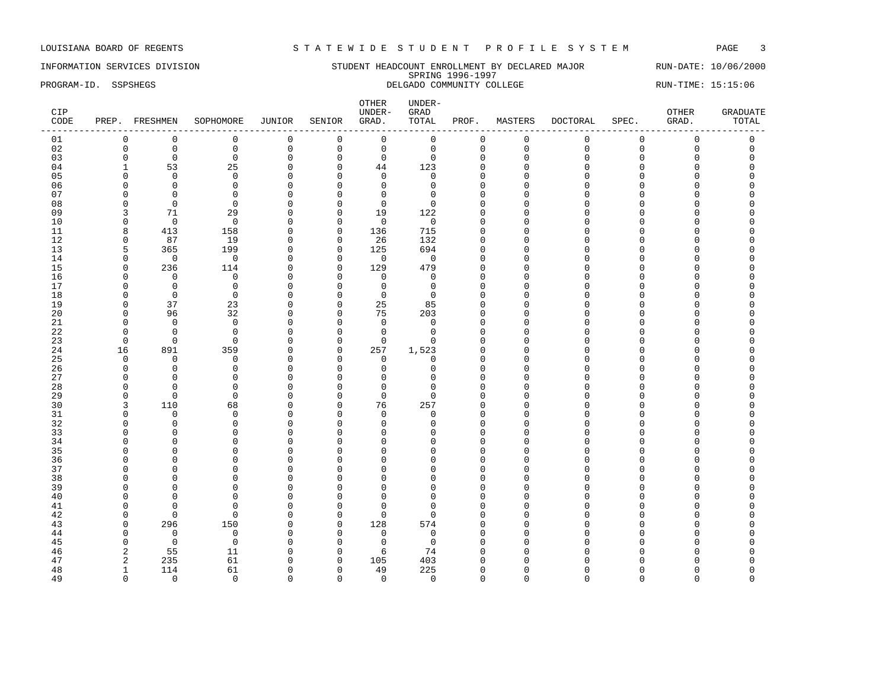INFORMATION SERVICES DIVISION SUNDERT STUDENT HEADCOUNT ENROLLMENT BY DECLARED MAJOR RUN-DATE: 10/06/2000 SPRING 1996-1997 PROGRAM-ID. SSPSHEGS DELGADO COMMUNITY COLLEGE RUN-TIME: 15:15:06

| CIP<br>CODE |              | PREP. FRESHMEN | SOPHOMORE      | JUNIOR       | SENIOR         | OTHER<br>UNDER-<br>GRAD. | $\ensuremath{\text{UNDER}}\xspace-\xspace$<br>GRAD<br>TOTAL | PROF.        | MASTERS     | DOCTORAL    | SPEC.       | OTHER<br>GRAD.      | <b>GRADUATE</b><br>TOTAL |
|-------------|--------------|----------------|----------------|--------------|----------------|--------------------------|-------------------------------------------------------------|--------------|-------------|-------------|-------------|---------------------|--------------------------|
| 01          | 0            | $\mathbf 0$    | $\mathbf 0$    | 0            | $\mathbf 0$    | $\mathsf 0$              | $\mathsf 0$                                                 | $\mathbf 0$  | $\mathsf 0$ | $\mathbf 0$ | $\mathbf 0$ | $\mathsf 0$         | $\mathsf 0$              |
| 02          | $\mathbf 0$  | $\mathbf 0$    | $\mathbb O$    | $\mathsf 0$  | $\mathsf 0$    | $\mathsf 0$              | $\mathbf 0$                                                 | 0            | $\mathbf 0$ | $\Omega$    | $\Omega$    | $\mathsf{O}\xspace$ | $\mathbf 0$              |
| 03          | $\mathbf 0$  | $\mathbf 0$    | $\mathbf 0$    | $\mathbf 0$  | $\mathbf 0$    | $\mathbf 0$              | $\mathbf 0$                                                 | $\mathbf{0}$ | $\mathbf 0$ | $\Omega$    | $\mathbf 0$ | $\mathbf 0$         | $\Omega$                 |
| 04          | 1            | 53             | 25             | $\mathsf 0$  | $\mathbf 0$    | 44                       | 123                                                         | $\mathbf 0$  | $\Omega$    | $\cap$      | $\Omega$    | $\Omega$            | $\Omega$                 |
| 05          | n            | $\Omega$       | $\Omega$       | $\Omega$     | $\Omega$       | $\Omega$                 | $\Omega$                                                    | $\Omega$     | n           |             | C           | O                   |                          |
| 06          | O            | $\Omega$       | $\Omega$       | $\mathbf{0}$ | $\Omega$       | $\mathbf 0$              | $\Omega$                                                    | $\Omega$     | n           | $\cap$      | C           | O                   |                          |
| 07          | O            | $\Omega$       | $\Omega$       | $\mathbf 0$  | 0              | $\mathbf 0$              | $\Omega$                                                    | $\Omega$     | ∩           |             |             | O                   |                          |
| 08          | $\Omega$     | $\overline{0}$ | $\Omega$       | $\mathbf{0}$ | $\mathbf 0$    | $\mathbf 0$              | $\Omega$                                                    | $\Omega$     |             |             |             | O                   |                          |
| 09          | 3            | 71             | 29             | $\mathbf 0$  | $\mathbf 0$    | 19                       | 122                                                         | $\cap$       | Λ           |             |             | U                   |                          |
| 10          | $\Omega$     | $\overline{0}$ | $\mathbf 0$    | $\mathbf{0}$ | $\mathbf 0$    | $\mathbf 0$              | $\mathbf 0$                                                 | $\Omega$     |             |             |             | O                   |                          |
| 11          | 8            | 413            | 158            | $\mathbf{0}$ | $\mathsf 0$    | 136                      | 715                                                         | $\Omega$     |             |             |             | O                   |                          |
| 12          | 0            | 87             | 19             | $\mathbf 0$  | $\overline{0}$ | 26                       | 132                                                         | $\Omega$     | ∩           |             |             | O                   |                          |
| 13          | 5            | 365            | 199            | 0            | $\mathbf 0$    | 125                      | 694                                                         | $\Omega$     | $\cap$      |             |             | O                   |                          |
|             | $\mathbf{0}$ | $\mathbf 0$    | $\overline{0}$ |              |                | $\mathsf 0$              | $\mathbf 0$                                                 | $\Omega$     | U           |             |             | O                   |                          |
| 14          | $\Omega$     |                |                | $\mathbf 0$  | $\mathbf 0$    |                          |                                                             | $\cap$       |             |             |             | U                   |                          |
| 15          |              | 236            | 114            | $\Omega$     | $\overline{0}$ | 129                      | 479                                                         |              |             |             |             |                     |                          |
| 16          | $\Omega$     | $\mathbf 0$    | $\mathbf 0$    | $\mathbf{0}$ | $\mathbf 0$    | $\mathbf 0$              | $\mathbf 0$                                                 | $\Omega$     |             |             |             | O                   |                          |
| 17          | O            | $\mathbf 0$    | $\mathbf 0$    | $\mathbf 0$  | 0              | $\mathsf 0$              | 0                                                           | $\Omega$     | ∩           |             |             | O                   |                          |
| 18          | $\Omega$     | $\mathbf 0$    | $\Omega$       | $\mathbf{0}$ | $\mathbf 0$    | $\mathbf 0$              | $\Omega$                                                    | ∩            |             |             |             | O                   |                          |
| 19          | $\Omega$     | 37             | 23             | $\mathbf{0}$ | $\mathbf 0$    | 25                       | 85                                                          | $\Omega$     | $\cap$      |             |             | O                   |                          |
| 20          | $\Omega$     | 96             | 32             | $\mathbf{0}$ | $\mathbf 0$    | 75                       | 203                                                         | $\cap$       | ∩           |             |             | U                   |                          |
| 21          | $\Omega$     | $\mathbf 0$    | $\mathbf 0$    | $\mathbf 0$  | $\mathbf 0$    | $\mathbf 0$              | $\Omega$                                                    | $\Omega$     | $\cap$      |             | C           | O                   |                          |
| 22          | $\Omega$     | $\Omega$       | $\Omega$       | $\mathbf{0}$ | 0              | $\mathbf 0$              | $\Omega$                                                    | $\Omega$     | ∩           |             |             | O                   |                          |
| 23          | $\Omega$     | $\mathbf 0$    | $\mathbf 0$    | $\mathbf{0}$ | $\mathsf 0$    | $\mathsf 0$              | $\Omega$                                                    | $\Omega$     |             |             |             | $\Omega$            |                          |
| 24          | 16           | 891            | 359            | $\mathbf 0$  | $\mathbf 0$    | 257                      | 1,523                                                       | $\Omega$     |             |             |             | O                   |                          |
| 25          | $\Omega$     | $\Omega$       | $\Omega$       | $\Omega$     | $\Omega$       | $\mathbf 0$              | $\Omega$                                                    | $\Omega$     | ∩           |             |             | U                   |                          |
| 26          | $\Omega$     | $\mathbf 0$    | $\mathbf 0$    | $\mathbf{0}$ | $\mathbf 0$    | $\mathbf 0$              | $\Omega$                                                    | $\Omega$     |             |             | C           | O                   |                          |
| 27          | ∩            | $\Omega$       | $\Omega$       | $\mathbf{0}$ | 0              | $\mathbf 0$              | U                                                           | $\Omega$     |             |             |             | O                   |                          |
| 28          | ∩            | $\Omega$       | $\Omega$       | $\Omega$     | $\Omega$       | $\mathbf 0$              | ∩                                                           | ∩            |             |             |             | O                   |                          |
| 29          | 0            | $\mathbf 0$    | $\mathbf 0$    | $\mathbf{0}$ | $\mathbf 0$    | $\mathbf 0$              | $\Omega$                                                    | $\Omega$     | Λ           |             |             | O                   |                          |
| 30          | 3            | 110            | 68             | $\mathbf{0}$ | $\mathbf 0$    | 76                       | 257                                                         | $\cap$       | ∩           |             |             | U                   |                          |
| 31          | $\Omega$     | $\overline{0}$ | $\Omega$       | $\mathbf{0}$ | $\Omega$       | $\mathbf 0$              | $\Omega$                                                    | $\Omega$     |             |             | n           | O                   |                          |
| 32          | ∩            | $\Omega$       | $\Omega$       | $\mathbf{0}$ | $\Omega$       | $\Omega$                 | U                                                           | $\Omega$     | ∩           |             |             | U                   |                          |
| 33          | ∩            | $\Omega$       | $\Omega$       | $\mathbf{0}$ | $\Omega$       | $\overline{0}$           |                                                             | $\Omega$     |             |             |             | O                   |                          |
| 34          | $\cap$       | $\Omega$       | $\Omega$       | $\mathbf{0}$ | $\Omega$       | $\mathbf 0$              |                                                             | $\Omega$     |             |             |             | O                   |                          |
| 35          | n            | $\Omega$       | $\Omega$       | $\Omega$     | $\Omega$       | $\Omega$                 |                                                             | $\cap$       | Λ           |             | U           | U                   |                          |
| 36          |              | $\Omega$       | $\Omega$       | $\mathbf{0}$ | $\Omega$       | $\mathbf 0$              |                                                             | $\Omega$     |             |             |             | O                   |                          |
| 37          |              | $\Omega$       | $\Omega$       | $\mathbf{0}$ | $\Omega$       | $\Omega$                 |                                                             | $\Omega$     |             |             |             | $\Omega$            |                          |
| 38          | ∩            | $\Omega$       | $\Omega$       | $\Omega$     | $\Omega$       | $\Omega$                 | ∩                                                           | ∩            |             |             |             | U                   |                          |
| 39          | <sup>0</sup> | $\mathbf 0$    | $\mathbf 0$    | $\mathbf 0$  | $\mathbf 0$    | $\mathbf{0}$             | U                                                           | $\Omega$     |             |             |             | 0                   |                          |
| 40          | ∩            | $\overline{0}$ | $\Omega$       | $\mathbf{0}$ | $\mathbf 0$    | $\Omega$                 |                                                             | $\cap$       | U           |             |             | U                   |                          |
| 41          | n            | $\Omega$       | $\Omega$       | $\mathbf{0}$ | 0              | $\Omega$                 | ∩                                                           | $\cap$       | ∩           |             |             | U                   |                          |
| 42          | $\Omega$     | $\mathbf 0$    | $\mathbf 0$    | $\mathbf{0}$ | $\mathbf 0$    | $\mathbf 0$              | <sup>0</sup>                                                | $\Omega$     | ∩           |             |             | O                   |                          |
| 43          | $\Omega$     | 296            | 150            | $\mathbf 0$  | $\mathsf 0$    | 128                      | 574                                                         | $\Omega$     |             |             |             | O                   |                          |
| 44          | $\Omega$     | $\mathbf 0$    | $\mathbf 0$    | 0            | $\mathbf 0$    | $\mathbf 0$              | $\Omega$                                                    | $\Omega$     |             |             |             | O                   |                          |
| 45          | $\Omega$     | $\overline{0}$ | $\Omega$       | $\mathbf 0$  | $\mathbf 0$    | $\mathbf 0$              | $\Omega$                                                    | $\cap$       | ∩           |             |             | U                   |                          |
| 46          | 2            | 55             | 11             | $\mathbf{0}$ | $\mathbf 0$    | 6                        | 74                                                          | $\Omega$     |             |             |             | O                   |                          |
| 47          | 2            | 235            | 61             | $\mathbf 0$  | 0              | 105                      | 403                                                         | $\Omega$     |             |             |             | U                   |                          |
| 48          | $\mathbf{1}$ | 114            | 61             | $\mathbf{0}$ | $\mathbf 0$    | 49                       | 225                                                         | $\Omega$     | U           |             |             | O                   | $\Omega$                 |
| 49          | $\Omega$     | $\Omega$       | $\Omega$       | $\Omega$     | $\Omega$       | $\mathbf 0$              | $\Omega$                                                    | $\Omega$     | $\Omega$    | $\Omega$    | $\Omega$    | $\Omega$            | $\Omega$                 |
|             |              |                |                |              |                |                          |                                                             |              |             |             |             |                     |                          |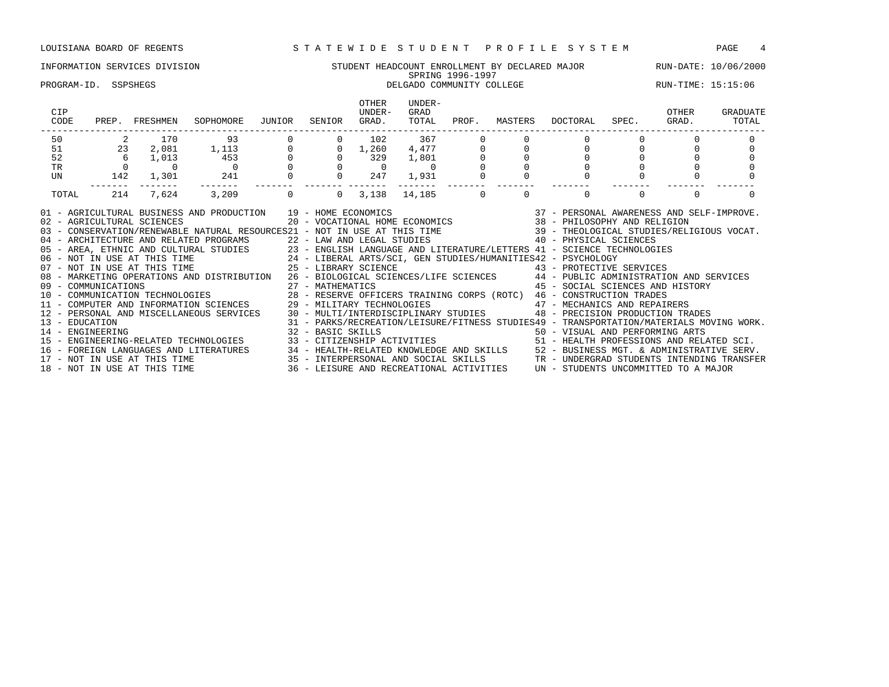### INFORMATION SERVICES DIVISION STUDENT HEADCOUNT ENROLLMENT BY DECLARED MAJOR RUN-DATE: 10/06/2000 SPRING 1996-1997 PROGRAM-ID. SSPSHEGS **DELGADO COMMUNITY COLLEGE** RUN-TIME: 15:15:06

| CIP<br>CODE                                                                                                                                                                                                                                                                                                                                                                                                                                                                                                                                                                                                                                                                                                                                                                                                                                                                                                                                                                                                                                                                                                                                                                                                                                                                                                                                                                                           | PREP. FRESHMEN                                                                                                                                    | SOPHOMORE                                                                                                                                                                                                                                  | JUNIOR            | SENIOR | OTHER<br>UNDER-<br>GRAD. | UNDER-<br>GRAD<br>TOTAL      | PROF.    | MASTERS  | DOCTORAL                                                                                                                                                                                                                                                    | SPEC.                                  | OTHER<br>GRAD. | GRADUATE<br>TOTAL |
|-------------------------------------------------------------------------------------------------------------------------------------------------------------------------------------------------------------------------------------------------------------------------------------------------------------------------------------------------------------------------------------------------------------------------------------------------------------------------------------------------------------------------------------------------------------------------------------------------------------------------------------------------------------------------------------------------------------------------------------------------------------------------------------------------------------------------------------------------------------------------------------------------------------------------------------------------------------------------------------------------------------------------------------------------------------------------------------------------------------------------------------------------------------------------------------------------------------------------------------------------------------------------------------------------------------------------------------------------------------------------------------------------------|---------------------------------------------------------------------------------------------------------------------------------------------------|--------------------------------------------------------------------------------------------------------------------------------------------------------------------------------------------------------------------------------------------|-------------------|--------|--------------------------|------------------------------|----------|----------|-------------------------------------------------------------------------------------------------------------------------------------------------------------------------------------------------------------------------------------------------------------|----------------------------------------|----------------|-------------------|
|                                                                                                                                                                                                                                                                                                                                                                                                                                                                                                                                                                                                                                                                                                                                                                                                                                                                                                                                                                                                                                                                                                                                                                                                                                                                                                                                                                                                       | $\begin{array}{ccccc} 50 && 2 && 170 \\ 51 && 23 && 2\,081 \\ 52 && 6 && 1\,013 \\ \text{TR} && 0 && 0 \\ \text{UN} && 142 && 1\,301 \end{array}$ | $\begin{array}{cccccc} & 93 & & 0 & & 0 & & 102 & & 367 & & 0 \\ 1,113 & & 0 & & 0 & 1,260 & 4,477 & & 0 \\ 453 & & 0 & & 0 & & 329 & 1,801 & & 0 \\ 0 & & 0 & & 0 & & 0 & & 0 & & 0 \\ 241 & & 0 & & 0 & & 247 & 1,931 & & 0 \end{array}$ |                   |        |                          |                              |          |          |                                                                                                                                                                                                                                                             |                                        |                |                   |
|                                                                                                                                                                                                                                                                                                                                                                                                                                                                                                                                                                                                                                                                                                                                                                                                                                                                                                                                                                                                                                                                                                                                                                                                                                                                                                                                                                                                       |                                                                                                                                                   |                                                                                                                                                                                                                                            |                   |        |                          |                              |          |          |                                                                                                                                                                                                                                                             | $\begin{bmatrix} 0 \\ 0 \end{bmatrix}$ |                |                   |
|                                                                                                                                                                                                                                                                                                                                                                                                                                                                                                                                                                                                                                                                                                                                                                                                                                                                                                                                                                                                                                                                                                                                                                                                                                                                                                                                                                                                       |                                                                                                                                                   |                                                                                                                                                                                                                                            |                   |        |                          |                              |          |          |                                                                                                                                                                                                                                                             |                                        |                |                   |
|                                                                                                                                                                                                                                                                                                                                                                                                                                                                                                                                                                                                                                                                                                                                                                                                                                                                                                                                                                                                                                                                                                                                                                                                                                                                                                                                                                                                       |                                                                                                                                                   |                                                                                                                                                                                                                                            |                   |        |                          |                              |          |          |                                                                                                                                                                                                                                                             |                                        |                |                   |
|                                                                                                                                                                                                                                                                                                                                                                                                                                                                                                                                                                                                                                                                                                                                                                                                                                                                                                                                                                                                                                                                                                                                                                                                                                                                                                                                                                                                       |                                                                                                                                                   |                                                                                                                                                                                                                                            |                   |        |                          |                              |          |          |                                                                                                                                                                                                                                                             |                                        |                |                   |
| TOTAL                                                                                                                                                                                                                                                                                                                                                                                                                                                                                                                                                                                                                                                                                                                                                                                                                                                                                                                                                                                                                                                                                                                                                                                                                                                                                                                                                                                                 | 214<br>7,624                                                                                                                                      | 3,209                                                                                                                                                                                                                                      | $\Omega$          |        |                          | $0 \quad 3,138 \quad 14,185$ | $\Omega$ | $\Omega$ | $\Omega$                                                                                                                                                                                                                                                    |                                        | $\Omega$       |                   |
| 01 - AGRICULTURAL BUSINESS AND PRODUCTION 19 - HOME ECONOMICS<br>02 - AGRICULTURAL SCIENCES<br>03 - CONSERVATION/RENEWABLE NATURAL RESOURCES21 - NOT IN USE AT THIS TIME 39 - THEOLOGICAL STUDIES/RELIGIOUS VOCAT.<br>04 - ARCHITECTURE AND RELATED PROGRAMS 22 - LAW AND LEGAL STUDIES 40 - PHYSICAL SCIENCES<br>05 - AREA, ETHNIC AND CULTURAL STUDIES<br>23 - ENGLISH LANGUAGE AND LITERATURE/LETTERS 41 - SCIENCE TECHNOLOGIES<br>24 - LIBERAL ARTS/SCI, GEN STUDIES/HUMANITIES42 - PSYCHOLOGY<br>25 - LIBERAL ARTS/SCI, GEN STUDIES/HUMANITIES42<br>08 - MARKETING OPERATIONS AND DISTRIBUTION 26 - BIOLOGICAL SCIENCES/LIFE SCIENCES 44 - PUBLIC ADMINISTRATION AND SERVICES<br>09 - COMMUNICATIONS 27 - MATHEMATICS 45 - SOCIAL SCIENCES AND HISTORY<br>COMMUNICATIONS<br>10 - COMMUNICATIONS<br>10 - COMMUNICATION TECHNOLOGIES<br>11 - COMPUTER AND INFORMATION SCIENCES<br>29 - MILITARY TECHNOLOGIES<br>29 - MILITARY TECHNOLOGIES<br>29 - MILITARY TECHNOLOGIES<br>29 - MILITARY TECHNOLOGIES<br><br>13 - EDUCATION<br>14 - ENGINEERING<br>15 - ENGINEERING-RELATED TECHNOLOGIES 33 - CITIZENSHIP ACTIVITIES 51 - HEALTH PROFESSIONS AND RELATED SCI.<br>16 - FOREIGN LANGUAGES AND LITERATURES 34 - HEALTH-RELATED KNOWLEDGE AND SKILLS 52 - BUSINESS MGT. & ADMINISTRATIVE SERV.<br>17 - NOT IN USE AT THIS TIME 35 - INTERPERSONAL AND SOCIAL SKILLS TR - UNDERGRAD STUDENTS INTENDING |                                                                                                                                                   | 31 - PARKS/RECREATION/LEISURE/FITNESS STUDIES49 - TRANSPORTATION/MATERIALS MOVING WORK.                                                                                                                                                    | 32 - BASIC SKILLS |        |                          |                              |          |          | $\begin{array}{cccccc} 19 & -& \text{HOME ECONOMICS} & & & & 37 & -& \text{PERSONAL AWARENESS AND SELF-IMPROVE.} \\ 20 & -& \text{VOCATIONAL HOME ECONOMICS} & & & & 38 & -& \text{PHILOSOPHY AND RELIGION} \end{array}$<br>50 - VISUAL AND PERFORMING ARTS |                                        |                |                   |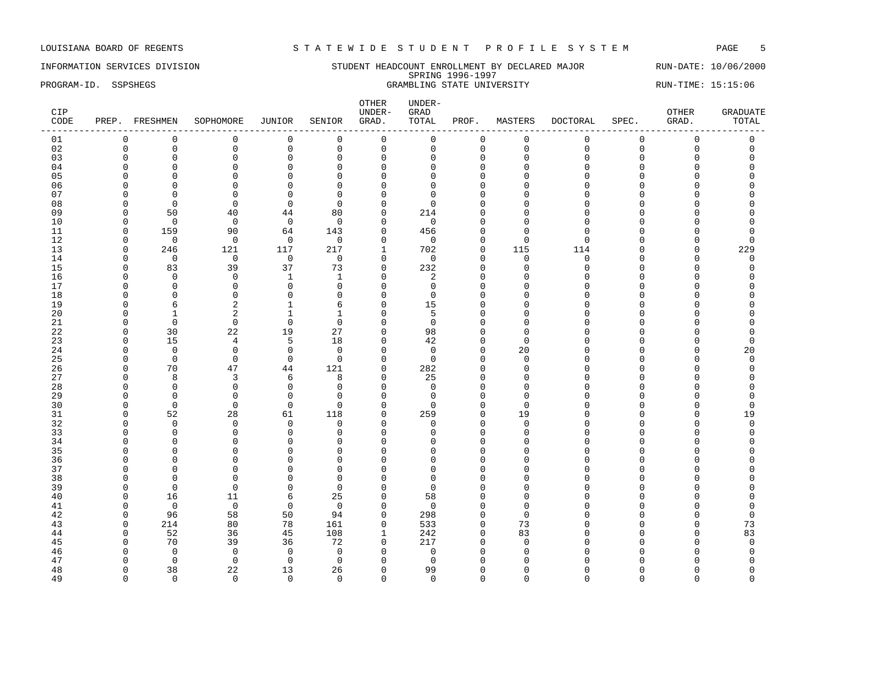### INFORMATION SERVICES DIVISION STUDENT HEADCOUNT ENROLLMENT BY DECLARED MAJOR RUN-DATE: 10/06/2000 SPRING 1996-1997 PROGRAM-ID. SSPSHEGS GRAMBLING STATE UNIVERSITY RUN-TIME: 15:15:06

| CIP<br>CODE |             | PREP. FRESHMEN | SOPHOMORE      | JUNIOR       | SENIOR         | OTHER<br>UNDER-<br>GRAD. | $UNDER-$<br>GRAD<br>TOTAL | PROF.       | MASTERS      | DOCTORAL    | SPEC.               | OTHER<br>GRAD. | <b>GRADUATE</b><br>TOTAL |
|-------------|-------------|----------------|----------------|--------------|----------------|--------------------------|---------------------------|-------------|--------------|-------------|---------------------|----------------|--------------------------|
| 01          | $\mathbf 0$ | $\mathbf 0$    | $\mathbf 0$    | 0            | $\mathbf 0$    | $\mathsf 0$              | 0                         | 0           | $\mathbf 0$  | 0           | 0                   | $\mathsf 0$    | $\mathsf 0$              |
| 02          | $\mathbf 0$ | $\mathsf 0$    | $\mathbf 0$    | $\mathsf 0$  | $\mathbf 0$    | $\mathsf 0$              | $\mathbf 0$               | $\mathbf 0$ | $\mathbf 0$  | $\Omega$    | $\mathsf{O}\xspace$ | $\mathbf 0$    | $\mathsf{O}$             |
| 03          | $\Omega$    | $\mathbf 0$    | $\Omega$       | $\mathbf{0}$ | $\Omega$       | $\mathbf 0$              | $\Omega$                  | $\Omega$    | $\Omega$     | $\Omega$    | $\Omega$            | $\Omega$       | $\Omega$                 |
| 04          | $\Omega$    | $\mathbf 0$    | $\Omega$       | $\mathbf{0}$ | $\Omega$       | $\mathbf 0$              | $\Omega$                  | $\Omega$    | <sup>0</sup> | $\Omega$    | $\Omega$            | U              | O                        |
| 05          | $\Omega$    | $\mathbf 0$    | $\Omega$       | $\mathbf 0$  | $\Omega$       | $\mathbf 0$              | $\Omega$                  | $\Omega$    | $\Omega$     | $\Omega$    | $\Omega$            | $\Omega$       | O                        |
| 06          | $\Omega$    | $\mathbf 0$    | $\Omega$       | $\mathbf{0}$ | $\Omega$       | $\mathbf 0$              | $\Omega$                  | $\Omega$    | $\Omega$     | $\Omega$    | $\cap$              | $\Omega$       | O                        |
| 07          | $\Omega$    | $\mathbf 0$    | $\Omega$       | $\mathbf{0}$ | $\Omega$       | $\mathbf 0$              | $\Omega$                  | $\Omega$    | $\Omega$     | $\cap$      | C                   | U              | U                        |
| 08          | n           | $\Omega$       | $\Omega$       | $\Omega$     | $\Omega$       | $\Omega$                 | $\Omega$                  | $\cap$      | n            | ∩           | U                   | U              | U                        |
| 09          | $\Omega$    | 50             | 40             | 44           | 80             | $\mathbf 0$              | 214                       | $\Omega$    | <sup>0</sup> | $\Omega$    | U                   | O              | 0                        |
| 10          | $\Omega$    | $\overline{0}$ | $\Omega$       | $\mathbf 0$  | $\Omega$       | $\mathbf 0$              | $\mathbf 0$               | $\Omega$    | <sup>0</sup> | $\Omega$    | $\cap$              | U              | 0                        |
| 11          | $\Omega$    | 159            | 90             | 64           | 143            | $\mathbf 0$              | 456                       | $\Omega$    | $\Omega$     | $\Omega$    | $\Omega$            |                | $\Omega$                 |
| 12          | $\Omega$    | $\mathbf 0$    | $\mathbf 0$    | $\mathbf 0$  | $\mathbf 0$    | $\mathbf 0$              | $\mathbf 0$               | 0           | $\Omega$     | $\Omega$    | $\cap$              | 0              | $\Omega$                 |
| 13          | $\Omega$    | 246            | 121            | 117          | 217            | 1                        | 702                       | $\Omega$    | 115          | 114         | $\cap$              | $\Omega$       | 229                      |
| 14          | $\Omega$    | $\mathbf 0$    | $\mathbf 0$    | $\mathbf 0$  | $\mathbf 0$    | $\mathbf 0$              | $\mathbf 0$               | $\Omega$    | $\mathbf 0$  | $\mathbf 0$ | $\Omega$            | $\mathbf{0}$   | $\mathbf 0$              |
| 15          | $\Omega$    | 83             | 39             | 37           | 73             | $\mathbf 0$              | 232                       | $\Omega$    | $\Omega$     | $\Omega$    | $\cap$              | $\Omega$       | $\mathbf 0$              |
| 16          | ∩           | $\mathbf 0$    | $\Omega$       | $\mathbf{1}$ | -1             | $\mathbf 0$              | 2                         | ∩           | ∩            | $\cap$      | U                   | U              | O                        |
| 17          | $\Omega$    | $\mathbf 0$    | $\Omega$       | $\mathbf 0$  | $\Omega$       | $\mathbf 0$              | $\mathbf 0$               | $\Omega$    | $\Omega$     | $\cap$      | n                   | O              | U                        |
| 18          | ∩           | $\mathbf 0$    | $\Omega$       | $\mathbf{0}$ | $\Omega$       | $\mathbf 0$              | 0                         | $\Omega$    | ∩            | $\cap$      | U                   | U              |                          |
| 19          | $\cap$      | 6              | $\overline{2}$ | $1\,$        | 6              | $\mathbf 0$              | 15                        | $\Omega$    | $\Omega$     | $\cap$      | O                   | $\Omega$       | O                        |
| 20          | $\Omega$    | $\mathbf{1}$   | 2              | $\mathbf{1}$ | $\mathbf{1}$   | $\mathbf 0$              | 5                         | $\Omega$    | <sup>0</sup> | $\Omega$    | n                   | O              | O                        |
| 21          | ∩           | $\overline{0}$ | $\Omega$       | $\mathbf 0$  | $\Omega$       | $\mathbf 0$              | $\mathbf 0$               | O           | ∩            | $\cap$      | U                   | U              | O                        |
| 22          | $\Omega$    | 30             | 22             | 19           | 27             | $\Omega$                 | 98                        | $\Omega$    | $\Omega$     | $\cap$      | $\Omega$            | $\Omega$       | $\Omega$                 |
| 23          | $\Omega$    | 15             | $\overline{4}$ | 5            | 18             | $\mathbf 0$              | 42                        | $\mathbf 0$ | $\Omega$     | $\cap$      | n                   | O              | $\mathbf 0$              |
| 24          | $\Omega$    | $\mathbf 0$    | $\Omega$       | $\mathsf 0$  | $\Omega$       | $\mathbf 0$              | $\Omega$                  | $\Omega$    | 20           | $\cap$      | n                   | O              | 20                       |
| 25          | $\Omega$    | $\mathbf 0$    | $\Omega$       | $\mathbf 0$  | $\Omega$       | $\Omega$                 | $\Omega$                  | $\Omega$    | $\Omega$     | ∩           | $\cap$              | U              | $\Omega$                 |
| 26          | $\Omega$    | 70             | 47             | 44           | 121            | $\mathbf 0$              | 282                       | $\Omega$    | $\Omega$     | $\cap$      | U                   | U              | 0                        |
| 27          | $\Omega$    | 8              | 3              | 6            | 8              | $\mathbf 0$              | 25                        | $\Omega$    | $\Omega$     | $\cap$      | O                   | $\Omega$       | O                        |
| 28          | $\Omega$    | $\mathbf 0$    | $\mathbf{0}$   | $\mathbf 0$  | $\overline{0}$ | $\mathbf 0$              | $\mathbf 0$               | $\Omega$    | $\Omega$     | $\cap$      | n                   | $\Omega$       | $\Omega$                 |
| 29          | ∩           | $\Omega$       | $\Omega$       | $\mathbf{0}$ | $\Omega$       | $\Omega$                 | $\Omega$                  | O           | $\Omega$     | ∩           | U                   | U              | 0                        |
| 30          | $\Omega$    | $\Omega$       | $\Omega$       | $\Omega$     | $\Omega$       | $\Omega$                 | $\Omega$                  | $\Omega$    | $\Omega$     | $\cap$      | $\cap$              | $\Omega$       | $\Omega$                 |
| 31          | $\Omega$    | 52             | 28             | 61           | 118            | $\mathbf 0$              | 259                       | $\Omega$    | 19           | $\Omega$    | U                   | 0              | 19                       |
| 32          | $\Omega$    | $\overline{0}$ | $\Omega$       | 0            | $\Omega$       | $\mathbf 0$              | 0                         | $\Omega$    | $\Omega$     | $\cap$      | $\cap$              | U              | $\mathbf 0$              |
| 33          | $\Omega$    | $\mathbf 0$    | $\Omega$       | $\mathbf 0$  | $\Omega$       | $\Omega$                 | $\Omega$                  | $\Omega$    | $\Omega$     | $\Omega$    | $\Omega$            | $\Omega$       | $\Omega$                 |
| 34          | n           | 0              | $\Omega$       | $\mathbf{0}$ | $\Omega$       | $\Omega$                 | <sup>0</sup>              | O           | n            | $\cap$      | $\cap$              | U              | U                        |
| 35          |             | $\Omega$       | $\Omega$       | $\Omega$     | $\Omega$       | $\Omega$                 | O                         | $\Omega$    | <sup>0</sup> | $\cap$      | O                   |                | U                        |
| 36          | $\Omega$    | $\mathbf 0$    | $\Omega$       | $\mathbf{0}$ | $\Omega$       | $\mathbf 0$              | $\Omega$                  | $\Omega$    | <sup>0</sup> | $\Omega$    | O                   | $\Omega$       | O                        |
| 37          | $\Omega$    | $\mathbf 0$    | $\Omega$       | $\mathbf 0$  | $\Omega$       | $\mathbf 0$              | $\Omega$                  | $\Omega$    | n            | $\Omega$    | U                   | U              | O                        |
| 38          | n           | $\Omega$       | $\Omega$       | $\mathbf{0}$ | $\Omega$       | $\Omega$                 | $\Omega$                  | $\Omega$    | n            | $\cap$      | U                   |                | U                        |
| 39          | $\Omega$    | $\Omega$       | $\Omega$       | $\mathbf{0}$ | $\Omega$       | $\Omega$                 | $\Omega$                  | $\Omega$    | $\Omega$     | $\cap$      | U                   | O              | U                        |
| 40          | $\Omega$    | 16             | 11             | 6            | 25             | $\mathbf 0$              | 58                        | $\Omega$    | <sup>0</sup> | ∩           | U                   | U              | O                        |
| 41          | $\Omega$    | $\mathbf 0$    | $\mathbf 0$    | $\mathbf 0$  | $\Omega$       | $\mathbf 0$              | $\Omega$                  | $\Omega$    | $\Omega$     | $\cap$      | O                   | $\Omega$       | $\Omega$                 |
| 42          | $\Omega$    | 96             | 58             | 50           | 94             | $\mathbf 0$              | 298                       | 0           | $\Omega$     | ∩           | n                   | O              | 0                        |
| 43          | $\Omega$    | 214            | 80             | 78           | 161            | $\mathbf 0$              | 533                       | $\Omega$    | 73           | $\cap$      | U                   | $\Omega$       | 73                       |
| 44          | $\Omega$    | 52             | 36             | 45           | 108            | $\mathbf{1}$             | 242                       | 0           | 83           | $\Omega$    | $\Omega$            | $\mathbf 0$    | 83                       |
| 45          | $\Omega$    | 70             | 39             | 36           | 72             | $\mathbf 0$              | 217                       | $\Omega$    | $\Omega$     | $\cap$      | U                   | U              | $\mathbf 0$              |
| 46          | $\Omega$    | $\Omega$       | $\Omega$       | $\mathbf 0$  | $\Omega$       | $\mathbf 0$              | $\mathbf 0$               | $\Omega$    | $\Omega$     | $\cap$      | U                   | $\Omega$       | $\Omega$                 |
| 47          | ∩           | $\Omega$       | $\Omega$       | $\mathbf 0$  | $\Omega$       | $\Omega$                 | $\Omega$                  | O           | n            |             |                     |                | U                        |
| 48          | $\Omega$    | 38             | 22             | 13           | 26             | $\mathbf 0$              | 99                        | $\Omega$    | <sup>0</sup> | O           | U                   | U              | 0                        |
| 49          | $\Omega$    | $\Omega$       | $\Omega$       | $\Omega$     | $\Omega$       | $\Omega$                 | $\Omega$                  | $\Omega$    | $\Omega$     | $\Omega$    | $\Omega$            | $\Omega$       | $\Omega$                 |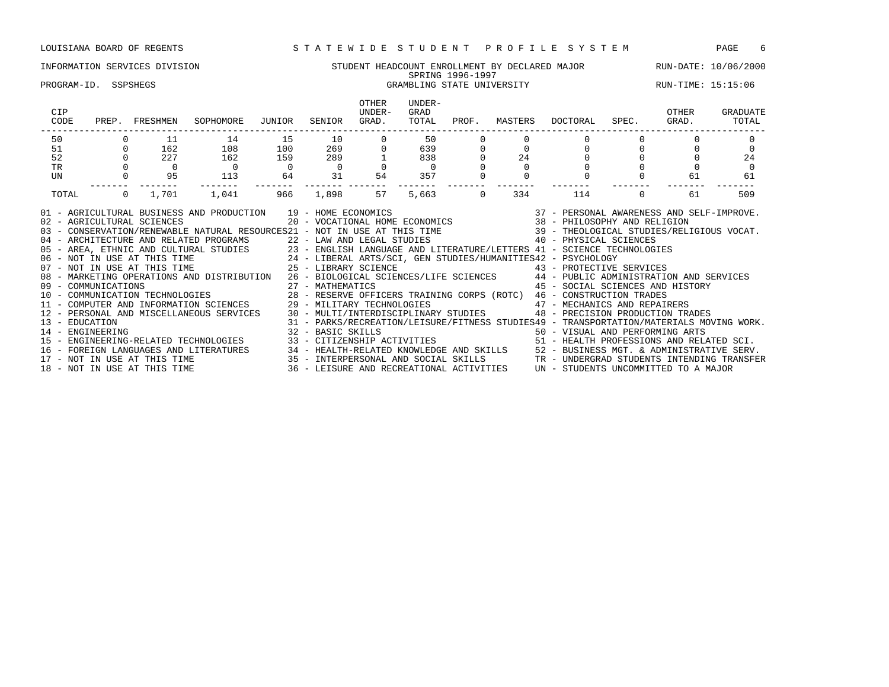### INFORMATION SERVICES DIVISION STUDENT HEADCOUNT ENROLLMENT BY DECLARED MAJOR RUN-DATE: 10/06/2000 SPRING 1996-1997 PROGRAM-ID. SSPSHEGS **GRAMBLING STATE UNIVERSITY** THE RUN-TIME: 15:15:06

| CIP<br>CODE                                                                                                                      | PREP.          | FRESHMEN | SOPHOMORE                                                                                                                                                                                                                                                                                                                                                                                                                                                                                                                                                                                                                                                                                                                                                                                                                                                                                                                                                                                                                                                                                                                                                                                                                                                                                                                                                                                 | JUNIOR         | SENIOR            | <b>OTHER</b><br>UNDER-<br>GRAD. | UNDER-<br>GRAD<br>TOTAL | PROF.    | MASTERS | DOCTORAL SPEC.                                                                                                                                                 | OTHER<br>GRAD. | GRADUATE<br>TOTAL |
|----------------------------------------------------------------------------------------------------------------------------------|----------------|----------|-------------------------------------------------------------------------------------------------------------------------------------------------------------------------------------------------------------------------------------------------------------------------------------------------------------------------------------------------------------------------------------------------------------------------------------------------------------------------------------------------------------------------------------------------------------------------------------------------------------------------------------------------------------------------------------------------------------------------------------------------------------------------------------------------------------------------------------------------------------------------------------------------------------------------------------------------------------------------------------------------------------------------------------------------------------------------------------------------------------------------------------------------------------------------------------------------------------------------------------------------------------------------------------------------------------------------------------------------------------------------------------------|----------------|-------------------|---------------------------------|-------------------------|----------|---------|----------------------------------------------------------------------------------------------------------------------------------------------------------------|----------------|-------------------|
| 50                                                                                                                               |                | 11       | 14                                                                                                                                                                                                                                                                                                                                                                                                                                                                                                                                                                                                                                                                                                                                                                                                                                                                                                                                                                                                                                                                                                                                                                                                                                                                                                                                                                                        | 15             | 10                |                                 | 50                      |          |         |                                                                                                                                                                |                |                   |
| 51                                                                                                                               | $\overline{0}$ | 162      | 108                                                                                                                                                                                                                                                                                                                                                                                                                                                                                                                                                                                                                                                                                                                                                                                                                                                                                                                                                                                                                                                                                                                                                                                                                                                                                                                                                                                       | 100            | 269               | $\overline{0}$                  | 639                     |          |         |                                                                                                                                                                |                | $\Omega$          |
| 52                                                                                                                               | $\Omega$       | 227      | 162                                                                                                                                                                                                                                                                                                                                                                                                                                                                                                                                                                                                                                                                                                                                                                                                                                                                                                                                                                                                                                                                                                                                                                                                                                                                                                                                                                                       | 159            | 289               |                                 | 838                     |          | 24      |                                                                                                                                                                |                | 24                |
| <b>TR</b>                                                                                                                        |                |          |                                                                                                                                                                                                                                                                                                                                                                                                                                                                                                                                                                                                                                                                                                                                                                                                                                                                                                                                                                                                                                                                                                                                                                                                                                                                                                                                                                                           | $\overline{0}$ | $\overline{0}$    |                                 |                         |          |         |                                                                                                                                                                |                | $\Omega$          |
| UN                                                                                                                               |                | 95       | 113                                                                                                                                                                                                                                                                                                                                                                                                                                                                                                                                                                                                                                                                                                                                                                                                                                                                                                                                                                                                                                                                                                                                                                                                                                                                                                                                                                                       | 64             | 31                | 54                              | 357                     |          |         |                                                                                                                                                                | 61             | 61                |
| TOTAL                                                                                                                            | $\Omega$       | 1,701    | 1,041                                                                                                                                                                                                                                                                                                                                                                                                                                                                                                                                                                                                                                                                                                                                                                                                                                                                                                                                                                                                                                                                                                                                                                                                                                                                                                                                                                                     | 966            | 1,898             | 57                              | 5,663                   | $\Omega$ | 334     | 114                                                                                                                                                            | 61             | 509               |
| 02 - AGRICULTURAL SCIENCES<br>13 - EDUCATION<br>14 - ENGINEERING<br>17 - NOT IN USE AT THIS TIME<br>18 - NOT IN USE AT THIS TIME |                |          | ND PRODUCTION $19$ - HOME ECONOMICS $20$ - VOCATIONAL HOME ECONOMICS $37$ - PERSONAL AWARENESS AND SELF-IMPROVE.<br>01 - AGRICULTURAL BUSINESS AND PRODUCTION 19 - HOME ECONOMICS<br>03 - CONSERVATION/RENEWABLE NATURAL RESOURCES21 - NOT IN USE AT THIS TIME 39 - THEOLOGICAL STUDIES/RELIGIOUS VOCAT.<br>04 - ARCHITECTURE AND RELATED PROGRAMS 22 - LAW AND LEGAL STUDIES 40 - PHYSICAL SCIENCES<br>05 - AREA, ETHNIC AND CULTURAL STUDIES<br>06 - NOT IN USE AT THIS TIME 24 - LIBERAL ARTS/SCI, GEN STUDIES/HUMANITIES42 - PSYCHOLOGY<br>25 - LIBERAL ARTS/SCI, GEN STUDIES/HUMANITIES42 - PSYCHOLOGY<br>25 - LIBERAL ARTS/SCI, GEN ST<br>08 - MARKETING OPERATIONS AND DISTRIBUTION 26 - BIOLOGICAL SCIENCES/LIFE SCIENCES 44 - PUBLIC ADMINISTRATION AND SERVICES<br>11 - COMPUTER AND INFORMATION SCIENCES 29 - MILITARY TECHNOLOGIES 47 - MECHANICS AND REPAIRERS<br>12 - PERSONAL AND MISCELLANEOUS SERVICES 30 - MULTI/INTERDISCIPLINARY STUDIES 48 - PRECISION PRODUCTION TRADES<br>15 - ENGINEERING-RELATED TECHNOLOGIES 33 - CITIZENSHIP ACTIVITIES 51 - HEALTH PROFESSIONS AND RELATED SCI.<br>16 - FOREIGN LANGUAGES AND LITERATURES 34 - HEALTH-RELATED KNOWLEDGE AND SKILLS 52 - BUSINESS MGT. & ADMINISTRATIVE SERV.<br>35 - INTERPERSONAL AND SOCIAL SKILLS TRANSFER TRANSFER TRANSFER 36 - LEISURE AND RECREATIONAL ACTIVITIES UN - STUDENTS UNCOMMITTED TO A MAJOR |                | 32 - BASIC SKILLS |                                 |                         |          |         | 45 - SOCIAL SCIENCES AND HISTORY<br>31 - PARKS/RECREATION/LEISURE/FITNESS STUDIES49 - TRANSPORTATION/MATERIALS MOVING WORK.<br>50 - VISUAL AND PERFORMING ARTS |                |                   |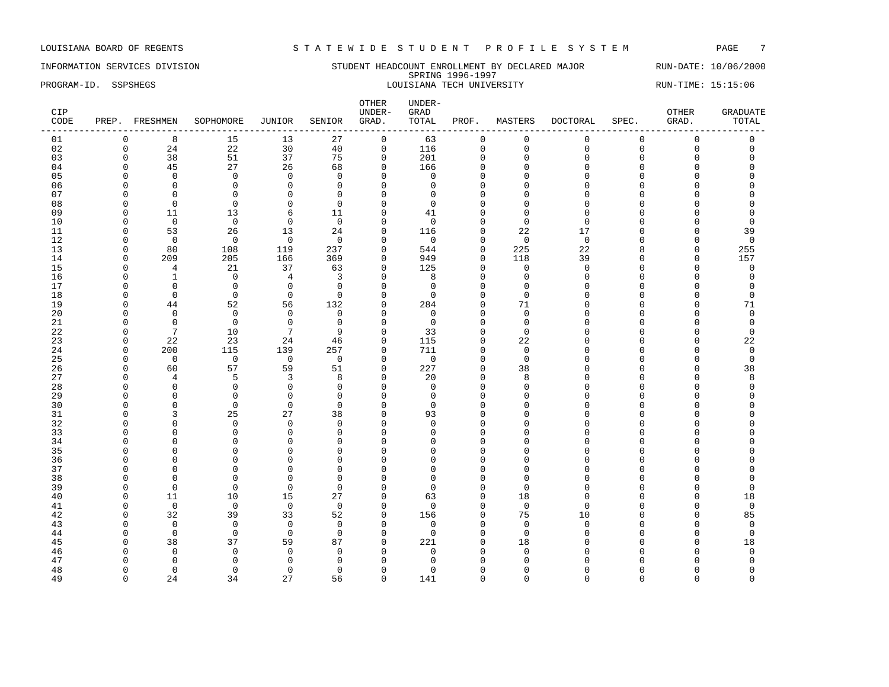INFORMATION SERVICES DIVISION SUNDERT STUDENT HEADCOUNT ENROLLMENT BY DECLARED MAJOR RUN-DATE: 10/06/2000 SPRING 1996-1997 PROGRAM-ID. SSPSHEGS LOUISIANA TECH UNIVERSITY RUN-TIME: 15:15:06

| CIP<br>CODE |             | PREP. FRESHMEN | SOPHOMORE   | <b>JUNIOR</b>   | SENIOR         | OTHER<br>UNDER-<br>GRAD. | UNDER-<br>GRAD<br>TOTAL | PROF.       | MASTERS     | <b>DOCTORAL</b> | SPEC.       | OTHER<br>GRAD. | <b>GRADUATE</b><br>TOTAL |
|-------------|-------------|----------------|-------------|-----------------|----------------|--------------------------|-------------------------|-------------|-------------|-----------------|-------------|----------------|--------------------------|
| 01          | $\mathbf 0$ | 8              | 15          | 13              | 27             | $\mathbf 0$              | 63                      | $\mathbf 0$ | $\Omega$    | $\mathbf 0$     | $\mathbf 0$ | $\Omega$       | $\Omega$                 |
| 02          | $\mathsf 0$ | 24             | 22          | 30              | 40             | $\mathsf 0$              | 116                     | $\mathsf 0$ | $\mathbf 0$ | $\mathbf 0$     | $\mathsf 0$ | $\mathbf{0}$   | $\mathsf 0$              |
| 03          | $\mathbf 0$ | 38             | 51          | 37              | 75             | $\mathbf 0$              | 201                     | $\mathbf 0$ | $\mathbf 0$ | $\Omega$        | $\Omega$    | 0              | $\mathbf 0$              |
| 04          | $\Omega$    | 45             | 27          | 26              | 68             | $\mathbf{0}$             | 166                     | $\Omega$    | $\Omega$    | $\Omega$        | $\Omega$    | $\Omega$       | $\Omega$                 |
| 05          | $\Omega$    | $\mathbf 0$    | $\mathbf 0$ | $\mathbf 0$     | $\Omega$       | $\Omega$                 | $\mathbf 0$             | 0           | $\Omega$    | $\Omega$        | $\Omega$    | O              | O                        |
| 06          | $\Omega$    | $\mathbf 0$    | $\Omega$    | $\mathbf{0}$    | $\Omega$       | $\Omega$                 | $\Omega$                | $\Omega$    | $\Omega$    | $\Omega$        | $\Omega$    | U              | U                        |
| 07          | $\Omega$    | $\Omega$       | $\Omega$    | $\mathbf{0}$    | $\Omega$       | $\Omega$                 | $\Omega$                | $\Omega$    | $\Omega$    | $\Omega$        | $\Omega$    | $\Omega$       | O                        |
| 08          | $\Omega$    | $\overline{0}$ | $\mathbf 0$ | $\mathbf{0}$    | $\Omega$       | $\mathbf 0$              | $\mathbf 0$             | $\Omega$    | $\Omega$    | $\Omega$        | $\Omega$    | $\Omega$       | 0                        |
| 09          | $\Omega$    | 11             | 13          | 6               | 11             | $\mathbf 0$              | 41                      | $\Omega$    | $\Omega$    | $\mathbf{0}$    | $\Omega$    | $\Omega$       | $\mathbf 0$              |
| 10          | $\Omega$    | $\mathbf 0$    | $\mathbf 0$ | $\mathbf 0$     | $\overline{0}$ | $\mathbf 0$              | $\mathbf 0$             | $\Omega$    | $\Omega$    | $\Omega$        | $\Omega$    | $\Omega$       | $\mathbf 0$              |
| 11          | $\Omega$    | 53             | 26          | 13              | 24             | $\mathbf 0$              | 116                     | $\Omega$    | 22          | 17              | $\Omega$    | $\Omega$       | 39                       |
| 12          | $\Omega$    | $\mathbf 0$    | $\Omega$    | $\mathbf 0$     | $\Omega$       | $\mathbf 0$              | $\mathbf 0$             | 0           | $\mathbf 0$ | $\Omega$        | $\Omega$    | $\Omega$       | $\mathbf 0$              |
| 13          | $\Omega$    | 80             | 108         | 119             | 237            | $\Omega$                 | 544                     | $\Omega$    | 225         | 22              | 8           | $\Omega$       | 255                      |
| 14          | $\Omega$    | 209            | 205         | 166             | 369            | $\mathbf 0$              | 949                     | $\Omega$    | 118         | 39              | $\Omega$    | $\mathbf{0}$   | 157                      |
| 15          | $\Omega$    | $\overline{4}$ | 21          | 37              | 63             | $\mathbf 0$              | 125                     | $\Omega$    | $\Omega$    | $\mathbf{0}$    | $\Omega$    | $\mathbf{0}$   | $\mathsf 0$              |
| 16          | $\Omega$    | $\mathbf{1}$   | $\mathbf 0$ | $\overline{4}$  | 3              | $\mathbf 0$              | 8                       | $\Omega$    | $\Omega$    | $\Omega$        | $\Omega$    | $\Omega$       | $\mathbf 0$              |
| 17          | $\Omega$    | 0              | $\mathbf 0$ | 0               | $\Omega$       | $\mathbf 0$              | $\mathbf 0$             | $\Omega$    | $\Omega$    | $\cap$          | $\Omega$    | $\Omega$       | $\mathbf 0$              |
| 18          | $\Omega$    | $\Omega$       | $\Omega$    | $\Omega$        | $\Omega$       | $\Omega$                 | $\Omega$                | $\Omega$    | $\Omega$    | $\Omega$        | $\Omega$    | $\Omega$       | $\Omega$                 |
| 19          | $\Omega$    | 44             | 52          | 56              | 132            | $\mathbf 0$              | 284                     | $\Omega$    | 71          | $\Omega$        | $\Omega$    | $\mathbf{0}$   | 71                       |
| 20          | $\Omega$    | $\overline{0}$ | $\mathbf 0$ | 0               | $\overline{0}$ | $\mathbf 0$              | $\mathbf 0$             | $\mathbf 0$ | $\mathbf 0$ | $\Omega$        | $\Omega$    | $\mathbf 0$    | $\mathsf 0$              |
| 21          | $\Omega$    | $\mathbf 0$    | $\mathbf 0$ | $\mathbf 0$     | $\mathbf 0$    | $\mathbf 0$              | $\mathbf 0$             | $\Omega$    | $\mathbf 0$ | $\Omega$        | $\Omega$    | $\Omega$       | $\mathsf 0$              |
| 22          | $\Omega$    | 7              | 10          | $7\phantom{.0}$ | 9              | $\mathbf 0$              | 33                      | 0           | $\Omega$    | $\cap$          | $\Omega$    | $\mathbf 0$    | $\mathbf 0$              |
| 23          | $\Omega$    | 22             | 23          | 24              | 46             | $\mathbf 0$              | 115                     | $\Omega$    | 22          | $\cap$          | $\Omega$    | $\Omega$       | 22                       |
| 24          | $\Omega$    | 200            | 115         | 139             | 257            | $\Omega$                 | 711                     | $\Omega$    | $\Omega$    | $\Omega$        | $\Omega$    | $\Omega$       | $\mathbf 0$              |
| 25          | $\mathbf 0$ | $\mathbf 0$    | $\mathbf 0$ | $\mathbf 0$     | $\mathbf 0$    | $\mathbf 0$              | $\mathbf 0$             | $\mathbf 0$ | $\mathbf 0$ | $\Omega$        | $\Omega$    | $\mathbf 0$    | $\mathsf 0$              |
| 26          | $\Omega$    | 60             | 57          | 59              | 51             | $\mathbf 0$              | 227                     | $\Omega$    | 38          | $\Omega$        | $\Omega$    | $\Omega$       | 38                       |
| 27          | $\Omega$    | $\overline{4}$ | 5           | 3               | 8              | $\mathbf 0$              | 20                      | $\mathbf 0$ | 8           | $\Omega$        | $\Omega$    | $\Omega$       | 8                        |
| 28          | $\Omega$    | $\mathbf 0$    | 0           | $\mathbf 0$     | $\Omega$       | $\mathbf 0$              | $\mathbf 0$             | $\Omega$    | $\Omega$    | $\Omega$        | $\Omega$    | O              | $\mathbf 0$              |
| 29          | ∩           | $\Omega$       | $\Omega$    | $\mathbf{0}$    | $\Omega$       | $\mathbf 0$              | $\mathbf 0$             | $\Omega$    | $\Omega$    | $\cap$          | $\Omega$    | U              | $\Omega$                 |
| 30          | $\Omega$    | $\Omega$       | $\Omega$    | $\Omega$        | $\Omega$       | $\Omega$                 | $\Omega$                | $\Omega$    | $\Omega$    | $\Omega$        | $\cap$      | O              | U                        |
| 31          | $\Omega$    | 3              | 25          | 27              | 38             | $\mathbf 0$              | 93                      | $\Omega$    | $\Omega$    | $\Omega$        | O           | $\Omega$       | 0                        |
| 32          | $\Omega$    | $\mathbf 0$    | $\mathbf 0$ | 0               | $\Omega$       | $\mathbf 0$              | $\mathbf 0$             | $\Omega$    | $\Omega$    | $\Omega$        | $\Omega$    | $\Omega$       | $\Omega$                 |
| 33          | $\Omega$    | $\mathbf 0$    | $\Omega$    | $\mathbf 0$     | $\Omega$       | $\mathbf 0$              | $\mathbf 0$             | $\Omega$    | $\Omega$    | $\Omega$        | $\Omega$    | $\Omega$       | $\Omega$                 |
| 34          | $\Omega$    | $\mathbf 0$    | $\Omega$    | 0               | $\Omega$       | $\mathbf 0$              | 0                       | $\Omega$    | $\Omega$    | $\Omega$        | $\Omega$    | U              | O                        |
| 35          | $\Omega$    | $\Omega$       | $\Omega$    | $\Omega$        | $\Omega$       | $\Omega$                 | $\Omega$                | $\cap$      | $\Omega$    | $\cap$          | $\cap$      | O              | U                        |
| 36          | $\Omega$    | $\Omega$       | $\Omega$    | $\mathbf{0}$    | $\Omega$       | $\Omega$                 | $\Omega$                | $\Omega$    | $\Omega$    | $\Omega$        | $\Omega$    | $\Omega$       | O                        |
| 37          | $\Omega$    | $\mathbf 0$    | 0           | $\mathbf 0$     | $\Omega$       | $\mathbf 0$              | $\mathbf 0$             | $\Omega$    | $\Omega$    | $\Omega$        | $\Omega$    | $\Omega$       | 0                        |
| 38          | $\Omega$    | $\mathbf 0$    | $\Omega$    | $\mathbf{0}$    | $\Omega$       | $\mathbf 0$              | $\mathbf 0$             | $\Omega$    | $\Omega$    | $\Omega$        | $\Omega$    | $\Omega$       | 0                        |
| 39          | $\Omega$    | $\mathbf 0$    | $\Omega$    | $\mathbf 0$     | $\Omega$       | $\mathbf 0$              | $\Omega$                | $\mathbf 0$ | $\Omega$    | $\Omega$        | $\Omega$    | $\mathbf{0}$   | $\mathbf 0$              |
| 40          | $\Omega$    | 11             | 10          | 15              | 27             | $\mathbf 0$              | 63                      | $\Omega$    | 18          | $\Omega$        | $\Omega$    | $\Omega$       | 18                       |
| 41          | $\Omega$    | $\mathbf 0$    | $\Omega$    | $\mathbf 0$     | $\Omega$       | $\mathbf 0$              | $\mathbf 0$             | $\Omega$    | $\Omega$    | $\Omega$        | $\Omega$    | $\Omega$       | $\mathbf 0$              |
| 42          | $\Omega$    | 32             | 39          | 33              | 52             | $\mathbf{0}$             | 156                     | $\Omega$    | 75          | 10              | $\Omega$    | $\Omega$       | 85                       |
| 43          | $\Omega$    | $\mathbf 0$    | $\mathbf 0$ | $\mathsf 0$     | $\overline{0}$ | $\mathbf 0$              | 0                       | $\Omega$    | $\mathbf 0$ | 0               | O           | $\Omega$       | $\mathbf 0$              |
| 44          | $\Omega$    | $\mathbf 0$    | $\mathbf 0$ | $\mathbf 0$     | $\Omega$       | $\mathbf 0$              | $\mathbf 0$             | $\mathbf 0$ | $\Omega$    | $\Omega$        | $\Omega$    | $\mathbf{0}$   | $\mathsf 0$              |
| 45          | $\Omega$    | 38             | 37          | 59              | 87             | $\mathbf 0$              | 221                     | $\Omega$    | 18          | $\Omega$        | $\Omega$    | $\Omega$       | 18                       |
| 46          | ∩           | $\mathbf 0$    | $\Omega$    | $\mathbf 0$     | $\Omega$       | $\Omega$                 | 0                       | O           | $\Omega$    | $\cap$          | U           | U              | $\mathbf 0$              |
| 47          | $\Omega$    | $\Omega$       | $\Omega$    | $\mathbf{0}$    | $\Omega$       | $\Omega$                 | $\Omega$                | $\Omega$    | $\Omega$    | $\cap$          |             | O              | $\Omega$                 |
| 48          | $\Omega$    | $\mathbf 0$    | $\Omega$    | $\mathbf 0$     | $\Omega$       | $\Omega$                 | $\Omega$                | $\Omega$    | $\Omega$    | $\Omega$        | U           | O              | $\mathbf 0$              |
| 49          | $\Omega$    | 24             | 34          | 27              | 56             | $\Omega$                 | 141                     | $\Omega$    | $\Omega$    | $\Omega$        | $\Omega$    | $\Omega$       | $\Omega$                 |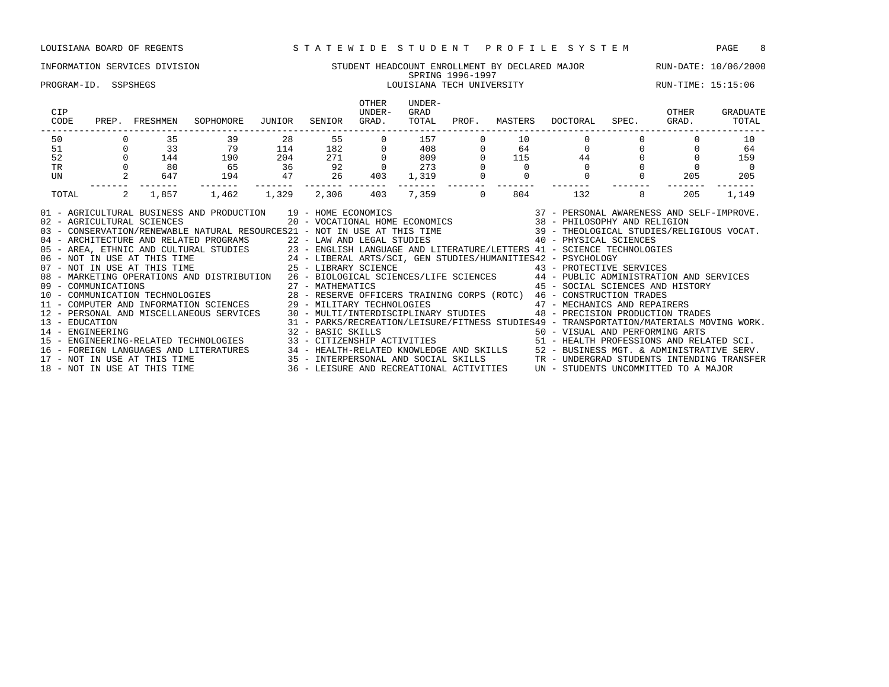### INFORMATION SERVICES DIVISION STUDENT HEADCOUNT ENROLLMENT BY DECLARED MAJOR RUN-DATE: 10/06/2000 SPRING 1996-1997 PROGRAM-ID. SSPSHEGS LOUISIANA TECH UNIVERSITY RUN-TIME: 15:15:06

| CIP<br>CODE                        | PREP.    | FRESHMEN                     | SOPHOMORE                                                                                                                                                                                                                                                                                                                                                                                                                                                                                                                                                                                                                                                                                                                | JUNIOR | SENIOR     | <b>OTHER</b><br>UNDER-<br>GRAD. | UNDER-<br>GRAD<br>TOTAL | PROF.    | MASTERS | DOCTORAL                                                                                                                                                       | SPEC. | OTHER<br>GRAD. | GRADUATE<br>TOTAL |
|------------------------------------|----------|------------------------------|--------------------------------------------------------------------------------------------------------------------------------------------------------------------------------------------------------------------------------------------------------------------------------------------------------------------------------------------------------------------------------------------------------------------------------------------------------------------------------------------------------------------------------------------------------------------------------------------------------------------------------------------------------------------------------------------------------------------------|--------|------------|---------------------------------|-------------------------|----------|---------|----------------------------------------------------------------------------------------------------------------------------------------------------------------|-------|----------------|-------------------|
| 50                                 |          | 35                           | 39                                                                                                                                                                                                                                                                                                                                                                                                                                                                                                                                                                                                                                                                                                                       | 28     | 55         |                                 | 157                     |          | 10      |                                                                                                                                                                |       |                | 10                |
| 51                                 | $\Omega$ | 33                           | 79                                                                                                                                                                                                                                                                                                                                                                                                                                                                                                                                                                                                                                                                                                                       | 114    | 182<br>271 |                                 | 408                     |          | 64      | $\circ$                                                                                                                                                        |       |                | 64                |
| 52                                 |          | 144                          | 190                                                                                                                                                                                                                                                                                                                                                                                                                                                                                                                                                                                                                                                                                                                      | 204    |            |                                 | 809                     |          | 115     | 44                                                                                                                                                             |       |                | 159               |
| TR                                 |          | 80                           | 65                                                                                                                                                                                                                                                                                                                                                                                                                                                                                                                                                                                                                                                                                                                       | 36     | 92         |                                 | 273                     |          |         |                                                                                                                                                                |       |                | $\Omega$          |
| UN                                 |          | 647                          | 194                                                                                                                                                                                                                                                                                                                                                                                                                                                                                                                                                                                                                                                                                                                      | 47     | 26         | 403                             | 1,319                   |          |         | $\Omega$                                                                                                                                                       |       | 205            | 205               |
| TOTAL                              | 2        | 1,857                        | 1,462                                                                                                                                                                                                                                                                                                                                                                                                                                                                                                                                                                                                                                                                                                                    | 1,329  | 2,306      | 403                             | 7,359                   | $\Omega$ | 804     | 132                                                                                                                                                            |       | 205            | 1,149             |
| 13 - EDUCATION<br>14 - ENGINEERING |          | 02 - AGRICULTURAL SCIENCES   | AND PRODUCTION 19 - HOME ECONOMICS 6 (37 - PERSONAL AWARENESS AND SELF-IMPROVE)<br>20 - VOCATIONAL HOME ECONOMICS 38 - PHILOSOPHY AND RELIGION<br>01 - AGRICULTURAL BUSINESS AND PRODUCTION 19 - HOME ECONOMICS<br>03 - CONSERVATION/RENEWABLE NATURAL RESOURCES21 - NOT IN USE AT THIS TIME 39 - THEOLOGICAL STUDIES/RELIGIOUS VOCAT.<br>08 - MARKETING OPERATIONS AND DISTRIBUTION 26 - BIOLOGICAL SCIENCES/LIFE SCIENCES 44 - PUBLIC ADMINISTRATION AND SERVICES<br>12 - PERSONAL AND MISCELLANEOUS SERVICES 30 - MULTI/INTERDISCIPLINARY STUDIES 48 - PRECISION PRODUCTION TRADES<br>32 - BASIC SKILLS<br>15 - ENGINEERING-RELATED TECHNOLOGIES 33 - CITIZENSHIP ACTIVITIES 51 - HEALTH PROFESSIONS AND RELATED SCI. |        |            |                                 |                         |          |         | 45 - SOCIAL SCIENCES AND HISTORY<br>31 - PARKS/RECREATION/LEISURE/FITNESS STUDIES49 - TRANSPORTATION/MATERIALS MOVING WORK.<br>50 - VISUAL AND PERFORMING ARTS |       |                |                   |
|                                    |          |                              | 16 - FOREIGN LANGUAGES AND LITERATURES 34 - HEALTH-RELATED KNOWLEDGE AND SKILLS 52 - BUSINESS MGT. & ADMINISTRATIVE SERV.<br>17 - NOT IN USE AT THIS TIME 35 - INTERPERSONAL AND SOCIAL SKILLS TRO - UNDERGRAD STUDENTS INTENDING                                                                                                                                                                                                                                                                                                                                                                                                                                                                                        |        |            |                                 |                         |          |         |                                                                                                                                                                |       |                |                   |
|                                    |          | 18 - NOT IN USE AT THIS TIME |                                                                                                                                                                                                                                                                                                                                                                                                                                                                                                                                                                                                                                                                                                                          |        |            |                                 |                         |          |         | 36 - LEISURE AND RECREATIONAL ACTIVITIES UN - STUDENTS UNCOMMITTED TO A MAJOR                                                                                  |       |                |                   |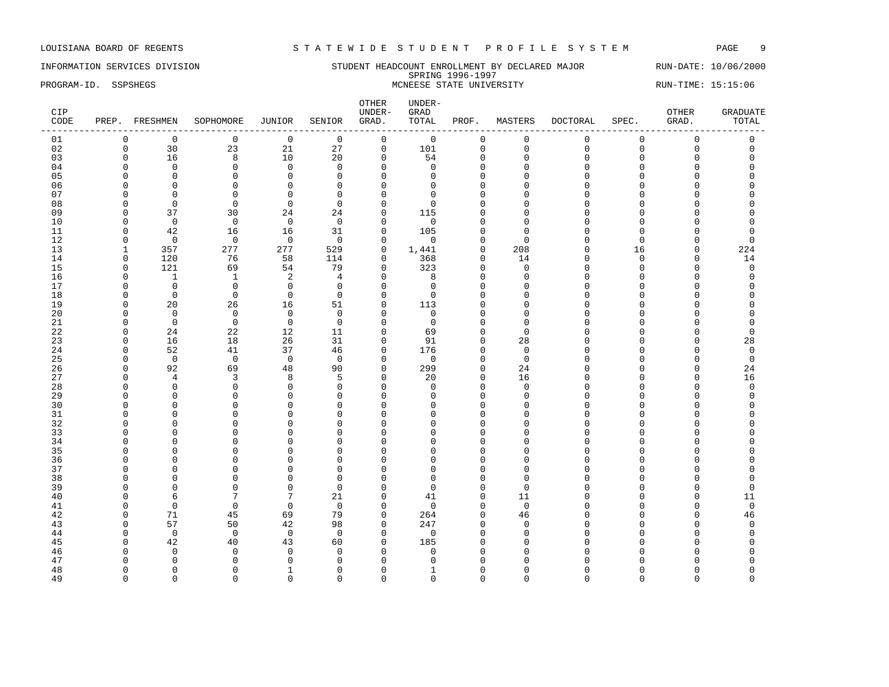### INFORMATION SERVICES DIVISION STUDENT HEADCOUNT ENROLLMENT BY DECLARED MAJOR RUN-DATE: 10/06/2000 SPRING 1996-1997 PROGRAM-ID. SSPSHEGS MCNEESE STATE UNIVERSITY RUN-TIME: 15:15:06

| CIP<br>CODE |                      | PREP. FRESHMEN             | SOPHOMORE               | <b>JUNIOR</b>    | SENIOR                     | OTHER<br>UNDER-<br>GRAD.     | UNDER-<br>GRAD<br>TOTAL    | PROF.                   | MASTERS                 | <b>DOCTORAL</b>      | SPEC.                | OTHER<br>GRAD.       | <b>GRADUATE</b><br>TOTAL |
|-------------|----------------------|----------------------------|-------------------------|------------------|----------------------------|------------------------------|----------------------------|-------------------------|-------------------------|----------------------|----------------------|----------------------|--------------------------|
| 01          | $\mathbf 0$          | $\mathbf 0$                | $\mathbf 0$             | $\mathbf 0$      | $\mathbf 0$                | $\mathbf 0$                  | $\mathbf 0$                | $\mathbf 0$             | $\mathbf 0$             | $\mathbf 0$          | $\mathbf 0$          | $\mathbf 0$          | 0                        |
| 02          | $\mathsf 0$          | 30                         | 23                      | 21               | 27                         | $\mathsf 0$                  | 101                        | $\mathsf{O}\xspace$     | $\mathbf 0$             | $\mathbf 0$          | $\mathbf 0$          | $\mathbf 0$          | $\mathsf 0$              |
| 03          | $\mathbf 0$          | 16                         | 8                       | 10               | 20                         | $\mathbf{0}$                 | 54                         | $\mathbf 0$             | $\mathbf{0}$            | 0                    | $\Omega$             | $\Omega$             | 0                        |
| 04          | $\Omega$             | $\mathbf 0$                | $\mathbf 0$             | $\mathbf 0$      | $\Omega$                   | $\mathbf{0}$                 | $\mathbf 0$                | $\Omega$                | $\Omega$                | $\Omega$             | $\Omega$             | $\Omega$             | 0                        |
| 05          | $\Omega$             | $\mathbf 0$                | $\Omega$                | $\mathbf 0$      | $\mathbf 0$                | $\Omega$                     | $\Omega$                   | $\mathbf 0$             | $\Omega$                | $\Omega$             | $\Omega$             | $\Omega$             | 0                        |
| 06          | $\Omega$             | $\mathbf 0$                | $\Omega$                | $\Omega$         | $\Omega$                   | $\Omega$                     | $\Omega$                   | $\Omega$                | $\Omega$                | $\Omega$             | $\Omega$             | $\Omega$             | $\Omega$                 |
| 07          | $\Omega$             | $\mathbf 0$                | $\mathbf{0}$            | 0                | $\mathbf 0$                | $\mathbf{0}$                 | $\mathbf 0$                | $\mathbf{0}$            | $\Omega$                | $\Omega$             | $\Omega$             | $\Omega$             | $\Omega$                 |
| 08          | $\Omega$             | $\mathbf 0$                | $\mathbf 0$             | $\mathbf 0$      | $\Omega$                   | $\mathbf{0}$                 | $\Omega$                   | $\mathbf{0}$            | $\Omega$                | $\Omega$             | $\Omega$             | $\Omega$             | $\Omega$                 |
| 09          | $\Omega$             | 37                         | 30                      | 24               | 24                         | $\mathbf{0}$                 | 115                        | $\mathbf 0$             | $\Omega$                | 0                    | $\Omega$             | $\Omega$             | $\Omega$                 |
| 10          | $\Omega$             | $\mathbf 0$                | $\mathbf 0$             | $\mathbf 0$      | $\mathbf 0$                | $\Omega$                     | $\mathbf 0$                | $\Omega$                | $\Omega$                | $\Omega$             | $\Omega$             | $\Omega$             | $\Omega$                 |
| 11          | $\Omega$             | 42                         | 16                      | 16               | 31                         | $\mathbf{0}$                 | 105                        | $\Omega$                | $\Omega$                | $\Omega$             | $\Omega$             | $\Omega$             | $\Omega$                 |
| 12          | $\mathbf 0$          | $\mathsf 0$                | $\mathbf 0$             | 0                | $\mathbf 0$                | $\mathbf{0}$                 | $\mathbf 0$                | 0                       | $\Omega$                | $\mathbf 0$          | $\mathbf 0$          | 0                    | $\mathbf 0$              |
| 13          | $\mathbf 1$          | 357                        | 277                     | 277              | 529                        | $\mathbf{0}$                 | 1,441                      | $\mathbf 0$             | 208                     | 0                    | 16                   | $\mathbf 0$          | 224                      |
| 14          | $\mathbf 0$          | 120                        | 76                      | 58               | 114                        | $\mathbf{0}$                 | 368                        | $\mathbf 0$             | 14                      | 0                    | $\mathbf 0$          | 0                    | 14                       |
| 15          | $\mathbf 0$          | 121                        | 69                      | 54               | 79                         | $\mathbf{0}$                 | 323                        | $\Omega$                | $\Omega$                | $\Omega$             | $\Omega$             | $\Omega$             | $\mathbf 0$              |
| 16          | $\Omega$             | $\mathbf{1}$               | $\mathbf{1}$            | $\overline{2}$   | $\overline{4}$             | $\Omega$                     | 8                          | $\Omega$                | $\Omega$                | $\Omega$             | $\Omega$             | $\Omega$             | 0                        |
| 17          | $\Omega$             | $\mathsf 0$                | $\mathbf 0$             | $\mathsf 0$      | $\mathbf 0$                | $\mathbf{0}$                 | $\mathbf 0$                | $\mathbf{0}$            | $\Omega$                | $\Omega$             | $\Omega$             | $\Omega$             | $\Omega$                 |
| 18          | $\Omega$             | $\mathbf 0$                | $\Omega$                | $\mathbf 0$      | $\Omega$                   | $\Omega$                     | $\Omega$                   | $\Omega$                | $\Omega$                | $\Omega$             | $\Omega$             | $\Omega$             | $\Omega$                 |
| 19          | $\Omega$             | 20                         | 26                      | 16               | 51                         | $\mathbf{0}$                 | 113                        | $\mathbf{0}$            | $\Omega$                | 0                    | $\Omega$             | $\Omega$             | $\Omega$                 |
| 20          | $\Omega$             | $\mathbf 0$                | $\mathbf 0$             | $\mathbf 0$      | $\mathbf 0$                | $\Omega$                     | 0                          | $\mathbf 0$             | $\Omega$                | $\Omega$             | $\Omega$             | $\Omega$             | $\Omega$                 |
| 21          | $\Omega$             | $\mathbf 0$                | $\mathbf 0$             | $\mathbf 0$      | $\mathbf 0$                | $\Omega$                     | $\mathbf 0$                | $\Omega$                | $\Omega$                | $\Omega$             | $\Omega$             | $\Omega$             | $\Omega$                 |
| 22          | $\Omega$             | 24                         | 22                      | 12               | 11                         | $\mathbf{0}$                 | 69                         | $\mathbf 0$             | $\mathbf 0$             | $\Omega$             | $\Omega$             | $\Omega$             | 0                        |
| 23          | $\Omega$             | 16                         | 18                      | 26               | 31                         | $\mathbf{0}$                 | 91                         | $\mathbf 0$             | 28                      | $\Omega$             | $\Omega$             | $\Omega$             | 28                       |
| 24          | $\Omega$             | 52                         | 41                      | 37               | 46                         | $\mathbf{0}$                 | 176                        | $\mathbf 0$             | $\Omega$                | $\Omega$             | $\Omega$             | $\Omega$             | $\mathsf 0$              |
| 25          | 0                    | $\mathbf 0$                | $\overline{0}$          | $\mathbf 0$      | $\mathbf 0$                | $\Omega$                     | 0                          | 0                       | 0                       | $\Omega$             | $\Omega$             | $\Omega$             | 0                        |
| 26          | $\Omega$             | 92                         | 69                      | 48               | 90                         | $\Omega$                     | 299                        | $\Omega$                | 24                      | $\Omega$             | $\Omega$             | $\Omega$             | 24                       |
| 27          | $\Omega$<br>$\Omega$ | $\overline{4}$             | $\overline{3}$          | 8                | 5                          | $\Omega$                     | 20                         | $\mathbf 0$             | 16                      | $\Omega$<br>$\Omega$ | $\Omega$<br>$\Omega$ | $\Omega$<br>$\Omega$ | 16                       |
| 28<br>29    | $\Omega$             | $\mathbf 0$<br>$\mathbf 0$ | $\mathbf 0$<br>$\Omega$ | $\mathbf 0$<br>0 | $\mathbf 0$<br>$\mathbf 0$ | $\mathbf{0}$<br>$\mathbf{0}$ | $\mathbf 0$<br>$\mathbf 0$ | $\mathbf 0$<br>$\Omega$ | $\mathbf 0$<br>$\Omega$ | $\Omega$             | $\Omega$             | $\Omega$             | $\mathsf 0$<br>0         |
| 30          | $\Omega$             | $\mathbf 0$                | $\Omega$                | $\mathbf 0$      | 0                          | $\mathbf{0}$                 | $\Omega$                   | $\Omega$                | $\Omega$                | $\Omega$             | $\Omega$             | $\Omega$             | $\Omega$                 |
| 31          | $\Omega$             | $\mathbf 0$                | $\Omega$                | $\mathbf 0$      | $\Omega$                   | $\Omega$                     | $\Omega$                   | $\mathbf 0$             | $\Omega$                | $\Omega$             | $\Omega$             | $\Omega$             | $\Omega$                 |
| 32          | $\Omega$             | $\mathbf 0$                | $\Omega$                | $\mathbf 0$      | $\Omega$                   | $\Omega$                     | $\Omega$                   | $\Omega$                | $\Omega$                | $\Omega$             | $\Omega$             | $\Omega$             | $\Omega$                 |
| 33          | $\Omega$             | $\mathbf 0$                | $\mathbf{0}$            | $\mathbf 0$      | $\mathbf 0$                | $\mathbf{0}$                 | $\Omega$                   | $\mathbf{0}$            | $\Omega$                | $\Omega$             | $\Omega$             | $\Omega$             | $\Omega$                 |
| 34          | $\Omega$             | $\mathbf 0$                | $\Omega$                | 0                | $\mathbf 0$                | $\Omega$                     | $\Omega$                   | $\mathbf{0}$            | $\Omega$                | $\Omega$             | $\Omega$             | $\Omega$             | $\Omega$                 |
| 35          | $\Omega$             | $\mathbf 0$                | $\Omega$                | $\Omega$         | $\Omega$                   | $\Omega$                     | $\Omega$                   | $\Omega$                | $\Omega$                | $\Omega$             | $\Omega$             | $\Omega$             | $\Omega$                 |
| 36          | $\Omega$             | $\mathbf 0$                | $\Omega$                | $\mathbf 0$      | $\mathbf 0$                | $\mathbf{0}$                 | $\Omega$                   | $\mathbf 0$             | $\Omega$                | $\Omega$             | $\Omega$             | $\Omega$             | $\Omega$                 |
| 37          | $\Omega$             | $\mathbf 0$                | $\Omega$                | $\mathbf 0$      | $\Omega$                   | $\Omega$                     | $\Omega$                   | $\mathbf 0$             | $\Omega$                | $\Omega$             | $\cap$               | $\Omega$             | $\Omega$                 |
| 38          | $\Omega$             | $\mathbf 0$                | $\mathbf 0$             | $\mathbf 0$      | $\mathbf 0$                | $\mathbf{0}$                 | $\Omega$                   | $\mathbf{0}$            | $\Omega$                | $\Omega$             | $\Omega$             | $\Omega$             | $\Omega$                 |
| 39          | $\Omega$             | $\mathbf 0$                | $\mathbf 0$             | 0                | $\mathbf 0$                | $\mathbf{0}$                 | $\mathbf 0$                | $\mathbf{0}$            | $\mathbf 0$             | $\Omega$             | $\Omega$             | $\Omega$             | 0                        |
| 40          | $\Omega$             | 6                          | 7                       | 7                | 21                         | $\Omega$                     | 41                         | $\mathbf 0$             | 11                      | $\Omega$             | $\Omega$             | $\Omega$             | 11                       |
| 41          | $\Omega$             | $\mathbf 0$                | $\Omega$                | $\mathbf 0$      | $\Omega$                   | $\Omega$                     | $\mathbf 0$                | $\Omega$                | $\Omega$                | $\Omega$             | $\Omega$             | $\Omega$             | $\mathbf 0$              |
| 42          | $\Omega$             | 71                         | 45                      | 69               | 79                         | $\Omega$                     | 264                        | 0                       | 46                      | $\Omega$             | $\Omega$             | 0                    | 46                       |
| 43          | $\Omega$             | 57                         | 50                      | 42               | 98                         | $\mathbf{0}$                 | 247                        | $\mathbf{0}$            | $\mathbf 0$             | 0                    | $\Omega$             | $\Omega$             | 0                        |
| 44          | $\Omega$             | $\mathsf 0$                | $\mathbf 0$             | $\mathsf 0$      | $\mathbf 0$                | $\mathbf{0}$                 | $\mathbf 0$                | $\mathbf 0$             | $\mathbf 0$             | 0                    | $\Omega$             | $\Omega$             | 0                        |
| 45          | $\Omega$             | 42                         | 40                      | 43               | 60                         | $\mathbf{0}$                 | 185                        | $\mathbf{0}$            | $\Omega$                | $\Omega$             | $\Omega$             | $\Omega$             | $\Omega$                 |
| 46          | $\Omega$             | $\mathbf 0$                | $\Omega$                | $\mathbf{0}$     | $\Omega$                   | $\Omega$                     | $\mathbf 0$                | $\Omega$                | $\Omega$                | $\Omega$             | C                    | O                    | $\Omega$                 |
| 47          | $\Omega$             | $\Omega$                   | $\Omega$                | $\Omega$         | $\Omega$                   | $\Omega$                     | $\Omega$                   | $\Omega$                | U                       | U                    |                      | ∩                    | $\Omega$                 |
| 48          | $\Omega$             | $\mathbf 0$                | $\Omega$                | 1                | $\mathbf 0$                | $\mathbf{0}$                 | -1                         | $\mathbf 0$             | $\Omega$                | $\Omega$             | $\Omega$             | $\Omega$             | 0                        |
| 49          | $\Omega$             | $\Omega$                   | $\Omega$                | $\Omega$         | $\mathbf 0$                | $\Omega$                     | $\Omega$                   | $\Omega$                | $\Omega$                | $\Omega$             | $\Omega$             | $\Omega$             | $\Omega$                 |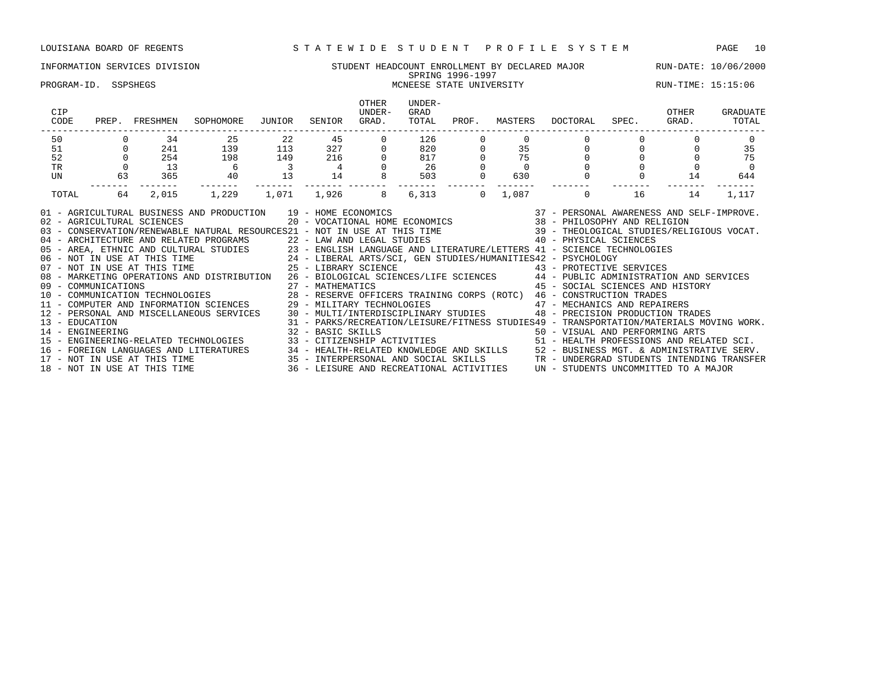### INFORMATION SERVICES DIVISION SUNDENT STUDENT HEADCOUNT ENROLLMENT BY DECLARED MAJOR RUN-DATE: 10/06/2000 SPRING 1996-1997 PROGRAM-ID. SSPSHEGS MCNEESE STATE UNIVERSITY RUN-TIME: 15:15:06

| CIP<br>CODE                                  |                | PREP. FRESHMEN | SOPHOMORE                                                                                                                                                                                                                                                                                                                                                                                                                                                                                                                                                                                                                                                                                                                                                                                                                                                                                                                                                                                                                                                                                                                                                                                                                                                                                                                                                                                                          | JUNIOR                   | SENIOR | <b>OTHER</b><br>UNDER-<br>GRAD. | UNDER-<br>GRAD<br>TOTAL                                                  | PROF.    |     | MASTERS DOCTORAL SPEC.                                                                                                                                                                                                                     |                                  | OTHER<br>GRAD. | GRADUATE<br>TOTAL |
|----------------------------------------------|----------------|----------------|--------------------------------------------------------------------------------------------------------------------------------------------------------------------------------------------------------------------------------------------------------------------------------------------------------------------------------------------------------------------------------------------------------------------------------------------------------------------------------------------------------------------------------------------------------------------------------------------------------------------------------------------------------------------------------------------------------------------------------------------------------------------------------------------------------------------------------------------------------------------------------------------------------------------------------------------------------------------------------------------------------------------------------------------------------------------------------------------------------------------------------------------------------------------------------------------------------------------------------------------------------------------------------------------------------------------------------------------------------------------------------------------------------------------|--------------------------|--------|---------------------------------|--------------------------------------------------------------------------|----------|-----|--------------------------------------------------------------------------------------------------------------------------------------------------------------------------------------------------------------------------------------------|----------------------------------|----------------|-------------------|
| 50                                           |                | 34             | 25                                                                                                                                                                                                                                                                                                                                                                                                                                                                                                                                                                                                                                                                                                                                                                                                                                                                                                                                                                                                                                                                                                                                                                                                                                                                                                                                                                                                                 | $\overline{22}$          |        | 45<br>$\circ$                   | 126                                                                      |          |     |                                                                                                                                                                                                                                            |                                  |                | $\Omega$          |
| 51                                           | $\overline{0}$ | 241            | 139                                                                                                                                                                                                                                                                                                                                                                                                                                                                                                                                                                                                                                                                                                                                                                                                                                                                                                                                                                                                                                                                                                                                                                                                                                                                                                                                                                                                                | 113                      |        | 327<br>216                      | $\begin{array}{ccc} 0 & 0 & 0 \\ 0 & 820 & 0 \\ 0 & 817 & 0 \end{array}$ |          | 35  |                                                                                                                                                                                                                                            | $\begin{matrix}0\\0\end{matrix}$ |                | 35                |
| 52                                           |                | 254            | 198                                                                                                                                                                                                                                                                                                                                                                                                                                                                                                                                                                                                                                                                                                                                                                                                                                                                                                                                                                                                                                                                                                                                                                                                                                                                                                                                                                                                                | 149                      |        |                                 | 817                                                                      |          | 75  |                                                                                                                                                                                                                                            |                                  |                | 75                |
| <b>TR</b>                                    |                | 13             | $\begin{array}{c} 6 \\ 40 \end{array}$                                                                                                                                                                                                                                                                                                                                                                                                                                                                                                                                                                                                                                                                                                                                                                                                                                                                                                                                                                                                                                                                                                                                                                                                                                                                                                                                                                             | $\overline{\phantom{a}}$ |        |                                 | 26                                                                       |          |     |                                                                                                                                                                                                                                            |                                  |                | - 0               |
| UN                                           | 63             | 365            |                                                                                                                                                                                                                                                                                                                                                                                                                                                                                                                                                                                                                                                                                                                                                                                                                                                                                                                                                                                                                                                                                                                                                                                                                                                                                                                                                                                                                    | 13                       | 14     |                                 | 503<br>--------                                                          |          | 630 | $\mathbf 0$                                                                                                                                                                                                                                |                                  | 14             | 644               |
| TOTAL                                        | 64             | 2,015          | 1,229                                                                                                                                                                                                                                                                                                                                                                                                                                                                                                                                                                                                                                                                                                                                                                                                                                                                                                                                                                                                                                                                                                                                                                                                                                                                                                                                                                                                              | 1,071 1,926              |        | 8                               | 6,313                                                                    | $\Omega$ |     | 1,087 0                                                                                                                                                                                                                                    | 16                               | 14             | 1,117             |
| 02 - AGRICULTURAL SCIENCES<br>13 - EDUCATION |                |                | 01 - AGRICULTURAL BUSINESS AND PRODUCTION 19 - HOME ECONOMICS<br>03 - CONSERVATION/RENEWABLE NATURAL RESOURCES21 - NOT IN USE AT THIS TIME 39 - THEOLOGICAL STUDIES/RELIGIOUS VOCAT.<br>04 - ARCHITECTURE AND RELATED PROGRAMS<br>05 - AREA, ETHNIC AND CULTURAL STUDIES<br>06 - NOT IN USE AT THIS TIME<br>07 - NOT IN USE AT THIS TIME<br>07 - NOT IN USE AT THIS TIME<br>07 - NOT IN USE AT THIS TIME<br>27 - LIBERAL ARTS/SCI,<br>08 - MARKETING OPERATIONS AND DISTRIBUTION 26 - BIOLOGICAL SCIENCES/LIFE SCIENCES 44 - PUBLIC ADMINISTRATION AND SERVICES<br>09 - COMMUNICATIONS 27 - MATHEMATICS 45 - SOCIAL SCIENCES AND HIST (10 - COMMUNICATION TECHNOLOGIES 28 - RESERVE OFFICERS TRAINING CORPS (ROTC) 46 - CONSTRUCTION TRADES 28 - RESERVE OFFICERS TRAINING CORPS (ROTC) 46 - CONS<br>12 - PERSONAL AND MISCELLANEOUS SERVICES 30 - MULTI/INTERDISCIPLINARY STUDIES 48 - PRECISION PRODUCTION TRADES<br>32 - BASIC SKILLS<br>14 - ENGINEERING ARTS (1999) 32 - BASIC SKILLS (1999) 50 - VISUAL AND PERFORMING ARTS (1999) 15 - ENGINEERING-RELATED SCI.<br>15 - ENGINEERING-RELATED TECHNOLOGIES (1999) 33 - CITIZENSHIP ACTIVITIES (1999) 15 - HEALTH PROFESS<br>16 – FOREIGN LANGUAGES AND LITERATURES 29 – HEALTH-RELATED KNOWLEDGE AND SKILLS 2 – BUSINESS MGT. & ADMINISTRATIVE SERV.<br>17 – NOT IN USE AT THIS TIME 25 – 2001 10 – 2003 – 2003 – 2003 – 2004 MESS MGT. & ADMINISTRATIVE SERV |                          |        |                                 |                                                                          |          |     | AND PRODUCTION $19 - HOME ECONOMICS$<br>$20 - VCATIONAL HOME ECONOMICS$<br>$38 - PHILOSOPHY AND RELIGION\n$<br>45 - SOCIAL SCIENCES AND HISTORY<br>31 - PARKS/RECREATION/LEISURE/FITNESS STUDIES49 - TRANSPORTATION/MATERIALS MOVING WORK. |                                  |                |                   |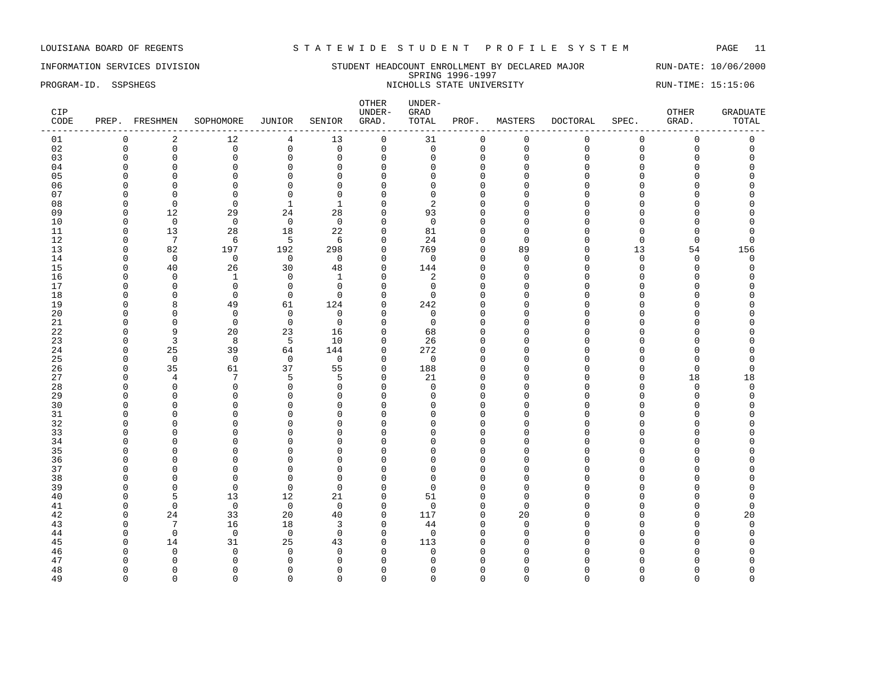INFORMATION SERVICES DIVISION SUNDERT STUDENT HEADCOUNT ENROLLMENT BY DECLARED MAJOR RUN-DATE: 10/06/2000 SPRING 1996-1997 PROGRAM-ID. SSPSHEGS NICHOLLS STATE UNIVERSITY NICHOLLS STATE UNIVERSITY RUN-TIME: 15:15:06

| 12<br>$\mathsf{O}$<br>$\mathbf 0$<br>$\mathbf 0$<br>$\mathbf 0$<br>2<br>13<br>31<br>$\mathbf 0$<br>$\mathbf{0}$<br>01<br>0<br>4<br>0<br>02<br>$\mathbf 0$<br>$\mathsf 0$<br>$\mathbf 0$<br>$\mathsf 0$<br>$\mathsf 0$<br>$\mathsf{O}$<br>$\mathbf 0$<br>$\mathsf 0$<br>$\mathbf 0$<br>$\Omega$<br>$\mathbf 0$<br>$\mathbf 0$<br>$\mathbf 0$<br>03<br>$\overline{0}$<br>$\mathbf 0$<br>$\mathbf 0$<br>$\mathbf 0$<br>$\mathbf 0$<br>$\Omega$<br>$\mathbf{0}$<br>$\Omega$<br>O<br>$\Omega$<br>$\Omega$<br>$\Omega$<br>$\Omega$<br>$\mathbf 0$<br>04<br>$\Omega$<br>$\mathbf 0$<br>$\mathbf 0$<br>$\mathbf{0}$<br>$\mathbf{0}$<br>$\Omega$<br>0<br>$\Omega$<br>$\Omega$<br>$\cap$<br>$\Omega$<br>$\Omega$<br>$\Omega$<br>05<br>$\Omega$<br>$\Omega$<br>$\Omega$<br>$\Omega$<br>$\Omega$<br>$\Omega$<br>U<br>∩<br>U<br>U<br>$\Omega$<br>$\mathbf 0$<br>$\mathbf{0}$<br>$\mathbf 0$<br>$\mathbf{0}$<br>06<br>$\cap$<br>$\Omega$<br>U<br>∩<br>U<br>U<br>07<br>$\Omega$<br>$\mathbf{0}$<br>$\mathbf 0$<br>$\mathbf{0}$<br>$\Omega$<br>$\Omega$<br>U<br>O<br>$\Omega$<br>$\Omega$<br>08<br>$\Omega$<br>$\Omega$<br>$\mathbf{1}$<br>$\mathbf{1}$<br>$\mathbf{0}$<br>2<br>O<br>$\Omega$<br>$\Omega$<br>U<br>09<br>12<br>29<br>24<br>28<br>$\mathbf 0$<br>93<br>$\Omega$<br>$\Omega$<br>$\cap$<br>U<br>U<br>$\mathbf 0$<br>10<br>$\mathbf 0$<br>$\mathbf 0$<br>$\overline{0}$<br>$\mathbf 0$<br>$\mathbf 0$<br>$\cap$<br>U<br>∩<br>∩<br>11<br>13<br>28<br>18<br>22<br>$\mathbf 0$<br>81<br>$\Omega$<br>$\Omega$<br>$\Omega$<br>$\Omega$<br>$\Omega$<br>12<br>7<br>24<br>6<br>5<br>6<br>$\Omega$<br>$\Omega$<br>$\Omega$<br>$\Omega$<br>$\Omega$<br>$\Omega$<br>$\cap$<br>13<br>82<br>197<br>192<br>298<br>$\mathbf 0$<br>769<br>13<br>$\Omega$<br>$\Omega$<br>89<br>$\cap$<br>54<br>156<br>14<br>$\mathbf 0$<br>$\mathbf 0$<br>$\mathbf 0$<br>$\overline{0}$<br>$\mathbf{0}$<br>$\mathbf 0$<br>$\Omega$<br>$\mathbf 0$<br>$\Omega$<br>$\Omega$<br>$\cap$<br>$\Omega$<br>$\Omega$<br>15<br>40<br>26<br>30<br>48<br>$\mathbf 0$<br>144<br>$\mathbf 0$<br>$\Omega$<br>$\Omega$<br>$\Omega$<br>$\cap$<br>$\Omega$<br>$\Omega$<br>16<br>$\overline{c}$<br>$\Omega$<br>$\mathbf{1}$<br>$\Omega$<br>$\mathbf{1}$<br>$\Omega$<br>$\Omega$<br>O<br>$\Omega$<br>$\Omega$<br>$\cap$<br>$\cap$<br>17<br>$\mathbf 0$<br>$\mathbf 0$<br>$\Omega$<br>$\mathbf 0$<br>$\Omega$<br>$\mathbf 0$<br>$\cap$<br>$\Omega$<br>U<br>∩<br>U<br>18<br>$\overline{0}$<br>$\mathbf 0$<br>0<br>$\mathbf 0$<br>$\overline{0}$<br>0<br>$\Omega$<br>∩<br>C<br>Λ<br>∩<br>19<br>49<br>61<br>124<br>$\mathbf 0$<br>242<br>8<br>$\Omega$<br>$\Omega$<br>U<br>20<br>$\mathbf 0$<br>$\Omega$<br>$\mathbf 0$<br>$\mathbf 0$<br>$\mathbf 0$<br>$\mathbf 0$<br>$\Omega$<br>U<br>∩<br>21<br>$\mathbf 0$<br>$\mathbf 0$<br>$\mathbf 0$<br>$\Omega$<br>$\mathbf 0$<br>$\mathbf 0$<br>O<br>n<br>O<br>Λ<br>22<br>9<br>20<br>23<br>$\mathbf{0}$<br>16<br>68<br>O<br>$\Omega$<br>$\Omega$<br>U<br>23<br>$\overline{3}$<br>8<br>5<br>10<br>26<br>$\Omega$<br>O<br>$\Omega$<br>$\Omega$<br>Ω<br>25<br>39<br>272<br>24<br>64<br>144<br>$\mathbf 0$<br>$\Omega$<br>$\Omega$<br>$\cap$<br>O<br>$\mathbf 0$<br>25<br>$\mathbf 0$<br>$\mathbf 0$<br>$\mathbf 0$<br>$\mathbf 0$<br>$\mathbf 0$<br>$\Omega$<br>$\Omega$<br><sup>0</sup><br>U<br>$\cap$<br>35<br>37<br>61<br>55<br>$\mathbf 0$<br>188<br>26<br>$\Omega$<br>$\mathbf{0}$<br>$\Omega$<br>$\Omega$<br>$\Omega$<br>C<br>27<br>7<br>5<br>5<br>21<br>18<br>18<br>$\overline{4}$<br>$\Omega$<br>$\Omega$<br>$\Omega$<br>Ω<br>$\cap$<br>$\Omega$<br>28<br>$\Omega$<br>$\Omega$<br>$\mathbf 0$<br>$\Omega$<br>$\Omega$<br>$\Omega$<br>$\Omega$<br>$\Omega$<br>$\Omega$<br>∩<br>∩<br>C<br>29<br>$\mathbf{0}$<br>$\mathbf 0$<br>$\Omega$<br>$\mathbf 0$<br>0<br>$\mathbf 0$<br>$\Omega$<br>$\Omega$<br><sup>0</sup><br>O<br>U<br>∩<br>C<br>30<br>$\mathbf{0}$<br>$\overline{0}$<br>$\mathbf 0$<br>$\mathbf 0$<br>O<br>$\Omega$<br>$\Omega$<br>$\Omega$<br>$\Omega$<br>U<br>∩<br>31<br>$\Omega$<br>$\Omega$<br>$\Omega$<br>$\Omega$<br>$\Omega$<br>O<br>$\Omega$<br>$\cap$<br>$\cap$<br>U<br>32<br>$\mathbf{0}$<br>$\Omega$<br>$\mathbf{0}$<br>$\Omega$<br>$\Omega$<br>$\Omega$<br>$\Omega$<br>U<br>O<br>∩<br>33<br>$\mathbf{0}$<br>$\Omega$<br>$\Omega$<br>$\Omega$<br>$\Omega$<br><sup>n</sup><br>$\Omega$<br>$\Omega$<br>O<br>∩<br>34<br>$\Omega$<br>$\mathbf{0}$<br>$\mathbf 0$<br>$\mathbf 0$<br>$\Omega$<br>$\Omega$<br>$\Omega$<br>$\Omega$<br>O<br>∩<br>C<br>35<br>$\Omega$<br>$\Omega$<br>$\cap$<br>$\Omega$<br>$\Omega$<br>$\cap$<br>U<br>U<br>∩<br>36<br>$\Omega$<br>$\Omega$<br>$\Omega$<br>$\Omega$<br>$\Omega$<br>$\Omega$<br>$\Omega$<br>U<br>O<br>37<br>$\Omega$<br>$\mathbf 0$<br>$\Omega$<br>$\Omega$<br>$\Omega$<br>$\cap$<br>$\Omega$<br>U<br>O<br>38<br>$\Omega$<br>$\mathbf{0}$<br>$\Omega$<br>$\Omega$<br>$\Omega$<br>$\Omega$<br>$\Omega$<br>U<br>O<br><sup>0</sup><br>39<br>$\Omega$<br>$\mathbf 0$<br>$\Omega$<br>$\Omega$<br>$\Omega$<br>$\Omega$<br>$\cap$<br>U<br>∩<br>∩<br>40<br>5<br>13<br>12<br>21<br>$\mathbf{0}$<br>51<br>$\Omega$<br>$\Omega$<br>$\Omega$<br>O<br>41<br>$\mathbf 0$<br>$\mathbf 0$<br>$\mathbf 0$<br>$\mathbf 0$<br>$\mathbf 0$<br>$\mathbf 0$<br>$\Omega$<br>$\mathbf{0}$<br>$\Omega$<br>0<br>$\Omega$<br>20<br>117<br>42<br>24<br>33<br>40<br>$\mathbf 0$<br>$\Omega$<br>20<br>20<br>$\Omega$<br>O<br>$7\phantom{.0}$<br>16<br>44<br>43<br>18<br>3<br>$\mathbf 0$<br>$\Omega$<br>$\Omega$<br>$\Omega$<br>U<br>∩<br>$\mathbf 0$<br>$\mathbf 0$<br>$\mathbf 0$<br>$\Omega$<br>$\mathbf 0$<br>$\Omega$<br>44<br>$\Omega$<br>$\Omega$<br>U<br>n<br>$\Omega$<br>31<br>25<br>113<br>45<br>14<br>43<br>$\mathbf 0$<br>$\Omega$<br>$\Omega$<br>$\Omega$<br>O<br>46<br>$\Omega$<br>$\Omega$<br>$\Omega$<br>$\Omega$<br>$\Omega$<br>$\Omega$<br>U<br>n<br>∩<br>∩<br>47<br>$\Omega$<br>$\Omega$<br>$\mathbf 0$<br>$\mathbf 0$<br>$\mathbf 0$<br>$\Omega$<br>$\Omega$<br>$\Omega$<br>O<br>$\Omega$<br>n<br>48<br>$\Omega$<br>$\Omega$<br>$\Omega$<br>$\Omega$<br>$\Omega$<br>$\Omega$<br>$\Omega$<br>$\Omega$<br>$\Omega$<br>$\Omega$<br>$\Omega$<br>$\Omega$<br>$\Omega$ | CIP<br>CODE | PREP. FRESHMEN | SOPHOMORE | JUNIOR | SENIOR | OTHER<br>UNDER-<br>GRAD. | UNDER-<br>GRAD<br>TOTAL | PROF. | MASTERS | <b>DOCTORAL</b> | SPEC. | OTHER<br>GRAD. | <b>GRADUATE</b><br>TOTAL |
|--------------------------------------------------------------------------------------------------------------------------------------------------------------------------------------------------------------------------------------------------------------------------------------------------------------------------------------------------------------------------------------------------------------------------------------------------------------------------------------------------------------------------------------------------------------------------------------------------------------------------------------------------------------------------------------------------------------------------------------------------------------------------------------------------------------------------------------------------------------------------------------------------------------------------------------------------------------------------------------------------------------------------------------------------------------------------------------------------------------------------------------------------------------------------------------------------------------------------------------------------------------------------------------------------------------------------------------------------------------------------------------------------------------------------------------------------------------------------------------------------------------------------------------------------------------------------------------------------------------------------------------------------------------------------------------------------------------------------------------------------------------------------------------------------------------------------------------------------------------------------------------------------------------------------------------------------------------------------------------------------------------------------------------------------------------------------------------------------------------------------------------------------------------------------------------------------------------------------------------------------------------------------------------------------------------------------------------------------------------------------------------------------------------------------------------------------------------------------------------------------------------------------------------------------------------------------------------------------------------------------------------------------------------------------------------------------------------------------------------------------------------------------------------------------------------------------------------------------------------------------------------------------------------------------------------------------------------------------------------------------------------------------------------------------------------------------------------------------------------------------------------------------------------------------------------------------------------------------------------------------------------------------------------------------------------------------------------------------------------------------------------------------------------------------------------------------------------------------------------------------------------------------------------------------------------------------------------------------------------------------------------------------------------------------------------------------------------------------------------------------------------------------------------------------------------------------------------------------------------------------------------------------------------------------------------------------------------------------------------------------------------------------------------------------------------------------------------------------------------------------------------------------------------------------------------------------------------------------------------------------------------------------------------------------------------------------------------------------------------------------------------------------------------------------------------------------------------------------------------------------------------------------------------------------------------------------------------------------------------------------------------------------------------------------------------------------------------------------------------------------------------------------------------------------------------------------------------------------------------------------------------------------------------------------------------------------------------------------------------------------------------------------------------------------------------------------------------------------------------------------------------------------------------------------------------------------------------------------------------------------------------------------------------------------------------------------------------------------------------------------------------------------------------------------------------------------------------------------------------------------------------------------------------------------------------------------------------------------------------------------------------------------------------------------------------------------------------------------------------------------------------------------------------------------------------------------------------------------------------------------------------------------------------------------------------------------------------------------------------------------------------------------------------------------------------------------------------------------|-------------|----------------|-----------|--------|--------|--------------------------|-------------------------|-------|---------|-----------------|-------|----------------|--------------------------|
|                                                                                                                                                                                                                                                                                                                                                                                                                                                                                                                                                                                                                                                                                                                                                                                                                                                                                                                                                                                                                                                                                                                                                                                                                                                                                                                                                                                                                                                                                                                                                                                                                                                                                                                                                                                                                                                                                                                                                                                                                                                                                                                                                                                                                                                                                                                                                                                                                                                                                                                                                                                                                                                                                                                                                                                                                                                                                                                                                                                                                                                                                                                                                                                                                                                                                                                                                                                                                                                                                                                                                                                                                                                                                                                                                                                                                                                                                                                                                                                                                                                                                                                                                                                                                                                                                                                                                                                                                                                                                                                                                                                                                                                                                                                                                                                                                                                                                                                                                                                                                                                                                                                                                                                                                                                                                                                                                                                                                                                                                                                                                                                                                                                                                                                                                                                                                                                                                                                                                                                                                                                                                                  |             |                |           |        |        |                          |                         |       |         |                 |       |                |                          |
|                                                                                                                                                                                                                                                                                                                                                                                                                                                                                                                                                                                                                                                                                                                                                                                                                                                                                                                                                                                                                                                                                                                                                                                                                                                                                                                                                                                                                                                                                                                                                                                                                                                                                                                                                                                                                                                                                                                                                                                                                                                                                                                                                                                                                                                                                                                                                                                                                                                                                                                                                                                                                                                                                                                                                                                                                                                                                                                                                                                                                                                                                                                                                                                                                                                                                                                                                                                                                                                                                                                                                                                                                                                                                                                                                                                                                                                                                                                                                                                                                                                                                                                                                                                                                                                                                                                                                                                                                                                                                                                                                                                                                                                                                                                                                                                                                                                                                                                                                                                                                                                                                                                                                                                                                                                                                                                                                                                                                                                                                                                                                                                                                                                                                                                                                                                                                                                                                                                                                                                                                                                                                                  |             |                |           |        |        |                          |                         |       |         |                 |       |                |                          |
|                                                                                                                                                                                                                                                                                                                                                                                                                                                                                                                                                                                                                                                                                                                                                                                                                                                                                                                                                                                                                                                                                                                                                                                                                                                                                                                                                                                                                                                                                                                                                                                                                                                                                                                                                                                                                                                                                                                                                                                                                                                                                                                                                                                                                                                                                                                                                                                                                                                                                                                                                                                                                                                                                                                                                                                                                                                                                                                                                                                                                                                                                                                                                                                                                                                                                                                                                                                                                                                                                                                                                                                                                                                                                                                                                                                                                                                                                                                                                                                                                                                                                                                                                                                                                                                                                                                                                                                                                                                                                                                                                                                                                                                                                                                                                                                                                                                                                                                                                                                                                                                                                                                                                                                                                                                                                                                                                                                                                                                                                                                                                                                                                                                                                                                                                                                                                                                                                                                                                                                                                                                                                                  |             |                |           |        |        |                          |                         |       |         |                 |       |                |                          |
|                                                                                                                                                                                                                                                                                                                                                                                                                                                                                                                                                                                                                                                                                                                                                                                                                                                                                                                                                                                                                                                                                                                                                                                                                                                                                                                                                                                                                                                                                                                                                                                                                                                                                                                                                                                                                                                                                                                                                                                                                                                                                                                                                                                                                                                                                                                                                                                                                                                                                                                                                                                                                                                                                                                                                                                                                                                                                                                                                                                                                                                                                                                                                                                                                                                                                                                                                                                                                                                                                                                                                                                                                                                                                                                                                                                                                                                                                                                                                                                                                                                                                                                                                                                                                                                                                                                                                                                                                                                                                                                                                                                                                                                                                                                                                                                                                                                                                                                                                                                                                                                                                                                                                                                                                                                                                                                                                                                                                                                                                                                                                                                                                                                                                                                                                                                                                                                                                                                                                                                                                                                                                                  |             |                |           |        |        |                          |                         |       |         |                 |       |                |                          |
|                                                                                                                                                                                                                                                                                                                                                                                                                                                                                                                                                                                                                                                                                                                                                                                                                                                                                                                                                                                                                                                                                                                                                                                                                                                                                                                                                                                                                                                                                                                                                                                                                                                                                                                                                                                                                                                                                                                                                                                                                                                                                                                                                                                                                                                                                                                                                                                                                                                                                                                                                                                                                                                                                                                                                                                                                                                                                                                                                                                                                                                                                                                                                                                                                                                                                                                                                                                                                                                                                                                                                                                                                                                                                                                                                                                                                                                                                                                                                                                                                                                                                                                                                                                                                                                                                                                                                                                                                                                                                                                                                                                                                                                                                                                                                                                                                                                                                                                                                                                                                                                                                                                                                                                                                                                                                                                                                                                                                                                                                                                                                                                                                                                                                                                                                                                                                                                                                                                                                                                                                                                                                                  |             |                |           |        |        |                          |                         |       |         |                 |       |                |                          |
|                                                                                                                                                                                                                                                                                                                                                                                                                                                                                                                                                                                                                                                                                                                                                                                                                                                                                                                                                                                                                                                                                                                                                                                                                                                                                                                                                                                                                                                                                                                                                                                                                                                                                                                                                                                                                                                                                                                                                                                                                                                                                                                                                                                                                                                                                                                                                                                                                                                                                                                                                                                                                                                                                                                                                                                                                                                                                                                                                                                                                                                                                                                                                                                                                                                                                                                                                                                                                                                                                                                                                                                                                                                                                                                                                                                                                                                                                                                                                                                                                                                                                                                                                                                                                                                                                                                                                                                                                                                                                                                                                                                                                                                                                                                                                                                                                                                                                                                                                                                                                                                                                                                                                                                                                                                                                                                                                                                                                                                                                                                                                                                                                                                                                                                                                                                                                                                                                                                                                                                                                                                                                                  |             |                |           |        |        |                          |                         |       |         |                 |       |                |                          |
|                                                                                                                                                                                                                                                                                                                                                                                                                                                                                                                                                                                                                                                                                                                                                                                                                                                                                                                                                                                                                                                                                                                                                                                                                                                                                                                                                                                                                                                                                                                                                                                                                                                                                                                                                                                                                                                                                                                                                                                                                                                                                                                                                                                                                                                                                                                                                                                                                                                                                                                                                                                                                                                                                                                                                                                                                                                                                                                                                                                                                                                                                                                                                                                                                                                                                                                                                                                                                                                                                                                                                                                                                                                                                                                                                                                                                                                                                                                                                                                                                                                                                                                                                                                                                                                                                                                                                                                                                                                                                                                                                                                                                                                                                                                                                                                                                                                                                                                                                                                                                                                                                                                                                                                                                                                                                                                                                                                                                                                                                                                                                                                                                                                                                                                                                                                                                                                                                                                                                                                                                                                                                                  |             |                |           |        |        |                          |                         |       |         |                 |       |                |                          |
|                                                                                                                                                                                                                                                                                                                                                                                                                                                                                                                                                                                                                                                                                                                                                                                                                                                                                                                                                                                                                                                                                                                                                                                                                                                                                                                                                                                                                                                                                                                                                                                                                                                                                                                                                                                                                                                                                                                                                                                                                                                                                                                                                                                                                                                                                                                                                                                                                                                                                                                                                                                                                                                                                                                                                                                                                                                                                                                                                                                                                                                                                                                                                                                                                                                                                                                                                                                                                                                                                                                                                                                                                                                                                                                                                                                                                                                                                                                                                                                                                                                                                                                                                                                                                                                                                                                                                                                                                                                                                                                                                                                                                                                                                                                                                                                                                                                                                                                                                                                                                                                                                                                                                                                                                                                                                                                                                                                                                                                                                                                                                                                                                                                                                                                                                                                                                                                                                                                                                                                                                                                                                                  |             |                |           |        |        |                          |                         |       |         |                 |       |                |                          |
|                                                                                                                                                                                                                                                                                                                                                                                                                                                                                                                                                                                                                                                                                                                                                                                                                                                                                                                                                                                                                                                                                                                                                                                                                                                                                                                                                                                                                                                                                                                                                                                                                                                                                                                                                                                                                                                                                                                                                                                                                                                                                                                                                                                                                                                                                                                                                                                                                                                                                                                                                                                                                                                                                                                                                                                                                                                                                                                                                                                                                                                                                                                                                                                                                                                                                                                                                                                                                                                                                                                                                                                                                                                                                                                                                                                                                                                                                                                                                                                                                                                                                                                                                                                                                                                                                                                                                                                                                                                                                                                                                                                                                                                                                                                                                                                                                                                                                                                                                                                                                                                                                                                                                                                                                                                                                                                                                                                                                                                                                                                                                                                                                                                                                                                                                                                                                                                                                                                                                                                                                                                                                                  |             |                |           |        |        |                          |                         |       |         |                 |       |                |                          |
|                                                                                                                                                                                                                                                                                                                                                                                                                                                                                                                                                                                                                                                                                                                                                                                                                                                                                                                                                                                                                                                                                                                                                                                                                                                                                                                                                                                                                                                                                                                                                                                                                                                                                                                                                                                                                                                                                                                                                                                                                                                                                                                                                                                                                                                                                                                                                                                                                                                                                                                                                                                                                                                                                                                                                                                                                                                                                                                                                                                                                                                                                                                                                                                                                                                                                                                                                                                                                                                                                                                                                                                                                                                                                                                                                                                                                                                                                                                                                                                                                                                                                                                                                                                                                                                                                                                                                                                                                                                                                                                                                                                                                                                                                                                                                                                                                                                                                                                                                                                                                                                                                                                                                                                                                                                                                                                                                                                                                                                                                                                                                                                                                                                                                                                                                                                                                                                                                                                                                                                                                                                                                                  |             |                |           |        |        |                          |                         |       |         |                 |       |                |                          |
|                                                                                                                                                                                                                                                                                                                                                                                                                                                                                                                                                                                                                                                                                                                                                                                                                                                                                                                                                                                                                                                                                                                                                                                                                                                                                                                                                                                                                                                                                                                                                                                                                                                                                                                                                                                                                                                                                                                                                                                                                                                                                                                                                                                                                                                                                                                                                                                                                                                                                                                                                                                                                                                                                                                                                                                                                                                                                                                                                                                                                                                                                                                                                                                                                                                                                                                                                                                                                                                                                                                                                                                                                                                                                                                                                                                                                                                                                                                                                                                                                                                                                                                                                                                                                                                                                                                                                                                                                                                                                                                                                                                                                                                                                                                                                                                                                                                                                                                                                                                                                                                                                                                                                                                                                                                                                                                                                                                                                                                                                                                                                                                                                                                                                                                                                                                                                                                                                                                                                                                                                                                                                                  |             |                |           |        |        |                          |                         |       |         |                 |       |                |                          |
|                                                                                                                                                                                                                                                                                                                                                                                                                                                                                                                                                                                                                                                                                                                                                                                                                                                                                                                                                                                                                                                                                                                                                                                                                                                                                                                                                                                                                                                                                                                                                                                                                                                                                                                                                                                                                                                                                                                                                                                                                                                                                                                                                                                                                                                                                                                                                                                                                                                                                                                                                                                                                                                                                                                                                                                                                                                                                                                                                                                                                                                                                                                                                                                                                                                                                                                                                                                                                                                                                                                                                                                                                                                                                                                                                                                                                                                                                                                                                                                                                                                                                                                                                                                                                                                                                                                                                                                                                                                                                                                                                                                                                                                                                                                                                                                                                                                                                                                                                                                                                                                                                                                                                                                                                                                                                                                                                                                                                                                                                                                                                                                                                                                                                                                                                                                                                                                                                                                                                                                                                                                                                                  |             |                |           |        |        |                          |                         |       |         |                 |       |                |                          |
|                                                                                                                                                                                                                                                                                                                                                                                                                                                                                                                                                                                                                                                                                                                                                                                                                                                                                                                                                                                                                                                                                                                                                                                                                                                                                                                                                                                                                                                                                                                                                                                                                                                                                                                                                                                                                                                                                                                                                                                                                                                                                                                                                                                                                                                                                                                                                                                                                                                                                                                                                                                                                                                                                                                                                                                                                                                                                                                                                                                                                                                                                                                                                                                                                                                                                                                                                                                                                                                                                                                                                                                                                                                                                                                                                                                                                                                                                                                                                                                                                                                                                                                                                                                                                                                                                                                                                                                                                                                                                                                                                                                                                                                                                                                                                                                                                                                                                                                                                                                                                                                                                                                                                                                                                                                                                                                                                                                                                                                                                                                                                                                                                                                                                                                                                                                                                                                                                                                                                                                                                                                                                                  |             |                |           |        |        |                          |                         |       |         |                 |       |                |                          |
|                                                                                                                                                                                                                                                                                                                                                                                                                                                                                                                                                                                                                                                                                                                                                                                                                                                                                                                                                                                                                                                                                                                                                                                                                                                                                                                                                                                                                                                                                                                                                                                                                                                                                                                                                                                                                                                                                                                                                                                                                                                                                                                                                                                                                                                                                                                                                                                                                                                                                                                                                                                                                                                                                                                                                                                                                                                                                                                                                                                                                                                                                                                                                                                                                                                                                                                                                                                                                                                                                                                                                                                                                                                                                                                                                                                                                                                                                                                                                                                                                                                                                                                                                                                                                                                                                                                                                                                                                                                                                                                                                                                                                                                                                                                                                                                                                                                                                                                                                                                                                                                                                                                                                                                                                                                                                                                                                                                                                                                                                                                                                                                                                                                                                                                                                                                                                                                                                                                                                                                                                                                                                                  |             |                |           |        |        |                          |                         |       |         |                 |       |                |                          |
|                                                                                                                                                                                                                                                                                                                                                                                                                                                                                                                                                                                                                                                                                                                                                                                                                                                                                                                                                                                                                                                                                                                                                                                                                                                                                                                                                                                                                                                                                                                                                                                                                                                                                                                                                                                                                                                                                                                                                                                                                                                                                                                                                                                                                                                                                                                                                                                                                                                                                                                                                                                                                                                                                                                                                                                                                                                                                                                                                                                                                                                                                                                                                                                                                                                                                                                                                                                                                                                                                                                                                                                                                                                                                                                                                                                                                                                                                                                                                                                                                                                                                                                                                                                                                                                                                                                                                                                                                                                                                                                                                                                                                                                                                                                                                                                                                                                                                                                                                                                                                                                                                                                                                                                                                                                                                                                                                                                                                                                                                                                                                                                                                                                                                                                                                                                                                                                                                                                                                                                                                                                                                                  |             |                |           |        |        |                          |                         |       |         |                 |       |                |                          |
|                                                                                                                                                                                                                                                                                                                                                                                                                                                                                                                                                                                                                                                                                                                                                                                                                                                                                                                                                                                                                                                                                                                                                                                                                                                                                                                                                                                                                                                                                                                                                                                                                                                                                                                                                                                                                                                                                                                                                                                                                                                                                                                                                                                                                                                                                                                                                                                                                                                                                                                                                                                                                                                                                                                                                                                                                                                                                                                                                                                                                                                                                                                                                                                                                                                                                                                                                                                                                                                                                                                                                                                                                                                                                                                                                                                                                                                                                                                                                                                                                                                                                                                                                                                                                                                                                                                                                                                                                                                                                                                                                                                                                                                                                                                                                                                                                                                                                                                                                                                                                                                                                                                                                                                                                                                                                                                                                                                                                                                                                                                                                                                                                                                                                                                                                                                                                                                                                                                                                                                                                                                                                                  |             |                |           |        |        |                          |                         |       |         |                 |       |                |                          |
|                                                                                                                                                                                                                                                                                                                                                                                                                                                                                                                                                                                                                                                                                                                                                                                                                                                                                                                                                                                                                                                                                                                                                                                                                                                                                                                                                                                                                                                                                                                                                                                                                                                                                                                                                                                                                                                                                                                                                                                                                                                                                                                                                                                                                                                                                                                                                                                                                                                                                                                                                                                                                                                                                                                                                                                                                                                                                                                                                                                                                                                                                                                                                                                                                                                                                                                                                                                                                                                                                                                                                                                                                                                                                                                                                                                                                                                                                                                                                                                                                                                                                                                                                                                                                                                                                                                                                                                                                                                                                                                                                                                                                                                                                                                                                                                                                                                                                                                                                                                                                                                                                                                                                                                                                                                                                                                                                                                                                                                                                                                                                                                                                                                                                                                                                                                                                                                                                                                                                                                                                                                                                                  |             |                |           |        |        |                          |                         |       |         |                 |       |                |                          |
|                                                                                                                                                                                                                                                                                                                                                                                                                                                                                                                                                                                                                                                                                                                                                                                                                                                                                                                                                                                                                                                                                                                                                                                                                                                                                                                                                                                                                                                                                                                                                                                                                                                                                                                                                                                                                                                                                                                                                                                                                                                                                                                                                                                                                                                                                                                                                                                                                                                                                                                                                                                                                                                                                                                                                                                                                                                                                                                                                                                                                                                                                                                                                                                                                                                                                                                                                                                                                                                                                                                                                                                                                                                                                                                                                                                                                                                                                                                                                                                                                                                                                                                                                                                                                                                                                                                                                                                                                                                                                                                                                                                                                                                                                                                                                                                                                                                                                                                                                                                                                                                                                                                                                                                                                                                                                                                                                                                                                                                                                                                                                                                                                                                                                                                                                                                                                                                                                                                                                                                                                                                                                                  |             |                |           |        |        |                          |                         |       |         |                 |       |                |                          |
|                                                                                                                                                                                                                                                                                                                                                                                                                                                                                                                                                                                                                                                                                                                                                                                                                                                                                                                                                                                                                                                                                                                                                                                                                                                                                                                                                                                                                                                                                                                                                                                                                                                                                                                                                                                                                                                                                                                                                                                                                                                                                                                                                                                                                                                                                                                                                                                                                                                                                                                                                                                                                                                                                                                                                                                                                                                                                                                                                                                                                                                                                                                                                                                                                                                                                                                                                                                                                                                                                                                                                                                                                                                                                                                                                                                                                                                                                                                                                                                                                                                                                                                                                                                                                                                                                                                                                                                                                                                                                                                                                                                                                                                                                                                                                                                                                                                                                                                                                                                                                                                                                                                                                                                                                                                                                                                                                                                                                                                                                                                                                                                                                                                                                                                                                                                                                                                                                                                                                                                                                                                                                                  |             |                |           |        |        |                          |                         |       |         |                 |       |                |                          |
|                                                                                                                                                                                                                                                                                                                                                                                                                                                                                                                                                                                                                                                                                                                                                                                                                                                                                                                                                                                                                                                                                                                                                                                                                                                                                                                                                                                                                                                                                                                                                                                                                                                                                                                                                                                                                                                                                                                                                                                                                                                                                                                                                                                                                                                                                                                                                                                                                                                                                                                                                                                                                                                                                                                                                                                                                                                                                                                                                                                                                                                                                                                                                                                                                                                                                                                                                                                                                                                                                                                                                                                                                                                                                                                                                                                                                                                                                                                                                                                                                                                                                                                                                                                                                                                                                                                                                                                                                                                                                                                                                                                                                                                                                                                                                                                                                                                                                                                                                                                                                                                                                                                                                                                                                                                                                                                                                                                                                                                                                                                                                                                                                                                                                                                                                                                                                                                                                                                                                                                                                                                                                                  |             |                |           |        |        |                          |                         |       |         |                 |       |                |                          |
|                                                                                                                                                                                                                                                                                                                                                                                                                                                                                                                                                                                                                                                                                                                                                                                                                                                                                                                                                                                                                                                                                                                                                                                                                                                                                                                                                                                                                                                                                                                                                                                                                                                                                                                                                                                                                                                                                                                                                                                                                                                                                                                                                                                                                                                                                                                                                                                                                                                                                                                                                                                                                                                                                                                                                                                                                                                                                                                                                                                                                                                                                                                                                                                                                                                                                                                                                                                                                                                                                                                                                                                                                                                                                                                                                                                                                                                                                                                                                                                                                                                                                                                                                                                                                                                                                                                                                                                                                                                                                                                                                                                                                                                                                                                                                                                                                                                                                                                                                                                                                                                                                                                                                                                                                                                                                                                                                                                                                                                                                                                                                                                                                                                                                                                                                                                                                                                                                                                                                                                                                                                                                                  |             |                |           |        |        |                          |                         |       |         |                 |       |                |                          |
|                                                                                                                                                                                                                                                                                                                                                                                                                                                                                                                                                                                                                                                                                                                                                                                                                                                                                                                                                                                                                                                                                                                                                                                                                                                                                                                                                                                                                                                                                                                                                                                                                                                                                                                                                                                                                                                                                                                                                                                                                                                                                                                                                                                                                                                                                                                                                                                                                                                                                                                                                                                                                                                                                                                                                                                                                                                                                                                                                                                                                                                                                                                                                                                                                                                                                                                                                                                                                                                                                                                                                                                                                                                                                                                                                                                                                                                                                                                                                                                                                                                                                                                                                                                                                                                                                                                                                                                                                                                                                                                                                                                                                                                                                                                                                                                                                                                                                                                                                                                                                                                                                                                                                                                                                                                                                                                                                                                                                                                                                                                                                                                                                                                                                                                                                                                                                                                                                                                                                                                                                                                                                                  |             |                |           |        |        |                          |                         |       |         |                 |       |                |                          |
|                                                                                                                                                                                                                                                                                                                                                                                                                                                                                                                                                                                                                                                                                                                                                                                                                                                                                                                                                                                                                                                                                                                                                                                                                                                                                                                                                                                                                                                                                                                                                                                                                                                                                                                                                                                                                                                                                                                                                                                                                                                                                                                                                                                                                                                                                                                                                                                                                                                                                                                                                                                                                                                                                                                                                                                                                                                                                                                                                                                                                                                                                                                                                                                                                                                                                                                                                                                                                                                                                                                                                                                                                                                                                                                                                                                                                                                                                                                                                                                                                                                                                                                                                                                                                                                                                                                                                                                                                                                                                                                                                                                                                                                                                                                                                                                                                                                                                                                                                                                                                                                                                                                                                                                                                                                                                                                                                                                                                                                                                                                                                                                                                                                                                                                                                                                                                                                                                                                                                                                                                                                                                                  |             |                |           |        |        |                          |                         |       |         |                 |       |                |                          |
|                                                                                                                                                                                                                                                                                                                                                                                                                                                                                                                                                                                                                                                                                                                                                                                                                                                                                                                                                                                                                                                                                                                                                                                                                                                                                                                                                                                                                                                                                                                                                                                                                                                                                                                                                                                                                                                                                                                                                                                                                                                                                                                                                                                                                                                                                                                                                                                                                                                                                                                                                                                                                                                                                                                                                                                                                                                                                                                                                                                                                                                                                                                                                                                                                                                                                                                                                                                                                                                                                                                                                                                                                                                                                                                                                                                                                                                                                                                                                                                                                                                                                                                                                                                                                                                                                                                                                                                                                                                                                                                                                                                                                                                                                                                                                                                                                                                                                                                                                                                                                                                                                                                                                                                                                                                                                                                                                                                                                                                                                                                                                                                                                                                                                                                                                                                                                                                                                                                                                                                                                                                                                                  |             |                |           |        |        |                          |                         |       |         |                 |       |                |                          |
|                                                                                                                                                                                                                                                                                                                                                                                                                                                                                                                                                                                                                                                                                                                                                                                                                                                                                                                                                                                                                                                                                                                                                                                                                                                                                                                                                                                                                                                                                                                                                                                                                                                                                                                                                                                                                                                                                                                                                                                                                                                                                                                                                                                                                                                                                                                                                                                                                                                                                                                                                                                                                                                                                                                                                                                                                                                                                                                                                                                                                                                                                                                                                                                                                                                                                                                                                                                                                                                                                                                                                                                                                                                                                                                                                                                                                                                                                                                                                                                                                                                                                                                                                                                                                                                                                                                                                                                                                                                                                                                                                                                                                                                                                                                                                                                                                                                                                                                                                                                                                                                                                                                                                                                                                                                                                                                                                                                                                                                                                                                                                                                                                                                                                                                                                                                                                                                                                                                                                                                                                                                                                                  |             |                |           |        |        |                          |                         |       |         |                 |       |                |                          |
|                                                                                                                                                                                                                                                                                                                                                                                                                                                                                                                                                                                                                                                                                                                                                                                                                                                                                                                                                                                                                                                                                                                                                                                                                                                                                                                                                                                                                                                                                                                                                                                                                                                                                                                                                                                                                                                                                                                                                                                                                                                                                                                                                                                                                                                                                                                                                                                                                                                                                                                                                                                                                                                                                                                                                                                                                                                                                                                                                                                                                                                                                                                                                                                                                                                                                                                                                                                                                                                                                                                                                                                                                                                                                                                                                                                                                                                                                                                                                                                                                                                                                                                                                                                                                                                                                                                                                                                                                                                                                                                                                                                                                                                                                                                                                                                                                                                                                                                                                                                                                                                                                                                                                                                                                                                                                                                                                                                                                                                                                                                                                                                                                                                                                                                                                                                                                                                                                                                                                                                                                                                                                                  |             |                |           |        |        |                          |                         |       |         |                 |       |                |                          |
|                                                                                                                                                                                                                                                                                                                                                                                                                                                                                                                                                                                                                                                                                                                                                                                                                                                                                                                                                                                                                                                                                                                                                                                                                                                                                                                                                                                                                                                                                                                                                                                                                                                                                                                                                                                                                                                                                                                                                                                                                                                                                                                                                                                                                                                                                                                                                                                                                                                                                                                                                                                                                                                                                                                                                                                                                                                                                                                                                                                                                                                                                                                                                                                                                                                                                                                                                                                                                                                                                                                                                                                                                                                                                                                                                                                                                                                                                                                                                                                                                                                                                                                                                                                                                                                                                                                                                                                                                                                                                                                                                                                                                                                                                                                                                                                                                                                                                                                                                                                                                                                                                                                                                                                                                                                                                                                                                                                                                                                                                                                                                                                                                                                                                                                                                                                                                                                                                                                                                                                                                                                                                                  |             |                |           |        |        |                          |                         |       |         |                 |       |                |                          |
|                                                                                                                                                                                                                                                                                                                                                                                                                                                                                                                                                                                                                                                                                                                                                                                                                                                                                                                                                                                                                                                                                                                                                                                                                                                                                                                                                                                                                                                                                                                                                                                                                                                                                                                                                                                                                                                                                                                                                                                                                                                                                                                                                                                                                                                                                                                                                                                                                                                                                                                                                                                                                                                                                                                                                                                                                                                                                                                                                                                                                                                                                                                                                                                                                                                                                                                                                                                                                                                                                                                                                                                                                                                                                                                                                                                                                                                                                                                                                                                                                                                                                                                                                                                                                                                                                                                                                                                                                                                                                                                                                                                                                                                                                                                                                                                                                                                                                                                                                                                                                                                                                                                                                                                                                                                                                                                                                                                                                                                                                                                                                                                                                                                                                                                                                                                                                                                                                                                                                                                                                                                                                                  |             |                |           |        |        |                          |                         |       |         |                 |       |                |                          |
|                                                                                                                                                                                                                                                                                                                                                                                                                                                                                                                                                                                                                                                                                                                                                                                                                                                                                                                                                                                                                                                                                                                                                                                                                                                                                                                                                                                                                                                                                                                                                                                                                                                                                                                                                                                                                                                                                                                                                                                                                                                                                                                                                                                                                                                                                                                                                                                                                                                                                                                                                                                                                                                                                                                                                                                                                                                                                                                                                                                                                                                                                                                                                                                                                                                                                                                                                                                                                                                                                                                                                                                                                                                                                                                                                                                                                                                                                                                                                                                                                                                                                                                                                                                                                                                                                                                                                                                                                                                                                                                                                                                                                                                                                                                                                                                                                                                                                                                                                                                                                                                                                                                                                                                                                                                                                                                                                                                                                                                                                                                                                                                                                                                                                                                                                                                                                                                                                                                                                                                                                                                                                                  |             |                |           |        |        |                          |                         |       |         |                 |       |                |                          |
|                                                                                                                                                                                                                                                                                                                                                                                                                                                                                                                                                                                                                                                                                                                                                                                                                                                                                                                                                                                                                                                                                                                                                                                                                                                                                                                                                                                                                                                                                                                                                                                                                                                                                                                                                                                                                                                                                                                                                                                                                                                                                                                                                                                                                                                                                                                                                                                                                                                                                                                                                                                                                                                                                                                                                                                                                                                                                                                                                                                                                                                                                                                                                                                                                                                                                                                                                                                                                                                                                                                                                                                                                                                                                                                                                                                                                                                                                                                                                                                                                                                                                                                                                                                                                                                                                                                                                                                                                                                                                                                                                                                                                                                                                                                                                                                                                                                                                                                                                                                                                                                                                                                                                                                                                                                                                                                                                                                                                                                                                                                                                                                                                                                                                                                                                                                                                                                                                                                                                                                                                                                                                                  |             |                |           |        |        |                          |                         |       |         |                 |       |                |                          |
|                                                                                                                                                                                                                                                                                                                                                                                                                                                                                                                                                                                                                                                                                                                                                                                                                                                                                                                                                                                                                                                                                                                                                                                                                                                                                                                                                                                                                                                                                                                                                                                                                                                                                                                                                                                                                                                                                                                                                                                                                                                                                                                                                                                                                                                                                                                                                                                                                                                                                                                                                                                                                                                                                                                                                                                                                                                                                                                                                                                                                                                                                                                                                                                                                                                                                                                                                                                                                                                                                                                                                                                                                                                                                                                                                                                                                                                                                                                                                                                                                                                                                                                                                                                                                                                                                                                                                                                                                                                                                                                                                                                                                                                                                                                                                                                                                                                                                                                                                                                                                                                                                                                                                                                                                                                                                                                                                                                                                                                                                                                                                                                                                                                                                                                                                                                                                                                                                                                                                                                                                                                                                                  |             |                |           |        |        |                          |                         |       |         |                 |       |                |                          |
|                                                                                                                                                                                                                                                                                                                                                                                                                                                                                                                                                                                                                                                                                                                                                                                                                                                                                                                                                                                                                                                                                                                                                                                                                                                                                                                                                                                                                                                                                                                                                                                                                                                                                                                                                                                                                                                                                                                                                                                                                                                                                                                                                                                                                                                                                                                                                                                                                                                                                                                                                                                                                                                                                                                                                                                                                                                                                                                                                                                                                                                                                                                                                                                                                                                                                                                                                                                                                                                                                                                                                                                                                                                                                                                                                                                                                                                                                                                                                                                                                                                                                                                                                                                                                                                                                                                                                                                                                                                                                                                                                                                                                                                                                                                                                                                                                                                                                                                                                                                                                                                                                                                                                                                                                                                                                                                                                                                                                                                                                                                                                                                                                                                                                                                                                                                                                                                                                                                                                                                                                                                                                                  |             |                |           |        |        |                          |                         |       |         |                 |       |                |                          |
|                                                                                                                                                                                                                                                                                                                                                                                                                                                                                                                                                                                                                                                                                                                                                                                                                                                                                                                                                                                                                                                                                                                                                                                                                                                                                                                                                                                                                                                                                                                                                                                                                                                                                                                                                                                                                                                                                                                                                                                                                                                                                                                                                                                                                                                                                                                                                                                                                                                                                                                                                                                                                                                                                                                                                                                                                                                                                                                                                                                                                                                                                                                                                                                                                                                                                                                                                                                                                                                                                                                                                                                                                                                                                                                                                                                                                                                                                                                                                                                                                                                                                                                                                                                                                                                                                                                                                                                                                                                                                                                                                                                                                                                                                                                                                                                                                                                                                                                                                                                                                                                                                                                                                                                                                                                                                                                                                                                                                                                                                                                                                                                                                                                                                                                                                                                                                                                                                                                                                                                                                                                                                                  |             |                |           |        |        |                          |                         |       |         |                 |       |                |                          |
|                                                                                                                                                                                                                                                                                                                                                                                                                                                                                                                                                                                                                                                                                                                                                                                                                                                                                                                                                                                                                                                                                                                                                                                                                                                                                                                                                                                                                                                                                                                                                                                                                                                                                                                                                                                                                                                                                                                                                                                                                                                                                                                                                                                                                                                                                                                                                                                                                                                                                                                                                                                                                                                                                                                                                                                                                                                                                                                                                                                                                                                                                                                                                                                                                                                                                                                                                                                                                                                                                                                                                                                                                                                                                                                                                                                                                                                                                                                                                                                                                                                                                                                                                                                                                                                                                                                                                                                                                                                                                                                                                                                                                                                                                                                                                                                                                                                                                                                                                                                                                                                                                                                                                                                                                                                                                                                                                                                                                                                                                                                                                                                                                                                                                                                                                                                                                                                                                                                                                                                                                                                                                                  |             |                |           |        |        |                          |                         |       |         |                 |       |                |                          |
|                                                                                                                                                                                                                                                                                                                                                                                                                                                                                                                                                                                                                                                                                                                                                                                                                                                                                                                                                                                                                                                                                                                                                                                                                                                                                                                                                                                                                                                                                                                                                                                                                                                                                                                                                                                                                                                                                                                                                                                                                                                                                                                                                                                                                                                                                                                                                                                                                                                                                                                                                                                                                                                                                                                                                                                                                                                                                                                                                                                                                                                                                                                                                                                                                                                                                                                                                                                                                                                                                                                                                                                                                                                                                                                                                                                                                                                                                                                                                                                                                                                                                                                                                                                                                                                                                                                                                                                                                                                                                                                                                                                                                                                                                                                                                                                                                                                                                                                                                                                                                                                                                                                                                                                                                                                                                                                                                                                                                                                                                                                                                                                                                                                                                                                                                                                                                                                                                                                                                                                                                                                                                                  |             |                |           |        |        |                          |                         |       |         |                 |       |                |                          |
|                                                                                                                                                                                                                                                                                                                                                                                                                                                                                                                                                                                                                                                                                                                                                                                                                                                                                                                                                                                                                                                                                                                                                                                                                                                                                                                                                                                                                                                                                                                                                                                                                                                                                                                                                                                                                                                                                                                                                                                                                                                                                                                                                                                                                                                                                                                                                                                                                                                                                                                                                                                                                                                                                                                                                                                                                                                                                                                                                                                                                                                                                                                                                                                                                                                                                                                                                                                                                                                                                                                                                                                                                                                                                                                                                                                                                                                                                                                                                                                                                                                                                                                                                                                                                                                                                                                                                                                                                                                                                                                                                                                                                                                                                                                                                                                                                                                                                                                                                                                                                                                                                                                                                                                                                                                                                                                                                                                                                                                                                                                                                                                                                                                                                                                                                                                                                                                                                                                                                                                                                                                                                                  |             |                |           |        |        |                          |                         |       |         |                 |       |                |                          |
|                                                                                                                                                                                                                                                                                                                                                                                                                                                                                                                                                                                                                                                                                                                                                                                                                                                                                                                                                                                                                                                                                                                                                                                                                                                                                                                                                                                                                                                                                                                                                                                                                                                                                                                                                                                                                                                                                                                                                                                                                                                                                                                                                                                                                                                                                                                                                                                                                                                                                                                                                                                                                                                                                                                                                                                                                                                                                                                                                                                                                                                                                                                                                                                                                                                                                                                                                                                                                                                                                                                                                                                                                                                                                                                                                                                                                                                                                                                                                                                                                                                                                                                                                                                                                                                                                                                                                                                                                                                                                                                                                                                                                                                                                                                                                                                                                                                                                                                                                                                                                                                                                                                                                                                                                                                                                                                                                                                                                                                                                                                                                                                                                                                                                                                                                                                                                                                                                                                                                                                                                                                                                                  |             |                |           |        |        |                          |                         |       |         |                 |       |                |                          |
|                                                                                                                                                                                                                                                                                                                                                                                                                                                                                                                                                                                                                                                                                                                                                                                                                                                                                                                                                                                                                                                                                                                                                                                                                                                                                                                                                                                                                                                                                                                                                                                                                                                                                                                                                                                                                                                                                                                                                                                                                                                                                                                                                                                                                                                                                                                                                                                                                                                                                                                                                                                                                                                                                                                                                                                                                                                                                                                                                                                                                                                                                                                                                                                                                                                                                                                                                                                                                                                                                                                                                                                                                                                                                                                                                                                                                                                                                                                                                                                                                                                                                                                                                                                                                                                                                                                                                                                                                                                                                                                                                                                                                                                                                                                                                                                                                                                                                                                                                                                                                                                                                                                                                                                                                                                                                                                                                                                                                                                                                                                                                                                                                                                                                                                                                                                                                                                                                                                                                                                                                                                                                                  |             |                |           |        |        |                          |                         |       |         |                 |       |                |                          |
|                                                                                                                                                                                                                                                                                                                                                                                                                                                                                                                                                                                                                                                                                                                                                                                                                                                                                                                                                                                                                                                                                                                                                                                                                                                                                                                                                                                                                                                                                                                                                                                                                                                                                                                                                                                                                                                                                                                                                                                                                                                                                                                                                                                                                                                                                                                                                                                                                                                                                                                                                                                                                                                                                                                                                                                                                                                                                                                                                                                                                                                                                                                                                                                                                                                                                                                                                                                                                                                                                                                                                                                                                                                                                                                                                                                                                                                                                                                                                                                                                                                                                                                                                                                                                                                                                                                                                                                                                                                                                                                                                                                                                                                                                                                                                                                                                                                                                                                                                                                                                                                                                                                                                                                                                                                                                                                                                                                                                                                                                                                                                                                                                                                                                                                                                                                                                                                                                                                                                                                                                                                                                                  |             |                |           |        |        |                          |                         |       |         |                 |       |                |                          |
|                                                                                                                                                                                                                                                                                                                                                                                                                                                                                                                                                                                                                                                                                                                                                                                                                                                                                                                                                                                                                                                                                                                                                                                                                                                                                                                                                                                                                                                                                                                                                                                                                                                                                                                                                                                                                                                                                                                                                                                                                                                                                                                                                                                                                                                                                                                                                                                                                                                                                                                                                                                                                                                                                                                                                                                                                                                                                                                                                                                                                                                                                                                                                                                                                                                                                                                                                                                                                                                                                                                                                                                                                                                                                                                                                                                                                                                                                                                                                                                                                                                                                                                                                                                                                                                                                                                                                                                                                                                                                                                                                                                                                                                                                                                                                                                                                                                                                                                                                                                                                                                                                                                                                                                                                                                                                                                                                                                                                                                                                                                                                                                                                                                                                                                                                                                                                                                                                                                                                                                                                                                                                                  |             |                |           |        |        |                          |                         |       |         |                 |       |                |                          |
|                                                                                                                                                                                                                                                                                                                                                                                                                                                                                                                                                                                                                                                                                                                                                                                                                                                                                                                                                                                                                                                                                                                                                                                                                                                                                                                                                                                                                                                                                                                                                                                                                                                                                                                                                                                                                                                                                                                                                                                                                                                                                                                                                                                                                                                                                                                                                                                                                                                                                                                                                                                                                                                                                                                                                                                                                                                                                                                                                                                                                                                                                                                                                                                                                                                                                                                                                                                                                                                                                                                                                                                                                                                                                                                                                                                                                                                                                                                                                                                                                                                                                                                                                                                                                                                                                                                                                                                                                                                                                                                                                                                                                                                                                                                                                                                                                                                                                                                                                                                                                                                                                                                                                                                                                                                                                                                                                                                                                                                                                                                                                                                                                                                                                                                                                                                                                                                                                                                                                                                                                                                                                                  |             |                |           |        |        |                          |                         |       |         |                 |       |                |                          |
|                                                                                                                                                                                                                                                                                                                                                                                                                                                                                                                                                                                                                                                                                                                                                                                                                                                                                                                                                                                                                                                                                                                                                                                                                                                                                                                                                                                                                                                                                                                                                                                                                                                                                                                                                                                                                                                                                                                                                                                                                                                                                                                                                                                                                                                                                                                                                                                                                                                                                                                                                                                                                                                                                                                                                                                                                                                                                                                                                                                                                                                                                                                                                                                                                                                                                                                                                                                                                                                                                                                                                                                                                                                                                                                                                                                                                                                                                                                                                                                                                                                                                                                                                                                                                                                                                                                                                                                                                                                                                                                                                                                                                                                                                                                                                                                                                                                                                                                                                                                                                                                                                                                                                                                                                                                                                                                                                                                                                                                                                                                                                                                                                                                                                                                                                                                                                                                                                                                                                                                                                                                                                                  |             |                |           |        |        |                          |                         |       |         |                 |       |                |                          |
|                                                                                                                                                                                                                                                                                                                                                                                                                                                                                                                                                                                                                                                                                                                                                                                                                                                                                                                                                                                                                                                                                                                                                                                                                                                                                                                                                                                                                                                                                                                                                                                                                                                                                                                                                                                                                                                                                                                                                                                                                                                                                                                                                                                                                                                                                                                                                                                                                                                                                                                                                                                                                                                                                                                                                                                                                                                                                                                                                                                                                                                                                                                                                                                                                                                                                                                                                                                                                                                                                                                                                                                                                                                                                                                                                                                                                                                                                                                                                                                                                                                                                                                                                                                                                                                                                                                                                                                                                                                                                                                                                                                                                                                                                                                                                                                                                                                                                                                                                                                                                                                                                                                                                                                                                                                                                                                                                                                                                                                                                                                                                                                                                                                                                                                                                                                                                                                                                                                                                                                                                                                                                                  |             |                |           |        |        |                          |                         |       |         |                 |       |                |                          |
|                                                                                                                                                                                                                                                                                                                                                                                                                                                                                                                                                                                                                                                                                                                                                                                                                                                                                                                                                                                                                                                                                                                                                                                                                                                                                                                                                                                                                                                                                                                                                                                                                                                                                                                                                                                                                                                                                                                                                                                                                                                                                                                                                                                                                                                                                                                                                                                                                                                                                                                                                                                                                                                                                                                                                                                                                                                                                                                                                                                                                                                                                                                                                                                                                                                                                                                                                                                                                                                                                                                                                                                                                                                                                                                                                                                                                                                                                                                                                                                                                                                                                                                                                                                                                                                                                                                                                                                                                                                                                                                                                                                                                                                                                                                                                                                                                                                                                                                                                                                                                                                                                                                                                                                                                                                                                                                                                                                                                                                                                                                                                                                                                                                                                                                                                                                                                                                                                                                                                                                                                                                                                                  |             |                |           |        |        |                          |                         |       |         |                 |       |                |                          |
|                                                                                                                                                                                                                                                                                                                                                                                                                                                                                                                                                                                                                                                                                                                                                                                                                                                                                                                                                                                                                                                                                                                                                                                                                                                                                                                                                                                                                                                                                                                                                                                                                                                                                                                                                                                                                                                                                                                                                                                                                                                                                                                                                                                                                                                                                                                                                                                                                                                                                                                                                                                                                                                                                                                                                                                                                                                                                                                                                                                                                                                                                                                                                                                                                                                                                                                                                                                                                                                                                                                                                                                                                                                                                                                                                                                                                                                                                                                                                                                                                                                                                                                                                                                                                                                                                                                                                                                                                                                                                                                                                                                                                                                                                                                                                                                                                                                                                                                                                                                                                                                                                                                                                                                                                                                                                                                                                                                                                                                                                                                                                                                                                                                                                                                                                                                                                                                                                                                                                                                                                                                                                                  |             |                |           |        |        |                          |                         |       |         |                 |       |                |                          |
|                                                                                                                                                                                                                                                                                                                                                                                                                                                                                                                                                                                                                                                                                                                                                                                                                                                                                                                                                                                                                                                                                                                                                                                                                                                                                                                                                                                                                                                                                                                                                                                                                                                                                                                                                                                                                                                                                                                                                                                                                                                                                                                                                                                                                                                                                                                                                                                                                                                                                                                                                                                                                                                                                                                                                                                                                                                                                                                                                                                                                                                                                                                                                                                                                                                                                                                                                                                                                                                                                                                                                                                                                                                                                                                                                                                                                                                                                                                                                                                                                                                                                                                                                                                                                                                                                                                                                                                                                                                                                                                                                                                                                                                                                                                                                                                                                                                                                                                                                                                                                                                                                                                                                                                                                                                                                                                                                                                                                                                                                                                                                                                                                                                                                                                                                                                                                                                                                                                                                                                                                                                                                                  |             |                |           |        |        |                          |                         |       |         |                 |       |                |                          |
|                                                                                                                                                                                                                                                                                                                                                                                                                                                                                                                                                                                                                                                                                                                                                                                                                                                                                                                                                                                                                                                                                                                                                                                                                                                                                                                                                                                                                                                                                                                                                                                                                                                                                                                                                                                                                                                                                                                                                                                                                                                                                                                                                                                                                                                                                                                                                                                                                                                                                                                                                                                                                                                                                                                                                                                                                                                                                                                                                                                                                                                                                                                                                                                                                                                                                                                                                                                                                                                                                                                                                                                                                                                                                                                                                                                                                                                                                                                                                                                                                                                                                                                                                                                                                                                                                                                                                                                                                                                                                                                                                                                                                                                                                                                                                                                                                                                                                                                                                                                                                                                                                                                                                                                                                                                                                                                                                                                                                                                                                                                                                                                                                                                                                                                                                                                                                                                                                                                                                                                                                                                                                                  |             |                |           |        |        |                          |                         |       |         |                 |       |                |                          |

49 0 0 0 0 0 0 0 0 0 0 0 0 0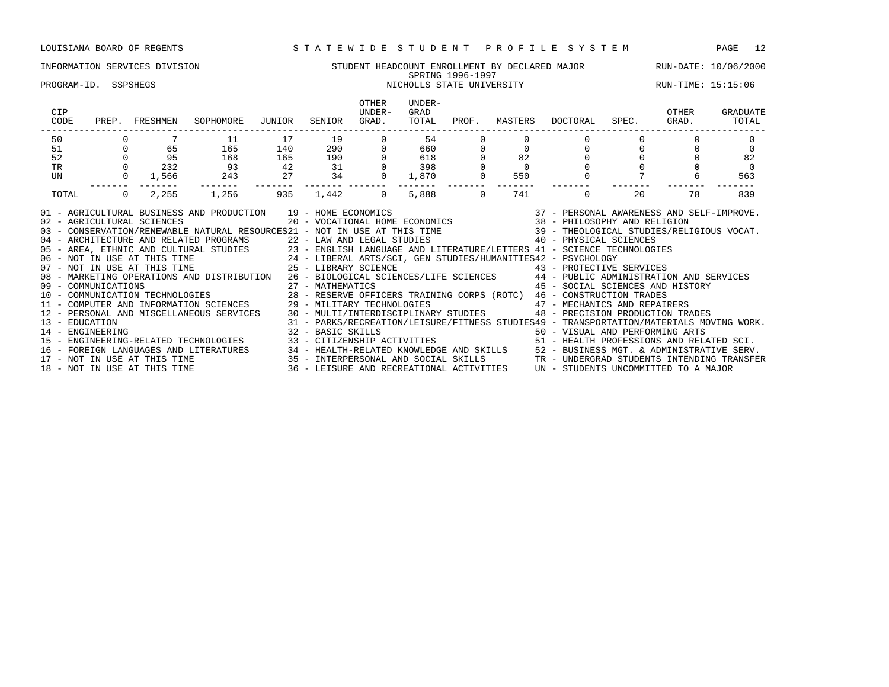### INFORMATION SERVICES DIVISION STUDENT HEADCOUNT ENROLLMENT BY DECLARED MAJOR RUN-DATE: 10/06/2000 SPRING 1996-1997 SPRING 1996-1997<br>PROGRAM-ID. SSPSHEGS NICHOLLS STATE UNIVERSITY NICHOLLS STATE UNIVERSITY

| CIP<br>CODE<br>PREP.                                                                                                                                                                                                                                                                                                                                                                                                                                                                                                                                                                                                                                                                                                                                                                                                                                                                                                                                                                                                                                                                                                | FRESHMEN          | SOPHOMORE | JUNIOR | SENIOR                | OTHER<br>UNDER-<br>GRAD.             | UNDER-<br>GRAD<br>TOTAL | PROF.               | MASTERS   | DOCTORAL                                                                                                                                                                                                                                                                                                     | SPEC. | OTHER<br>GRAD. | GRADUATE<br>TOTAL |
|---------------------------------------------------------------------------------------------------------------------------------------------------------------------------------------------------------------------------------------------------------------------------------------------------------------------------------------------------------------------------------------------------------------------------------------------------------------------------------------------------------------------------------------------------------------------------------------------------------------------------------------------------------------------------------------------------------------------------------------------------------------------------------------------------------------------------------------------------------------------------------------------------------------------------------------------------------------------------------------------------------------------------------------------------------------------------------------------------------------------|-------------------|-----------|--------|-----------------------|--------------------------------------|-------------------------|---------------------|-----------|--------------------------------------------------------------------------------------------------------------------------------------------------------------------------------------------------------------------------------------------------------------------------------------------------------------|-------|----------------|-------------------|
| 50                                                                                                                                                                                                                                                                                                                                                                                                                                                                                                                                                                                                                                                                                                                                                                                                                                                                                                                                                                                                                                                                                                                  |                   | 11        | 17     | 19                    |                                      | 54                      |                     |           |                                                                                                                                                                                                                                                                                                              |       |                |                   |
| 51                                                                                                                                                                                                                                                                                                                                                                                                                                                                                                                                                                                                                                                                                                                                                                                                                                                                                                                                                                                                                                                                                                                  | 65                | 165       | 140    | 290 72                |                                      | 660                     |                     | $\Omega$  | $\Omega$                                                                                                                                                                                                                                                                                                     |       |                | $\Omega$          |
| 52                                                                                                                                                                                                                                                                                                                                                                                                                                                                                                                                                                                                                                                                                                                                                                                                                                                                                                                                                                                                                                                                                                                  | 95                | 168       | 165    | 190                   |                                      | 618                     |                     | 82        |                                                                                                                                                                                                                                                                                                              |       |                | 82                |
| TR                                                                                                                                                                                                                                                                                                                                                                                                                                                                                                                                                                                                                                                                                                                                                                                                                                                                                                                                                                                                                                                                                                                  | 232               | 93        | 42     | 31                    |                                      | 398                     |                     | $\bigcap$ | $\Omega$                                                                                                                                                                                                                                                                                                     |       |                | $\cap$            |
| UN                                                                                                                                                                                                                                                                                                                                                                                                                                                                                                                                                                                                                                                                                                                                                                                                                                                                                                                                                                                                                                                                                                                  | 1,566             | 243       | 27     | 34<br>-------- ------ |                                      | 1,870<br>--------       |                     | 550       |                                                                                                                                                                                                                                                                                                              |       | 6              | 563               |
| TOTAL                                                                                                                                                                                                                                                                                                                                                                                                                                                                                                                                                                                                                                                                                                                                                                                                                                                                                                                                                                                                                                                                                                               | $\Omega$<br>2,255 | 1,256     | 935    | 1,442                 | $\Omega$                             | 5,888                   | -------<br>$\Omega$ | 741       | $\Omega$                                                                                                                                                                                                                                                                                                     | 20    | 78             | 839               |
| 01 - AGRICULTURAL BUSINESS AND PRODUCTION 19 - HOME ECONOMICS<br>02 - AGRICULTURAL SCIENCES<br>03 - CONSERVATION/RENEWABLE NATURAL RESOURCES21 - NOT IN USE AT THIS TIME 39 - THEOLOGICAL STUDIES/RELIGIOUS VOCAT.<br>04 - ARCHITECTURE AND RELATED PROGRAMS 22 - LAW AND LEGAL STUDIES 40 - PHYSICAL SCIENCES<br>05 - AREA, ETHNIC AND CULTURAL STUDIES 23 - ENGLISH LANGUAGE AND LITERATURE/LETTERS 41 - SCIENCE TECHNOLOGIES<br>06 - NOT IN USE AT THIS TIME 24 - LIBERAL ARTS/SCI, GEN STUDIES/HUMANITIES42 - PSYCHOLOGY<br>07 - NOT IN USE AT THIS TIME<br>25 - LIBRARY SCIENCE<br>08 - MARKETING OPERATIONS AND DISTRIBUTION 26 - BIOLOGICAL SCIENCES/LIFE SCIENCES 44 - PUBLIC ADMINISTRATION AND SERVICES<br>12 - PERSONAL AND MISCELLANEOUS SERVICES 30 - MULTI/INTERDISCIPLINARY STUDIES<br>13 - EDUCATION<br>14 - ENGINEERING<br>15 - ENGINEERING-RELATED TECHNOLOGIES 33 - CITIZENSHIP ACTIVITIES 51 - HEALTH PROFESSIONS AND RELATED SCI.<br>16 - FOREIGN LANGUAGES AND LITERATURES 34 - HEALTH-RELATED KNOWLEDGE AND SKILLS 52 - BUSINESS MGT. & ADMINISTRATIVE SERV.<br>17 - NOT IN USE AT THIS TIME |                   |           |        | 32 - BASIC SKILLS     | 35 - INTERPERSONAL AND SOCIAL SKILLS |                         |                     |           | 43 - PROTECTIVE SERVICES<br>45 - SOCIAL SCIENCES AND HISTORY<br>47 - MECHANICS AND REPAIRERS<br>48 - PRECISION PRODUCTION TRADES<br>31 - PARKS/RECREATION/LEISURE/FITNESS STUDIES49 - TRANSPORTATION/MATERIALS MOVING WORK.<br>50 - VISUAL AND PERFORMING ARTS<br>TR - UNDERGRAD STUDENTS INTENDING TRANSFER |       |                |                   |

18 - NOT IN USE AT THIS TIME 36 - LEISURE AND RECREATIONAL ACTIVITIES UN - STUDENTS UNCOMMITTED TO A MAJOR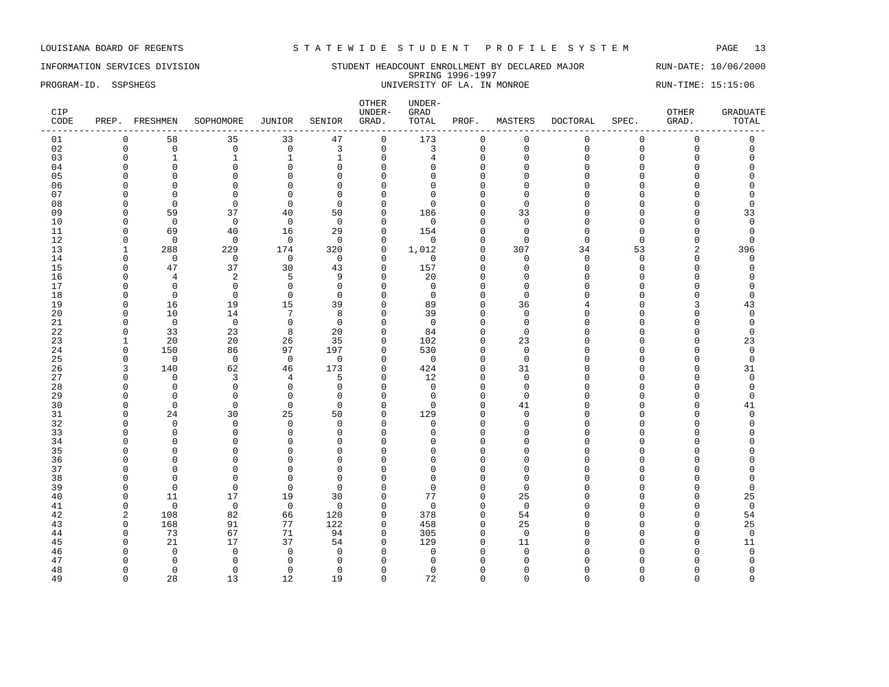INFORMATION SERVICES DIVISION STUDENT HEADCOUNT ENROLLMENT BY DECLARED MAJOR RUN-DATE: 10/06/2000 SPRING 1996-1997 PROGRAM-ID. SSPSHEGS SERIES ENTERTY OF LA. IN MONROE RUN-TIME: 15:15:06

| CIP<br>CODE |              | PREP. FRESHMEN | SOPHOMORE      | JUNIOR         | SENIOR       | OTHER<br>UNDER-<br>GRAD. | UNDER-<br>GRAD<br>TOTAL | PROF.        | MASTERS     | DOCTORAL     | SPEC.       | OTHER<br>GRAD.      | <b>GRADUATE</b><br>TOTAL |
|-------------|--------------|----------------|----------------|----------------|--------------|--------------------------|-------------------------|--------------|-------------|--------------|-------------|---------------------|--------------------------|
| 01          | 0            | 58             | 35             | 33             | 47           | $\mathsf{O}$             | 173                     | 0            | $\mathsf 0$ | $\mathbf{0}$ | $\mathbf 0$ | $\mathsf 0$         | $\mathsf 0$              |
| 02          | $\Omega$     | $\mathbf 0$    | $\mathbf 0$    | $\mathbf 0$    | 3            | $\mathbf 0$              | 3                       | $\mathbf 0$  | $\mathbf 0$ | $\Omega$     | $\Omega$    | $\mathsf{O}\xspace$ | $\mathbf 0$              |
| 03          | $\Omega$     | $\mathbf{1}$   | $\mathbf{1}$   | $\mathbf{1}$   | $\mathbf 1$  | $\mathbf 0$              | 4                       | $\mathbf{0}$ | $\mathbf 0$ | $\Omega$     | $\Omega$    | $\mathbf 0$         | $\Omega$                 |
| 04          | $\Omega$     | $\mathbf 0$    | $\Omega$       | $\mathsf 0$    | $\Omega$     | $\mathbf 0$              |                         | $\Omega$     | $\Omega$    |              | $\Omega$    | $\Omega$            |                          |
| 05          |              | $\Omega$       | $\Omega$       | $\Omega$       | $\Omega$     | $\Omega$                 |                         | $\Omega$     | n           |              |             | U                   |                          |
| 06          |              | $\Omega$       | $\Omega$       | $\mathbf{0}$   | $\Omega$     | $\Omega$                 |                         | $\Omega$     | ∩           |              |             | O                   |                          |
| 07          | n            | $\Omega$       | $\Omega$       | $\mathbf{0}$   | $\Omega$     | $\Omega$                 | U                       | $\Omega$     | $\Omega$    |              |             | O                   | $\Omega$                 |
| 08          | $\Omega$     | $\overline{0}$ | $\Omega$       | $\Omega$       | $\Omega$     | $\mathbf 0$              | $\Omega$                | $\Omega$     | $\Omega$    |              |             | O                   | $\Omega$                 |
| 09          | ∩            | 59             | 37             | 40             | 50           | $\mathbf 0$              | 186                     | $\Omega$     | 33          |              |             | $\Omega$            | 33                       |
| 10          | ∩            | $\mathbf 0$    | $\overline{0}$ | $\mathbf 0$    | $\Omega$     | $\Omega$                 | $\Omega$                | $\Omega$     | $\Omega$    |              |             | O                   | $\mathbf 0$              |
| 11          | $\Omega$     | 69             | 40             | 16             | 29           | $\mathbf 0$              | 154                     | $\Omega$     | $\Omega$    |              | $\Omega$    | O                   | $\overline{0}$           |
| 12          | <sup>0</sup> | $\mathbf 0$    | $\Omega$       | $\mathbf 0$    | $\Omega$     | $\mathbf 0$              | $\Omega$                | $\Omega$     | $\Omega$    | ∩            | ∩           | $\Omega$            | $\Omega$                 |
| 13          |              | 288            | 229            | 174            | 320          | $\mathbf 0$              | 1,012                   | $\Omega$     | 307         | 34           | 53          | 2                   | 396                      |
| 14          | $\Omega$     | $\mathbf 0$    | $\mathbf 0$    | $\mathbf 0$    | $\mathbf 0$  | $\mathbf 0$              | $\mathbf 0$             | $\Omega$     | $\mathbf 0$ | $\Omega$     | $\Omega$    | 0                   | 0                        |
| 15          | ∩            | 47             | 37             | 30             | 43           | $\Omega$                 | 157                     | $\Omega$     | $\Omega$    | ∩            | $\Omega$    | U                   | $\Omega$                 |
| 16          | n            | $\overline{4}$ | 2              | 5              | 9            | $\mathbf 0$              | 20                      | $\Omega$     | $\Omega$    |              | $\Omega$    | 0                   | $\Omega$                 |
| 17          | ∩            | $\Omega$       | $\Omega$       | $\mathbf 0$    | $\Omega$     | $\Omega$                 | $\Omega$                | $\Omega$     | $\Omega$    |              |             | O                   | $\Omega$                 |
| 18          | ∩            | $\overline{0}$ | $\Omega$       | $\mathbf 0$    | $\Omega$     | $\Omega$                 | $\Omega$                | $\Omega$     | $\Omega$    |              |             | O                   | $\Omega$                 |
| 19          | $\Omega$     | 16             | 19             | 15             | 39           | $\Omega$                 | 89                      | $\Omega$     | 36          |              |             | 3                   | 43                       |
| 20          | ∩            | 10             | 14             | 7              | 8            | $\Omega$                 | 39                      | $\cap$       | $\Omega$    |              |             | O                   | $\Omega$                 |
| 21          | $\Omega$     | $\overline{0}$ | $\mathbf 0$    | $\mathbf 0$    | $\mathbf{0}$ | $\mathbf 0$              | $\mathbf 0$             | $\Omega$     | $\Omega$    |              |             | O                   | 0                        |
| 22          | <sup>0</sup> | 33             | 23             | 8              | 20           | $\mathbf 0$              | 84                      | $\Omega$     | $\Omega$    |              |             | O                   | $\Omega$                 |
| 23          |              | 20             | 20             | 26             | 35           | $\mathbf 0$              | 102                     | $\Omega$     | 23          |              |             | O                   | 23                       |
| 24          | $\Omega$     | 150            | 86             | 97             | 197          | $\mathbf 0$              | 530                     | $\Omega$     | $\Omega$    |              |             | 0                   | $\mathbf 0$              |
| 25          | ∩            | $\mathbf 0$    | $\Omega$       | $\overline{0}$ | $\Omega$     | $\Omega$                 | $\Omega$                | $\Omega$     | $\Omega$    |              |             | U                   | $\Omega$                 |
| 26          | 3            | 140            | 62             | 46             | 173          | $\mathbf 0$              | 424                     | $\mathbf{0}$ | 31          |              |             | $\Omega$            | 31                       |
| 27          | $\Omega$     | $\Omega$       | 3              | 4              | 5            | $\mathbf{0}$             | 12                      | $\Omega$     | $\Omega$    |              |             | 0                   | $\mathbf 0$              |
| 28          | ∩            | $\Omega$       | $\Omega$       | $\mathbf 0$    | $\Omega$     | $\Omega$                 | $\Omega$                | $\cap$       | $\Omega$    |              |             | O                   | 0                        |
| 29          | n            | $\Omega$       | $\Omega$       | $\mathbf 0$    | $\Omega$     | $\mathbf{0}$             | $\Omega$                | $\Omega$     | $\Omega$    |              |             | 0                   | $\Omega$                 |
| 30          | ∩            | $\Omega$       | $\Omega$       | $\mathbf 0$    | $\Omega$     | $\Omega$                 | $\Omega$                | $\Omega$     | 41          |              |             | U                   | 41                       |
| 31          | ∩            | 24             | 30             | 25             | 50           | $\mathbf 0$              | 129                     | $\Omega$     | $\Omega$    |              |             | O                   | $\Omega$                 |
| 32          |              | $\Omega$       | $\Omega$       | $\mathbf 0$    | $\Omega$     | $\Omega$                 | $\Omega$                | $\Omega$     | $\Omega$    |              |             | U                   |                          |
| 33          | ∩            | $\mathbf 0$    | $\mathbf 0$    | $\mathbf 0$    | $\Omega$     | $\Omega$                 | $\Omega$                | $\cap$       | $\cap$      |              |             | O                   |                          |
| 34          |              | $\Omega$       | $\Omega$       | $\mathbf{0}$   | $\Omega$     | $\Omega$                 | $\cap$                  | $\Omega$     | $\Omega$    |              |             | O                   |                          |
| 35          |              | $\Omega$       | $\Omega$       | $\Omega$       | $\Omega$     | $\Omega$                 |                         | ∩            | ∩           |              |             | Λ                   |                          |
| 36          |              | $\Omega$       | $\Omega$       | $\mathbf{0}$   | $\Omega$     | $\Omega$                 | U                       | $\Omega$     |             |              |             | O                   |                          |
| 37          |              | $\Omega$       | $\Omega$       | $\mathbf{0}$   | $\Omega$     | $\Omega$                 | $\cap$                  | $\Omega$     | $\cap$      |              |             | O                   |                          |
| 38          | ∩            | $\Omega$       | $\Omega$       | $\Omega$       | $\Omega$     | $\Omega$                 | n                       | ∩            | ∩           |              |             | O                   | $\Omega$                 |
| 39          | $\Omega$     | $\mathbf 0$    | $\mathbf 0$    | 0              | $\Omega$     | $\mathbf{0}$             | $\Omega$                | $\mathbf 0$  | $\Omega$    |              |             | 0                   | $\Omega$                 |
| 40          | $\Omega$     | 11             | 17             | 19             | 30           | $\mathbf{0}$             | 77                      | $\Omega$     | 25          |              |             | O                   | 25                       |
| 41          | n            | $\Omega$       | $\mathbb O$    | $\mathbf 0$    | $\Omega$     | $\mathbf 0$              | $\Omega$                | $\Omega$     | $\Omega$    |              |             | O                   | $\mathbf 0$              |
| 42          | 2            | 108            | 82             | 66             | 120          | $\mathbf 0$              | 378                     | 0            | 54          |              |             | $\Omega$            | 54                       |
| 43          | $\Omega$     | 168            | 91             | 77             | 122          | $\mathbf 0$              | 458                     | $\Omega$     | 25          |              |             | 0                   | 25                       |
| 44          | $\Omega$     | 73             | 67             | 71             | 94           | $\mathbf 0$              | 305                     | $\Omega$     | $\Omega$    |              |             | $\Omega$            | $\mathbf 0$              |
| 45          | n            | 21             | 17             | 37             | 54           | $\Omega$                 | 129                     | $\cap$       | 11          |              |             | O                   | 11                       |
| 46          |              | $\Omega$       | $\Omega$       | $\mathbf 0$    | $\Omega$     | $\Omega$                 | $\Omega$                | $\Omega$     | $\Omega$    |              |             | O                   | $\mathbf 0$              |
| 47          |              | $\Omega$       | $\Omega$       | $\mathbf 0$    | $\Omega$     | $\Omega$                 |                         | $\cap$       |             |              |             | U                   | $\Omega$                 |
| 48          | n            | $\mathbf 0$    | $\Omega$       | $\mathbf 0$    | $\Omega$     | $\Omega$                 | <sup>0</sup>            | ∩            | n           |              |             | O                   | $\Omega$                 |
| 49          | $\Omega$     | 28             | 13             | 12             | 19           | $\Omega$                 | 72                      | $\Omega$     | $\Omega$    | $\Omega$     | $\Omega$    | $\Omega$            | $\Omega$                 |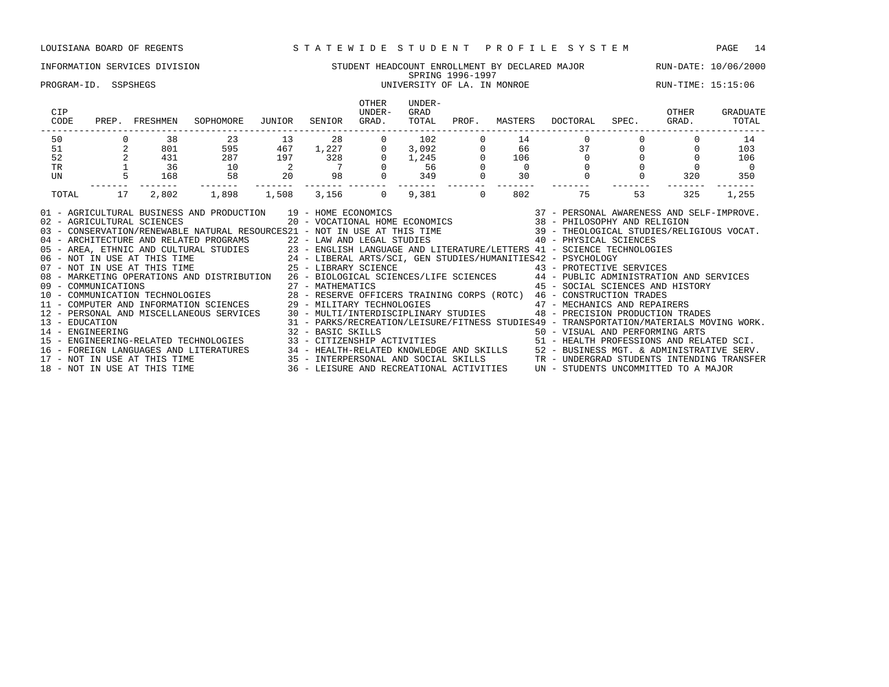### INFORMATION SERVICES DIVISION STUDENT HEADCOUNT ENROLLMENT BY DECLARED MAJOR RUN-DATE: 10/06/2000 SPRING 1996-1997 PROGRAM-ID. SSPSHEGS UNIVERSITY OF LA. IN MONROE RUN-TIME: 15:15:06

| CIP<br>CODE      | PREP. | FRESHMEN                     | SOPHOMORE                                                                                                                                                                                                                                                                                                                                                                                                                                                                                                                                                                                                                                                                                                                                                                                                                                                                                                                                                           | JUNIOR                   | SENIOR              | <b>OTHER</b><br>UNDER-<br>GRAD. | UNDER-<br>GRAD<br>TOTAL            | PROF.       | MASTERS        | DOCTORAL                                                                                                                                                                                 | SPEC. | OTHER<br>GRAD. | GRADUATE<br>TOTAL |
|------------------|-------|------------------------------|---------------------------------------------------------------------------------------------------------------------------------------------------------------------------------------------------------------------------------------------------------------------------------------------------------------------------------------------------------------------------------------------------------------------------------------------------------------------------------------------------------------------------------------------------------------------------------------------------------------------------------------------------------------------------------------------------------------------------------------------------------------------------------------------------------------------------------------------------------------------------------------------------------------------------------------------------------------------|--------------------------|---------------------|---------------------------------|------------------------------------|-------------|----------------|------------------------------------------------------------------------------------------------------------------------------------------------------------------------------------------|-------|----------------|-------------------|
| 50               |       | 38                           | 23                                                                                                                                                                                                                                                                                                                                                                                                                                                                                                                                                                                                                                                                                                                                                                                                                                                                                                                                                                  | 13                       | 28                  | $\mathbf{0}$                    | 102                                |             | 14             | $\mathbf{0}$                                                                                                                                                                             |       |                | 14                |
| 51               |       | 801                          | 595                                                                                                                                                                                                                                                                                                                                                                                                                                                                                                                                                                                                                                                                                                                                                                                                                                                                                                                                                                 | 467                      | $\frac{1,227}{328}$ | $\overline{0}$                  | $\frac{102}{1,245}$<br>1,245<br>56 |             | 66             | 37                                                                                                                                                                                       |       |                | 103               |
| 52               |       | 431                          | 287                                                                                                                                                                                                                                                                                                                                                                                                                                                                                                                                                                                                                                                                                                                                                                                                                                                                                                                                                                 | 197                      |                     | $\circ$                         |                                    |             | 106            | $\Omega$                                                                                                                                                                                 |       |                | 106               |
| <b>TR</b>        |       | 36                           | 10                                                                                                                                                                                                                                                                                                                                                                                                                                                                                                                                                                                                                                                                                                                                                                                                                                                                                                                                                                  | $\overline{\phantom{a}}$ | $\overline{7}$      |                                 |                                    |             | $\overline{0}$ |                                                                                                                                                                                          |       |                | $\overline{0}$    |
| UN               |       | 168                          | 58                                                                                                                                                                                                                                                                                                                                                                                                                                                                                                                                                                                                                                                                                                                                                                                                                                                                                                                                                                  | 20                       | 98                  |                                 | 349                                | $\mathbf 0$ | 30             | $\mathbf 0$                                                                                                                                                                              |       | 320            | 350               |
| TOTAL            | 17    | 2,802                        | 1,898                                                                                                                                                                                                                                                                                                                                                                                                                                                                                                                                                                                                                                                                                                                                                                                                                                                                                                                                                               | 1,508                    | 3,156               | $\Omega$                        | 9,381                              | $\Omega$    | 802            | 75                                                                                                                                                                                       | 53    | 325            | 1,255             |
| 13 - EDUCATION   |       |                              | 01 - AGRICULTURAL BUSINESS AND PRODUCTION 19 - HOME ECONOMICS (2007) 19 - 2008 2010 1000 2010 2010 2010 2010 2<br>02 - AGRICULTURAL SCIENCES (2017) 20 - VOCATIONAL HOME ECONOMICS (2018) 2018 - PHILOSOPHY AND RELIGION (2023)<br>0<br>04 - ARCHITECTURE AND RELATED PROGRAMS<br>05 - AREA, ETHNIC AND CULTURAL STUDIES<br>06 - NOT IN USE AT THIS TIME<br>07 - NOT IN USE AT THIS TIME<br>07 - NOT IN USE AT THIS TIME<br>27 - LIBERAL ARTS/SCI, GEN STUDIES/HUMANITIES42 - PS<br>08 - MARKETING OPERATIONS AND DISTRIBUTION 26 - BIOLOGICAL SCIENCES/LIFE SCIENCES 44 - PUBLIC ADMINISTRATION AND SERVICES<br>09 - COMMUNICATIONS 27 - MATHEMATICS 45 - SOCIAL SCIENCES AND HIST (10 - COMMUNICATION TECHNOLOGIES 28 - RESERVE OFFICERS TRAINING CORPS (ROTC) 46 - CONSTRUCTION TRADES<br>11 - COMPUTER AND INFORMATION SCIENCES 29 - MILITARY<br>12 - PERSONAL AND MISCELLANEOUS SERVICES 30 - MULTI/INTERDISCIPLINARY STUDIES 48 - PRECISION PRODUCTION TRADES |                          |                     |                                 |                                    |             |                | 45 - SOCIAL SCIENCES AND HISTORY<br>31 - PARKS/RECREATION/LEISURE/FITNESS STUDIES49 - TRANSPORTATION/MATERIALS MOVING WORK.                                                              |       |                |                   |
| 14 - ENGINEERING |       | 18 - NOT IN USE AT THIS TIME | 15 - ENGINEERING-RELATED TECHNOLOGIES<br>16 - FOREIGN LANGUAGES AND LITERATURES 34 - HEALTH-RELATED KNOWLEDGE AND SKILLS 52 - BUSINESS MGT. & ADMINISTRATIVE SERV.<br>17 - NOT IN USE AT THIS TIME 35 - INTERPERSONAL AND SOCIAL SKILLS TR - UNDERGRAD STUDENTS INTENDING                                                                                                                                                                                                                                                                                                                                                                                                                                                                                                                                                                                                                                                                                           |                          | 32 - BASIC SKILLS   |                                 |                                    |             |                | 50 - VISUAL AND PERFORMING ARTS<br>33 - CITIZENSHIP ACTIVITIES 51 - HEALTH PROFESSIONS AND RELATED SCI.<br>36 - LEISURE AND RECREATIONAL ACTIVITIES UN - STUDENTS UNCOMMITTED TO A MAJOR |       |                |                   |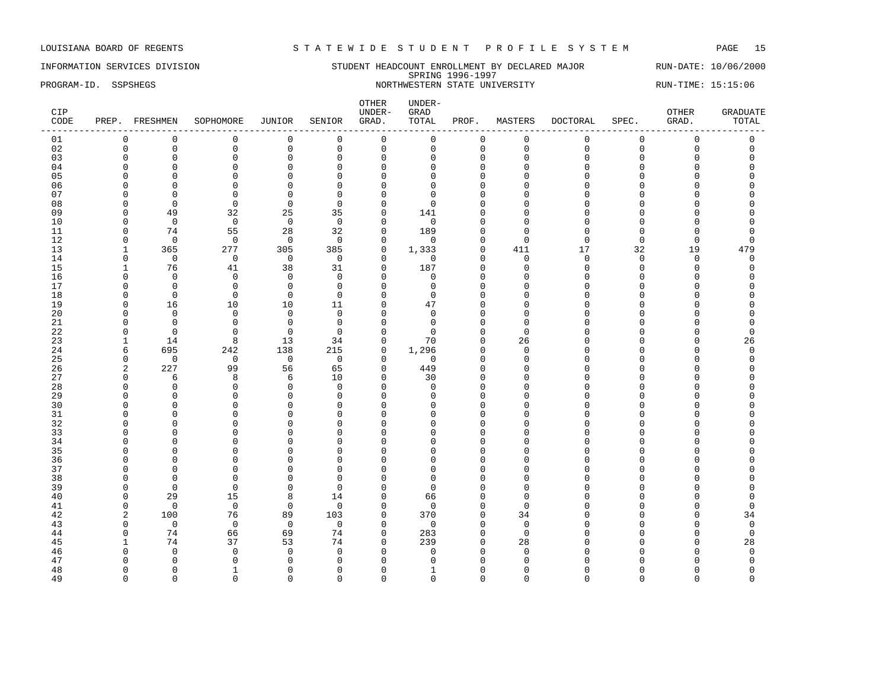### INFORMATION SERVICES DIVISION STUDENT HEADCOUNT ENROLLMENT BY DECLARED MAJOR RUN-DATE: 10/06/2000 SPRING 1996-1997 PROGRAM-ID. SSPSHEGS NORTHWESTERN STATE UNIVERSITY RUN-TIME: 15:15:06

| CIP<br>CODE |              | PREP. FRESHMEN | SOPHOMORE      | JUNIOR         | SENIOR         | OTHER<br>UNDER-<br>GRAD. | $UNDER-$<br>GRAD<br>TOTAL | PROF.        | MASTERS     | DOCTORAL     | SPEC.       | OTHER<br>GRAD.      | <b>GRADUATE</b><br>TOTAL |
|-------------|--------------|----------------|----------------|----------------|----------------|--------------------------|---------------------------|--------------|-------------|--------------|-------------|---------------------|--------------------------|
| 01          | 0            | $\mathbf 0$    | $\mathbf 0$    | 0              | $\mathbf 0$    | $\mathsf 0$              | $\mathsf 0$               | 0            | $\mathsf 0$ | $\mathbf{0}$ | $\mathbf 0$ | $\mathsf 0$         | $\mathsf 0$              |
| 02          | $\mathbf 0$  | $\mathsf 0$    | $\mathbf 0$    | $\mathsf 0$    | $\mathbf 0$    | $\mathsf{O}$             | $\Omega$                  | $\mathbf 0$  | $\mathbf 0$ | $\Omega$     | $\Omega$    | $\mathsf{O}\xspace$ | $\mathbf 0$              |
| 03          | $\Omega$     | $\mathbf 0$    | $\mathbf 0$    | $\mathbf 0$    | $\mathbf 0$    | $\mathbf 0$              | $\Omega$                  | $\mathbf{0}$ | $\mathbf 0$ | $\Omega$     | $\Omega$    | $\mathbf 0$         | $\Omega$                 |
| 04          | $\Omega$     | $\mathbf 0$    | $\mathbf 0$    | $\mathsf 0$    | $\mathbf 0$    | $\mathbf 0$              | $\Omega$                  | $\Omega$     | $\Omega$    | $\cap$       | $\Omega$    | $\Omega$            | $\Omega$                 |
| 05          |              | $\Omega$       | $\Omega$       | $\Omega$       | $\Omega$       | $\Omega$                 | U                         | $\Omega$     | $\Omega$    |              | C           | U                   |                          |
| 06          |              | $\Omega$       | $\Omega$       | $\mathbf{0}$   | $\Omega$       | $\Omega$                 |                           | $\Omega$     | ∩           |              | C           | O                   |                          |
| 07          | ∩            | $\Omega$       | $\mathbf 0$    | $\mathbf 0$    | $\Omega$       | $\mathbf{0}$             | n                         | $\Omega$     | ∩           |              |             | O                   |                          |
| 08          | $\Omega$     | $\overline{0}$ | $\Omega$       | $\mathbf 0$    | $\Omega$       | $\mathbf 0$              | $\Omega$                  | $\Omega$     |             |              |             | $\cap$              |                          |
| 09          | n            | 49             | 32             | 25             | 35             | $\mathbf 0$              | 141                       | ∩            | ∩           |              |             | Λ                   |                          |
| 10          | ∩            | $\overline{0}$ | $\mathbf 0$    | $\overline{0}$ | $\overline{0}$ | $\mathbf 0$              | $\mathbf 0$               | $\Omega$     | ∩           |              |             | U                   |                          |
| 11          | $\Omega$     | 74             | 55             | 28             | 32             | $\mathbf 0$              | 189                       | $\Omega$     | $\Omega$    |              | $\Omega$    | 0                   |                          |
| 12          | $\Omega$     | $\mathbf 0$    | $\Omega$       | $\mathbf 0$    | $\Omega$       | $\mathbf 0$              | $\Omega$                  | $\Omega$     | $\Omega$    | ∩            | $\Omega$    | $\mathbf 0$         | $\cap$                   |
| 13          |              | 365            | 277            | 305            | 385            | $\mathbf 0$              | 1,333                     | $\mathbf{0}$ | 411         | 17           | 32          | 19                  | 479                      |
| 14          | $\Omega$     | $\mathbf 0$    | $\mathsf 0$    | $\mathbf 0$    | $\mathbf 0$    | $\mathbf 0$              | $\mathbf 0$               | $\Omega$     | $\Omega$    | $\Omega$     | $\Omega$    | $\mathbf 0$         | $\Omega$                 |
| 15          | 1            | 76             | 41             | 38             | 31             | $\Omega$                 | 187                       | $\Omega$     | $\Omega$    | ∩            | $\Omega$    | $\Omega$            | $\cap$                   |
| 16          | $\Omega$     | $\mathbf 0$    | $\mathbf 0$    | $\mathbf 0$    | $\mathbf 0$    | $\mathbf 0$              | $\mathbf 0$               | $\Omega$     | $\Omega$    |              | $\Omega$    | 0                   |                          |
| 17          | <sup>0</sup> | $\Omega$       | $\Omega$       | $\mathbf 0$    | $\Omega$       | $\mathbf{0}$             | $\Omega$                  | $\Omega$     | ∩           |              |             | O                   |                          |
| 18          | $\Omega$     | $\overline{0}$ | $\Omega$       | $\mathbf 0$    | $\Omega$       | $\mathbf 0$              | $\Omega$                  | ∩            | $\cap$      |              |             | U                   |                          |
| 19          | $\Omega$     | 16             | 10             | 10             | 11             | $\mathbf{0}$             | 47                        | $\Omega$     | $\Omega$    |              |             | U                   |                          |
| 20          | ∩            | $\Omega$       | $\mathbf 0$    | $\mathbf 0$    | $\mathbf 0$    | $\mathbf 0$              | $\Omega$                  | $\cap$       | $\Omega$    |              |             | U                   |                          |
| 21          | $\Omega$     | $\mathbf 0$    | $\mathbf 0$    | $\mathbf 0$    | $\Omega$       | $\mathbf 0$              | $\Omega$                  | $\Omega$     | $\Omega$    |              |             | O                   | $\Omega$                 |
| 22          | $\Omega$     | $\Omega$       | $\Omega$       | $\mathbf 0$    | $\Omega$       | $\mathbf 0$              | $\Omega$                  | $\Omega$     | $\Omega$    |              |             | 0                   | $\Omega$                 |
| 23          | 1            | 14             | 8              | 13             | 34             | $\mathsf 0$              | 70                        | $\Omega$     | 26          |              |             | O                   | 26                       |
| 24          | 6            | 695            | 242            | 138            | 215            | $\mathbf 0$              | 1,296                     | $\mathbf{0}$ | $\Omega$    |              |             | O                   | $\mathbf 0$              |
| 25          | $\Omega$     | $\overline{0}$ | $\overline{0}$ | $\overline{0}$ | $\Omega$       | $\Omega$                 | $\Omega$                  | $\Omega$     | $\Omega$    |              |             | U                   | $\Omega$                 |
| 26          | 2            | 227            | 99             | 56             | 65             | $\mathbf 0$              | 449                       | $\mathbf{0}$ | $\Omega$    |              |             | O                   |                          |
| 27          | $\Omega$     | 6              | 8              | 6              | 10             | $\mathbf 0$              | 30                        | $\Omega$     | ∩           |              |             | O                   |                          |
| 28          | $\Omega$     | $\Omega$       | $\Omega$       | $\mathbf 0$    | $\Omega$       | $\Omega$                 | $\Omega$                  | $\cap$       |             |              |             | U                   |                          |
| 29          | ∩            | $\mathbf 0$    | $\Omega$       | $\mathbf 0$    | $\mathbf 0$    | $\mathbf{0}$             | $\Omega$                  | $\Omega$     | $\cap$      |              |             | O                   |                          |
| 30          |              | $\Omega$       | $\Omega$       | $\Omega$       | $\Omega$       | $\Omega$                 |                           | $\cap$       |             |              |             | U                   |                          |
| 31          |              | $\Omega$       | $\Omega$       | $\mathbf{0}$   | $\Omega$       | $\mathbf 0$              |                           | $\Omega$     |             |              |             | O                   |                          |
| 32          |              | $\Omega$       | $\Omega$       | $\mathbf{0}$   | $\Omega$       | $\Omega$                 |                           | $\Omega$     | ∩           |              |             | U                   |                          |
| 33          |              | $\Omega$       | $\Omega$       | $\mathbf{0}$   | $\Omega$       | $\Omega$                 |                           | $\Omega$     |             |              |             | O                   |                          |
| 34          |              | $\Omega$       | $\Omega$       | $\mathbf{0}$   | $\Omega$       | $\mathbf 0$              | $\cap$                    | $\Omega$     | $\cap$      |              |             | O                   |                          |
| 35          |              | $\cap$         | $\Omega$       | $\Omega$       | $\Omega$       | $\Omega$                 |                           | $\cap$       | ∩           |              |             | Λ                   |                          |
| 36          |              | $\Omega$       | $\Omega$       | $\mathbf{0}$   | $\Omega$       | $\Omega$                 | U                         | $\Omega$     |             |              |             | O                   |                          |
| 37          |              | $\Omega$       | $\Omega$       | $\mathbf{0}$   | $\Omega$       | $\Omega$                 | $\cap$                    | $\Omega$     |             |              |             | O                   |                          |
| 38          | ∩            | $\Omega$       | $\Omega$       | $\mathbf{0}$   | $\Omega$       | $\Omega$                 | ∩                         | ∩            |             |              |             | U                   |                          |
| 39          | $\Omega$     | $\mathbf 0$    | $\mathbf 0$    | 0              | $\Omega$       | $\mathbf{0}$             | $\Omega$                  | $\Omega$     | $\cap$      |              |             | O                   |                          |
| 40          | $\Omega$     | 29             | 15             | 8              | 14             | $\mathbf{0}$             | 66                        | $\cap$       | $\Omega$    |              |             | U                   |                          |
| 41          | <sup>0</sup> | $\mathbf 0$    | $\mathbf 0$    | $\mathbf 0$    | $\overline{0}$ | $\mathbf 0$              | $\Omega$                  | $\Omega$     | $\Omega$    |              |             | O                   | $\Omega$                 |
| 42          | 2            | 100            | 76             | 89             | 103            | $\mathbf 0$              | 370                       | 0            | 34          |              |             | $\Omega$            | 34                       |
| 43          | $\mathbf{0}$ | $\mathbf 0$    | $\mathbf 0$    | $\mathbf 0$    | $\mathbf 0$    | $\mathbf 0$              | $\mathbf 0$               | $\Omega$     | $\mathbf 0$ |              |             | O                   | $\mathbf 0$              |
| 44          | $\Omega$     | 74             | 66             | 69             | 74             | $\mathbf 0$              | 283                       | $\Omega$     | $\Omega$    |              |             | O                   | $\mathbf 0$              |
| 45          |              | 74             | 37             | 53             | 74             | $\Omega$                 | 239                       | $\Omega$     | 28          |              |             | O                   | 28                       |
| 46          |              | $\Omega$       | $\Omega$       | $\mathbf 0$    | $\Omega$       | $\Omega$                 | $\Omega$                  | $\Omega$     | $\Omega$    |              |             | O                   | $\mathbf 0$              |
| 47          |              | $\Omega$       |                | $\mathbf 0$    | $\Omega$       | $\Omega$                 |                           | $\Omega$     |             |              |             | U                   | $\Omega$                 |
| 48          | ∩            | $\cap$         |                | $\mathbf{0}$   | $\Omega$       | $\mathbf 0$              |                           | ∩            | ∩           |              |             | O                   | $\Omega$                 |
| 49          | $\Omega$     | $\Omega$       | $\Omega$       | $\Omega$       | $\Omega$       | $\Omega$                 | $\Omega$                  | $\Omega$     | $\Omega$    | $\cap$       | $\Omega$    | $\Omega$            | $\Omega$                 |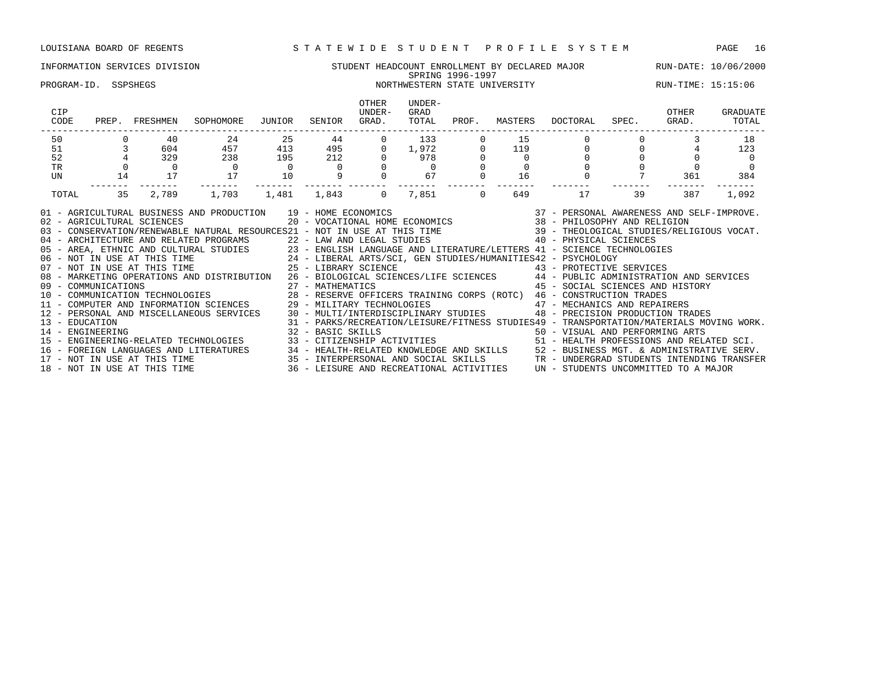### INFORMATION SERVICES DIVISION SERVICES NUMBER STUDENT HEADCOUNT ENROLLMENT BY DECLARED MAJOR RUN-DATE: 10/06/2000 SPRING 1996-1997 PROGRAM-ID. SSPSHEGS NORTHWESTERN STATE UNIVERSITY NORTHWESTERN STATE UNIVERSITY

| CIP<br>CODE<br>PREP. FRESHMEN<br>SOPHOMORE                                                                                                                                                                                                                                                                                                                                                                                                                                                                                                                                                                                                                                                                                                                                                                                                                                                                                                                                                                  | OTHER<br>UNDER-<br>JUNIOR SENIOR GRAD.                                             | UNDER-<br>GRAD<br>TOTAL                          | PROF. |     | MASTERS DOCTORAL | SPEC. GRAD.    | OTHER          | GRADUATE<br>TOTAL |  |  |  |
|-------------------------------------------------------------------------------------------------------------------------------------------------------------------------------------------------------------------------------------------------------------------------------------------------------------------------------------------------------------------------------------------------------------------------------------------------------------------------------------------------------------------------------------------------------------------------------------------------------------------------------------------------------------------------------------------------------------------------------------------------------------------------------------------------------------------------------------------------------------------------------------------------------------------------------------------------------------------------------------------------------------|------------------------------------------------------------------------------------|--------------------------------------------------|-------|-----|------------------|----------------|----------------|-------------------|--|--|--|
| $\begin{array}{ccc}\n & & & 0 \\  & & 3 \\  & & 4\n\end{array}$<br>40 24<br>25<br>50                                                                                                                                                                                                                                                                                                                                                                                                                                                                                                                                                                                                                                                                                                                                                                                                                                                                                                                        | 44 \<br>$\overline{0}$                                                             | 133                                              |       | 15  |                  |                |                | 18                |  |  |  |
| 604 457 413 495 0 1,972 0 119<br>51                                                                                                                                                                                                                                                                                                                                                                                                                                                                                                                                                                                                                                                                                                                                                                                                                                                                                                                                                                         |                                                                                    |                                                  |       |     |                  | $\overline{0}$ | $\overline{0}$ | 123               |  |  |  |
| 329 238<br>$\begin{array}{ccc}\n195 & 212 \\ 0 & 0\n\end{array}$<br>52                                                                                                                                                                                                                                                                                                                                                                                                                                                                                                                                                                                                                                                                                                                                                                                                                                                                                                                                      |                                                                                    | $\begin{matrix} 0 && 978 \\ 0 && 0 \end{matrix}$ |       |     |                  |                |                |                   |  |  |  |
| TR<br>$\overline{0}$<br>$\overline{0}$                                                                                                                                                                                                                                                                                                                                                                                                                                                                                                                                                                                                                                                                                                                                                                                                                                                                                                                                                                      |                                                                                    |                                                  |       |     |                  |                |                |                   |  |  |  |
| 17<br>10<br>17<br>14<br>UN                                                                                                                                                                                                                                                                                                                                                                                                                                                                                                                                                                                                                                                                                                                                                                                                                                                                                                                                                                                  |                                                                                    | $0$ 67                                           |       | 16  |                  |                |                | 361 384           |  |  |  |
| TOTAL                                                                                                                                                                                                                                                                                                                                                                                                                                                                                                                                                                                                                                                                                                                                                                                                                                                                                                                                                                                                       |                                                                                    |                                                  |       | 649 | 17               |                | 387            | 1,092             |  |  |  |
| 39<br>35 2,789 1,703 1,481 1,843 0<br>7,851 0<br>03 - CONSERVATION/RENEWABLE NATURAL RESOURCES21 - NOT IN USE AT THIS TIME 39 - THEOLOGICAL STUDIES/RELIGIOUS VOCAT.<br>04 - ARCHITECTURE AND RELATED PROGRAMS 22 - LAW AND LEGAL STUDIES 40 - PHYSICAL SCIENCES<br>05 - AREA, ETHNIC AND CULTURAL STUDIES 23 - ENGLISH LANGUAGE AND LITERATURE/LETTERS 41 - SCIENCE TECHNOLOGIES<br>06 - NOT IN USE AT THIS<br>08 - MARKETING OPERATIONS AND DISTRIBUTION 26 - BIOLOGICAL SCIENCES/LIFE SCIENCES 44 - PUBLIC ADMINISTRATION AND SERVICES<br>45 - SOCIAL SCIENCES AND HISTORY<br>27 - MATHEMATICS<br>09 - COMMUNICATIONS<br>10 - COMMUNICATION TECHNOLOGIES                                 28 - RESERVE OFFICERS TRAINING CORPS (ROTC)   46 - CONSTRUCTION TRADES<br>11 - COMPUTER AND INFORMATION SCIENCES             29 - MILITARY TECHNOLOGIES<br>12 - PERSONAL AND MISCELLANEOUS SERVICES 30 - MULTI/INTERDISCIPLINARY STUDIES 48 - PRECISION PRODUCTION TRADES<br>13 - EDUCATION<br>14 - ENGINEERING |                                                                                    |                                                  |       |     |                  |                |                |                   |  |  |  |
| 15 - ENGINEERING-RELATED TECHNOLOGIES 33 - CITIZENSHIP ACTIVITIES 51 - HEALTH PROFESSIONS AND RELATED SCI.<br>16 - FOREIGN LANGUAGES AND LITERATURES                                                                                                                                                                                                                                                                                                                                                                                                                                                                                                                                                                                                                                                                                                                                                                                                                                                        | 34 - HEALTH-RELATED KNOWLEDGE AND SKILLS 52 - BUSINESS MGT. & ADMINISTRATIVE SERV. |                                                  |       |     |                  |                |                |                   |  |  |  |

17 - NOT IN USE AT THIS TIME 35 - INTERPERSONAL AND SOCIAL SKILLS TR - UNDERGRAD STUDENTS INTENDING TRANSFER 18 - NOT IN USE AT THIS TIME 35 - INTERFERISORAL AND SOCIAL SRILLS 31 - IR UNDERGRAD STODENTS INTERDING TREAT<br>18 - NOT IN USE AT THIS TIME 36 - LEISURE AND RECREATIONAL ACTIVITIES UN - STUDENTS UNCOMMITTED TO A MAJOR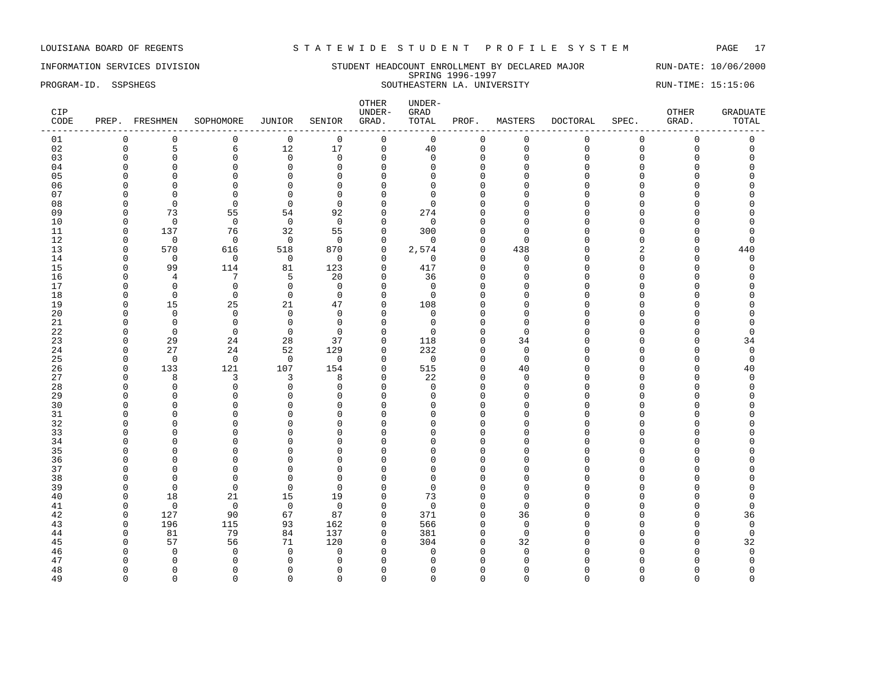INFORMATION SERVICES DIVISION STUDENT HEADCOUNT ENROLLMENT BY DECLARED MAJOR RUN-DATE: 10/06/2000 SPRING 1996-1997 PROGRAM-ID. SSPSHEGS SOUTHEASTERN LA. UNIVERSITY RUN-TIME: 15:15:06

| $\mathsf 0$<br>01<br>0<br>$\mathbf 0$<br>$\mathbf 0$<br>$\mathbf 0$<br>0<br>$\mathbf 0$<br>0<br>0<br>0<br>$\mathbf 0$<br>0<br>5<br>17<br>$\mathsf 0$<br>40<br>$\mathbf 0$<br>02<br>$\mathbf 0$<br>6<br>12<br>$\mathsf 0$<br>$\mathsf 0$<br>$\mathsf 0$<br>$\mathsf 0$<br>03<br>$\Omega$<br>$\mathbf 0$<br>$\Omega$<br>$\Omega$<br>$\Omega$<br>$\Omega$<br>$\Omega$<br>$\Omega$<br>0<br>$\Omega$<br>$\Omega$<br>$\Omega$<br>$\mathbf 0$<br>$\mathbf 0$<br>04<br>$\Omega$<br>$\Omega$<br>$\Omega$<br>0<br>$\Omega$<br>0<br>$\Omega$<br>$\Omega$<br>$\Omega$<br>$\Omega$<br>05<br>$\mathbf 0$<br>$\Omega$<br>$\Omega$<br>0<br>$\Omega$<br>$\Omega$<br>0<br>$\Omega$<br>$\Omega$<br>$\Omega$<br>$\Omega$<br>$\cap$<br>06<br>$\Omega$<br>$\Omega$<br>$\mathbf 0$<br>$\Omega$<br>$\mathbf{0}$<br>$\Omega$<br>$\Omega$<br>$\Omega$<br>$\Omega$<br>$\Omega$<br>$\cap$<br>$\Omega$<br>07<br>$\Omega$<br>$\Omega$<br>0<br>0<br>0<br>$\Omega$<br>0<br>$\Omega$<br>$\Omega$<br>$\cap$<br>$\Omega$<br>$\cap$<br>$\Omega$<br>$\Omega$<br>$\Omega$<br>08<br>$\Omega$<br>$\Omega$<br>$\cap$<br>$\cap$<br>n<br>$\Omega$<br>∩<br>∩<br>∩<br>09<br>73<br>55<br>54<br>92<br>$\mathbf 0$<br>274<br>$\Omega$<br>$\Omega$<br>$\Omega$<br>$\Omega$<br>$\Omega$<br>$\Omega$<br>10<br>$\Omega$<br>$\mathbf 0$<br>$\mathbf 0$<br>$\mathbf 0$<br>$\mathbf 0$<br>$\mathbf 0$<br>$\Omega$<br>$\Omega$<br>$\Omega$<br>$\cap$<br>$\Omega$<br>C<br>11<br>137<br>76<br>32<br>55<br>$\mathbf 0$<br>300<br>$\Omega$<br>$\mathbf 0$<br>$\Omega$<br>$\Omega$<br>$\Omega$<br>$\Omega$<br>12<br>$\mathbf 0$<br>$\mathbf 0$<br>$\Omega$<br>$\Omega$<br>$\mathbf 0$<br>$\mathbf 0$<br>$\mathbf 0$<br>0<br>$\Omega$<br>$\cap$<br>$\Omega$<br>$\Omega$<br>13<br>570<br>870<br>$\Omega$<br>616<br>518<br>2,574<br>$\Omega$<br>438<br>$\overline{c}$<br>$\Omega$<br>$\cap$<br>U<br>14<br>$\mathbf 0$<br>$\mathbf 0$<br>$\mathbf 0$<br>$\mathbf 0$<br>$\mathbf 0$<br>$\mathbf 0$<br>$\mathbf 0$<br>$\mathbf 0$<br>$\Omega$<br>$\Omega$<br>$\mathbf 0$<br>$\Omega$<br>99<br>417<br>15<br>114<br>81<br>123<br>$\mathbf 0$<br>$\mathbf 0$<br>$\Omega$<br>$\Omega$<br>$\Omega$<br>0<br>$\cap$<br>5<br>20<br>$\mathbf 0$<br>16<br>4<br>7<br>36<br>$\Omega$<br>$\Omega$<br>$\Omega$<br>$\cap$<br>n<br>∩<br>17<br>$\Omega$<br>$\mathbf 0$<br>$\mathbf 0$<br>$\Omega$<br>$\Omega$<br>$\Omega$<br>$\cap$<br>$\Omega$<br>$\Omega$<br>U<br>$\Omega$<br>$\cap$<br>18<br>$\mathbf 0$<br>$\mathbf 0$<br>$\mathbf 0$<br>$\Omega$<br>$\Omega$<br>$\mathbf 0$<br>$\Omega$<br>$\Omega$<br>$\cap$<br>$\Omega$<br>C<br>n<br>19<br>15<br>25<br>21<br>$\Omega$<br>108<br>47<br>$\Omega$<br>$\Omega$<br>$\Omega$<br>$\Omega$<br>$\cap$<br>$\cap$<br>20<br>$\Omega$<br>$\Omega$<br>$\mathbf 0$<br>$\Omega$<br>$\mathbf 0$<br>$\Omega$<br>$\Omega$<br>$\Omega$<br>$\cap$<br>$\Omega$<br>$\cap$<br>C<br>21<br>$\Omega$<br>$\mathbf 0$<br>$\mathbf 0$<br>$\Omega$<br>$\Omega$<br>$\Omega$<br>$\Omega$<br>$\cap$<br>C<br>n<br>$\Omega$<br>∩<br>22<br>$\Omega$<br>$\Omega$<br>$\Omega$<br>$\Omega$<br>$\Omega$<br>$\Omega$<br>$\Omega$<br>$\Omega$<br>$\Omega$<br>$\Omega$<br>$\Omega$<br>$\Omega$ | 0<br>$\mathbf 0$<br>$\Omega$<br>$\cap$<br>440<br>$\Omega$<br>C |
|-----------------------------------------------------------------------------------------------------------------------------------------------------------------------------------------------------------------------------------------------------------------------------------------------------------------------------------------------------------------------------------------------------------------------------------------------------------------------------------------------------------------------------------------------------------------------------------------------------------------------------------------------------------------------------------------------------------------------------------------------------------------------------------------------------------------------------------------------------------------------------------------------------------------------------------------------------------------------------------------------------------------------------------------------------------------------------------------------------------------------------------------------------------------------------------------------------------------------------------------------------------------------------------------------------------------------------------------------------------------------------------------------------------------------------------------------------------------------------------------------------------------------------------------------------------------------------------------------------------------------------------------------------------------------------------------------------------------------------------------------------------------------------------------------------------------------------------------------------------------------------------------------------------------------------------------------------------------------------------------------------------------------------------------------------------------------------------------------------------------------------------------------------------------------------------------------------------------------------------------------------------------------------------------------------------------------------------------------------------------------------------------------------------------------------------------------------------------------------------------------------------------------------------------------------------------------------------------------------------------------------------------------------------------------------------------------------------------------------------------------------------------------------------------------------------------------------------------------------------------------------------------------------------------------------------------------------------------------------------------------------------------------------------------------------------------------------------------------------------------------|----------------------------------------------------------------|
|                                                                                                                                                                                                                                                                                                                                                                                                                                                                                                                                                                                                                                                                                                                                                                                                                                                                                                                                                                                                                                                                                                                                                                                                                                                                                                                                                                                                                                                                                                                                                                                                                                                                                                                                                                                                                                                                                                                                                                                                                                                                                                                                                                                                                                                                                                                                                                                                                                                                                                                                                                                                                                                                                                                                                                                                                                                                                                                                                                                                                                                                                                                       |                                                                |
|                                                                                                                                                                                                                                                                                                                                                                                                                                                                                                                                                                                                                                                                                                                                                                                                                                                                                                                                                                                                                                                                                                                                                                                                                                                                                                                                                                                                                                                                                                                                                                                                                                                                                                                                                                                                                                                                                                                                                                                                                                                                                                                                                                                                                                                                                                                                                                                                                                                                                                                                                                                                                                                                                                                                                                                                                                                                                                                                                                                                                                                                                                                       |                                                                |
|                                                                                                                                                                                                                                                                                                                                                                                                                                                                                                                                                                                                                                                                                                                                                                                                                                                                                                                                                                                                                                                                                                                                                                                                                                                                                                                                                                                                                                                                                                                                                                                                                                                                                                                                                                                                                                                                                                                                                                                                                                                                                                                                                                                                                                                                                                                                                                                                                                                                                                                                                                                                                                                                                                                                                                                                                                                                                                                                                                                                                                                                                                                       |                                                                |
|                                                                                                                                                                                                                                                                                                                                                                                                                                                                                                                                                                                                                                                                                                                                                                                                                                                                                                                                                                                                                                                                                                                                                                                                                                                                                                                                                                                                                                                                                                                                                                                                                                                                                                                                                                                                                                                                                                                                                                                                                                                                                                                                                                                                                                                                                                                                                                                                                                                                                                                                                                                                                                                                                                                                                                                                                                                                                                                                                                                                                                                                                                                       |                                                                |
|                                                                                                                                                                                                                                                                                                                                                                                                                                                                                                                                                                                                                                                                                                                                                                                                                                                                                                                                                                                                                                                                                                                                                                                                                                                                                                                                                                                                                                                                                                                                                                                                                                                                                                                                                                                                                                                                                                                                                                                                                                                                                                                                                                                                                                                                                                                                                                                                                                                                                                                                                                                                                                                                                                                                                                                                                                                                                                                                                                                                                                                                                                                       |                                                                |
|                                                                                                                                                                                                                                                                                                                                                                                                                                                                                                                                                                                                                                                                                                                                                                                                                                                                                                                                                                                                                                                                                                                                                                                                                                                                                                                                                                                                                                                                                                                                                                                                                                                                                                                                                                                                                                                                                                                                                                                                                                                                                                                                                                                                                                                                                                                                                                                                                                                                                                                                                                                                                                                                                                                                                                                                                                                                                                                                                                                                                                                                                                                       |                                                                |
|                                                                                                                                                                                                                                                                                                                                                                                                                                                                                                                                                                                                                                                                                                                                                                                                                                                                                                                                                                                                                                                                                                                                                                                                                                                                                                                                                                                                                                                                                                                                                                                                                                                                                                                                                                                                                                                                                                                                                                                                                                                                                                                                                                                                                                                                                                                                                                                                                                                                                                                                                                                                                                                                                                                                                                                                                                                                                                                                                                                                                                                                                                                       |                                                                |
|                                                                                                                                                                                                                                                                                                                                                                                                                                                                                                                                                                                                                                                                                                                                                                                                                                                                                                                                                                                                                                                                                                                                                                                                                                                                                                                                                                                                                                                                                                                                                                                                                                                                                                                                                                                                                                                                                                                                                                                                                                                                                                                                                                                                                                                                                                                                                                                                                                                                                                                                                                                                                                                                                                                                                                                                                                                                                                                                                                                                                                                                                                                       |                                                                |
|                                                                                                                                                                                                                                                                                                                                                                                                                                                                                                                                                                                                                                                                                                                                                                                                                                                                                                                                                                                                                                                                                                                                                                                                                                                                                                                                                                                                                                                                                                                                                                                                                                                                                                                                                                                                                                                                                                                                                                                                                                                                                                                                                                                                                                                                                                                                                                                                                                                                                                                                                                                                                                                                                                                                                                                                                                                                                                                                                                                                                                                                                                                       |                                                                |
|                                                                                                                                                                                                                                                                                                                                                                                                                                                                                                                                                                                                                                                                                                                                                                                                                                                                                                                                                                                                                                                                                                                                                                                                                                                                                                                                                                                                                                                                                                                                                                                                                                                                                                                                                                                                                                                                                                                                                                                                                                                                                                                                                                                                                                                                                                                                                                                                                                                                                                                                                                                                                                                                                                                                                                                                                                                                                                                                                                                                                                                                                                                       |                                                                |
|                                                                                                                                                                                                                                                                                                                                                                                                                                                                                                                                                                                                                                                                                                                                                                                                                                                                                                                                                                                                                                                                                                                                                                                                                                                                                                                                                                                                                                                                                                                                                                                                                                                                                                                                                                                                                                                                                                                                                                                                                                                                                                                                                                                                                                                                                                                                                                                                                                                                                                                                                                                                                                                                                                                                                                                                                                                                                                                                                                                                                                                                                                                       |                                                                |
|                                                                                                                                                                                                                                                                                                                                                                                                                                                                                                                                                                                                                                                                                                                                                                                                                                                                                                                                                                                                                                                                                                                                                                                                                                                                                                                                                                                                                                                                                                                                                                                                                                                                                                                                                                                                                                                                                                                                                                                                                                                                                                                                                                                                                                                                                                                                                                                                                                                                                                                                                                                                                                                                                                                                                                                                                                                                                                                                                                                                                                                                                                                       |                                                                |
|                                                                                                                                                                                                                                                                                                                                                                                                                                                                                                                                                                                                                                                                                                                                                                                                                                                                                                                                                                                                                                                                                                                                                                                                                                                                                                                                                                                                                                                                                                                                                                                                                                                                                                                                                                                                                                                                                                                                                                                                                                                                                                                                                                                                                                                                                                                                                                                                                                                                                                                                                                                                                                                                                                                                                                                                                                                                                                                                                                                                                                                                                                                       |                                                                |
|                                                                                                                                                                                                                                                                                                                                                                                                                                                                                                                                                                                                                                                                                                                                                                                                                                                                                                                                                                                                                                                                                                                                                                                                                                                                                                                                                                                                                                                                                                                                                                                                                                                                                                                                                                                                                                                                                                                                                                                                                                                                                                                                                                                                                                                                                                                                                                                                                                                                                                                                                                                                                                                                                                                                                                                                                                                                                                                                                                                                                                                                                                                       |                                                                |
|                                                                                                                                                                                                                                                                                                                                                                                                                                                                                                                                                                                                                                                                                                                                                                                                                                                                                                                                                                                                                                                                                                                                                                                                                                                                                                                                                                                                                                                                                                                                                                                                                                                                                                                                                                                                                                                                                                                                                                                                                                                                                                                                                                                                                                                                                                                                                                                                                                                                                                                                                                                                                                                                                                                                                                                                                                                                                                                                                                                                                                                                                                                       |                                                                |
|                                                                                                                                                                                                                                                                                                                                                                                                                                                                                                                                                                                                                                                                                                                                                                                                                                                                                                                                                                                                                                                                                                                                                                                                                                                                                                                                                                                                                                                                                                                                                                                                                                                                                                                                                                                                                                                                                                                                                                                                                                                                                                                                                                                                                                                                                                                                                                                                                                                                                                                                                                                                                                                                                                                                                                                                                                                                                                                                                                                                                                                                                                                       |                                                                |
|                                                                                                                                                                                                                                                                                                                                                                                                                                                                                                                                                                                                                                                                                                                                                                                                                                                                                                                                                                                                                                                                                                                                                                                                                                                                                                                                                                                                                                                                                                                                                                                                                                                                                                                                                                                                                                                                                                                                                                                                                                                                                                                                                                                                                                                                                                                                                                                                                                                                                                                                                                                                                                                                                                                                                                                                                                                                                                                                                                                                                                                                                                                       |                                                                |
|                                                                                                                                                                                                                                                                                                                                                                                                                                                                                                                                                                                                                                                                                                                                                                                                                                                                                                                                                                                                                                                                                                                                                                                                                                                                                                                                                                                                                                                                                                                                                                                                                                                                                                                                                                                                                                                                                                                                                                                                                                                                                                                                                                                                                                                                                                                                                                                                                                                                                                                                                                                                                                                                                                                                                                                                                                                                                                                                                                                                                                                                                                                       |                                                                |
|                                                                                                                                                                                                                                                                                                                                                                                                                                                                                                                                                                                                                                                                                                                                                                                                                                                                                                                                                                                                                                                                                                                                                                                                                                                                                                                                                                                                                                                                                                                                                                                                                                                                                                                                                                                                                                                                                                                                                                                                                                                                                                                                                                                                                                                                                                                                                                                                                                                                                                                                                                                                                                                                                                                                                                                                                                                                                                                                                                                                                                                                                                                       |                                                                |
|                                                                                                                                                                                                                                                                                                                                                                                                                                                                                                                                                                                                                                                                                                                                                                                                                                                                                                                                                                                                                                                                                                                                                                                                                                                                                                                                                                                                                                                                                                                                                                                                                                                                                                                                                                                                                                                                                                                                                                                                                                                                                                                                                                                                                                                                                                                                                                                                                                                                                                                                                                                                                                                                                                                                                                                                                                                                                                                                                                                                                                                                                                                       |                                                                |
|                                                                                                                                                                                                                                                                                                                                                                                                                                                                                                                                                                                                                                                                                                                                                                                                                                                                                                                                                                                                                                                                                                                                                                                                                                                                                                                                                                                                                                                                                                                                                                                                                                                                                                                                                                                                                                                                                                                                                                                                                                                                                                                                                                                                                                                                                                                                                                                                                                                                                                                                                                                                                                                                                                                                                                                                                                                                                                                                                                                                                                                                                                                       |                                                                |
|                                                                                                                                                                                                                                                                                                                                                                                                                                                                                                                                                                                                                                                                                                                                                                                                                                                                                                                                                                                                                                                                                                                                                                                                                                                                                                                                                                                                                                                                                                                                                                                                                                                                                                                                                                                                                                                                                                                                                                                                                                                                                                                                                                                                                                                                                                                                                                                                                                                                                                                                                                                                                                                                                                                                                                                                                                                                                                                                                                                                                                                                                                                       | $\Omega$                                                       |
| 23<br>29<br>24<br>28<br>37<br>$\mathbf 0$<br>118<br>34<br>$\Omega$<br>0<br>$\cap$<br>$\Omega$<br>$\Omega$                                                                                                                                                                                                                                                                                                                                                                                                                                                                                                                                                                                                                                                                                                                                                                                                                                                                                                                                                                                                                                                                                                                                                                                                                                                                                                                                                                                                                                                                                                                                                                                                                                                                                                                                                                                                                                                                                                                                                                                                                                                                                                                                                                                                                                                                                                                                                                                                                                                                                                                                                                                                                                                                                                                                                                                                                                                                                                                                                                                                             | 34                                                             |
| 27<br>52<br>129<br>$\mathbf 0$<br>232<br>$\mathbf 0$<br>24<br>24<br>$\mathbf 0$<br>$\Omega$<br>$\Omega$<br>U<br>$\Omega$                                                                                                                                                                                                                                                                                                                                                                                                                                                                                                                                                                                                                                                                                                                                                                                                                                                                                                                                                                                                                                                                                                                                                                                                                                                                                                                                                                                                                                                                                                                                                                                                                                                                                                                                                                                                                                                                                                                                                                                                                                                                                                                                                                                                                                                                                                                                                                                                                                                                                                                                                                                                                                                                                                                                                                                                                                                                                                                                                                                              | $\mathbf 0$                                                    |
| 25<br>$\mathbf 0$<br>$\Omega$<br>$\Omega$<br>$\mathbf 0$<br>$\overline{0}$<br>$\mathbf 0$<br>$\mathbf 0$<br>0<br>$\mathbf 0$<br>$\Omega$<br>$\Omega$<br>∩                                                                                                                                                                                                                                                                                                                                                                                                                                                                                                                                                                                                                                                                                                                                                                                                                                                                                                                                                                                                                                                                                                                                                                                                                                                                                                                                                                                                                                                                                                                                                                                                                                                                                                                                                                                                                                                                                                                                                                                                                                                                                                                                                                                                                                                                                                                                                                                                                                                                                                                                                                                                                                                                                                                                                                                                                                                                                                                                                             | $\Omega$                                                       |
| $\mathbf 0$<br>515<br>26<br>$\Omega$<br>133<br>121<br>107<br>154<br>0<br>40<br>$\cap$<br>$\Omega$<br>$\Omega$                                                                                                                                                                                                                                                                                                                                                                                                                                                                                                                                                                                                                                                                                                                                                                                                                                                                                                                                                                                                                                                                                                                                                                                                                                                                                                                                                                                                                                                                                                                                                                                                                                                                                                                                                                                                                                                                                                                                                                                                                                                                                                                                                                                                                                                                                                                                                                                                                                                                                                                                                                                                                                                                                                                                                                                                                                                                                                                                                                                                         | 40                                                             |
| 27<br>22<br>8<br>3<br>3<br>8<br>$\mathbf 0$<br>$\mathbf 0$<br>$\Omega$<br>$\Omega$<br>$\Omega$<br>0<br>O                                                                                                                                                                                                                                                                                                                                                                                                                                                                                                                                                                                                                                                                                                                                                                                                                                                                                                                                                                                                                                                                                                                                                                                                                                                                                                                                                                                                                                                                                                                                                                                                                                                                                                                                                                                                                                                                                                                                                                                                                                                                                                                                                                                                                                                                                                                                                                                                                                                                                                                                                                                                                                                                                                                                                                                                                                                                                                                                                                                                              | $\Omega$                                                       |
| 28<br>$\mathbf 0$<br>$\mathbf 0$<br>$\mathbf 0$<br>$\mathbf 0$<br>$\mathbf 0$<br>$\mathbf 0$<br>$\Omega$<br>$\mathbf 0$<br>$\Omega$<br>$\Omega$<br>$\Omega$<br>$\cap$                                                                                                                                                                                                                                                                                                                                                                                                                                                                                                                                                                                                                                                                                                                                                                                                                                                                                                                                                                                                                                                                                                                                                                                                                                                                                                                                                                                                                                                                                                                                                                                                                                                                                                                                                                                                                                                                                                                                                                                                                                                                                                                                                                                                                                                                                                                                                                                                                                                                                                                                                                                                                                                                                                                                                                                                                                                                                                                                                 | $\Omega$                                                       |
| 29<br>$\Omega$<br>$\Omega$<br>$\Omega$<br>0<br>$\Omega$<br>$\Omega$<br>$\Omega$<br>$\Omega$<br>n<br>$\Omega$<br>∩<br>U                                                                                                                                                                                                                                                                                                                                                                                                                                                                                                                                                                                                                                                                                                                                                                                                                                                                                                                                                                                                                                                                                                                                                                                                                                                                                                                                                                                                                                                                                                                                                                                                                                                                                                                                                                                                                                                                                                                                                                                                                                                                                                                                                                                                                                                                                                                                                                                                                                                                                                                                                                                                                                                                                                                                                                                                                                                                                                                                                                                                |                                                                |
| 30<br>$\Omega$<br>$\Omega$<br>$\cap$<br>$\Omega$<br>$\Omega$<br>$\Omega$<br>$\Omega$<br>$\cap$<br>n<br>∩<br>C<br>∩                                                                                                                                                                                                                                                                                                                                                                                                                                                                                                                                                                                                                                                                                                                                                                                                                                                                                                                                                                                                                                                                                                                                                                                                                                                                                                                                                                                                                                                                                                                                                                                                                                                                                                                                                                                                                                                                                                                                                                                                                                                                                                                                                                                                                                                                                                                                                                                                                                                                                                                                                                                                                                                                                                                                                                                                                                                                                                                                                                                                    |                                                                |
| 31<br>0<br>$\mathbf 0$<br>$\mathbf{0}$<br>$\mathbf 0$<br>$\Omega$<br>$\Omega$<br>$\Omega$<br>$\Omega$<br>O<br>$\Omega$<br>0<br>U                                                                                                                                                                                                                                                                                                                                                                                                                                                                                                                                                                                                                                                                                                                                                                                                                                                                                                                                                                                                                                                                                                                                                                                                                                                                                                                                                                                                                                                                                                                                                                                                                                                                                                                                                                                                                                                                                                                                                                                                                                                                                                                                                                                                                                                                                                                                                                                                                                                                                                                                                                                                                                                                                                                                                                                                                                                                                                                                                                                      |                                                                |
| 32<br>0<br>$\Omega$<br>$\mathbf{0}$<br>$\Omega$<br>$\Omega$<br>$\cap$<br>$\Omega$<br>$\Omega$<br>$\cap$<br>$\Omega$<br>C<br>n                                                                                                                                                                                                                                                                                                                                                                                                                                                                                                                                                                                                                                                                                                                                                                                                                                                                                                                                                                                                                                                                                                                                                                                                                                                                                                                                                                                                                                                                                                                                                                                                                                                                                                                                                                                                                                                                                                                                                                                                                                                                                                                                                                                                                                                                                                                                                                                                                                                                                                                                                                                                                                                                                                                                                                                                                                                                                                                                                                                         |                                                                |
| 33<br>$\Omega$<br>$\Omega$<br>0<br>$\Omega$<br>$\Omega$<br>$\Omega$<br>$\Omega$<br>$\bigcap$<br>$\Omega$<br>$\Omega$<br>$\Omega$<br>$\cap$<br>∩                                                                                                                                                                                                                                                                                                                                                                                                                                                                                                                                                                                                                                                                                                                                                                                                                                                                                                                                                                                                                                                                                                                                                                                                                                                                                                                                                                                                                                                                                                                                                                                                                                                                                                                                                                                                                                                                                                                                                                                                                                                                                                                                                                                                                                                                                                                                                                                                                                                                                                                                                                                                                                                                                                                                                                                                                                                                                                                                                                       |                                                                |
| 34<br>$\Omega$<br>0<br>$\Omega$<br>$\Omega$<br>$\Omega$<br>$\Omega$<br>$\cap$<br>n<br><sup>0</sup><br><sup>0</sup><br>Λ<br>$\Omega$<br>$\Omega$<br>$\Omega$<br>$\Omega$<br>$\Omega$<br>$\Omega$<br>$\cap$<br>Λ                                                                                                                                                                                                                                                                                                                                                                                                                                                                                                                                                                                                                                                                                                                                                                                                                                                                                                                                                                                                                                                                                                                                                                                                                                                                                                                                                                                                                                                                                                                                                                                                                                                                                                                                                                                                                                                                                                                                                                                                                                                                                                                                                                                                                                                                                                                                                                                                                                                                                                                                                                                                                                                                                                                                                                                                                                                                                                        |                                                                |
| 35<br>$\Omega$<br>$\Omega$<br><sup>0</sup><br>$\Omega$<br>$\mathbf{0}$<br>$\mathbf 0$<br>$\mathbf{0}$<br>$\Omega$<br>$\Omega$<br>$\Omega$<br>$\Omega$<br>$\Omega$<br>$\bigcap$<br>O<br>$\Omega$                                                                                                                                                                                                                                                                                                                                                                                                                                                                                                                                                                                                                                                                                                                                                                                                                                                                                                                                                                                                                                                                                                                                                                                                                                                                                                                                                                                                                                                                                                                                                                                                                                                                                                                                                                                                                                                                                                                                                                                                                                                                                                                                                                                                                                                                                                                                                                                                                                                                                                                                                                                                                                                                                                                                                                                                                                                                                                                       |                                                                |
| 36<br>$\mathbf 0$<br>$\mathbf 0$<br>$\mathbf{0}$<br>$\cap$<br>$\Omega$<br>$\Omega$<br>$\Omega$<br>$\Omega$<br>$\Omega$<br>$\cap$<br>$\Omega$<br>C                                                                                                                                                                                                                                                                                                                                                                                                                                                                                                                                                                                                                                                                                                                                                                                                                                                                                                                                                                                                                                                                                                                                                                                                                                                                                                                                                                                                                                                                                                                                                                                                                                                                                                                                                                                                                                                                                                                                                                                                                                                                                                                                                                                                                                                                                                                                                                                                                                                                                                                                                                                                                                                                                                                                                                                                                                                                                                                                                                     |                                                                |
| 37<br>38<br>$\mathbf 0$<br>$\Omega$<br>$\Omega$<br>$\Omega$<br>$\Omega$<br>$\Omega$<br>$\Omega$<br>$\cap$<br>$\Omega$<br>$\cap$<br>U<br>C                                                                                                                                                                                                                                                                                                                                                                                                                                                                                                                                                                                                                                                                                                                                                                                                                                                                                                                                                                                                                                                                                                                                                                                                                                                                                                                                                                                                                                                                                                                                                                                                                                                                                                                                                                                                                                                                                                                                                                                                                                                                                                                                                                                                                                                                                                                                                                                                                                                                                                                                                                                                                                                                                                                                                                                                                                                                                                                                                                             |                                                                |
| 39<br>$\mathbf 0$<br>$\Omega$<br>$\Omega$<br>$\cap$<br>$\Omega$<br>$\Omega$<br>$\Omega$<br>$\Omega$<br>$\Omega$<br>Λ<br>$\Omega$<br>$\cap$                                                                                                                                                                                                                                                                                                                                                                                                                                                                                                                                                                                                                                                                                                                                                                                                                                                                                                                                                                                                                                                                                                                                                                                                                                                                                                                                                                                                                                                                                                                                                                                                                                                                                                                                                                                                                                                                                                                                                                                                                                                                                                                                                                                                                                                                                                                                                                                                                                                                                                                                                                                                                                                                                                                                                                                                                                                                                                                                                                            |                                                                |
| 18<br>21<br>15<br>19<br>$\mathbf{0}$<br>73<br>40<br>$\Omega$<br>$\Omega$<br>$\Omega$<br>C<br>$\Omega$<br>Λ                                                                                                                                                                                                                                                                                                                                                                                                                                                                                                                                                                                                                                                                                                                                                                                                                                                                                                                                                                                                                                                                                                                                                                                                                                                                                                                                                                                                                                                                                                                                                                                                                                                                                                                                                                                                                                                                                                                                                                                                                                                                                                                                                                                                                                                                                                                                                                                                                                                                                                                                                                                                                                                                                                                                                                                                                                                                                                                                                                                                            | $\cap$                                                         |
| $\mathbf 0$<br>$\mathbf 0$<br>$\mathbf 0$<br>$\mathbf 0$<br>$\mathbf 0$<br>$\mathbf 0$<br>41<br>$\Omega$<br>$\mathbf 0$<br>$\mathbf 0$<br>$\Omega$<br>$\Omega$<br>U                                                                                                                                                                                                                                                                                                                                                                                                                                                                                                                                                                                                                                                                                                                                                                                                                                                                                                                                                                                                                                                                                                                                                                                                                                                                                                                                                                                                                                                                                                                                                                                                                                                                                                                                                                                                                                                                                                                                                                                                                                                                                                                                                                                                                                                                                                                                                                                                                                                                                                                                                                                                                                                                                                                                                                                                                                                                                                                                                   | $\Omega$                                                       |
| 87<br>371<br>42<br>0<br>127<br>90<br>67<br>0<br>0<br>36<br>$\Omega$<br>O<br>O                                                                                                                                                                                                                                                                                                                                                                                                                                                                                                                                                                                                                                                                                                                                                                                                                                                                                                                                                                                                                                                                                                                                                                                                                                                                                                                                                                                                                                                                                                                                                                                                                                                                                                                                                                                                                                                                                                                                                                                                                                                                                                                                                                                                                                                                                                                                                                                                                                                                                                                                                                                                                                                                                                                                                                                                                                                                                                                                                                                                                                         | 36                                                             |
| 43<br>196<br>115<br>93<br>162<br>$\mathbf 0$<br>566<br>$\Omega$<br>$\Omega$<br>0<br>U<br>$\cap$<br>$\Omega$                                                                                                                                                                                                                                                                                                                                                                                                                                                                                                                                                                                                                                                                                                                                                                                                                                                                                                                                                                                                                                                                                                                                                                                                                                                                                                                                                                                                                                                                                                                                                                                                                                                                                                                                                                                                                                                                                                                                                                                                                                                                                                                                                                                                                                                                                                                                                                                                                                                                                                                                                                                                                                                                                                                                                                                                                                                                                                                                                                                                           | $\Omega$                                                       |
| 79<br>137<br>44<br>81<br>84<br>$\mathbf 0$<br>381<br>$\mathbf 0$<br>$\Omega$<br>$\Omega$<br>0<br>$\Omega$<br>$\Omega$                                                                                                                                                                                                                                                                                                                                                                                                                                                                                                                                                                                                                                                                                                                                                                                                                                                                                                                                                                                                                                                                                                                                                                                                                                                                                                                                                                                                                                                                                                                                                                                                                                                                                                                                                                                                                                                                                                                                                                                                                                                                                                                                                                                                                                                                                                                                                                                                                                                                                                                                                                                                                                                                                                                                                                                                                                                                                                                                                                                                 | $\mathbf 0$                                                    |
| 57<br>120<br>45<br>56<br>71<br>$\mathbf 0$<br>304<br>0<br>32<br>$\cap$<br>U<br>$\Omega$<br>$\Omega$                                                                                                                                                                                                                                                                                                                                                                                                                                                                                                                                                                                                                                                                                                                                                                                                                                                                                                                                                                                                                                                                                                                                                                                                                                                                                                                                                                                                                                                                                                                                                                                                                                                                                                                                                                                                                                                                                                                                                                                                                                                                                                                                                                                                                                                                                                                                                                                                                                                                                                                                                                                                                                                                                                                                                                                                                                                                                                                                                                                                                   | 32                                                             |
| $\Omega$<br>$\Omega$<br>$\mathbf 0$<br>$\Omega$<br>$\Omega$<br>$\Omega$<br>$\Omega$<br>46<br>$\Omega$<br>U<br>$\Omega$<br>$\Omega$<br>n                                                                                                                                                                                                                                                                                                                                                                                                                                                                                                                                                                                                                                                                                                                                                                                                                                                                                                                                                                                                                                                                                                                                                                                                                                                                                                                                                                                                                                                                                                                                                                                                                                                                                                                                                                                                                                                                                                                                                                                                                                                                                                                                                                                                                                                                                                                                                                                                                                                                                                                                                                                                                                                                                                                                                                                                                                                                                                                                                                               | $\Omega$                                                       |
| 47<br>$\Omega$<br>$\Omega$<br>$\Omega$<br>$\Omega$<br>∩<br>∩<br>C<br>n<br>n<br>n                                                                                                                                                                                                                                                                                                                                                                                                                                                                                                                                                                                                                                                                                                                                                                                                                                                                                                                                                                                                                                                                                                                                                                                                                                                                                                                                                                                                                                                                                                                                                                                                                                                                                                                                                                                                                                                                                                                                                                                                                                                                                                                                                                                                                                                                                                                                                                                                                                                                                                                                                                                                                                                                                                                                                                                                                                                                                                                                                                                                                                      | $\cap$                                                         |
| $\mathbf 0$<br>48<br>$\Omega$<br>0<br>$\Omega$<br>$\Omega$<br>$\Omega$<br>$\cap$<br>O<br><sup>0</sup><br>∩<br><sup>0</sup><br>O                                                                                                                                                                                                                                                                                                                                                                                                                                                                                                                                                                                                                                                                                                                                                                                                                                                                                                                                                                                                                                                                                                                                                                                                                                                                                                                                                                                                                                                                                                                                                                                                                                                                                                                                                                                                                                                                                                                                                                                                                                                                                                                                                                                                                                                                                                                                                                                                                                                                                                                                                                                                                                                                                                                                                                                                                                                                                                                                                                                       |                                                                |
| 49<br>$\Omega$<br>$\Omega$<br>$\Omega$<br>$\Omega$<br>$\Omega$<br>$\Omega$<br>$\Omega$<br>$\Omega$<br>$\Omega$<br>$\Omega$<br>$\Omega$<br>$\Omega$                                                                                                                                                                                                                                                                                                                                                                                                                                                                                                                                                                                                                                                                                                                                                                                                                                                                                                                                                                                                                                                                                                                                                                                                                                                                                                                                                                                                                                                                                                                                                                                                                                                                                                                                                                                                                                                                                                                                                                                                                                                                                                                                                                                                                                                                                                                                                                                                                                                                                                                                                                                                                                                                                                                                                                                                                                                                                                                                                                    | $\Omega$                                                       |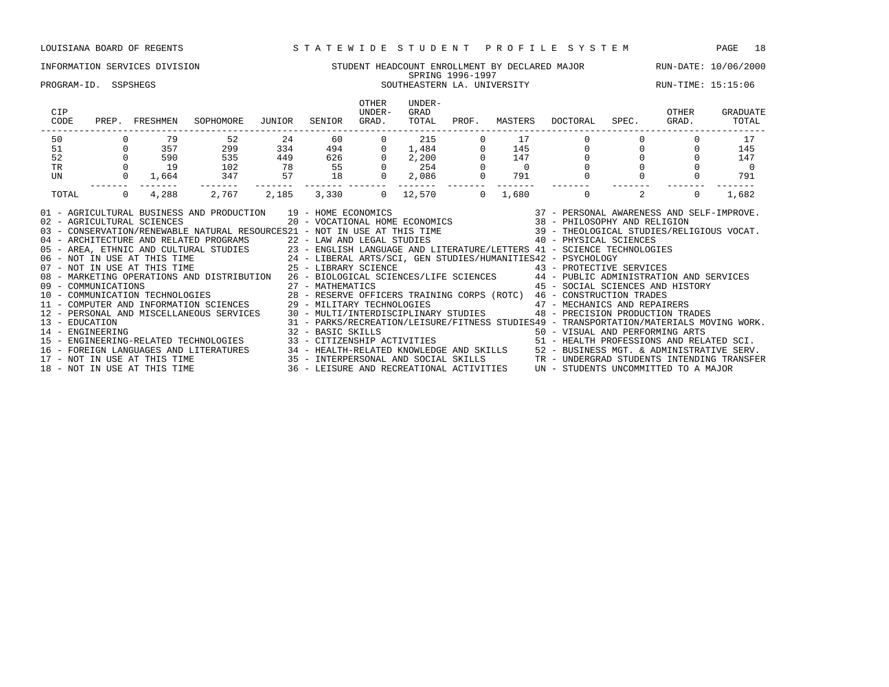### INFORMATION SERVICES DIVISION STUDENT HEADCOUNT ENROLLMENT BY DECLARED MAJOR RUN-DATE: 10/06/2000 SPRING 1996-1997 PROGRAM-ID. SSPSHEGS SOUTHEASTERN LA. UNIVERSITY RUN-TIME: 15:15:06

| CIP<br>CODE                                                                                                                                                                                                                                                                                                                                                                                                                                                                                                                                                                                                                                                                                                                                                                                                                                                                                                                                                                                                                                                                                                                                                                                                                                                                                                                                                                                                                                                                                                                                                                                                                                                                                                                                |                | PREP. FRESHMEN | SOPHOMORE | JUNIOR | SENIOR  | OTHER<br>UNDER-<br>GRAD. | UNDER-<br>GRAD<br>TOTAL | PROF.          | MASTERS  | DOCTORAL    | SPEC.          | OTHER<br>GRAD. | GRADUATE<br>TOTAL        |
|--------------------------------------------------------------------------------------------------------------------------------------------------------------------------------------------------------------------------------------------------------------------------------------------------------------------------------------------------------------------------------------------------------------------------------------------------------------------------------------------------------------------------------------------------------------------------------------------------------------------------------------------------------------------------------------------------------------------------------------------------------------------------------------------------------------------------------------------------------------------------------------------------------------------------------------------------------------------------------------------------------------------------------------------------------------------------------------------------------------------------------------------------------------------------------------------------------------------------------------------------------------------------------------------------------------------------------------------------------------------------------------------------------------------------------------------------------------------------------------------------------------------------------------------------------------------------------------------------------------------------------------------------------------------------------------------------------------------------------------------|----------------|----------------|-----------|--------|---------|--------------------------|-------------------------|----------------|----------|-------------|----------------|----------------|--------------------------|
| 50                                                                                                                                                                                                                                                                                                                                                                                                                                                                                                                                                                                                                                                                                                                                                                                                                                                                                                                                                                                                                                                                                                                                                                                                                                                                                                                                                                                                                                                                                                                                                                                                                                                                                                                                         |                | 79             | 52        | 24     |         | 60 00<br>$\mathbf{0}$    | 215                     | 0              | 17       |             |                |                | 17                       |
| 51                                                                                                                                                                                                                                                                                                                                                                                                                                                                                                                                                                                                                                                                                                                                                                                                                                                                                                                                                                                                                                                                                                                                                                                                                                                                                                                                                                                                                                                                                                                                                                                                                                                                                                                                         | $\overline{0}$ | 357            | 299       |        | 334 494 | $\overline{0}$           | 1,484                   | $\overline{0}$ | 145      | $\mathbf 0$ | $\overline{0}$ | $\Omega$       | 145                      |
| 52                                                                                                                                                                                                                                                                                                                                                                                                                                                                                                                                                                                                                                                                                                                                                                                                                                                                                                                                                                                                                                                                                                                                                                                                                                                                                                                                                                                                                                                                                                                                                                                                                                                                                                                                         |                | 590            | 535       |        | 449 626 | $\overline{0}$           | 2,200                   |                | 147      |             |                |                | 147                      |
| TR                                                                                                                                                                                                                                                                                                                                                                                                                                                                                                                                                                                                                                                                                                                                                                                                                                                                                                                                                                                                                                                                                                                                                                                                                                                                                                                                                                                                                                                                                                                                                                                                                                                                                                                                         | $\mathbf 0$    | 19             | 102       | 78     | 55      |                          | $0 \qquad \qquad 254$   |                | $\sim$ 0 |             |                |                | $\overline{\phantom{0}}$ |
| UN                                                                                                                                                                                                                                                                                                                                                                                                                                                                                                                                                                                                                                                                                                                                                                                                                                                                                                                                                                                                                                                                                                                                                                                                                                                                                                                                                                                                                                                                                                                                                                                                                                                                                                                                         | $\mathbf{0}$   | 1,664          | 347       | 57     | 18      | $\overline{0}$           | 2,086                   |                | 791      |             |                |                | 791                      |
| TOTAL                                                                                                                                                                                                                                                                                                                                                                                                                                                                                                                                                                                                                                                                                                                                                                                                                                                                                                                                                                                                                                                                                                                                                                                                                                                                                                                                                                                                                                                                                                                                                                                                                                                                                                                                      |                |                |           |        |         |                          |                         |                |          |             | 2              | $\Omega$       | 1,682                    |
| 1,680 0<br>4,288 2,767 2,185<br>3,330 0<br>$\Omega$<br>12,570 0<br>AND PRODUCTION 19 - HOME ECONOMICS 37 - PERSONAL AWARENESS AND SELF-IMPROVE.<br>20 - VOCATIONAL HOME ECONOMICS 38 - PHILOSOPHY AND RELIGION<br>01 - AGRICULTURAL BUSINESS AND PRODUCTION 19 - HOME ECONOMICS<br>02 - AGRICULTURAL SCIENCES<br>03 - CONSERVATION/RENEWABLE NATURAL RESOURCES21 - NOT IN USE AT THIS TIME 39 - THEOLOGICAL STUDIES/RELIGIOUS VOCAT.<br>04 - ARCHITECTURE AND RELATED PROGRAMS<br>22 - LAW AND LEGAL STUDIES<br>23 - ENGLISH LANGUAGE AND LITERATURE/LETTERS 41 - SCIENCE TECHNOLOGIES<br>23 - ENGLISH LANGUAGE AND LITERATURE/LETTERS 41 - SCIENCE TECHNOLOGIES<br>24 - LIBER<br>08 - MARKETING OPERATIONS AND DISTRIBUTION 26 - BIOLOGICAL SCIENCES/LIFE SCIENCES 44 - PUBLIC ADMINISTRATION AND SERVICES<br>09 - COMMUNICATIONS<br>10 - COMMUNICATIONS - COMMUNICATION DE COMMUNICATION DE COMMUNICATION DE COMMUNICATIONS AND HIST<br>11 - COMPUTER AND INFORMATION SCIENCES 29 - MILITARY TECHNOLOGIES 47 - MECHANICS AND REPAIRERS<br>45 - SOCIAL SCIENCES AND HISTORY<br>12 - PERSONAL AND MISCELLANEOUS SERVICES 30 - MULTI/INTERDISCIPLINARY STUDIES 48 - PRECISION PRODUCTION TRADES<br>31 - PARKS/RECREATION/LEISURE/FITNESS STUDIES49 - TRANSPORTATION/MATERIALS MOVING WORK.<br>13 - EDUCATION<br>32 - BASIC SKILLS<br>14 - ENGINEERING<br>50 - VISUAL AND PERFORMING ARTS<br>15 - ENGINEERING-RELATED TECHNOLOGIES 33 - CITIZENSHIP ACTIVITIES 51 - HEALTH PROFESSIONS AND RELATED SCI.<br>16 – FOREIGN LANGUAGES AND LITERATURES 24 – HEALTH-RELATED KNOWLEDGE AND SKILLS 25 – BUSINESS MGT. & ADMINISTRATIVE SERV.<br>17 – NOT IN USE AT THIS TIME 25 – INTERPERSONAL AND SOCIAL SKILLS 2TR – UNDERGRAD STUDENTS INTENDING |                |                |           |        |         |                          |                         |                |          |             |                |                |                          |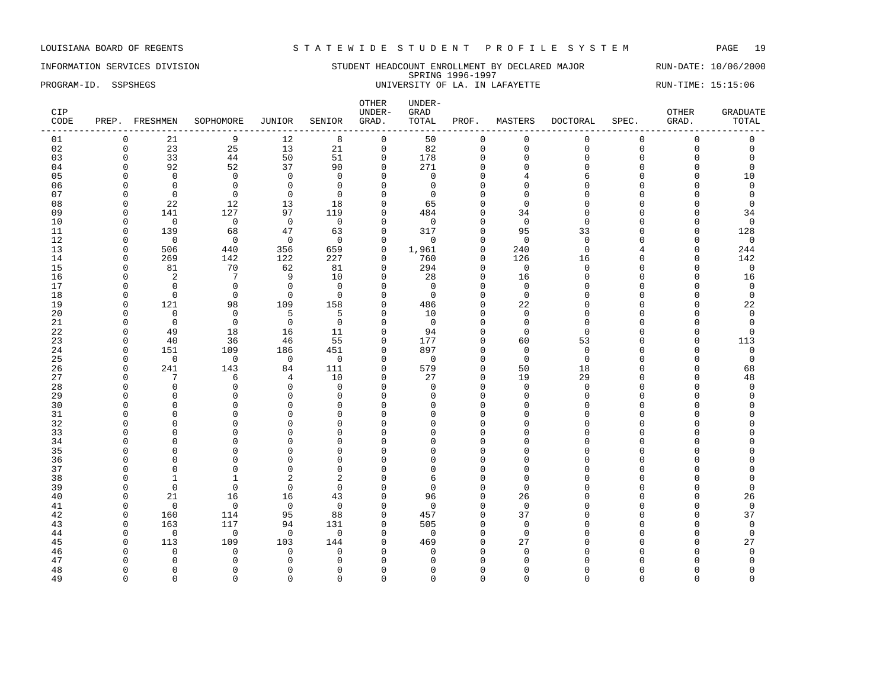INFORMATION SERVICES DIVISION STUDENT HEADCOUNT ENROLLMENT BY DECLARED MAJOR RUN-DATE: 10/06/2000 SPRING 1996-1997 PROGRAM-ID. SSPSHEGS **EXAM-ID.** SSPSHEGS UNIVERSITY OF LA. IN LAFAYETTE RUN-TIME: 15:15:06

| CIP<br>CODE |          | PREP. FRESHMEN | SOPHOMORE       | JUNIOR         | SENIOR         | OTHER<br>UNDER-<br>GRAD. | UNDER-<br>GRAD<br>TOTAL | PROF.        | MASTERS        | DOCTORAL | SPEC.    | OTHER<br>GRAD. | <b>GRADUATE</b><br>TOTAL |
|-------------|----------|----------------|-----------------|----------------|----------------|--------------------------|-------------------------|--------------|----------------|----------|----------|----------------|--------------------------|
| 01          | $\Omega$ | 21             | 9               | 12             | 8              | $\mathsf{O}$             | 50                      | $\mathbf 0$  | $\mathbf 0$    | 0        | 0        | $\mathsf 0$    | $\mathbf 0$              |
| 02          | $\Omega$ | 23             | 25              | 13             | 21             | $\mathsf{O}$             | 82                      | $\mathbf 0$  | $\Omega$       | $\Omega$ | $\Omega$ | $\mathsf 0$    | $\mathbf 0$              |
| 03          | $\Omega$ | 33             | 44              | 50             | 51             | $\mathbf 0$              | 178                     | $\mathbf 0$  | $\mathbf{0}$   | 0        | $\Omega$ | $\mathbf 0$    | $\mathbf 0$              |
| 04          | $\Omega$ | 92             | 52              | 37             | 90             | $\mathbf 0$              | 271                     | $\mathbf 0$  | $\Omega$       | $\Omega$ | $\cap$   | $\mathbf 0$    | $\Omega$                 |
| 05          | $\Omega$ | $\Omega$       | $\Omega$        | $\Omega$       | $\Omega$       | $\Omega$                 | $\Omega$                | $\Omega$     |                | 6        | $\cap$   | $\Omega$       | 10                       |
| 06          | $\Omega$ | $\Omega$       | $\Omega$        | $\mathbf 0$    | $\Omega$       | $\Omega$                 | $\Omega$                | $\Omega$     | $\Omega$       | $\Omega$ | C        | $\Omega$       | $\Omega$                 |
| 07          | $\Omega$ | $\Omega$       | $\Omega$        | $\mathbf 0$    | $\Omega$       | $\mathbf 0$              | $\Omega$                | $\Omega$     |                | $\cap$   |          | $\Omega$       | $\mathbf 0$              |
| 08          | $\Omega$ | 22             | 12              | 13             | 18             | $\mathbf 0$              | 65                      | $\Omega$     | $\Omega$       | $\Omega$ |          | $\Omega$       | $\Omega$                 |
| 09          | $\Omega$ | 141            | 127             | 97             | 119            | 0                        | 484                     | $\Omega$     | 34             | $\cap$   |          | 0              | 34                       |
| 10          | $\Omega$ | $\overline{0}$ | $\overline{0}$  | $\overline{0}$ | $\Omega$       | $\Omega$                 | $\Omega$                | $\Omega$     | $\Omega$       | $\cap$   |          | $\Omega$       | $\mathbf 0$              |
| 11          | $\Omega$ | 139            | 68              | 47             | 63             | $\mathbf{0}$             | 317                     | $\Omega$     | 95             | 33       | $\cap$   | $\mathbf 0$    | 128                      |
| 12          | $\Omega$ | $\overline{0}$ | $\overline{0}$  | $\overline{0}$ | $\Omega$       | $\mathbf 0$              | $\Omega$                | $\Omega$     | $\Omega$       | $\Omega$ | U        | 0              | $\mathbf 0$              |
| 13          | $\Omega$ | 506            | 440             | 356            | 659            | $\mathbf 0$              | 1,961                   | $\mathbf{0}$ | 240            | $\Omega$ |          | $\mathbf 0$    | 244                      |
| 14          | $\Omega$ | 269            | 142             | 122            | 227            | 0                        | 760                     | $\mathbf{0}$ | 126            | 16       |          | $\mathbf 0$    | 142                      |
| 15          | $\Omega$ | 81             | 70              | 62             | 81             | $\Omega$                 | 294                     | $\Omega$     | $\overline{0}$ | $\Omega$ | n        | $\Omega$       | $\mathbf 0$              |
| 16          | $\Omega$ | 2              | $7\phantom{.0}$ | 9              | 10             | $\mathbf 0$              | 28                      | $\mathbf{0}$ | 16             | $\Omega$ |          | $\mathbf 0$    | 16                       |
| 17          | $\Omega$ | $\Omega$       | $\mathbf 0$     | $\mathsf 0$    | $\Omega$       | $\mathbf 0$              | $\overline{0}$          | $\Omega$     | $\Omega$       | $\cap$   |          | 0              | $\mathbf 0$              |
| 18          | $\Omega$ | $\mathbf 0$    | $\Omega$        | $\Omega$       | $\Omega$       | $\Omega$                 | $\Omega$                | $\Omega$     | $\Omega$       | $\cap$   |          | $\Omega$       | $\mathbf 0$              |
| 19          | $\Omega$ | 121            | 98              | 109            | 158            | $\mathbf 0$              | 486                     | $\Omega$     | 22             | $\cap$   |          | 0              | 22                       |
| 20          | $\Omega$ | $\mathbf 0$    | $\Omega$        | 5              | 5              | $\Omega$                 | 10                      | $\Omega$     | $\Omega$       | $\cap$   |          | $\Omega$       | $\mathbf 0$              |
| 21          | $\Omega$ | $\mathbf 0$    | $\mathbf 0$     | $\overline{0}$ | $\mathbf 0$    | $\mathbf 0$              | $\mathbf 0$             | $\Omega$     | $\Omega$       | $\Omega$ |          | 0              | $\mathbf 0$              |
| 22          | $\Omega$ | 49             | 18              | 16             | 11             | $\mathbf 0$              | 94                      | $\Omega$     | $\Omega$       | $\cap$   |          | $\Omega$       | $\Omega$                 |
| 23          | $\Omega$ | 40             | 36              | 46             | 55             | $\mathbf 0$              | 177                     | $\Omega$     | 60             | 53       | U        | $\mathbf 0$    | 113                      |
| 24          | $\Omega$ | 151            | 109             | 186            | 451            | $\mathbf 0$              | 897                     | $\mathbf{0}$ | $\Omega$       | $\Omega$ | U        | 0              | $\mathsf 0$              |
| 25          | ∩        | $\Omega$       | $\overline{0}$  | $\overline{0}$ | $\overline{0}$ | $\Omega$                 | $\Omega$                | $\Omega$     | $\Omega$       | $\Omega$ | n        | $\Omega$       | $\Omega$                 |
| 26          | $\Omega$ | 241            | 143             | 84             | 111            | $\mathbf 0$              | 579                     | $\mathbf 0$  | 50             | 18       |          | $\mathbf 0$    | 68                       |
| 27          | $\Omega$ | 7              | 6               | 4              | 10             | $\mathbf 0$              | 27                      | $\mathbf{0}$ | 19             | 29       | U        | $\mathbf 0$    | 48                       |
| 28          | $\cap$   | $\Omega$       | $\Omega$        | $\mathbf 0$    | $\Omega$       | $\Omega$                 | $\Omega$                | $\Omega$     | $\Omega$       | $\Omega$ |          | $\Omega$       | $\Omega$                 |
| 29          | ∩        | $\mathbf{0}$   | $\Omega$        | $\mathbf 0$    | $\Omega$       | $\mathbf 0$              | $\Omega$                | $\mathbf 0$  | $\Omega$       | $\Omega$ |          | 0              | $\Omega$                 |
| 30          |          | $\Omega$       | $\Omega$        | $\Omega$       | $\Omega$       | $\Omega$                 | U                       | $\Omega$     | $\Omega$       | $\cap$   |          | $\Omega$       | $\cap$                   |
| 31          |          | $\Omega$       | $\Omega$        | $\Omega$       | $\Omega$       | $\mathbf 0$              | U                       | $\Omega$     | $\Omega$       | $\cap$   |          | $\Omega$       | U                        |
| 32          |          | $\Omega$       | $\Omega$        | $\Omega$       | $\Omega$       | $\Omega$                 | ∩                       | $\Omega$     | n              | ∩        |          | $\Omega$       | U                        |
| 33          |          | $\Omega$       | $\Omega$        | $\mathbf{0}$   | $\Omega$       | $\mathbf 0$              |                         | $\Omega$     |                | $\cap$   |          | $\Omega$       | $\cap$                   |
| 34          |          | $\Omega$       | $\Omega$        | $\mathbf{0}$   | $\Omega$       | 0                        | U                       | $\mathbf 0$  |                | $\cap$   |          | $\Omega$       | $\cap$                   |
| 35          |          | $\Omega$       | $\cap$          | $\Omega$       | $\Omega$       | $\Omega$                 |                         | $\Omega$     | n              | ∩        |          | $\cap$         |                          |
| 36          |          | $\Omega$       | $\Omega$        | $\mathbf{0}$   | $\Omega$       | $\mathbf 0$              |                         | $\Omega$     |                | $\cap$   |          | $\Omega$       | $\cap$                   |
| 37          |          | $\Omega$       | $\Omega$        | $\mathbf{0}$   | $\Omega$       | $\Omega$                 | $\cap$                  | $\Omega$     | $\Omega$       | $\cap$   |          | $\Omega$       | $\Omega$                 |
| 38          | ∩        | 1              | -1              | $\overline{2}$ | 2              | $\Omega$                 | 6                       | $\Omega$     | ∩              | $\cap$   |          | $\Omega$       | $\Omega$                 |
| 39          | $\Omega$ | $\mathbf 0$    | $\Omega$        | $\mathbf 0$    | $\Omega$       | $\mathbf 0$              | $\cap$                  | $\mathbf{0}$ | $\Omega$       | $\cap$   |          | $\Omega$       | $\mathbf 0$              |
| 40          | $\Omega$ | 21             | 16              | 16             | 43             | $\mathbf 0$              | 96                      | $\Omega$     | 26             | ∩        |          | $\Omega$       | 26                       |
| 41          | n        | $\Omega$       | $\Omega$        | $\Omega$       | $\Omega$       | $\Omega$                 | $\Omega$                | $\Omega$     | $\Omega$       |          |          | $\Omega$       | $\Omega$                 |
| 42          | $\Omega$ | 160            | 114             | 95             | 88             | $\mathbf 0$              | 457                     | $\mathbf 0$  | 37             | ∩        |          | 0              | 37                       |
| 43          | $\Omega$ | 163            | 117             | 94             | 131            | $\mathbf 0$              | 505                     | $\Omega$     | $\Omega$       | $\cap$   |          | $\Omega$       | $\mathbf 0$              |
| 44          | $\Omega$ | $\mathbf 0$    | $\bigcirc$      | $\overline{0}$ | $\Omega$       | $\Omega$                 | $\Omega$                | $\Omega$     | $\Omega$       | $\cap$   |          | 0              | $\Omega$                 |
| 45          | $\Omega$ | 113            | 109             | 103            | 144            | $\Omega$                 | 469                     | $\Omega$     | 27             | $\cap$   |          | $\Omega$       | 27                       |
| 46          |          | $\Omega$       | $\Omega$        | $\mathbf 0$    | $\Omega$       | $\Omega$                 | $\Omega$                | $\Omega$     | $\Omega$       |          |          | $\Omega$       | $\mathbf 0$              |
| 47          |          | $\Omega$       | $\Omega$        | $\mathbf 0$    | $\Omega$       | $\Omega$                 |                         | $\Omega$     |                |          |          |                | $\Omega$                 |
| 48          | ∩        | $\Omega$       | ∩               | $\mathbf{0}$   | $\Omega$       | $\mathbf 0$              |                         | $\Omega$     | n              | n        |          | $\Omega$       | $\Omega$                 |
| 49          | $\Omega$ | $\Omega$       | $\Omega$        | $\Omega$       | $\Omega$       | $\Omega$                 | $\Omega$                | $\Omega$     | $\Omega$       | $\Omega$ | $\Omega$ | $\Omega$       | $\Omega$                 |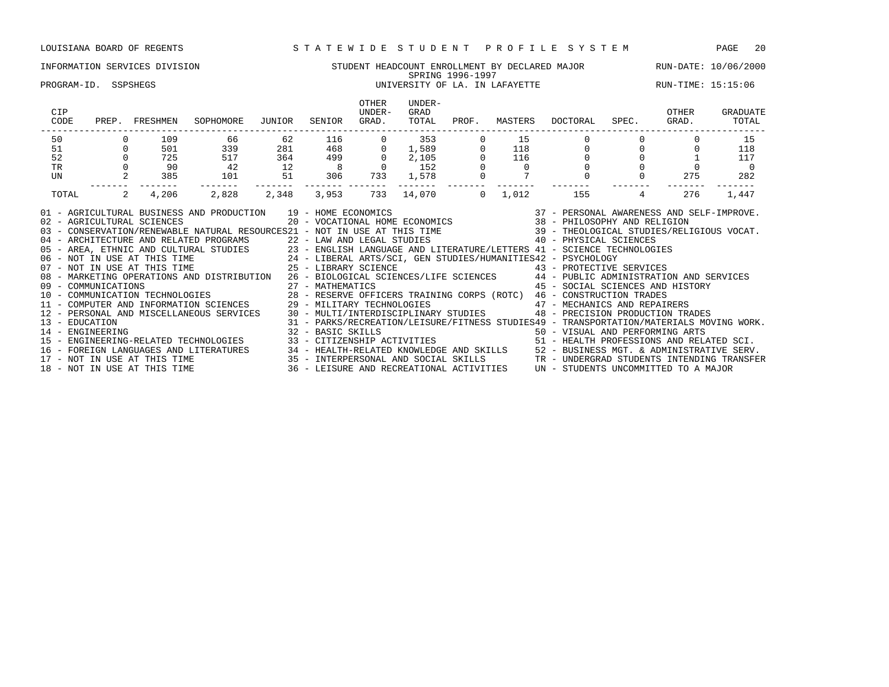### INFORMATION SERVICES DIVISION STUDENT HEADCOUNT ENROLLMENT BY DECLARED MAJOR RUN-DATE: 10/06/2000 SPRING 1996-1997 PROGRAM-ID. SSPSHEGS 
THE SERVICE OF LA IN LAFAYETTE THE RUN-TIME: 15:15:06

| CIP<br>CODE                                                                                  | PREP.                                                                                                                                                                                                         | FRESHMEN                | SOPHOMORE                                                                 | JUNIOR | SENIOR                           | OTHER<br>UNDER-<br>GRAD. | UNDER-<br>GRAD<br>TOTAL                | PROF.        | MASTERS | DOCTORAL                                                               | SPEC. | OTHER<br>GRAD. | GRADUATE<br>TOTAL |
|----------------------------------------------------------------------------------------------|---------------------------------------------------------------------------------------------------------------------------------------------------------------------------------------------------------------|-------------------------|---------------------------------------------------------------------------|--------|----------------------------------|--------------------------|----------------------------------------|--------------|---------|------------------------------------------------------------------------|-------|----------------|-------------------|
| 50                                                                                           |                                                                                                                                                                                                               | 109                     | 66                                                                        | 62     | 116                              |                          | 353                                    |              | 15      |                                                                        |       |                | 15                |
| 51                                                                                           |                                                                                                                                                                                                               | 501                     | 339                                                                       | 281    | 468                              |                          | 1,589                                  |              | 118     |                                                                        |       |                | 118               |
| 52                                                                                           |                                                                                                                                                                                                               | 725                     | 517                                                                       | 364    | 499                              |                          | 2,105                                  |              | 116     |                                                                        |       |                | 117               |
| <b>TR</b>                                                                                    |                                                                                                                                                                                                               | 90                      | 42                                                                        | 12     |                                  |                          | 152                                    |              |         |                                                                        |       |                |                   |
| UN                                                                                           |                                                                                                                                                                                                               | 385                     | 101                                                                       | 51     | 306                              | 733                      | 1,578                                  |              |         |                                                                        |       | 275            | 282               |
| TOTAL                                                                                        | 2                                                                                                                                                                                                             | 4,206                   | 2,828                                                                     | 2,348  | 3,953                            | 733                      | 14,070                                 | $\mathbf{0}$ | 1,012   | 155                                                                    |       | 276            | 1,447             |
|                                                                                              | 01 - AGRICULTURAL BUSINESS AND PRODUCTION<br>19 - HOME ECONOMICS<br>37 - PERSONAL AWARENESS AND SELF-IMPROVE.<br>02 - AGRICULTURAL SCIENCES<br>20 - VOCATIONAL HOME ECONOMICS<br>38 - PHILOSOPHY AND RELIGION |                         |                                                                           |        |                                  |                          |                                        |              |         |                                                                        |       |                |                   |
|                                                                                              |                                                                                                                                                                                                               |                         | 03 - CONSERVATION/RENEWABLE NATURAL RESOURCES21 - NOT IN USE AT THIS TIME |        |                                  |                          |                                        |              |         | 39 - THEOLOGICAL STUDIES/RELIGIOUS VOCAT.                              |       |                |                   |
|                                                                                              |                                                                                                                                                                                                               |                         | 04 - ARCHITECTURE AND RELATED PROGRAMS                                    |        | 22 - LAW AND LEGAL STUDIES       |                          |                                        |              |         | 40 - PHYSICAL SCIENCES                                                 |       |                |                   |
|                                                                                              |                                                                                                                                                                                                               |                         | 05 - AREA, ETHNIC AND CULTURAL STUDIES                                    |        |                                  |                          |                                        |              |         | 23 - ENGLISH LANGUAGE AND LITERATURE/LETTERS 41 - SCIENCE TECHNOLOGIES |       |                |                   |
| 24 - LIBERAL ARTS/SCI, GEN STUDIES/HUMANITIES42 - PSYCHOLOGY<br>06 - NOT IN USE AT THIS TIME |                                                                                                                                                                                                               |                         |                                                                           |        |                                  |                          |                                        |              |         |                                                                        |       |                |                   |
| $07 -$                                                                                       |                                                                                                                                                                                                               | NOT IN USE AT THIS TIME |                                                                           |        | 25 - LIBRARY SCIENCE             |                          |                                        |              |         | 43 - PROTECTIVE SERVICES                                               |       |                |                   |
|                                                                                              |                                                                                                                                                                                                               |                         | 08 - MARKETING OPERATIONS AND DISTRIBUTION                                |        |                                  |                          | 26 - BIOLOGICAL SCIENCES/LIFE SCIENCES |              |         | 44 - PUBLIC ADMINISTRATION AND SERVICES                                |       |                |                   |
| 09 - COMMUNICATIONS                                                                          |                                                                                                                                                                                                               |                         |                                                                           |        | 45 - SOCIAL SCIENCES AND HISTORY |                          |                                        |              |         |                                                                        |       |                |                   |

10 - COMMUNICATION TECHNOLOGIES 28 - RESERVE OFFICERS TRAINING CORPS (ROTC) 46 - CONSTRUCTION TRADES 11 - COMPUTER AND INFORMATION SCIENCES 29 - MILITARY TECHNOLOGIES 47 - MECHANICS AND REPAIRERS 12 - PERSONAL AND MISCELLANEOUS SERVICES 30 - MULTI/INTERDISCIPLINARY STUDIES 48 - PRECISION PRODUCTION TRADES

14 - ENGINEERING 32 - BASIC SKILLS 50 - VISUAL AND PERFORMING ARTS

13 - EDUCATION 31 - PARKS/RECREATION/LEISURE/FITNESS STUDIES49 - TRANSPORTATION/MATERIALS MOVING WORK.

15 - ENGINEERING-RELATED TECHNOLOGIES 33 - CITIZENSHIP ACTIVITIES 51 - HEALTH PROFESSIONS AND RELATED SCI. 16 - FOREIGN LANGUAGES AND LITERATURES 34 - HEALTH-RELATED KNOWLEDGE AND SKILLS 52 - BUSINESS MGT. & ADMINISTRATIVE SERV. 17 - NOT IN USE AT THIS TIME 35 - INTERPERSONAL AND SOCIAL SKILLS TR - UNDERGRAD STUDENTS INTENDING TRANSFER 18 - NOT IN USE AT THIS TIME 36 - LEISURE AND RECREATIONAL ACTIVITIES UN - STUDENTS UNCOMMITTED TO A MAJOR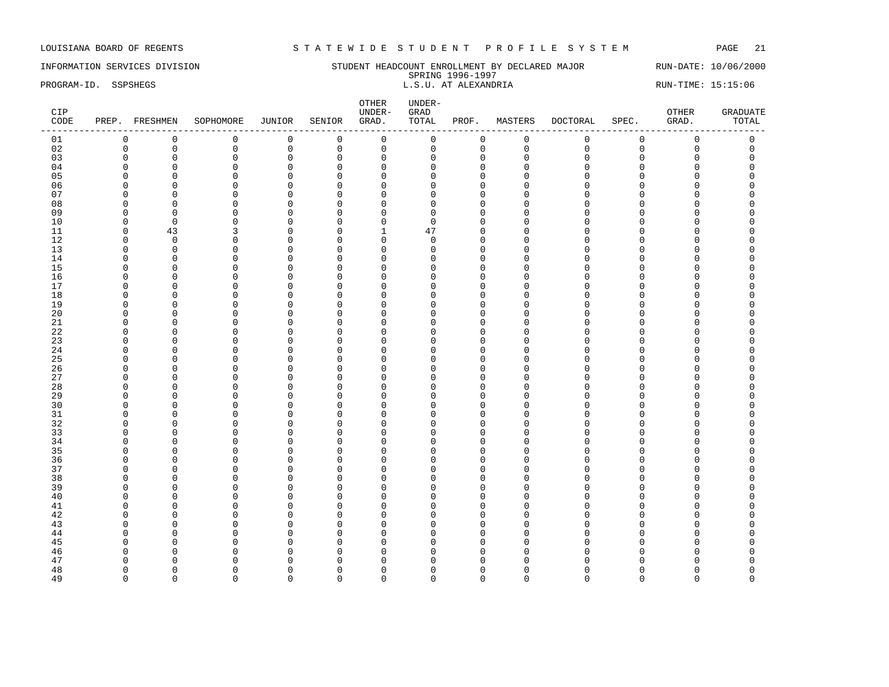INFORMATION SERVICES DIVISION STUDENT HEADCOUNT ENROLLMENT BY DECLARED MAJOR RUN-DATE: 10/06/2000 SPRING 1996-1997 PROGRAM-ID. SSPSHEGS **EXECUTE:** 15:15:06 L.S.U. AT ALEXANDRIA RUN-TIME: 15:15:06

| CIP<br>CODE |                      | PREP. FRESHMEN       | SOPHOMORE            | JUNIOR                     | SENIOR               | OTHER<br>UNDER-<br>GRAD. | $UNDER-$<br>${\tt GRAD}$<br>TOTAL | PROF.                | MASTERS            | <b>DOCTORAL</b> | SPEC.            | OTHER<br>GRAD.      | <b>GRADUATE</b><br>TOTAL |
|-------------|----------------------|----------------------|----------------------|----------------------------|----------------------|--------------------------|-----------------------------------|----------------------|--------------------|-----------------|------------------|---------------------|--------------------------|
| 01          | $\mathbf 0$          | $\mathbb O$          | $\mathsf 0$          | $\mathsf{O}\xspace$        | $\mathbb O$          | $\mathsf{O}$             | $\mathsf 0$                       | $\mathsf{O}\xspace$  | $\mathsf 0$        | $\mathsf 0$     | $\mathsf 0$      | $\mathsf{O}\xspace$ | $\mathsf{O}\xspace$      |
| 02          | $\mathbf 0$          | $\mathbf 0$          | $\mathbf 0$          | $\mathsf 0$                | $\mathbf 0$          | $\mathsf{O}$             | 0                                 | $\mathbf 0$          | $\mathbf 0$        | $\mathbf{0}$    | $\mathbf 0$      | $\mathbf 0$         | $\mathbf 0$              |
| 03          | $\Omega$             | $\mathbf 0$          | $\mathbf 0$          | $\mathbf 0$                | $\Omega$             | $\mathbf 0$              | $\Omega$                          | $\mathbf 0$          | $\Omega$           | $\Omega$        | $\Omega$         | 0                   | $\Omega$                 |
| 04          | ∩                    | $\Omega$             | $\Omega$             | $\mathbf 0$                | $\Omega$             | $\mathbf 0$              |                                   | $\Omega$             | $\Omega$           |                 | U                | O                   | $\cap$                   |
| 05          | $\Omega$             | $\mathbf 0$          | $\Omega$             | $\mathbf 0$                | $\Omega$             | $\mathbf 0$              | $\cap$                            | $\Omega$             | $\Omega$           | $\cap$          | $\Omega$         | O                   |                          |
| 06          | $\Omega$             | $\mathbf 0$          | $\Omega$             | 0                          | $\Omega$             | $\mathbf 0$              | U                                 | $\mathbf 0$          | $\Omega$           |                 | $\Omega$         | O                   |                          |
| 07          | ∩                    | $\mathbf 0$          | $\Omega$             | $\mathbf 0$                | 0                    | $\mathbf 0$              |                                   | $\Omega$             | ∩                  |                 | C                | O                   |                          |
| 08          | ∩                    | $\mathbf 0$          | $\Omega$             | 0                          | $\mathbf 0$          | $\mathbf 0$              | U                                 | $\mathbf{0}$         | $\cap$             |                 | $\cap$           | O                   |                          |
| 09          | $\Omega$             | $\mathbf 0$          | $\Omega$             | $\mathbf 0$                | $\mathbf 0$          | $\mathbf 0$              | $\Omega$                          | $\mathbf{0}$         | $\Omega$           |                 | O                | O                   |                          |
| 10          | $\Omega$             | $\mathbf 0$          | $\Omega$             | $\mathbf 0$                | $\mathbf 0$          | $\mathbf 0$              | $\Omega$                          | $\Omega$             | Λ                  |                 | $\Omega$         | 0                   |                          |
| 11          | $\Omega$             | 43                   | 3                    | $\mathbf 0$                | $\Omega$             | $\mathbf{1}$             | 47                                | $\Omega$             | ∩                  |                 | C                | O                   |                          |
| 12          | $\Omega$             | $\mathbf 0$          | $\Omega$             | $\mathbf 0$                | $\Omega$             | $\mathbf 0$              | $\Omega$                          | $\Omega$             | $\cap$             |                 | C                | O                   |                          |
| 13          | $\Omega$             | $\mathbf 0$          | $\Omega$             | $\mathbf 0$                | $\Omega$             | $\mathbf 0$              | $\Omega$                          | $\mathbf 0$          | $\Omega$           |                 | C                | O                   |                          |
| 14          | ∩                    | $\mathbf 0$          | $\Omega$             | $\mathbf 0$                | $\mathbf 0$          | $\Omega$                 |                                   | $\cap$               | ∩                  |                 | C                | U                   |                          |
| 15          | n                    | $\mathbf 0$          | $\Omega$             | 0                          | $\mathbf 0$          | $\mathbf 0$              | U                                 | $\Omega$             | ∩                  |                 | C                | O                   |                          |
| 16          |                      | $\overline{0}$       | $\Omega$             | $\mathbf{0}$               | $\Omega$             | $\mathbf 0$              | n                                 | $\Omega$             | $\cap$             |                 | C                | O                   |                          |
| 17          | $\Omega$             | $\Omega$             | $\Omega$             | 0                          | $\mathbf 0$          | $\mathbf 0$              |                                   | $\Omega$             | Ω                  | $\cap$          | $\Omega$         | 0                   |                          |
| 18          | n                    | $\overline{0}$       | $\Omega$             | $\mathbf 0$                | $\mathbf 0$          | $\mathbf 0$              | U                                 | $\Omega$             | Λ                  |                 | C                | 0                   |                          |
| 19          | $\Omega$             | $\Omega$             | $\Omega$             | $\mathbf 0$                | $\Omega$             | $\overline{0}$           | U                                 | $\Omega$             |                    |                 | $\cap$           | O                   |                          |
| 20          | $\Omega$             | $\overline{0}$       | $\Omega$             | $\mathbf 0$                | $\Omega$             | $\mathbf 0$              | n                                 | $\Omega$             | $\cap$             |                 | C                | O                   |                          |
| 21          | ∩                    | $\mathbf 0$          | $\Omega$             | $\mathbf 0$                | $\Omega$             | $\mathbf 0$              |                                   | $\cap$               | ∩                  |                 | C                | U                   |                          |
| 22          | n                    | $\overline{0}$       | $\Omega$             | $\mathbf{0}$               | $\Omega$             | $\mathbf 0$              | U                                 | $\Omega$             | Λ                  |                 | C                | O                   |                          |
| 23          | ∩                    | $\mathbf 0$          | $\Omega$             | $\mathbf 0$                | $\Omega$             | $\mathbf 0$              | n                                 | $\Omega$             | ∩                  |                 | C                | O                   |                          |
| 24          | $\Omega$             | $\Omega$             | $\Omega$             | $\mathbf 0$                | $\mathbf 0$          | $\overline{0}$           |                                   | $\Omega$             |                    |                 | $\Omega$         | O                   |                          |
| 25          | ∩                    | $\overline{0}$       | $\Omega$             | $\mathsf 0$                | $\mathbf 0$          | $\Omega$                 | U                                 | $\Omega$             | ∩                  |                 | C                | O                   |                          |
| 26          | $\Omega$<br>$\Omega$ | $\overline{0}$       | $\Omega$<br>$\Omega$ | $\mathbf 0$                | $\mathbf 0$          | $\mathbf 0$              | O<br>O                            | $\Omega$             | $\Omega$<br>$\cap$ |                 | $\cap$<br>$\cap$ | 0<br>O              |                          |
| 27          | ∩                    | $\Omega$<br>$\Omega$ |                      | $\mathbf 0$                | $\Omega$             | $\mathbf 0$<br>$\Omega$  |                                   | $\Omega$<br>$\Omega$ | $\Omega$           |                 | $\Omega$         | O                   |                          |
| 28<br>29    | ∩                    | $\overline{0}$       | $\Omega$<br>$\Omega$ | $\mathbf 0$<br>$\mathbf 0$ | $\Omega$<br>$\Omega$ | $\mathbf 0$              | U                                 | $\Omega$             | ∩                  |                 | C                | O                   |                          |
| 30          | ∩                    | $\Omega$             | $\Omega$             | $\mathbf 0$                | $\Omega$             | $\overline{0}$           |                                   | $\Omega$             | ∩                  |                 | C                | O                   |                          |
| 31          | n                    | $\Omega$             | $\Omega$             | $\mathbf 0$                | $\mathbf 0$          | $\overline{0}$           |                                   | $\Omega$             |                    |                 | C                | O                   |                          |
| 32          | $\Omega$             | $\overline{0}$       | $\Omega$             | 0                          | $\mathbf 0$          | $\overline{0}$           | n                                 | $\Omega$             | ∩                  |                 | $\cap$           | 0                   |                          |
| 33          | <sup>0</sup>         | $\mathbf 0$          | $\mathbf 0$          | $\mathsf 0$                | $\mathbf 0$          | $\mathbf 0$              | U                                 | $\Omega$             | $\Omega$           |                 | $\Omega$         | 0                   |                          |
| 34          | $\Omega$             | $\overline{0}$       | $\Omega$             | $\mathbf 0$                | $\mathbf 0$          | $\mathbf 0$              | U                                 | $\mathbf 0$          | $\Omega$           |                 | $\cap$           | 0                   |                          |
| 35          | ∩                    | $\Omega$             | $\Omega$             | $\mathbf 0$                | $\Omega$             | $\Omega$                 |                                   | $\cap$               | $\Omega$           |                 | $\cap$           | U                   |                          |
| 36          | ∩                    | $\Omega$             | $\Omega$             | $\mathbf 0$                | $\mathbf 0$          | $\overline{0}$           | U                                 | $\Omega$             | U                  |                 | C                | O                   |                          |
| 37          |                      | $\Omega$             | $\Omega$             | $\Omega$                   | $\Omega$             | $\mathbf 0$              |                                   | $\Omega$             | ∩                  |                 | C                | U                   |                          |
| 38          | <sup>0</sup>         | $\Omega$             | $\Omega$             | $\mathbf 0$                | $\mathbf 0$          | $\mathbf 0$              |                                   | $\Omega$             | Λ                  | ∩               | C                | O                   |                          |
| 39          | ∩                    | $\mathbf 0$          | <sup>0</sup>         | 0                          | $\mathbf 0$          | $\Omega$                 |                                   | O                    | U                  |                 | n                | 0                   |                          |
| 40          | ∩                    | $\Omega$             | $\Omega$             | $\mathbf 0$                | $\mathbf 0$          | $\mathbf 0$              | U                                 | $\Omega$             |                    |                 | $\cap$           | O                   |                          |
| 41          | $\Omega$             | $\overline{0}$       | $\Omega$             | $\mathsf 0$                | $\mathbf 0$          | $\overline{0}$           |                                   | $\Omega$             | $\cap$             |                 | n                | O                   |                          |
| 42          | ∩                    | $\Omega$             | $\Omega$             | $\mathbf 0$                | $\mathbf 0$          | $\mathbf 0$              |                                   | $\Omega$             | $\Omega$           |                 | $\Omega$         | O                   |                          |
| 43          | n                    | $\Omega$             | $\Omega$             | $\mathbf 0$                | $\Omega$             | $\overline{0}$           | U                                 | $\Omega$             | Λ                  |                 | C                | U                   |                          |
| 44          |                      | $\Omega$             | $\Omega$             | $\Omega$                   | $\Omega$             | $\Omega$                 | n                                 | $\Omega$             |                    |                 |                  | U                   |                          |
| 45          |                      | $\Omega$             | $\Omega$             | $\Omega$                   | $\Omega$             | $\Omega$                 |                                   | $\cap$               |                    |                 |                  | U                   |                          |
| 46          | n                    | $\Omega$             | n                    | $\mathbf 0$                | $\Omega$             | $\Omega$                 | U                                 | O                    |                    |                 |                  | O                   | n                        |
| 47          | <sup>0</sup>         | $\Omega$             | <sup>0</sup>         | $\mathbf{0}$               | $\mathbf 0$          | $\mathbf 0$              | U                                 | $\Omega$             | Λ                  |                 | n                | O                   | $\Omega$                 |
| 48          | $\Omega$             | $\Omega$             | $\Omega$             | $\Omega$                   | $\Omega$             | $\Omega$                 | $\Omega$                          | $\Omega$             | $\Omega$           | $\Omega$        | $\Omega$         | $\Omega$            | $\Omega$                 |

49 0 0 0 0 0 0 0 0 0 0 0 0 0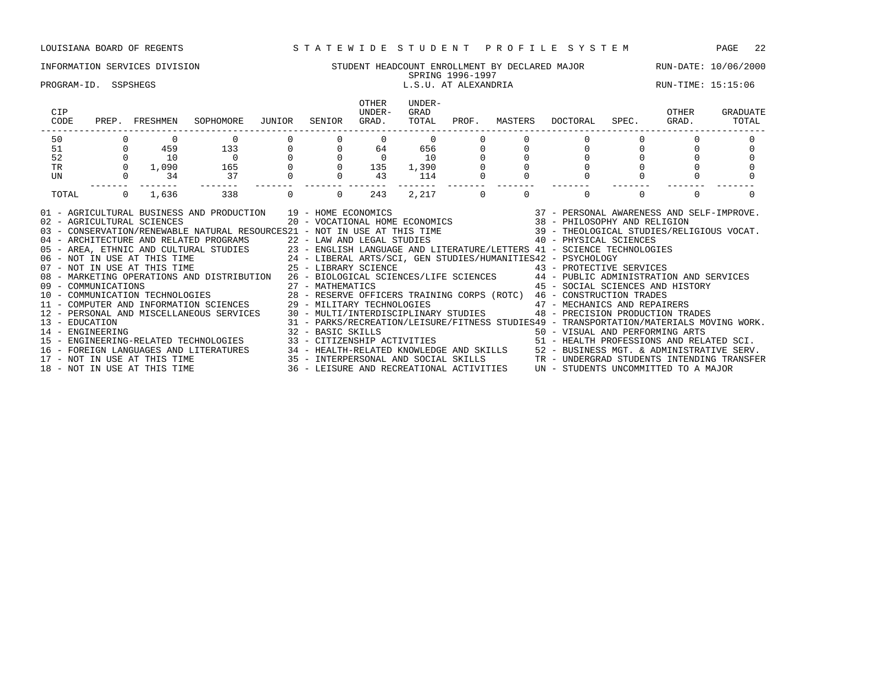# INFORMATION SERVICES DIVISION STUDENT HEADCOUNT ENROLLMENT BY DECLARED MAJOR RUN-DATE: 10/06/2000

### SPRING 1996-1997 PROGRAM-ID. SSPSHEGS L.S.U. AT ALEXANDRIA RUN-TIME: 15:15:06

|         |                                                            | OTHER<br>UNDER-<br>GRAD.                                       | UNDER-<br>GRAD<br>TOTAL                      | MASTERS |                                                                                                                                                                      | OTHER<br>GRAD. | GRADUATE<br>TOTAL                                                                                                                                                                                                                                                                                                                                                                                                                                                                                                                                                                                                                                                                                                                                                                                                                                                                                                                                                                                                                                                                                                                                                                                                                                                                                                                                                                                                                 |
|---------|------------------------------------------------------------|----------------------------------------------------------------|----------------------------------------------|---------|----------------------------------------------------------------------------------------------------------------------------------------------------------------------|----------------|-----------------------------------------------------------------------------------------------------------------------------------------------------------------------------------------------------------------------------------------------------------------------------------------------------------------------------------------------------------------------------------------------------------------------------------------------------------------------------------------------------------------------------------------------------------------------------------------------------------------------------------------------------------------------------------------------------------------------------------------------------------------------------------------------------------------------------------------------------------------------------------------------------------------------------------------------------------------------------------------------------------------------------------------------------------------------------------------------------------------------------------------------------------------------------------------------------------------------------------------------------------------------------------------------------------------------------------------------------------------------------------------------------------------------------------|
|         |                                                            |                                                                |                                              |         |                                                                                                                                                                      |                |                                                                                                                                                                                                                                                                                                                                                                                                                                                                                                                                                                                                                                                                                                                                                                                                                                                                                                                                                                                                                                                                                                                                                                                                                                                                                                                                                                                                                                   |
|         |                                                            |                                                                |                                              |         |                                                                                                                                                                      |                |                                                                                                                                                                                                                                                                                                                                                                                                                                                                                                                                                                                                                                                                                                                                                                                                                                                                                                                                                                                                                                                                                                                                                                                                                                                                                                                                                                                                                                   |
|         |                                                            |                                                                |                                              |         |                                                                                                                                                                      |                |                                                                                                                                                                                                                                                                                                                                                                                                                                                                                                                                                                                                                                                                                                                                                                                                                                                                                                                                                                                                                                                                                                                                                                                                                                                                                                                                                                                                                                   |
|         |                                                            |                                                                |                                              |         |                                                                                                                                                                      |                |                                                                                                                                                                                                                                                                                                                                                                                                                                                                                                                                                                                                                                                                                                                                                                                                                                                                                                                                                                                                                                                                                                                                                                                                                                                                                                                                                                                                                                   |
|         |                                                            | 43                                                             | 114                                          |         |                                                                                                                                                                      |                |                                                                                                                                                                                                                                                                                                                                                                                                                                                                                                                                                                                                                                                                                                                                                                                                                                                                                                                                                                                                                                                                                                                                                                                                                                                                                                                                                                                                                                   |
| $\circ$ |                                                            | 243                                                            | 2,217                                        |         |                                                                                                                                                                      | $\mathbf 0$    |                                                                                                                                                                                                                                                                                                                                                                                                                                                                                                                                                                                                                                                                                                                                                                                                                                                                                                                                                                                                                                                                                                                                                                                                                                                                                                                                                                                                                                   |
|         |                                                            |                                                                |                                              |         |                                                                                                                                                                      |                |                                                                                                                                                                                                                                                                                                                                                                                                                                                                                                                                                                                                                                                                                                                                                                                                                                                                                                                                                                                                                                                                                                                                                                                                                                                                                                                                                                                                                                   |
|         | SOPHOMORE<br>459 133<br>$\overline{0}$<br>165<br>37<br>338 | JUNIOR<br>$\begin{array}{c} 0 \\ 0 \\ 0 \\ 0 \\ 0 \end{array}$ | SENIOR<br>$\overline{0}$<br>27 - MATHEMATICS |         | PROF.<br>$\begin{array}{cccccc} 0 & & 0 & & 0 & & 0 \\ 0 & & 64 & & 656 & & 0 \\ 0 & & 0 & & 10 & & 0 \\ 0 & & 135 & & 1\,, 390 & & 0 \end{array}$<br>$\overline{0}$ | DOCTORAL       | SPEC.<br>01 - AGRICULTURAL BUSINESS AND PRODUCTION 19 - HOME ECONOMICS (37 - PERSONAL AWARENESS AND SELF-IMPROVE.<br>02 - AGRICULTURAL SCIENCES (20 - VOCATIONAL HOME ECONOMICS ) 38 - PHILOSOPHY AND RELIGION<br>03 - CONSERVATION/RENEWABLE NATURAL RESOURCES21 - NOT IN USE AT THIS TIME 39 - THEOLOGICAL STUDIES/RELIGIOUS VOCAT.<br>04 - ARCHITECTURE AND RELATED PROGRAMS 22 - LAW AND LEGAL STUDIES 23 - 2014 AND LEGAL STUDIES 23 - 2014 AND LEGAL STUDIES 23 - ENGLISH LANGUAGE AND LITERATURE/LETTERS 41 - SCIENCE TECHNOLOGIES 24 - LIBERAL ARTS/SCI, GEN ST<br>08 - MARKETING OPERATIONS AND DISTRIBUTION 26 - BIOLOGICAL SCIENCES/LIFE SCIENCES 44 - PUBLIC ADMINISTRATION AND SERVICES<br>45 - SOCIAL SCIENCES AND HISTORY<br>10 - COMMUNICATION TECHNOLOGIES 600 28 - RESERVE OFFICERS TRAINING CORPS (ROTC) 46 - CONSTRUCTION TRADES<br>11 - COMPUTER AND INFORMATION SCIENCES 29 - MILITARY TECHNOLOGIES 47 - MECHANICS AND REPAIRERS<br>12 - PERSONAL AND MISCELLANEOUS SERVICES 30 - MULTI/INTERDISCIPLINARY STUDIES 48 - PRECISION PRODUCTION TRADES<br>31 - PARKS/RECREATION/LEISURE/FITNESS STUDIES49 - TRANSPORTATION/MATERIALS MOVING WORK.<br>14 – ENGINEERING ARTS (SAN FERRORMING ARTS) 32 – BASIC SKILLS (SAN FERRORMING ARTS) 50 – VISUAL AND PERFORMING<br>15 – ENGINEERING-RELATED TECHNOLOGIES (SAN FELIZENSHIP ACTIVITIES (SAN FELIZENSIONS AND RELI<br>51 - HEALTH PROFESSIONS AND RELATED SCI. |

16 - FOREIGN LANGUAGES AND LITERATURES 34 - HEALTH-RELATED KNOWLEDGE AND SKILLS 52 - BUSINESS MGT. & ADMINISTRATIVE SERV. 17 - NOT IN USE AT THIS TIME 35 - INTERPERSONAL AND SOCIAL SKILLS TR - UNDERGRAD STUDENTS INTENDING TRANSFER 18 - NOT IN USE AT THIS TIME 36 - LEISURE AND RECREATIONAL ACTIVITIES UN - STUDENTS UNCOMMITTED TO A MAJOR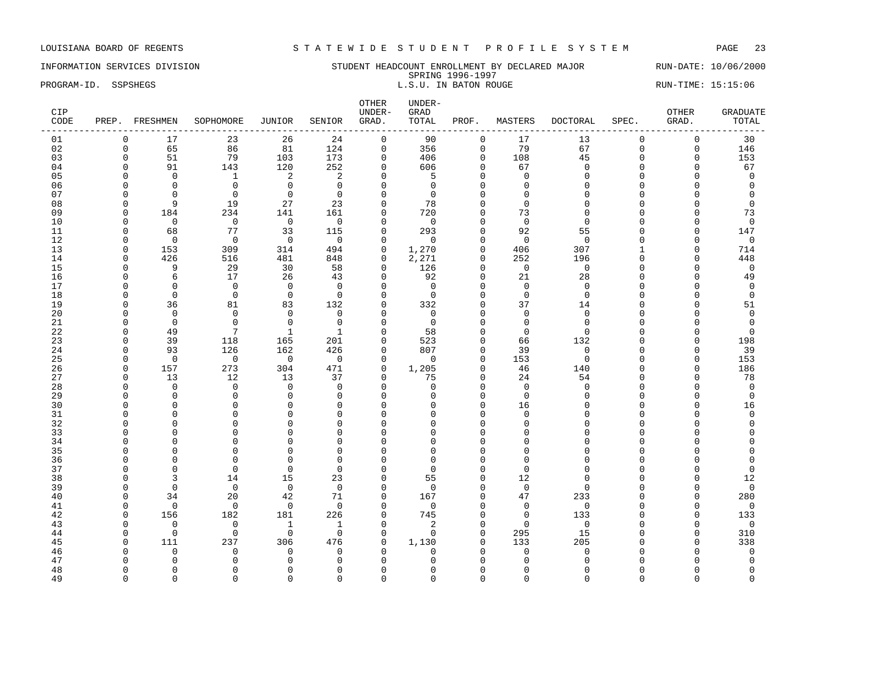INFORMATION SERVICES DIVISION SUNDERT HEADCOUNT ENROLLMENT BY DECLARED MAJOR RUN-DATE: 10/06/2000 SPRING 1996-1997 PROGRAM-ID. SSPSHEGS SEPSHEGS EXAMPLE SURVEY AS THE S.U. IN BATON ROUGE RUN-TIME: 15:15:06

| CIP<br>CODE |                      | PREP. FRESHMEN       | SOPHOMORE            | JUNIOR                   | SENIOR               | OTHER<br>UNDER-<br>GRAD. | UNDER-<br>GRAD<br>TOTAL | PROF.              | MASTERS           | <b>DOCTORAL</b>    | SPEC.              | OTHER<br>GRAD. | <b>GRADUATE</b><br>TOTAL |
|-------------|----------------------|----------------------|----------------------|--------------------------|----------------------|--------------------------|-------------------------|--------------------|-------------------|--------------------|--------------------|----------------|--------------------------|
| 01          | $\mathbf 0$          | 17                   | 23                   | 26                       | 24                   | $\mathsf{O}$             | 90                      | $\mathbf 0$        | 17                | 13                 | $\mathbf 0$        | $\mathsf 0$    | 30                       |
| 02          | $\mathbf 0$          | 65                   | 86                   | 81                       | 124                  | $\mathsf{O}$             | 356                     | $\mathbf 0$        | 79                | 67                 | $\mathbf 0$        | 0              | 146                      |
| 03          | $\Omega$             | 51                   | 79                   | 103                      | 173                  | $\mathbf 0$              | 406                     | $\Omega$           | 108               | 45                 | $\Omega$           | 0              | 153                      |
| 04          | $\mathbf 0$          | 91                   | 143                  | 120                      | 252                  | $\mathbf 0$              | 606                     | $\Omega$           | 67                | $\mathbf{0}$       | $\Omega$           | $\mathbf 0$    | 67                       |
| 05          | $\Omega$             | $\mathbf 0$          | $\mathbf{1}$         | 2                        | 2                    | $\Omega$                 | 5                       | $\Omega$           | $\Omega$          | $\Omega$           | $\Omega$           | $\Omega$       | $\mathbf 0$              |
| 06          | $\Omega$             | $\Omega$             | $\mathbf 0$          | $\mathbf 0$              | $\Omega$             | $\mathbf 0$              | $\Omega$                | $\Omega$           | $\Omega$          | $\Omega$           | $\Omega$           | U              | $\mathbf 0$              |
| 07          | $\Omega$             | $\Omega$             | $\Omega$             | $\Omega$                 | $\Omega$             | $\Omega$                 | $\Omega$                | $\Omega$           | $\Omega$          | $\Omega$           | $\Omega$           | O              | $\overline{0}$           |
| 08          | $\Omega$             | 9                    | 19                   | 27                       | 23                   | $\mathbf{0}$             | 78                      | $\Omega$           | $\Omega$          | $\Omega$           | $\Omega$           | 0              | $\mathbf 0$              |
| 09          | $\Omega$             | 184                  | 234                  | 141                      | 161                  | $\mathbf 0$              | 720                     | $\Omega$           | 73                | $\Omega$           | $\Omega$           | $\Omega$       | 73                       |
| 10          | $\Omega$             | $\Omega$             | $\overline{0}$       | $\overline{0}$           | $\Omega$             | $\Omega$                 | $\Omega$                | $\Omega$           | $\mathbf 0$       | $\Omega$           | $\Omega$           | $\Omega$       | $\mathbf 0$              |
| 11          | $\Omega$             | 68                   | 77                   | 33                       | 115                  | $\mathbf 0$              | 293                     | $\Omega$           | 92                | 55                 | $\Omega$           | $\Omega$       | 147                      |
| 12          | $\Omega$             | $\mathbf 0$          | $\overline{0}$       | $\overline{0}$           | $\mathbf 0$          | $\mathbf 0$              | $\Omega$                | $\Omega$           | $\Omega$          | $\Omega$           | $\Omega$           | 0              | $\mathbf 0$              |
| 13          | $\Omega$             | 153                  | 309                  | 314                      | 494                  | $\mathbf 0$              | 1,270                   | $\Omega$           | 406               | 307                | $\mathbf{1}$       | $\mathbf 0$    | 714                      |
| 14          | $\Omega$             | 426                  | 516                  | 481                      | 848                  | $\Omega$                 | 2,271                   | $\Omega$           | 252               | 196                | $\Omega$           | $\mathbf 0$    | 448                      |
| 15          | $\Omega$             | 9                    | 29                   | 30                       | 58                   | $\mathbf 0$              | 126                     | $\mathbf{0}$       | $\overline{0}$    | $\mathbf 0$        | $\Omega$           | $\mathbf 0$    | $\mathbf 0$              |
| 16          | $\Omega$             | $\epsilon$           | 17                   | 26                       | 43                   | $\mathbf 0$              | 92                      | $\Omega$           | 21                | 28                 | $\Omega$           | 0              | 49                       |
| 17          | $\Omega$             | $\Omega$             | $\Omega$             | $\Omega$                 | $\Omega$             | $\Omega$                 | $\Omega$                | $\Omega$           | $\Omega$          | $\Omega$           | $\Omega$           | 0              | $\overline{0}$           |
| 18          | $\Omega$             | $\Omega$             | $\Omega$             | $\mathbf 0$              | $\Omega$             | $\Omega$                 | $\Omega$                | $\Omega$           | $\Omega$          | $\Omega$           | $\Omega$           | O              | $\mathbf 0$              |
| 19          | $\Omega$             | 36                   | 81                   | 83                       | 132                  | $\mathbf 0$              | 332                     | $\mathbf 0$        | 37                | 14                 | $\Omega$           | $\mathbf 0$    | 51                       |
| 20          | $\Omega$             | $\Omega$             | $\Omega$             | $\Omega$                 | $\Omega$             | $\Omega$                 | $\Omega$                | $\Omega$           | $\Omega$          | $\Omega$           | $\Omega$           | O              | $\mathbf 0$              |
| 21          | $\Omega$             | $\mathbf 0$          | $\mathbf 0$          | $\mathbf 0$              | $\mathbf{0}$         | $\mathbf 0$              | $\overline{0}$          | $\Omega$           | $\mathbf 0$       | $\Omega$           | $\Omega$           | 0              | $\mathbf 0$              |
| 22          | $\Omega$             | 49                   | 7                    | $\mathbf{1}$             | $\mathbf{1}$         | $\Omega$                 | 58                      | $\cap$             | $\Omega$          | $\Omega$           | $\cap$             | $\Omega$       | $\Omega$                 |
| 23          | $\Omega$             | 39                   | 118                  | 165                      | 201                  | $\mathbf 0$              | 523                     | $\Omega$           | 66                | 132                | $\Omega$           | $\mathbf 0$    | 198                      |
| 24          | $\Omega$             | 93                   | 126                  | 162                      | 426                  | $\mathbf 0$              | 807                     | $\Omega$           | 39                | $\Omega$           | $\Omega$           | $\Omega$       | 39                       |
| 25          | $\Omega$             | $\mathbf 0$          | $\Omega$             | $\overline{\phantom{0}}$ | $\Omega$             | $\Omega$                 | $\Omega$                | $\Omega$           | 153               | $\Omega$           | $\Omega$           | $\Omega$       | 153                      |
| 26          | $\Omega$             | 157                  | 273                  | 304                      | 471                  | $\Omega$                 | 1,205                   | $\Omega$           | 46                | 140                | $\Omega$           | $\Omega$       | 186                      |
| 27          | $\Omega$             | 13                   | 12                   | 13                       | 37                   | $\mathbf 0$              | 75                      | $\Omega$           | 24                | 54                 | $\Omega$           | $\mathbf 0$    | 78                       |
| 28          | $\Omega$<br>$\Omega$ | $\mathbf 0$          | $\mathbf 0$          | $\overline{0}$           | $\Omega$             | $\mathbf 0$              | $\Omega$                | $\Omega$<br>$\cap$ | $\Omega$          | $\Omega$<br>$\cap$ | $\Omega$<br>$\cap$ | O              | $\mathbf 0$              |
| 29          | $\Omega$             | $\Omega$<br>$\Omega$ | $\Omega$<br>$\Omega$ | $\mathbf 0$<br>$\Omega$  | $\Omega$<br>$\Omega$ | $\Omega$<br>$\mathbf{0}$ | $\Omega$<br>$\Omega$    | $\Omega$           | $\Omega$          | $\cap$             | $\cap$             | 0<br>$\Omega$  | $\mathbf 0$              |
| 30<br>31    | $\Omega$             | $\mathbf 0$          | $\mathbf 0$          | $\mathbf{0}$             | $\mathbf 0$          | $\Omega$                 | $\Omega$                | $\Omega$           | 16<br>$\mathbf 0$ | $\Omega$           | $\Omega$           | 0              | 16<br>$\mathbf 0$        |
| 32          | ∩                    | $\Omega$             | $\Omega$             | $\mathbf{0}$             | $\Omega$             | $\Omega$                 | <sup>0</sup>            | $\Omega$           | $\Omega$          | $\cap$             | C                  | 0              | $\Omega$                 |
| 33          | $\Omega$             | $\Omega$             | $\Omega$             | $\Omega$                 | $\Omega$             | $\Omega$                 | $\Omega$                | $\cap$             | $\Omega$          | $\cap$             | $\cap$             | O              | $\Omega$                 |
| 34          | $\Omega$             | $\Omega$             | $\mathbf 0$          | $\mathbf 0$              | $\mathbf 0$          | $\mathbf{0}$             | $\Omega$                | $\Omega$           | $\Omega$          | $\Omega$           | $\Omega$           | O              | $\Omega$                 |
| 35          | $\Omega$             | $\Omega$             | $\Omega$             | $\Omega$                 | $\Omega$             | $\Omega$                 | $\Omega$                | $\Omega$           | $\Omega$          | $\cap$             | $\Omega$           | $\cap$         |                          |
| 36          | $\Omega$             | $\Omega$             | $\Omega$             | $\mathbf{0}$             | $\Omega$             | $\Omega$                 | $\Omega$                | $\Omega$           | $\Omega$          | $\Omega$           | $\Omega$           | O              | $\Omega$                 |
| 37          | $\Omega$             | $\Omega$             | $\Omega$             | $\mathbf{0}$             | $\Omega$             | $\Omega$                 | $\Omega$                | $\Omega$           | $\Omega$          | $\Omega$           | $\Omega$           | O              | $\mathbf 0$              |
| 38          | $\Omega$             | 3                    | 14                   | 15                       | 23                   | $\mathbf{0}$             | 55                      | $\Omega$           | 12                | $\Omega$           | $\cap$             | 0              | 12                       |
| 39          | $\Omega$             | $\Omega$             | $\mathbf 0$          | $\mathbf 0$              | $\mathbf 0$          | $\mathbf{0}$             | $\Omega$                | $\Omega$           | $\mathbf 0$       | $\cap$             | $\Omega$           | $\Omega$       | $\mathbf 0$              |
| 40          | $\Omega$             | 34                   | 20                   | 42                       | 71                   | $\Omega$                 | 167                     | $\Omega$           | 47                | 233                | $\cap$             | $\mathbf 0$    | 280                      |
| 41          | $\Omega$             | $\mathbf 0$          | $\mathbf 0$          | $\mathbf 0$              | $\mathbf 0$          | $\mathbf 0$              | $\Omega$                | $\Omega$           | $\mathbf 0$       | $\mathbf{0}$       | $\Omega$           | $\Omega$       | $\mathbf 0$              |
| 42          | $\Omega$             | 156                  | 182                  | 181                      | 226                  | $\mathbf 0$              | 745                     | $\Omega$           | $\mathbf 0$       | 133                | $\Omega$           | $\Omega$       | 133                      |
| 43          | $\Omega$             | $\mathbf 0$          | $\mathbf 0$          | $\mathbf{1}$             | 1                    | $\mathbf 0$              | 2                       | $\cap$             | $\mathbf 0$       | $\Omega$           | $\cap$             | 0              | $\overline{0}$           |
| 44          | $\Omega$             | $\Omega$             | $\Omega$             | $\Omega$                 | $\Omega$             | $\Omega$                 | $\Omega$                | $\Omega$           | 295               | 15                 | $\Omega$           | $\mathbf 0$    | 310                      |
| 45          | $\Omega$             | 111                  | 237                  | 306                      | 476                  | $\mathbf 0$              | 1,130                   | $\Omega$           | 133               | 205                | $\cap$             | $\mathbf 0$    | 338                      |
| 46          | $\Omega$             | $\Omega$             | $\Omega$             | $\mathbf 0$              | $\mathbf 0$          | $\mathbf 0$              | $\Omega$                | $\Omega$           | $\Omega$          | $\Omega$           | C                  | $\Omega$       | $\mathbf 0$              |
| 47          |                      | $\Omega$             | $\Omega$             | $\mathbf{0}$             | $\Omega$             | $\Omega$                 |                         | ∩                  | $\Omega$          | $\cap$             |                    | O              | $\Omega$                 |
| 48          | $\Omega$             | $\Omega$             | $\Omega$             | $\mathbf{0}$             | $\Omega$             | $\Omega$                 | U                       | $\cap$             | $\Omega$          | ∩                  | C                  | O              | $\mathbf 0$              |
| 49          | $\Omega$             | $\Omega$             | $\Omega$             | $\Omega$                 | $\Omega$             | $\Omega$                 | $\Omega$                | $\Omega$           | $\Omega$          | $\Omega$           | $\Omega$           | $\Omega$       | $\Omega$                 |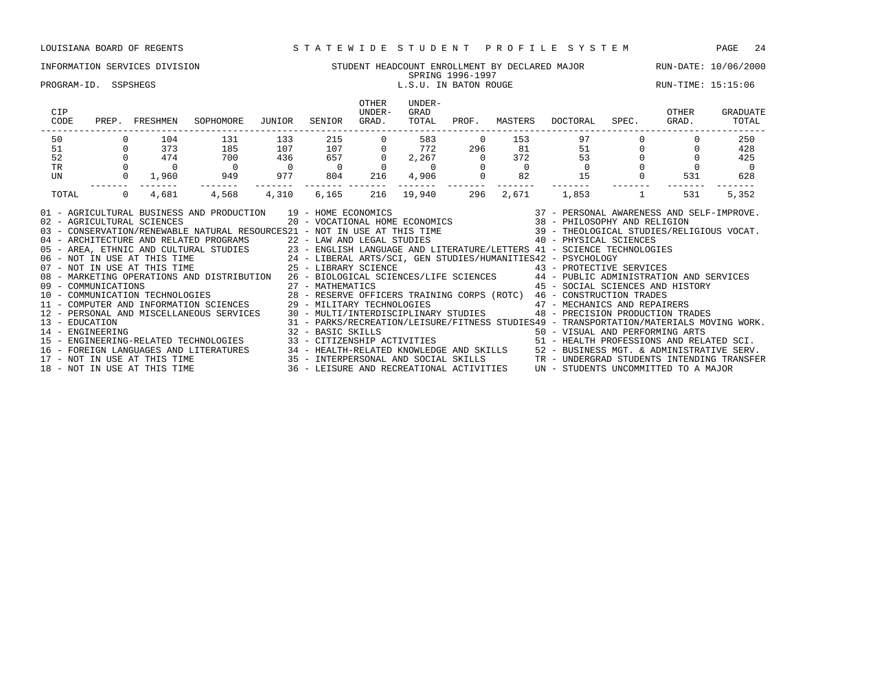### INFORMATION SERVICES DIVISION SUNG STUDENT HEADCOUNT ENROLLMENT BY DECLARED MAJOR RUN-DATE: 10/06/2000<br>SPRING 1996-1997 SPRING 1996-1997

PROGRAM-ID. SSPSHEGS L.S.U. IN BATON ROUGE RUN-TIME: 15:15:06

| CIP<br>CODE                                                                                                                                                                                                                                                                                                                                                                                                                                                                                                                                                                                                                                                                                                                                                                                                                                                                                                                                                                                                                                                                                                                                                                                                                                                                                                                                                                                                                                                                                                                                |          | PREP. FRESHMEN     | SOPHOMORE        | JUNIOR                                  | SENIOR           | OTHER<br>UNDER-<br>GRAD. | UNDER-<br>GRAD<br>TOTAL | PROF.          | MASTERS                                                                  | DOCTORAL | SPEC. GRAD. | OTHER          | GRADUATE<br>TOTAL |
|--------------------------------------------------------------------------------------------------------------------------------------------------------------------------------------------------------------------------------------------------------------------------------------------------------------------------------------------------------------------------------------------------------------------------------------------------------------------------------------------------------------------------------------------------------------------------------------------------------------------------------------------------------------------------------------------------------------------------------------------------------------------------------------------------------------------------------------------------------------------------------------------------------------------------------------------------------------------------------------------------------------------------------------------------------------------------------------------------------------------------------------------------------------------------------------------------------------------------------------------------------------------------------------------------------------------------------------------------------------------------------------------------------------------------------------------------------------------------------------------------------------------------------------------|----------|--------------------|------------------|-----------------------------------------|------------------|--------------------------|-------------------------|----------------|--------------------------------------------------------------------------|----------|-------------|----------------|-------------------|
| 50                                                                                                                                                                                                                                                                                                                                                                                                                                                                                                                                                                                                                                                                                                                                                                                                                                                                                                                                                                                                                                                                                                                                                                                                                                                                                                                                                                                                                                                                                                                                         |          | 104                | 131              | 133                                     | 215              |                          | 583<br>772              | $\overline{0}$ | $\begin{array}{cc} 153 & 97 \\ 81 & 51 \\ 372 & 53 \\ 0 & 0 \end{array}$ |          |             |                | 250               |
| 51                                                                                                                                                                                                                                                                                                                                                                                                                                                                                                                                                                                                                                                                                                                                                                                                                                                                                                                                                                                                                                                                                                                                                                                                                                                                                                                                                                                                                                                                                                                                         | $\Omega$ | 373                | 185              | 107                                     | 215<br>107       |                          |                         | 296            |                                                                          |          |             |                | 428               |
| 52                                                                                                                                                                                                                                                                                                                                                                                                                                                                                                                                                                                                                                                                                                                                                                                                                                                                                                                                                                                                                                                                                                                                                                                                                                                                                                                                                                                                                                                                                                                                         |          | 474                | 700              | $\begin{array}{c} 436 \\ 0 \end{array}$ | 657              |                          |                         |                |                                                                          |          |             |                | 425               |
| TR                                                                                                                                                                                                                                                                                                                                                                                                                                                                                                                                                                                                                                                                                                                                                                                                                                                                                                                                                                                                                                                                                                                                                                                                                                                                                                                                                                                                                                                                                                                                         |          | $0\qquad \qquad 0$ | $\overline{0}$   |                                         | $\overline{0}$   | $\Omega$                 |                         |                |                                                                          |          |             | $\overline{0}$ | $\overline{0}$    |
| UN                                                                                                                                                                                                                                                                                                                                                                                                                                                                                                                                                                                                                                                                                                                                                                                                                                                                                                                                                                                                                                                                                                                                                                                                                                                                                                                                                                                                                                                                                                                                         |          | 0<br>1,960         | 949 977          |                                         | 804              | 216                      |                         |                |                                                                          | 15       |             | 531            | 628               |
| TOTAL                                                                                                                                                                                                                                                                                                                                                                                                                                                                                                                                                                                                                                                                                                                                                                                                                                                                                                                                                                                                                                                                                                                                                                                                                                                                                                                                                                                                                                                                                                                                      |          | 4,681              | -------<br>4,568 | -------                                 | -------- ------- | 216                      | ------- -------         | 296            | $- - - - - - -$<br>2,671                                                 |          |             | 531            | 5,352             |
| $1,853$ 1<br>$\Omega$<br>4,310<br>6,165<br>19,940<br>01 - AGRICULTURAL BUSINESS AND PRODUCTION 19 - HOME ECONOMICS<br>02 - AGRICULTURAL SCIENCES<br>03 - CONSERVATION/RENEWABLE NATURAL RESOURCES21 - NOT IN USE AT THIS TIME 39 - THEOLOGICAL STUDIES/RELIGIOUS VOCAT.<br>40 - PHYSICAL SCIENCES<br>04 - ARCHITECTURE AND RELATED PROGRAMS 22 - LAW AND LEGAL STUDIES<br>05 - AREA, ETHNIC AND CULTURAL STUDIES 23 - ENGLISH LANGUAGE AND LITERATURE/LETTERS 41 - SCIENCE TECHNOLOGIES<br>06 - NOT IN USE AT THIS TIME 24 - LIBERAL ARTS/SCI, GEN STUDIES/HUMANITIES42 - PSYCHOLOGY<br>07 - NOT IN USE AT THI<br>08 - MARKETING OPERATIONS AND DISTRIBUTION 26 - BIOLOGICAL SCIENCES/LIFE SCIENCES 44 - PUBLIC ADMINISTRATION AND SERVICES<br>45 - SOCIAL SCIENCES AND HISTORY<br>11 - COMPUTER AND INFORMATION SCIENCES<br>29 - MILITARY TECHNOLOGIES 47 - MECHANICS AND REPAIRERS<br>12 - PERSONAL AND MISCELLANEOUS SERVICES 30 - MULTI/INTERDISCIPLINARY STUDIES<br>48 - PRECISION PRODUCTION TRADES<br>31 - PARKS/RECREATION/LEISURE/FITNESS STUDIES49 - TRANSPORTATION/MATERIALS MOVING WORK.<br>13 - EDUCATION<br>32 - BASIC SKILLS<br>32 - BASIC SKILLS<br>33 - CITIZENSHIP ACTIVITIES 61 - HEALTH PROFESSIONS AND RELATED SCI.<br>14 - ENGINEERING<br>15 - ENGINEERING-RELATED TECHNOLOGIES<br>16 - FOREIGN LANGUAGES AND LITERATURES 194 - HEALTH-RELATED KNOWLEDGE AND SKILLS 152 - BUSINESS MGT. & ADMINISTRATIVE SERV.<br>17 - NOT IN USE AT THIS TIME 188 - INTERPERSONAL AND SOCIAL SKILLS 17 - UNDERGRAD STUDENTS INTENDI |          |                    |                  |                                         |                  |                          |                         |                |                                                                          |          |             |                |                   |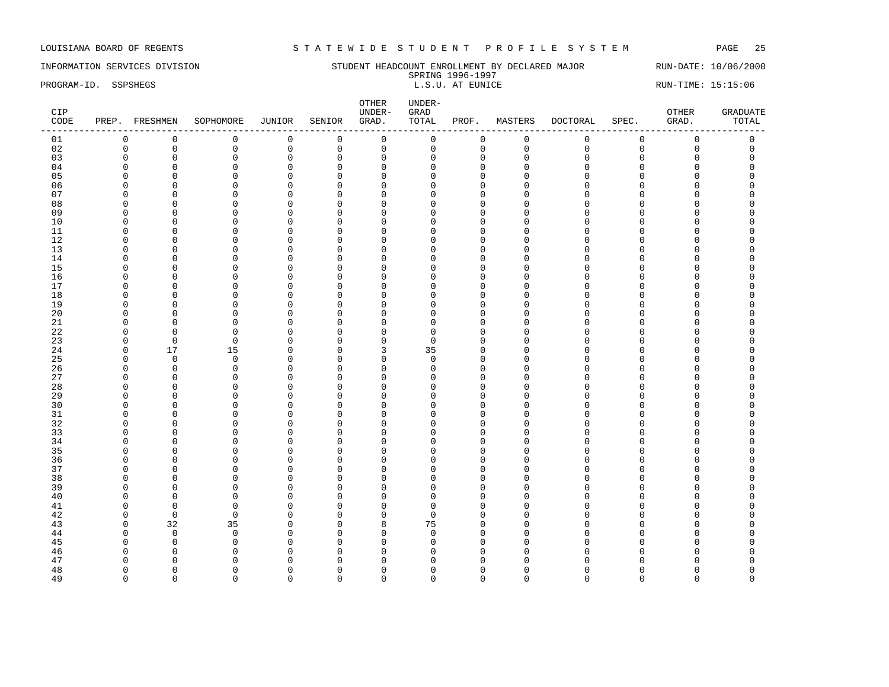# INFORMATION SERVICES DIVISION SUNDERT HEADCOUNT ENROLLMENT BY DECLARED MAJOR RUN-DATE: 10/06/2000 SPRING 1996-1997<br>L.S.U. AT EUNICE

PROGRAM-ID. SSPSHEGS **EXECUTE:** 15:15:06 L.S.U. AT EUNICE RUN-TIME: 15:15:06 RUN-TIME: 15:15:06

| CIP<br>$\texttt{CODE}{}$ |              | PREP. FRESHMEN | SOPHOMORE    | JUNIOR              | SENIOR      | OTHER<br>UNDER-<br>GRAD. | UNDER-<br>${\tt GRAD}$<br>TOTAL | PROF.        | MASTERS     | DOCTORAL    | SPEC.       | OTHER<br>GRAD.      | <b>GRADUATE</b><br>TOTAL |
|--------------------------|--------------|----------------|--------------|---------------------|-------------|--------------------------|---------------------------------|--------------|-------------|-------------|-------------|---------------------|--------------------------|
| 01                       | $\mathsf 0$  | $\mathbb O$    | $\mathsf 0$  | $\mathsf{O}\xspace$ | $\mathbb O$ | $\mathsf{O}$             | 0                               | $\mathsf 0$  | $\mathsf 0$ | $\mathsf 0$ | $\mathsf 0$ | $\mathsf{O}\xspace$ | $\mathsf 0$              |
| 02                       | $\mathbf 0$  | $\mathbf 0$    | 0            | 0                   | $\mathsf 0$ | $\mathbf 0$              | $\mathbf 0$                     | 0            | $\mathbf 0$ | $\Omega$    | $\mathbf 0$ | 0                   | $\mathsf 0$              |
| 03                       | $\mathbf 0$  | $\mathbf 0$    | $\mathbf 0$  | $\mathsf 0$         | $\mathbf 0$ | $\mathbf 0$              | $\Omega$                        | $\mathbf 0$  | $\mathbf 0$ | $\cap$      | $\Omega$    | 0                   | $\mathbf 0$              |
| 04                       | $\Omega$     | $\mathbf 0$    | $\mathbf 0$  | $\mathsf 0$         | $\mathbf 0$ | $\mathbf 0$              | $\Omega$                        | $\mathbf 0$  | $\mathbf 0$ | $\Omega$    | $\mathbf 0$ | $\Omega$            | $\Omega$                 |
| 05                       | $\Omega$     | $\mathbf 0$    | $\mathbf 0$  | $\mathsf 0$         | $\mathbf 0$ | $\mathbf{0}$             | $\cap$                          | $\mathbf{0}$ | $\Omega$    | $\Omega$    | $\Omega$    | 0                   | $\Omega$                 |
| 06                       | $\Omega$     | $\mathbf 0$    | $\mathbf 0$  | $\mathsf 0$         | $\mathbf 0$ | $\mathbf 0$              | U                               | $\mathbf{0}$ | $\Omega$    | $\cap$      | $\Omega$    | 0                   | $\Omega$                 |
| 07                       | $\Omega$     | $\overline{0}$ | $\Omega$     | 0                   | $\Omega$    | $\mathbf{0}$             | $\cap$                          | $\mathbf{0}$ | $\Omega$    | $\cap$      | $\Omega$    | 0                   |                          |
| 08                       | $\Omega$     | $\mathbf 0$    | $\mathbf 0$  | $\mathsf 0$         | $\mathbf 0$ | $\mathbf 0$              | $\Omega$                        | $\mathbf{0}$ | $\Omega$    | $\cap$      | $\Omega$    | 0                   | O                        |
| 09                       | $\Omega$     | $\mathbf 0$    | $\mathbf 0$  | $\mathsf 0$         | $\mathbf 0$ | $\mathbf 0$              | $\Omega$                        | $\mathbf{0}$ | $\Omega$    | $\Omega$    | $\Omega$    | 0                   | $\Omega$                 |
| 10                       | $\Omega$     | $\mathbf 0$    | $\mathbf 0$  | $\mathbf{0}$        | 0           | $\Omega$                 | U                               | $\mathbf 0$  | $\Omega$    | $\Omega$    | $\Omega$    | 0                   | O                        |
| 11                       | $\Omega$     | $\Omega$       | $\mathbf 0$  | $\mathbf 0$         | $\mathbf 0$ | $\Omega$                 | $\Omega$                        | $\Omega$     | $\Omega$    | $\Omega$    | $\Omega$    | 0                   | $\Omega$                 |
| 12                       | $\Omega$     | $\mathbf 0$    | $\Omega$     | $\mathbf 0$         | $\mathbf 0$ | $\mathbf 0$              | <sup>n</sup>                    | $\mathbf{0}$ | $\Omega$    | $\cap$      | $\Omega$    | $\overline{0}$      |                          |
| 13                       | $\Omega$     | $\mathbf 0$    | $\mathbf 0$  | 0                   | $\mathbf 0$ | $\mathbf 0$              | $\Omega$                        | $\Omega$     | $\Omega$    | $\cap$      | $\Omega$    | 0                   | $\cap$                   |
| 14                       | $\Omega$     | $\mathbf 0$    | $\Omega$     | $\mathbf{0}$        | $\mathbf 0$ | $\mathbf 0$              | O                               | $\mathbf{0}$ | $\Omega$    | $\cap$      | $\Omega$    | 0                   |                          |
| 15                       | $\Omega$     | $\mathbf 0$    | $\mathbf 0$  | $\mathbf{0}$        | $\mathbf 0$ | $\mathbf 0$              | $\Omega$                        | $\mathbf{0}$ | $\Omega$    | $\Omega$    | $\Omega$    | 0                   |                          |
| 16                       | $\Omega$     | $\mathbf 0$    | $\mathbf 0$  | $\mathbf 0$         | $\mathbf 0$ | $\mathbf 0$              | $\Omega$                        | $\Omega$     | $\Omega$    | $\cap$      | $\Omega$    | 0                   | $\Omega$                 |
| 17                       | $\Omega$     | $\mathbf 0$    | $\Omega$     | 0                   | $\mathbf 0$ | $\mathbf{0}$             | U                               | $\mathbf 0$  | $\Omega$    | $\cap$      | $\Omega$    | 0                   |                          |
| 18                       | $\Omega$     | $\Omega$       | $\Omega$     | $\mathbf{0}$        | $\Omega$    | $\Omega$                 | $\Omega$                        | $\Omega$     | $\Omega$    | $\cap$      | $\Omega$    | O                   |                          |
| 19                       | $\Omega$     | $\mathbf 0$    | $\mathbf 0$  | $\mathsf 0$         | $\mathbf 0$ | $\mathbf 0$              | $\Omega$                        | $\mathbf{0}$ | $\Omega$    | $\cap$      | $\Omega$    | 0                   |                          |
| 20                       | $\Omega$     | $\overline{0}$ | $\mathbf 0$  | $\mathbf{0}$        | $\mathbf 0$ | $\Omega$                 | $\Omega$                        | $\mathbf{0}$ | $\Omega$    | $\Omega$    | $\Omega$    | 0                   | $\Omega$                 |
| 21                       | $\Omega$     | $\mathbf 0$    | $\mathbf 0$  | 0                   | $\mathbf 0$ | 0                        | $\Omega$                        | $\mathbf 0$  | $\Omega$    | $\cap$      | $\Omega$    | 0                   | $\Omega$                 |
| 22                       | $\Omega$     | $\mathbf 0$    | $\Omega$     | $\mathbf 0$         | $\Omega$    | $\mathbf{0}$             | $\Omega$                        | $\Omega$     | $\Omega$    | $\cap$      | C           | O                   |                          |
| 23                       | $\mathbf 0$  | $\mathbf 0$    | $\mathbf 0$  | $\mathsf 0$         | $\mathbf 0$ | $\mathbf 0$              | $\Omega$                        | $\mathbf{0}$ | $\Omega$    | $\cap$      | $\Omega$    | 0                   |                          |
| 24                       | $\mathbf 0$  | 17             | 15           | $\mathsf 0$         | $\mathbf 0$ | 3                        | 35                              | $\mathbf{0}$ | $\Omega$    | $\cap$      | $\Omega$    | 0                   | $\Omega$                 |
| 25                       | $\Omega$     | $\mathbf 0$    | $\mathbf 0$  | $\mathbf{0}$        | $\Omega$    | $\mathbf 0$              | $\Omega$                        | $\mathbf{0}$ | $\Omega$    | $\cap$      | $\Omega$    | O                   | $\Omega$                 |
| 26                       | $\Omega$     | $\mathbf 0$    | $\mathbf 0$  | $\mathbf{0}$        | $\Omega$    | $\mathbf 0$              | $\Omega$                        | $\Omega$     | $\Omega$    | $\cap$      | $\Omega$    | 0                   | $\Omega$                 |
| 27                       | $\Omega$     | $\mathbf 0$    | $\mathbf 0$  | $\mathsf 0$         | $\mathbf 0$ | $\mathbf 0$              | $\Omega$                        | $\mathbf{0}$ | $\Omega$    | $\cap$      | $\Omega$    | 0                   | O                        |
| 28                       | $\Omega$     | $\mathbf 0$    | $\mathbf 0$  | $\mathbf{0}$        | $\mathbf 0$ | $\mathbf 0$              | $\Omega$                        | $\Omega$     | $\Omega$    | $\cap$      | $\Omega$    | 0                   |                          |
| 29                       | $\Omega$     | $\mathbf 0$    | 0            | 0                   | 0           | $\mathbf 0$              | U                               | $\Omega$     | $\Omega$    | $\cap$      | $\Omega$    | 0                   | U                        |
| 30                       | $\Omega$     | $\mathbf 0$    | $\mathbf 0$  | $\mathbf{0}$        | $\mathbf 0$ | $\mathbf 0$              | U                               | $\mathbf{0}$ | $\Omega$    | $\Omega$    | $\Omega$    | 0                   |                          |
| $31\,$                   | $\Omega$     | $\mathbf 0$    | $\mathbf 0$  | $\mathbf 0$         | $\mathbf 0$ | $\mathbf 0$              | $\Omega$                        | $\Omega$     | $\Omega$    | $\Omega$    | $\Omega$    | 0                   |                          |
| 32                       | $\Omega$     | $\mathbf 0$    | $\Omega$     | 0                   | 0           | $\Omega$                 | U                               | $\mathbf 0$  | $\Omega$    | $\cap$      | $\Omega$    | 0                   | O                        |
| 33                       | $\Omega$     | $\Omega$       | $\Omega$     | $\mathbf{0}$        | $\Omega$    | $\Omega$                 | U                               | $\Omega$     | $\Omega$    |             | $\Omega$    | 0                   |                          |
| 34                       | $\Omega$     | $\mathbf 0$    | $\Omega$     | 0                   | $\mathbf 0$ | $\mathbf 0$              | $\Omega$                        | $\mathbf 0$  | $\Omega$    | $\cap$      | $\Omega$    | 0                   | $\Omega$                 |
| 35                       | $\Omega$     | $\mathbf 0$    | $\mathbf 0$  | $\mathbf{0}$        | $\Omega$    | $\Omega$                 | $\cap$                          | $\Omega$     | $\Omega$    | $\cap$      | $\Omega$    | O                   |                          |
| 36                       | $\Omega$     | $\Omega$       | $\mathbf 0$  | $\mathbf 0$         | $\mathbf 0$ | $\mathbf 0$              | U                               | $\Omega$     | $\Omega$    | $\cap$      | $\Omega$    | 0                   |                          |
| 37                       | $\Omega$     | $\overline{0}$ | $\Omega$     | $\mathbf{0}$        | $\Omega$    | $\Omega$                 | $\Omega$                        | $\mathbf 0$  | $\Omega$    | $\Omega$    | $\Omega$    | 0                   | O                        |
| 38                       | $\Omega$     | $\mathbf 0$    | $\mathbf 0$  | $\mathsf 0$         | $\mathbf 0$ | $\mathbf 0$              | $\Omega$                        | $\mathbf{0}$ | $\Omega$    | $\Omega$    | $\Omega$    | 0                   | $\Omega$                 |
| 39                       | $\Omega$     | $\overline{0}$ | $\mathbf 0$  | $\mathsf 0$         | $\mathbf 0$ | $\mathbf{0}$             | $\Omega$                        | $\mathbf{0}$ | $\Omega$    | $\Omega$    | $\Omega$    | 0                   |                          |
| 40                       | $\Omega$     | $\mathbf 0$    | $\mathbf 0$  | $\mathbf 0$         | $\mathbf 0$ | $\mathbf 0$              | U                               | $\mathbf 0$  | $\Omega$    | ∩           | $\Omega$    | O                   |                          |
| 41                       | $\Omega$     | $\mathbf 0$    | $\mathbf 0$  | $\mathbf 0$         | $\mathbf 0$ | $\mathbf 0$              | $\Omega$                        | $\mathbf{0}$ | $\Omega$    | $\Omega$    | $\Omega$    | 0                   | $\Omega$                 |
| 42                       | $\Omega$     | $\mathbf 0$    | $\mathbf 0$  | $\mathsf 0$         | $\mathbf 0$ | $\mathbf 0$              | $\Omega$                        | $\mathbf{0}$ | $\Omega$    | $\cap$      | $\Omega$    | 0                   | O                        |
| 43                       | $\Omega$     | 32             | 35           | $\mathbf 0$         | $\mathbf 0$ | 8                        | 75                              | $\mathbf{0}$ | $\Omega$    | $\cap$      | O           | 0                   | O                        |
| 44                       | $\Omega$     | $\mathbf 0$    | $\mathbf 0$  | 0                   | $\mathbf 0$ | $\mathbf 0$              | $\Omega$                        | $\mathbf 0$  | $\Omega$    | $\cap$      | $\cap$      | 0                   |                          |
| 45                       | $\Omega$     | $\mathbf 0$    | $\mathsf 0$  | 0                   | $\mathbf 0$ | $\mathbf 0$              | $\Omega$                        | $\Omega$     | $\Omega$    | $\cap$      | $\Omega$    | 0                   | O                        |
| 46                       | $\Omega$     | $\mathbf 0$    | $\Omega$     | $\mathbf{0}$        | $\mathbf 0$ | $\Omega$                 | U                               | $\mathbf{0}$ | $\Omega$    | $\cap$      | C           | 0                   | $\Omega$                 |
| 47                       | <sup>0</sup> | $\Omega$       | <sup>0</sup> | $\mathbf 0$         | $\mathbf 0$ | $\Omega$                 | U                               | $\Omega$     | Λ           |             |             | O                   | O                        |
|                          | $\Omega$     | $\Omega$       | $\Omega$     | $\mathbf 0$         | $\mathbf 0$ | $\Omega$                 | $\Omega$                        | $\Omega$     | $\Omega$    | ∩           | C           | 0                   | $\mathbf 0$              |
| 48                       | $\Omega$     | $\Omega$       | $\Omega$     | $\Omega$            |             |                          |                                 | $\Omega$     | $\Omega$    | $\Omega$    | $\Omega$    |                     | $\Omega$                 |
| 49                       |              |                |              |                     | $\mathbf 0$ | $\mathbf 0$              | $\Omega$                        |              |             |             |             | 0                   |                          |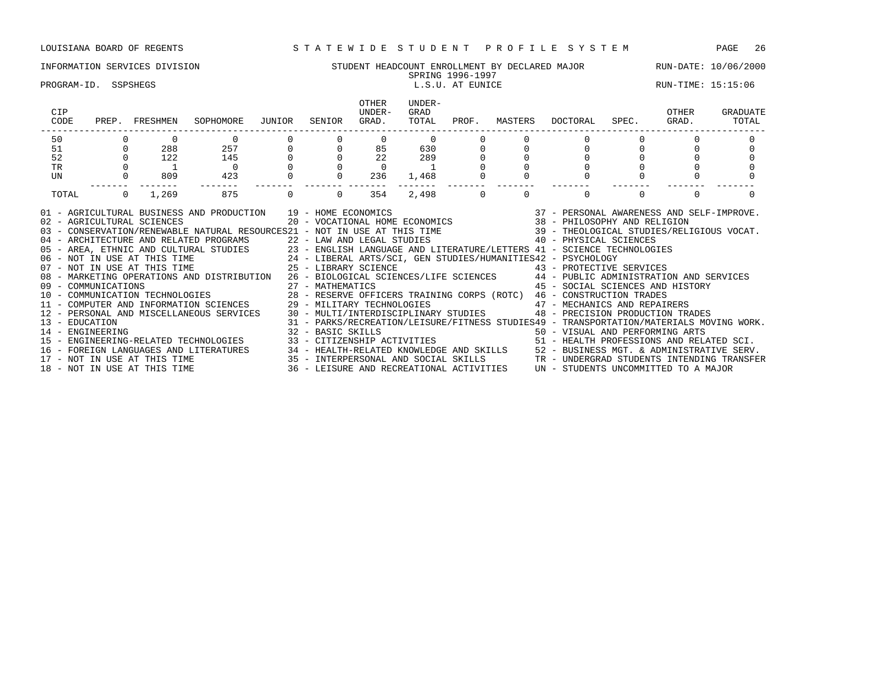# INFORMATION SERVICES DIVISION SUNG STUDENT HEADCOUNT ENROLLMENT BY DECLARED MAJOR RUN-DATE: 10/06/2000<br>SPRING 1996-1997

# SPRING 1996-1997

PROGRAM-ID. SSPSHEGS LEGIC LOOP CONTROLLER LEGIC LATER LOOP CONTROLLER LEGICIAL PROGRAM-ID. SSPSHEGS LEGIC LOOP

| CIP<br>CODE         | PREP.          | FRESHMEN                   | SOPHOMORE JUNIOR                                                                                                                                                                                                                                                                                                                                                                                                                                                                                                                                                                                                                                                                                                                                                                                                                                                                                                                                                                                                                                                                                                                                                                                                                                                                                                                                                                                                                                                                           |          | SENIOR   | OTHER<br>UNDER-<br>GRAD.                                     | UNDER-<br>GRAD<br>TOTAL             | PROF.    |          | MASTERS DOCTORAL SPEC.                                                                                                      |                                  | OTHER<br>GRAD. | GRADUATE<br>TOTAL |
|---------------------|----------------|----------------------------|--------------------------------------------------------------------------------------------------------------------------------------------------------------------------------------------------------------------------------------------------------------------------------------------------------------------------------------------------------------------------------------------------------------------------------------------------------------------------------------------------------------------------------------------------------------------------------------------------------------------------------------------------------------------------------------------------------------------------------------------------------------------------------------------------------------------------------------------------------------------------------------------------------------------------------------------------------------------------------------------------------------------------------------------------------------------------------------------------------------------------------------------------------------------------------------------------------------------------------------------------------------------------------------------------------------------------------------------------------------------------------------------------------------------------------------------------------------------------------------------|----------|----------|--------------------------------------------------------------|-------------------------------------|----------|----------|-----------------------------------------------------------------------------------------------------------------------------|----------------------------------|----------------|-------------------|
| 50                  |                |                            | $\overline{0}$                                                                                                                                                                                                                                                                                                                                                                                                                                                                                                                                                                                                                                                                                                                                                                                                                                                                                                                                                                                                                                                                                                                                                                                                                                                                                                                                                                                                                                                                             |          |          |                                                              | $\begin{matrix} 0 & 0 \end{matrix}$ |          |          |                                                                                                                             |                                  |                |                   |
| 51                  | $\circ$        | 288                        | $257$<br>$145$<br>0<br>$423$                                                                                                                                                                                                                                                                                                                                                                                                                                                                                                                                                                                                                                                                                                                                                                                                                                                                                                                                                                                                                                                                                                                                                                                                                                                                                                                                                                                                                                                               |          |          | $\begin{bmatrix} 0 & 85 & 630 \\ 0 & 22 & 289 \end{bmatrix}$ |                                     |          |          |                                                                                                                             | $\begin{matrix}0\\0\end{matrix}$ |                |                   |
| 52                  |                | $0$ 122                    |                                                                                                                                                                                                                                                                                                                                                                                                                                                                                                                                                                                                                                                                                                                                                                                                                                                                                                                                                                                                                                                                                                                                                                                                                                                                                                                                                                                                                                                                                            |          |          |                                                              |                                     |          |          |                                                                                                                             |                                  |                |                   |
| $\operatorname{TR}$ |                |                            |                                                                                                                                                                                                                                                                                                                                                                                                                                                                                                                                                                                                                                                                                                                                                                                                                                                                                                                                                                                                                                                                                                                                                                                                                                                                                                                                                                                                                                                                                            |          |          | $\overline{0}$                                               |                                     |          |          |                                                                                                                             |                                  |                |                   |
| UN                  |                | 809                        |                                                                                                                                                                                                                                                                                                                                                                                                                                                                                                                                                                                                                                                                                                                                                                                                                                                                                                                                                                                                                                                                                                                                                                                                                                                                                                                                                                                                                                                                                            |          | 0        | 236                                                          | 1,468                               |          |          |                                                                                                                             |                                  |                |                   |
| TOTAL               | $\overline{0}$ | 1,269                      | 875                                                                                                                                                                                                                                                                                                                                                                                                                                                                                                                                                                                                                                                                                                                                                                                                                                                                                                                                                                                                                                                                                                                                                                                                                                                                                                                                                                                                                                                                                        | $\Omega$ | $\Omega$ | 354                                                          | 2,498                               | $\Omega$ | $\Omega$ | $\Omega$                                                                                                                    |                                  | $\Omega$       |                   |
|                     |                | 02 - AGRICULTURAL SCIENCES | AND PRODUCTION $19$ – HOME ECONOMICS $37$ – PERSONAL AWARENESS AND SELF–IMPROVE.<br>20 – VOCATIONAL HOME ECONOMICS $38$ – PHILOSOPHY AND RELIGION<br>01 - AGRICULTURAL BUSINESS AND PRODUCTION 19 - HOME ECONOMICS<br>03 - CONSERVATION/RENEWABLE NATURAL RESOURCES21 - NOT IN USE AT THIS TIME 39 - THEOLOGICAL STUDIES/RELIGIOUS VOCAT.<br>- ARCHITECTURE AND RELATED PROGRAMS<br>05 - AREA, ETHNIC AND CULTURAL STUDIES<br>05 - AREA, ETHNIC AND CULTURAL STUDIES<br>06 - NOT IN USE AT THIS TIME<br>07 - NOT IN USE AT THIS TIME<br>07 - NOT IN USE AT THIS TIME<br>25 - LIBERAL AR<br>08 - MARKETING OPERATIONS AND DISTRIBUTION 26 - BIOLOGICAL SCIENCES/LIFE SCIENCES 44 - PUBLIC ADMINISTRATION AND SERVICES<br>09 - COMMUNICATIONS 27 - MATHEMATICS 45 - SOCIAL SCIENCES AND HIST (10 - COMMUNICATION TECHNOLOGIES 28 - RESERVE OFFICERS TRAINING CORPS (ROTC) 46 - CONSTRUCTION TRADES 10 - COMPUTER AND INFORMATION SCIENCES 29 - MILITARY<br>12 - PERSONAL AND MISCELLANEOUS SERVICES 30 - MULTI/INTERDISCIPLINARY STUDIES 48 - PRECISION PRODUCTION TRADES<br>13 - EDUCATION MATERIALS MOVING WORK.<br>14 - ENGINEERING MOVING WORK.<br>15 - ENGINEERING-RELATED TECHNOLOGIES 33 - CITIZENSHIP ACTIVITIES 50 - VISUAL AND PERFORMING ARTS<br>16 - FOREIGN LANGUAGES AND LITERATURES 34 - HEALTH-RELATED KNOWLEDGE AND SKILLS 52 - BUSINESS MGT. & ADMINISTRATIVE SERV.<br>17 - NOT IN USE AT THIS TIME 35 - INTERPERSONAL AND SOCIAL SKILLS TR - UNDERGRAD STUDENTS INTENDING |          |          |                                                              |                                     |          |          | 45 - SOCIAL SCIENCES AND HISTORY<br>31 - PARKS/RECREATION/LEISURE/FITNESS STUDIES49 - TRANSPORTATION/MATERIALS MOVING WORK. |                                  |                |                   |
|                     |                |                            |                                                                                                                                                                                                                                                                                                                                                                                                                                                                                                                                                                                                                                                                                                                                                                                                                                                                                                                                                                                                                                                                                                                                                                                                                                                                                                                                                                                                                                                                                            |          |          |                                                              |                                     |          |          |                                                                                                                             |                                  |                |                   |
|                     |                |                            |                                                                                                                                                                                                                                                                                                                                                                                                                                                                                                                                                                                                                                                                                                                                                                                                                                                                                                                                                                                                                                                                                                                                                                                                                                                                                                                                                                                                                                                                                            |          |          |                                                              |                                     |          |          |                                                                                                                             |                                  |                |                   |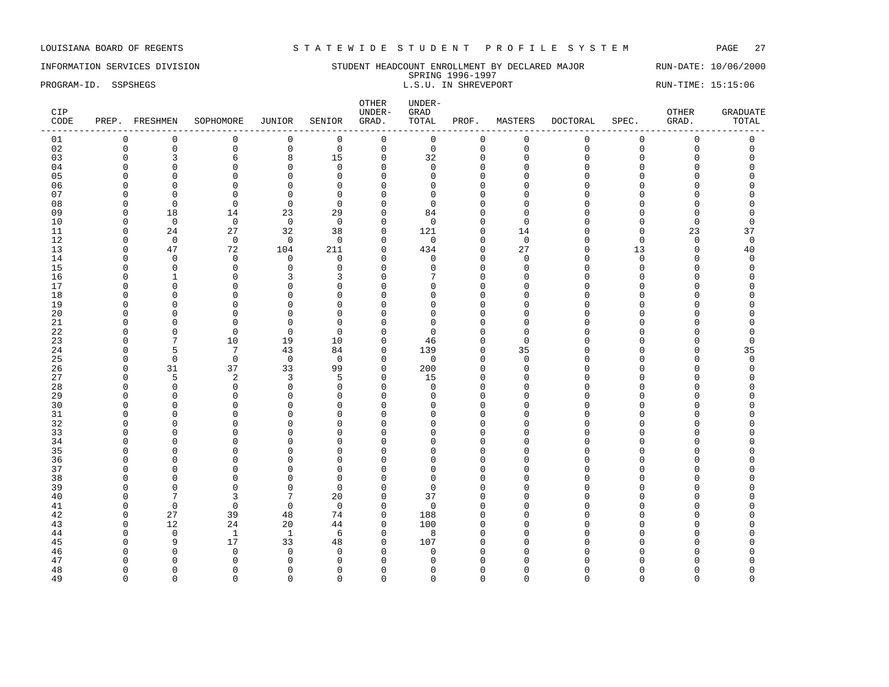INFORMATION SERVICES DIVISION STUDENT HEADCOUNT ENROLLMENT BY DECLARED MAJOR RUN-DATE: 10/06/2000 SPRING 1996-1997 PROGRAM-ID. SSPSHEGS **EXECUTE:** 15:15:06 L.S.U. IN SHREVEPORT RUN-TIME: 15:15:06

| CIP<br>CODE | PREP. FRESHMEN |                | SOPHOMORE      | <b>JUNIOR</b>           | SENIOR         | UNDER-<br>GRAD.          | GRAD<br>TOTAL  | PROF.                | MASTERS     | <b>DOCTORAL</b> | SPEC.       | OTHER<br>GRAD. | <b>GRADUATE</b><br>TOTAL |
|-------------|----------------|----------------|----------------|-------------------------|----------------|--------------------------|----------------|----------------------|-------------|-----------------|-------------|----------------|--------------------------|
| 01          | $\mathbf 0$    | $\mathbf 0$    | $\mathbf 0$    | $\mathbf 0$             | $\mathbf 0$    | $\mathbf 0$              | $\mathbf 0$    | 0                    | $\mathbf 0$ | 0               | $\mathbf 0$ | 0              | 0                        |
| 02          | $\Omega$       | $\mathsf 0$    | $\mathbf 0$    | $\mathsf{O}$            | $\mathbf 0$    | $\mathsf{O}\xspace$      | $\mathsf 0$    | $\mathbf 0$          | $\Omega$    | 0               | $\mathbf 0$ | $\mathbf 0$    | $\mathsf 0$              |
| 03          |                | $\overline{3}$ | 6              | 8                       | 15             | $\mathbf 0$              | 32             | $\mathbf 0$          | $\Omega$    | $\Omega$        | $\Omega$    | $\Omega$       | $\Omega$                 |
| 04          |                | $\Omega$       | $\Omega$       | 0                       | $\Omega$       | $\Omega$                 | $\Omega$       | $\Omega$             | U           |                 | U           | ∩              | U                        |
| 05          |                | $\mathbf 0$    | $\Omega$       | $\mathbf 0$             | $\Omega$       | $\Omega$                 | $\Omega$       | 0                    |             | U               |             | O              | N                        |
| 06          |                | $\Omega$       | $\Omega$       | $\Omega$                | $\Omega$       | $\mathbf{0}$             |                | $\Omega$             |             |                 |             | O              |                          |
| 07          |                | $\Omega$       | $\Omega$       | $\Omega$                | $\Omega$       | $\Omega$                 | n              | $\Omega$             |             | $\Omega$        |             | O              |                          |
| 08          |                | $\Omega$       | $\Omega$       | $\Omega$                | $\Omega$       | $\Omega$                 | ∩              | $\Omega$             |             |                 |             | ∩              |                          |
| 09          | ∩              | 18             | 14             | 23                      | 29             | $\Omega$                 | 84             | $\Omega$             |             |                 |             | O              | O                        |
| 10          |                | $\overline{0}$ | $\overline{0}$ | $\mathbf 0$             | $\overline{0}$ | $\Omega$                 | $\Omega$       | $\Omega$             | ∩           |                 |             | 0              | O                        |
| 11          | $\Omega$       | 24             | 27             | 32                      | 38             | $\mathbf{0}$             | 121            | $\mathbf 0$          | 14          |                 | $\Omega$    | 23             | 37                       |
| 12          |                | $\mathbf{0}$   | $\mathbf 0$    | $\mathbf{0}$            | $\mathbf 0$    | $\Omega$                 | $\mathbf 0$    | 0                    | $\Omega$    |                 | $\Omega$    | $\mathbf 0$    | $\mathbf 0$              |
| 13          |                | 47             | 72             | 104                     | 211            | $\Omega$                 | 434            | $\Omega$             | 27          | U               | 13          | $\Omega$       | 40                       |
| 14          |                | $\Omega$       | $\Omega$       | $\mathbf 0$             | $\mathbf 0$    | $\Omega$                 | 0              | $\Omega$             | $\Omega$    | U               | $\Omega$    | O              | 0                        |
| 15          |                | 0              | $\Omega$       | 0                       | $\Omega$       | $\Omega$                 | ∩              | $\Omega$             | $\Omega$    | U               | C           | O              | O                        |
| 16          |                | $\mathbf{1}$   | $\Omega$       | 3                       | 3              | $\mathbf{0}$             |                | $\mathbf 0$          | U           | U               |             | $\Omega$       | O                        |
| 17          |                | $\Omega$       | ∩              | $\Omega$                | $\Omega$       | $\Omega$                 | Λ              | $\Omega$             |             |                 |             | O              | N                        |
| 18          |                | $\Omega$       | ∩              | $\Omega$                | $\Omega$       | $\Omega$                 | ∩              | $\Omega$             |             |                 |             | ∩              |                          |
| 19          |                | $\Omega$       | ∩              | 0                       | $\Omega$       | $\Omega$                 | Λ              | $\mathbf 0$          |             |                 |             | O              |                          |
| 20          |                | $\mathbf 0$    | $\Omega$       | $\Omega$                | $\Omega$       | $\Omega$                 | ∩              | $\Omega$             |             |                 |             | $\Omega$       |                          |
| 21          |                | $\Omega$       | $\Omega$       | $\mathbf 0$             | $\Omega$       | $\Omega$                 | ∩              | $\Omega$             |             |                 |             |                |                          |
| 22          |                | $\Omega$       | $\Omega$       | $\Omega$                | $\Omega$       | $\Omega$                 | ∩              | $\Omega$             |             |                 |             |                |                          |
| 23          |                | 7              | 10             | 19                      | 10             | $\mathbf 0$              | 46             | $\mathbf 0$          | ∩           | U               |             | O              | O                        |
| 24          | $\cap$         | 5              | 7              | 43                      | 84             | $\mathbf 0$              | 139            | 0                    | 35          | U               |             | 0              | 35                       |
| 25          |                | 0              | 0              | $\overline{0}$          | $\overline{0}$ | $\mathbf 0$              | $\mathbf 0$    | 0                    | $\Omega$    | U               |             | $\Omega$       | $\Omega$                 |
| 26          |                | 31             | 37             | 33                      | 99             | $\mathbf{0}$<br>$\Omega$ | 200            | $\mathbf 0$          | U           |                 |             | $\Omega$<br>∩  | $\Omega$                 |
| 27          |                | 5              | 2<br>$\Omega$  | 3                       | 5              | $\Omega$                 | 15<br>$\Omega$ | $\Omega$             |             |                 |             | ∩              | U                        |
| 28<br>29    |                | 0<br>$\Omega$  | n              | $\mathbf 0$<br>$\Omega$ | $\Omega$<br>O  | $\Omega$                 | n              | $\Omega$<br>$\Omega$ |             |                 |             |                | U                        |
| 30          |                | $\mathbf 0$    | ∩              | $\mathbf 0$             | $\Omega$       | $\mathbf{0}$             | n              | $\mathbf 0$          |             | U               |             |                |                          |
| 31          |                | $\Omega$       | n              | $\Omega$                | $\Omega$       | $\Omega$                 | Λ              | $\Omega$             |             |                 |             | O              |                          |
| 32          |                | $\Omega$       | n              | $\Omega$                | $\cap$         | $\Omega$                 |                | $\Omega$             |             |                 |             |                |                          |
| 33          |                | $\Omega$       |                | 0                       | n              | $\Omega$                 |                | O                    |             |                 |             |                |                          |
| 34          |                | $\Omega$       | n              | $\Omega$                | $\Omega$       | $\Omega$                 | n              | $\Omega$             |             |                 |             | O              |                          |
| 35          |                | $\mathbf 0$    | n              | 0                       | $\Omega$       | $\Omega$                 | Λ              | $\mathbf 0$          |             |                 |             | O              |                          |
| 36          |                | $\Omega$       | ∩              | $\Omega$                | $\Omega$       | $\Omega$                 | U              | $\Omega$             |             |                 |             | O              |                          |
| 37          |                | $\Omega$       | ∩              | $\Omega$                | $\Omega$       | $\Omega$                 | ∩              | $\Omega$             |             |                 |             | ∩              |                          |
| 38          |                | $\Omega$       |                | $\Omega$                | $\Omega$       | $\Omega$                 | ∩              | $\Omega$             |             |                 |             | n              |                          |
| 39          |                | $\Omega$       | n              | 0                       | $\Omega$       | $\Omega$                 | ∩              | 0                    |             |                 |             |                |                          |
| 40          |                | 7              | 3              | 7                       | 20             | $\mathbf 0$              | 37             | $\mathbf 0$          |             |                 |             | ∩              |                          |
| 41          |                | $\mathbf 0$    | $\Omega$       | $\mathbf 0$             | $\Omega$       | $\Omega$                 | $\Omega$       | $\Omega$             |             |                 |             |                |                          |
| 42          | $\Omega$       | 27             | 39             | 48                      | 74             | $\mathbf 0$              | 188            | $\mathbf 0$          |             |                 |             | O              |                          |
| 43          |                | 12             | 24             | 20                      | 44             | $\mathbf 0$              | 100            | $\mathbf 0$          |             |                 |             | n              |                          |
| 44          |                | $\mathbf{0}$   | $\mathbf{1}$   | 1                       | 6              | $\mathbf 0$              | 8              | 0                    |             |                 |             | ∩              |                          |
| 45          |                | 9              | 17             | 33                      | 48             | $\mathbf{0}$             | 107            | $\Omega$             |             |                 |             |                |                          |
| 46          |                | $\Omega$       | $\Omega$       | $\mathbf{0}$            | $\Omega$       | $\Omega$                 | $\Omega$       | $\Omega$             |             |                 |             |                |                          |
| 47          |                | n              |                | $\Omega$                | n              | $\cap$                   | n              | U                    |             |                 |             |                |                          |
| 48          |                | $\Omega$       |                | 0                       | n              | ∩                        |                | O                    |             |                 |             |                | U                        |
| 49          | $\Omega$       | $\Omega$       | $\Omega$       | $\Omega$                | $\Omega$       | $\Omega$                 | $\Omega$       | $\Omega$             | $\cap$      | U               | $\Omega$    | $\Omega$       | $\Omega$                 |

OTHER UNDER-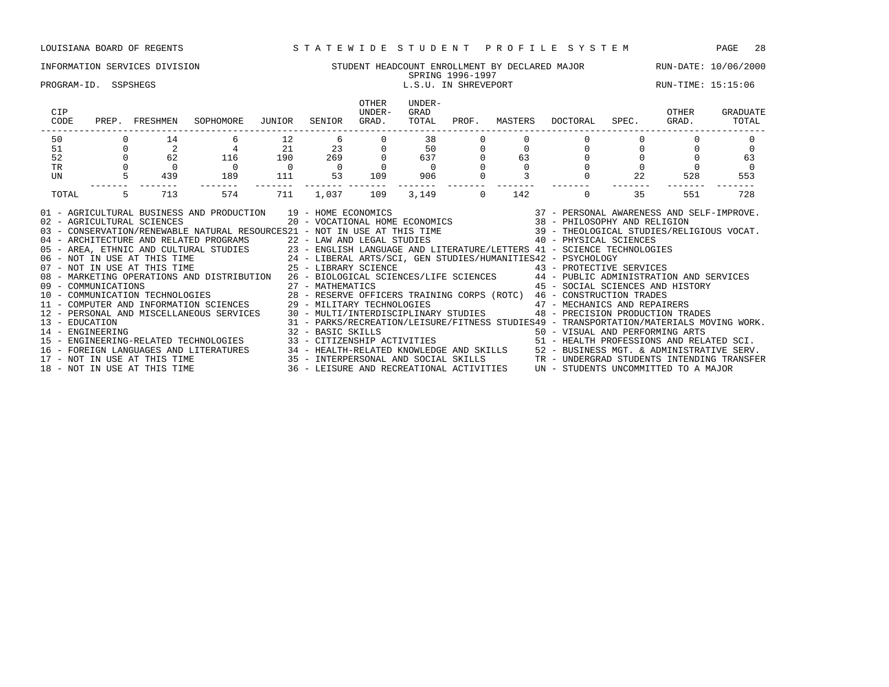### INFORMATION SERVICES DIVISION STUDENT HEADCOUNT ENROLLMENT BY DECLARED MAJOR RUN-DATE: 10/06/2000 SPRING 1996-1997

# PROGRAM-ID. SSPSHEGS L.S.U. IN SHREVEPORT RUN-TIME: 15:15:06

| CIP<br>CODE    |                | PREP. FRESHMEN                         | SOPHOMORE                                                                                                                                                                                                                                                                                                                                                                                                                                                                                                                                                                                                                                                                                                                                                                                                                                                                                                                                                                                                                                                                                                                                                                                                                                                                                                                                                                                                                                                                                                               | JUNIOR         | SENIOR           | OTHER<br>UNDER-<br>GRAD. | UNDER-<br>GRAD<br>TOTAL                                           |             |          | PROF. MASTERS DOCTORAL SPEC. GRAD. TOTAL                                                                                    |    | OTHER | GRADUATE |
|----------------|----------------|----------------------------------------|-------------------------------------------------------------------------------------------------------------------------------------------------------------------------------------------------------------------------------------------------------------------------------------------------------------------------------------------------------------------------------------------------------------------------------------------------------------------------------------------------------------------------------------------------------------------------------------------------------------------------------------------------------------------------------------------------------------------------------------------------------------------------------------------------------------------------------------------------------------------------------------------------------------------------------------------------------------------------------------------------------------------------------------------------------------------------------------------------------------------------------------------------------------------------------------------------------------------------------------------------------------------------------------------------------------------------------------------------------------------------------------------------------------------------------------------------------------------------------------------------------------------------|----------------|------------------|--------------------------|-------------------------------------------------------------------|-------------|----------|-----------------------------------------------------------------------------------------------------------------------------|----|-------|----------|
| 50             |                | 14                                     |                                                                                                                                                                                                                                                                                                                                                                                                                                                                                                                                                                                                                                                                                                                                                                                                                                                                                                                                                                                                                                                                                                                                                                                                                                                                                                                                                                                                                                                                                                                         | 12             |                  | $6 \qquad \qquad$        | 38                                                                |             |          |                                                                                                                             |    |       |          |
| 51             | $\overline{0}$ | $\begin{array}{c} 2 \\ 62 \end{array}$ | $\begin{array}{ccc}\n & 4 & & 21 \\ 116 & & 190\n\end{array}$                                                                                                                                                                                                                                                                                                                                                                                                                                                                                                                                                                                                                                                                                                                                                                                                                                                                                                                                                                                                                                                                                                                                                                                                                                                                                                                                                                                                                                                           |                | $\frac{23}{269}$ |                          | $\begin{array}{ccc} 0 & & 50 \\ 0 & & 637 \\ 0 & & 0 \end{array}$ | $\mathbf 0$ |          | $0 \qquad \qquad$                                                                                                           |    |       |          |
| 52             |                |                                        |                                                                                                                                                                                                                                                                                                                                                                                                                                                                                                                                                                                                                                                                                                                                                                                                                                                                                                                                                                                                                                                                                                                                                                                                                                                                                                                                                                                                                                                                                                                         |                |                  |                          |                                                                   |             | 63       |                                                                                                                             |    |       | 63       |
| TR             |                |                                        | $\overline{0}$                                                                                                                                                                                                                                                                                                                                                                                                                                                                                                                                                                                                                                                                                                                                                                                                                                                                                                                                                                                                                                                                                                                                                                                                                                                                                                                                                                                                                                                                                                          | $\overline{0}$ | $\overline{0}$   |                          |                                                                   |             | $\Omega$ |                                                                                                                             |    |       | $\Omega$ |
| UN             |                | 439                                    | 189                                                                                                                                                                                                                                                                                                                                                                                                                                                                                                                                                                                                                                                                                                                                                                                                                                                                                                                                                                                                                                                                                                                                                                                                                                                                                                                                                                                                                                                                                                                     | 111            | 53               | 109                      | 906                                                               |             |          |                                                                                                                             | 22 | 528   | 553      |
| TOTAL          | 5              | 713                                    | 574                                                                                                                                                                                                                                                                                                                                                                                                                                                                                                                                                                                                                                                                                                                                                                                                                                                                                                                                                                                                                                                                                                                                                                                                                                                                                                                                                                                                                                                                                                                     | 711            | 1,037            | 109                      |                                                                   | $3,149$ 0   | 142      | $\Omega$                                                                                                                    | 35 | 551   | 728      |
| 13 - EDUCATION |                |                                        | 01 - AGRICULTURAL BUSINESS AND PRODUCTION 19 - HOME ECONOMICS 6000 (37 - PERSONAL AWARENESS AND SELF-IMPROVE.<br>02 - AGRICULTURAL SCIENCES 10 - VOCATIONAL HOME ECONOMICS 38 - PHILOSOPHY AND RELIGION<br>03 - CONSERVATION/RENEWABLE NATURAL RESOURCES21 - NOT IN USE AT THIS TIME 39 - THEOLOGICAL STUDIES/RELIGIOUS VOCAT.<br>04 - ARCHITECTURE AND RELATED PROGRAMS 22 - LAW AND LEGAL STUDIES 40 - PHYSICAL SCIENCES<br>05 - AREA, ETHNIC AND CULTURAL STUDIES 23 - ENGLISH LANGUAGE AND LITERATURE/LETTERS 41 - SCIENCE TECHNOLOGIES<br>06 - NOT IN USE AT THIS TIME 24 - LIBERAL ARTS/SCI, GEN STUDIES/HUMANITIES42 - PSYCHOLOGY<br>07 - NOT IN USE AT THI<br>08 - MARKETING OPERATIONS AND DISTRIBUTION 26 - BIOLOGICAL SCIENCES/LIFE SCIENCES 44 - PUBLIC ADMINISTRATION AND SERVICES<br>09 - COMMUNICATIONS<br>10 - COMMUNICATION TECHNOLOGIES<br>28 - RESERVE OFFICERS TRAINING CORPS (ROTC) 46 - CONSTRUCTION TRADES<br>11 - COMPUTER AND INFORMATION SCIENCES 29 - MILITARY TECHNOLOGIES 47 - MECHANICS AND REPAIRERS<br>12 - PERSONAL AND MISCELLANEOUS SERVICES 30 - MULTI/INTERDISCIPLINARY STUDIES 48 - PRECISION PRODUCTION TRADES<br>14 - ENGINEERING ARTS (1992) 32 - BASIC SKILLS (1993) 50 - VISUAL AND PERFORMING ARTS (1994) 15 - ENGINEERING-RELATED SCI.<br>16 - FOREIGN LANGUAGES AND LITERATURES 34 - HEALTH-RELATED KNOWLEDGE AND SKILLS 52 - BUSINESS MGT. & ADMINISTRATIVE SERV.<br>17 - NOT IN USE AT THIS TIME 35 - INTERPERSONAL AND SOCIAL SKILLS TR - UNDERGRAD STUDENTS INTENDING |                |                  |                          |                                                                   |             |          | 45 - SOCIAL SCIENCES AND HISTORY<br>31 - PARKS/RECREATION/LEISURE/FITNESS STUDIES49 - TRANSPORTATION/MATERIALS MOVING WORK. |    |       |          |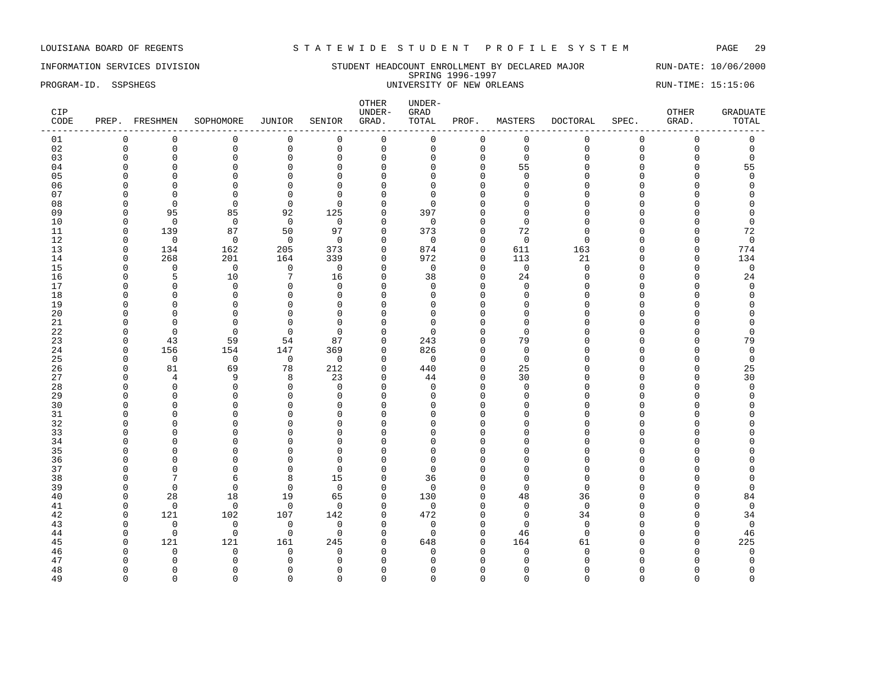INFORMATION SERVICES DIVISION STUDENT HEADCOUNT ENROLLMENT BY DECLARED MAJOR RUN-DATE: 10/06/2000 SPRING 1996-1997 PROGRAM-ID. SSPSHEGS 
UNIVERSITY OF NEW ORLEANS
UNIVERSITY OF NEW ORLEANS

UNIVERSITY OF NEW ORLEANS

| CIP<br>CODE |              | PREP. FRESHMEN | SOPHOMORE      | JUNIOR          | SENIOR         | OTHER<br>UNDER-<br>GRAD. | UNDER-<br>GRAD<br>TOTAL | PROF.        | MASTERS     | DOCTORAL     | SPEC.       | OTHER<br>GRAD.      | <b>GRADUATE</b><br>TOTAL |
|-------------|--------------|----------------|----------------|-----------------|----------------|--------------------------|-------------------------|--------------|-------------|--------------|-------------|---------------------|--------------------------|
| 01          | $\Omega$     | $\mathbf 0$    | $\mathbf 0$    | 0               | $\mathbf 0$    | $\mathsf 0$              | $\mathsf 0$             | 0            | $\mathsf 0$ | $\mathbf{0}$ | $\mathbf 0$ | $\mathsf 0$         | $\mathsf 0$              |
| 02          | $\mathbf 0$  | $\mathsf 0$    | $\mathbf 0$    | $\mathsf 0$     | $\mathbf 0$    | $\mathsf{O}$             | $\Omega$                | $\mathbf 0$  | $\mathbf 0$ | $\Omega$     | $\Omega$    | $\mathsf{O}\xspace$ | $\mathbf 0$              |
| 03          | $\Omega$     | $\mathbf 0$    | $\mathbf 0$    | $\mathbf 0$     | $\mathbf 0$    | $\mathbf 0$              | $\Omega$                | $\mathbf 0$  | $\mathbf 0$ | $\Omega$     | $\mathbf 0$ | 0                   | $\mathbf 0$              |
| 04          | $\Omega$     | $\mathbf 0$    | $\mathbf 0$    | $\mathsf 0$     | $\mathbf 0$    | $\mathbf 0$              | $\Omega$                | $\Omega$     | 55          | $\cap$       | $\Omega$    | $\mathbf 0$         | 55                       |
| 05          |              | $\Omega$       | $\Omega$       | $\Omega$        | $\Omega$       | $\Omega$                 | n                       | $\Omega$     | $\Omega$    |              | $\cap$      | $\Omega$            | $\Omega$                 |
| 06          |              | $\Omega$       | $\Omega$       | $\mathbf 0$     | $\Omega$       | $\Omega$                 | <sup>0</sup>            | $\Omega$     | $\Omega$    | $\cap$       | C           | O                   | $\Omega$                 |
| 07          | n            | $\Omega$       | $\mathbf 0$    | $\mathbf 0$     | $\Omega$       | $\mathbf{0}$             | <sup>0</sup>            | $\Omega$     | $\Omega$    |              |             | O                   | $\Omega$                 |
| 08          | $\Omega$     | $\overline{0}$ | $\Omega$       | $\mathbf 0$     | $\Omega$       | $\mathbf 0$              | $\Omega$                | $\cap$       | $\Omega$    |              |             | O                   |                          |
| 09          | n            | 95             | 85             | 92              | 125            | $\mathbf 0$              | 397                     | ∩            | $\cap$      |              |             | U                   | $\Omega$                 |
| 10          | $\Omega$     | $\mathbf 0$    | $\mathbf 0$    | $\overline{0}$  | $\mathbf 0$    | $\Omega$                 | $\Omega$                | $\Omega$     | $\Omega$    |              |             | O                   | $\mathbf 0$              |
| 11          | $\Omega$     | 139            | 87             | 50              | 97             | $\mathbf 0$              | 373                     | $\Omega$     | 72          |              | $\cap$      | $\Omega$            | 72                       |
| 12          | $\Omega$     | $\mathbf 0$    | $\Omega$       | $\mathbf 0$     | $\Omega$       | $\Omega$                 | $\Omega$                | $\Omega$     | $\Omega$    | ∩            | U           | $\Omega$            | $\mathbf 0$              |
| 13          | $\Omega$     | 134            | 162            | 205             | 373            | $\mathbf 0$              | 874                     | $\Omega$     | 611         | 163          | $\Omega$    | $\mathbf 0$         | 774                      |
| 14          | $\Omega$     | 268            | 201            | 164             | 339            | $\mathbf 0$              | 972                     | $\Omega$     | 113         | 21           | $\Omega$    | 0                   | 134                      |
| 15          | ∩            | $\Omega$       | $\overline{0}$ | $\overline{0}$  | $\overline{0}$ | $\Omega$                 | $\mathbf 0$             | $\Omega$     | $\Omega$    | $\Omega$     | U           | $\Omega$            | $\mathbf 0$              |
| 16          | $\Omega$     | 5              | 10             | $7\phantom{.0}$ | 16             | $\mathbf 0$              | 38                      | $\mathbf{0}$ | 24          | $\Omega$     | $\Omega$    | $\mathbf 0$         | 24                       |
| 17          | ∩            | $\Omega$       | $\Omega$       | $\mathbf 0$     | $\Omega$       | $\Omega$                 | $\Omega$                | $\Omega$     | $\Omega$    |              |             | $\Omega$            | $\mathbf 0$              |
| 18          |              | $\Omega$       | $\Omega$       | $\mathbf 0$     | $\Omega$       | $\Omega$                 | $\Omega$                | $\cap$       | $\Omega$    |              |             | O                   | $\Omega$                 |
| 19          |              | $\Omega$       | $\Omega$       | $\mathbf 0$     | $\Omega$       | $\Omega$                 | $\cap$                  | $\Omega$     | $\Omega$    |              |             | O                   |                          |
| 20          |              | $\Omega$       | $\Omega$       | $\mathbf{0}$    | $\mathbf 0$    | $\Omega$                 | <sup>0</sup>            | $\cap$       | $\Omega$    |              |             | U                   |                          |
| 21          | $\cap$       | $\Omega$       | $\Omega$       | $\mathbf 0$     | $\Omega$       | $\Omega$                 | $\Omega$                | $\Omega$     | $\Omega$    |              |             | O                   | $\Omega$                 |
| 22          | ∩            | $\Omega$       | $\Omega$       | $\mathbf 0$     | $\Omega$       | $\Omega$                 | <sup>0</sup>            | $\cap$       | $\Omega$    |              |             | O                   | $\Omega$                 |
| 23          | $\Omega$     | 43             | 59             | 54              | 87             | $\mathbf 0$              | 243                     | $\Omega$     | 79          |              |             | O                   | 79                       |
| 24          | $\mathbf 0$  | 156            | 154            | 147             | 369            | $\mathbf 0$              | 826                     | $\mathbf 0$  | $\Omega$    |              |             | $\Omega$            | $\mathbf 0$              |
| 25          | n            | $\mathbf 0$    | $\overline{0}$ | $\overline{0}$  | $\overline{0}$ | $\Omega$                 | $\Omega$                | $\Omega$     | $\Omega$    |              |             | U                   | $\mathbf 0$              |
| 26          | $\Omega$     | 81             | 69             | 78              | 212            | $\mathbf 0$              | 440                     | $\mathbf{0}$ | 25          |              | C           | $\Omega$            | 25                       |
| 27          | $\Omega$     | $\overline{4}$ | 9              | 8               | 23             | $\mathbf 0$              | 44                      | $\Omega$     | 30          |              |             | $\mathbf 0$         | 30                       |
| 28          | ∩            | $\Omega$       | $\Omega$       | $\mathbf 0$     | $\Omega$       | $\Omega$                 | $\Omega$                | $\Omega$     | $\Omega$    |              |             | O                   | $\Omega$                 |
| 29          |              | $\mathbf 0$    | $\Omega$       | $\mathbf 0$     | $\mathbf 0$    | $\mathbf{0}$             | $\Omega$                | $\Omega$     | $\Omega$    |              |             | O                   | $\Omega$                 |
| 30          |              | $\Omega$       | $\Omega$       | $\Omega$        | $\Omega$       | $\Omega$                 |                         | $\cap$       | $\Omega$    |              |             | U                   |                          |
| 31          |              | $\Omega$       | $\Omega$       | $\mathbf{0}$    | $\Omega$       | $\overline{0}$           | U                       | $\Omega$     | $\Omega$    |              |             | O                   |                          |
| 32          |              | $\Omega$       | $\Omega$       | $\mathbf{0}$    | $\Omega$       | $\Omega$                 |                         | $\Omega$     | n           |              |             | U                   |                          |
| 33          |              | $\Omega$       | $\Omega$       | $\mathbf{0}$    | $\Omega$       | $\Omega$                 |                         | $\Omega$     |             |              |             | O                   |                          |
| 34          |              | $\Omega$       | $\Omega$       | $\mathbf{0}$    | $\Omega$       | $\Omega$                 | $\cap$                  | $\Omega$     | $\cap$      |              |             | O                   |                          |
| 35          |              | $\cap$         | $\Omega$       | $\Omega$        | $\Omega$       | $\Omega$                 | ∩                       | $\cap$       | ∩           |              |             | Λ                   |                          |
| 36          |              | $\Omega$       | $\Omega$       | $\mathbf{0}$    | $\Omega$       | $\Omega$                 | n                       | $\Omega$     |             |              |             | O                   |                          |
| 37          |              | $\Omega$       | $\Omega$       | $\mathbf{0}$    | $\Omega$       | $\Omega$                 | $\Omega$                | $\Omega$     | $\cap$      | $\cap$       |             | O                   |                          |
| 38          | ∩            | 7              | 6              | 8               | 15             | $\Omega$                 | 36                      | ∩            | $\Omega$    |              |             | O                   | $\cap$                   |
| 39          | $\Omega$     | $\mathbf 0$    | $\Omega$       | 0               | $\overline{0}$ | $\mathbf 0$              | $\Omega$                | $\Omega$     | $\Omega$    |              |             | 0                   | $\Omega$                 |
| 40          | $\Omega$     | 28             | 18             | 19              | 65             | $\mathbf 0$              | 130                     | $\Omega$     | 48          | 36           |             | O                   | 84                       |
| 41          | n            | $\mathbf 0$    | $\overline{0}$ | $\mathbf 0$     | $\Omega$       | $\Omega$                 | $\Omega$                | $\Omega$     | $\Omega$    | $\Omega$     | U           | $\Omega$            | $\mathbf 0$              |
| 42          | $\Omega$     | 121            | 102            | 107             | 142            | $\mathbf 0$              | 472                     | $\Omega$     | $\mathbf 0$ | 34           | C           | $\mathbf 0$         | 34                       |
| 43          | $\Omega$     | $\mathbf 0$    | $\mathsf 0$    | $\overline{0}$  | $\mathsf 0$    | $\mathbf 0$              | $\mathbf 0$             | $\cap$       | $\Omega$    | $\Omega$     |             | $\mathbf 0$         | $\mathbf 0$              |
| 44          | <sup>0</sup> | $\mathbf 0$    | $\Omega$       | $\mathbf 0$     | $\Omega$       | $\Omega$                 | $\Omega$                | $\Omega$     | 46          | $\Omega$     |             | 0                   | 46                       |
| 45          | $\Omega$     | 121            | 121            | 161             | 245            | $\Omega$                 | 648                     | $\Omega$     | 164         | 61           | C           | $\Omega$            | 225                      |
| 46          |              | $\Omega$       | $\Omega$       | $\mathbf 0$     | $\overline{0}$ | $\Omega$                 | $\Omega$                |              | $\Omega$    | $\Omega$     |             | $\Omega$            | $\mathbf 0$              |
| 47          |              | $\Omega$       | $\Omega$       | $\mathbf 0$     | $\Omega$       | $\Omega$                 |                         |              |             |              |             | U                   | $\Omega$                 |
| 48          | n            | $\Omega$       | ∩              | $\mathbf{0}$    | $\Omega$       | $\Omega$                 |                         | ∩            | n           |              |             | O                   | $\Omega$                 |
| 49          | $\Omega$     | $\Omega$       | $\Omega$       | $\Omega$        | $\Omega$       | $\Omega$                 | $\Omega$                | $\Omega$     | $\Omega$    | $\Omega$     | $\Omega$    | $\Omega$            | $\Omega$                 |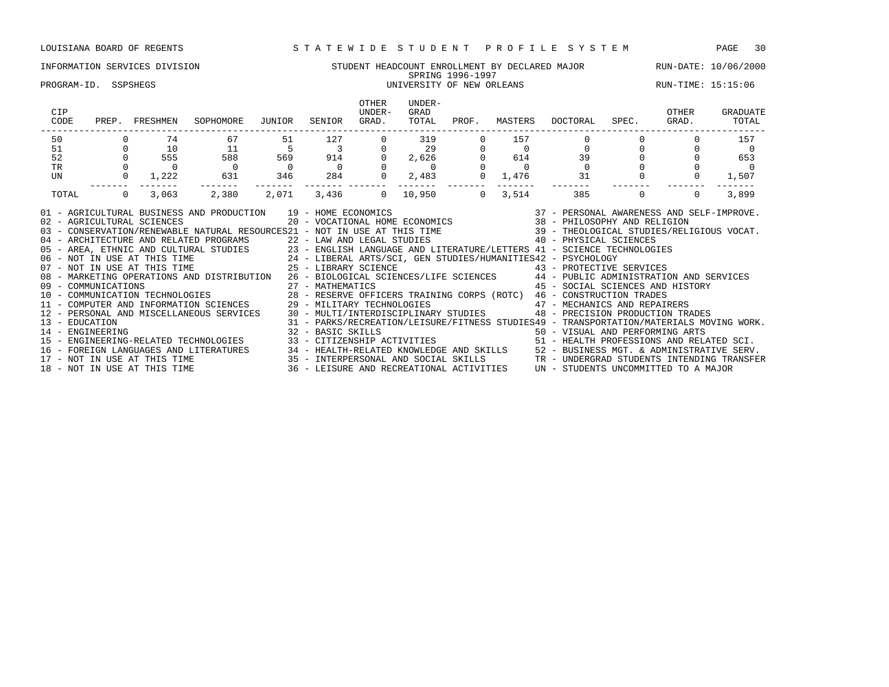## INFORMATION SERVICES DIVISION STUDENT HEADCOUNT ENROLLMENT BY DECLARED MAJOR RUN-DATE: 10/06/2000 SPRING 1996-1997

### PROGRAM-ID. SSPSHEGS UNIVERSITY OF NEW ORLEANS RUN-TIME: 15:15:06

| CIP<br>CODE      | PREP.        | FRESHMEN                     | SOPHOMORE                                                                                                                                                                                                                                                                                                                                                                                                                                                                                                                                                                                                                                                                             | JUNIOR         | SENIOR                  | <b>OTHER</b><br>UNDER-<br>GRAD. | UNDER-<br>GRAD<br>TOTAL | PROF.    | MASTERS        | DOCTORAL                                                                                                                                                                                 | SPEC.    | OTHER<br>GRAD. | GRADUATE<br>TOTAL |
|------------------|--------------|------------------------------|---------------------------------------------------------------------------------------------------------------------------------------------------------------------------------------------------------------------------------------------------------------------------------------------------------------------------------------------------------------------------------------------------------------------------------------------------------------------------------------------------------------------------------------------------------------------------------------------------------------------------------------------------------------------------------------|----------------|-------------------------|---------------------------------|-------------------------|----------|----------------|------------------------------------------------------------------------------------------------------------------------------------------------------------------------------------------|----------|----------------|-------------------|
| 50               |              | 74                           | 67                                                                                                                                                                                                                                                                                                                                                                                                                                                                                                                                                                                                                                                                                    | 51             | 127                     |                                 | 319                     |          | 157            |                                                                                                                                                                                          |          |                | 157               |
| 51               |              | 10                           | 11                                                                                                                                                                                                                                                                                                                                                                                                                                                                                                                                                                                                                                                                                    | - 5            | $\overline{\mathbf{3}}$ |                                 | 29                      |          | $\overline{0}$ | $\mathbf 0$                                                                                                                                                                              |          |                |                   |
| 52               |              | 555                          | 588                                                                                                                                                                                                                                                                                                                                                                                                                                                                                                                                                                                                                                                                                   | 569            | 914                     |                                 | 2,626                   |          | 614            | 39                                                                                                                                                                                       |          |                | 653               |
| <b>TR</b>        |              |                              | $\overline{0}$                                                                                                                                                                                                                                                                                                                                                                                                                                                                                                                                                                                                                                                                        | $\overline{0}$ | $\overline{0}$          |                                 | $\overline{0}$          |          |                | $\Omega$                                                                                                                                                                                 |          |                |                   |
| UN               | $\mathbf{0}$ | 1,222                        | 631                                                                                                                                                                                                                                                                                                                                                                                                                                                                                                                                                                                                                                                                                   | 346            | 284                     | $\Omega$                        | 2,483                   | $\Omega$ | 1,476          | 31                                                                                                                                                                                       |          |                | 1,507             |
| TOTAL            | $\circ$      | 3,063                        | 2,380                                                                                                                                                                                                                                                                                                                                                                                                                                                                                                                                                                                                                                                                                 | 2,071          | 3,436                   | $\Omega$                        | 10,950                  | $\Omega$ | 3,514          | 385                                                                                                                                                                                      | $\Omega$ | $\Omega$       | 3,899             |
| 13 - EDUCATION   |              |                              | 40 - ARCHITECTURE AND RELATED PROGRAMS<br>22 - LAW AND LEGAL STUDIES<br>23 - ENGLISH LANGUAGE AND LITERATURE/LETTERS<br>24 - LIBERAL ARTS/SCI, GEN STUDIES/HUMANITIES42 - PSYCHOLOGY<br>25 - LIBERAL ARTS/SCI, GEN STUDIES/HUMANITIES4<br>08 - MARKETING OPERATIONS AND DISTRIBUTION 26 - BIOLOGICAL SCIENCES/LIFE SCIENCES 44 - PUBLIC ADMINISTRATION AND SERVICES<br>09 - COMMUNICATIONS 27 - MATHEMATICS 45 - SOCIAL SCIENCES AND HIST (10 - COMMUNICATION TECHNOLOGIES 28 - RESERVE OFFICERS TRAINING CORPS (ROTC) 46 - CONSTRUCTION TRADES 10 - COMMUNICATION TRADES 29 - NILITARY TECHNOLOGIES<br>12 - PERSONAL AND MISCELLANEOUS SERVICES 30 - MULTI/INTERDISCIPLINARY STUDIES |                |                         |                                 |                         |          |                | 45 - SOCIAL SCIENCES AND HISTORY<br>48 - PRECISION PRODUCTION TRADES<br>31 - PARKS/RECREATION/LEISURE/FITNESS STUDIES49 - TRANSPORTATION/MATERIALS MOVING WORK.                          |          |                |                   |
| 14 - ENGINEERING |              | 18 - NOT IN USE AT THIS TIME | 15 - ENGINEERING-RELATED TECHNOLOGIES<br>16 - FOREIGN LANGUAGES AND LITERATURES 34 - HEALTH-RELATED KNOWLEDGE AND SKILLS 52 - BUSINESS MGT. & ADMINISTRATIVE SERV.<br>17 - NOT IN USE AT THIS TIME 35 - INTERPERSONAL AND SOCIAL SKILLS TRANDERGRAD STUDENTS INTENDING TRA                                                                                                                                                                                                                                                                                                                                                                                                            |                | 32 - BASIC SKILLS       |                                 |                         |          |                | 50 - VISUAL AND PERFORMING ARTS<br>33 - CITIZENSHIP ACTIVITIES 51 - HEALTH PROFESSIONS AND RELATED SCI.<br>36 - LEISURE AND RECREATIONAL ACTIVITIES UN - STUDENTS UNCOMMITTED TO A MAJOR |          |                |                   |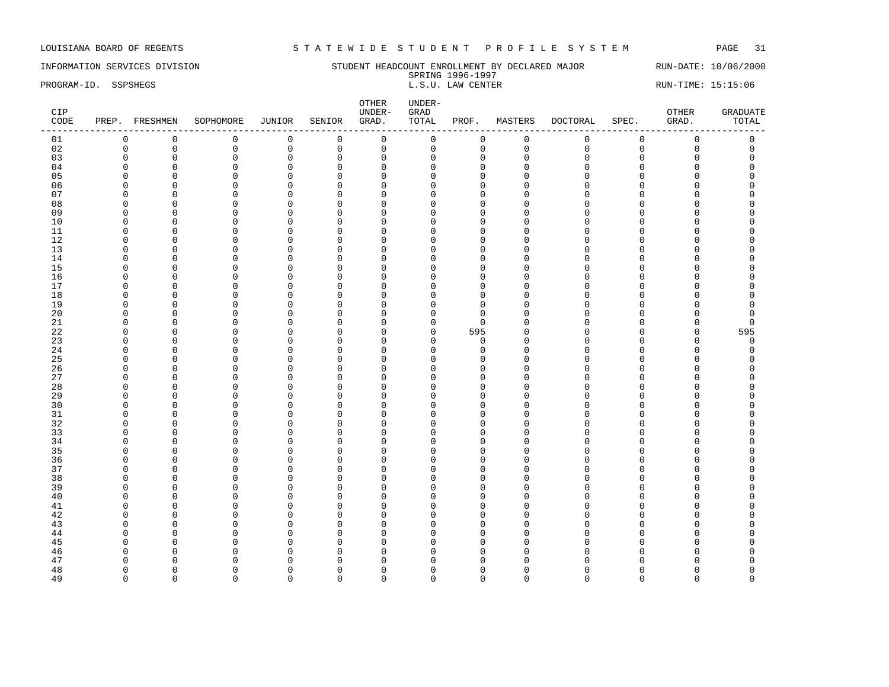INFORMATION SERVICES DIVISION SUNDERT HEADCOUNT ENROLLMENT BY DECLARED MAJOR RUN-DATE: 10/06/2000 SPRING 1996-1997<br>L.S.U. LAW CENTER PROGRAM-ID. SSPSHEGS **EXECUTER** L.S.U. LAW CENTER L.S.U. LAW CENTER RUN-TIME: 15:15:06

| $\mathbf 0$<br>$\mathsf 0$<br>$\mathsf 0$<br>$\mathbb O$<br>$\mathsf{O}$<br>$\mathsf 0$<br>$\mathsf{O}$<br>$\mathsf 0$<br>$\mathbf 0$<br>$\mathsf 0$<br>$\mathsf 0$<br>01<br>$\mathbf 0$<br>$\mathbf 0$<br>$\mathsf 0$<br>02<br>$\mathbf 0$<br>$\mathsf 0$<br>$\mathbf 0$<br>$\mathbf 0$<br>$\mathsf 0$<br>$\mathbf 0$<br>$\mathbf 0$<br>$\mathsf{O}\xspace$<br>$\mathsf 0$<br>$\mathbf 0$<br>0<br>$\Omega$<br>03<br>$\mathbf 0$<br>$\mathbf 0$<br>$\mathsf 0$<br>$\mathsf 0$<br>$\mathsf 0$<br>$\mathbb O$<br>$\mathbf 0$<br>$\mathbf 0$<br>$\mathbf 0$<br>$\Omega$<br>$\mathbf 0$<br>$\Omega$<br>$\Omega$<br>04<br>$\mathbf 0$<br>$\mathsf 0$<br>$\mathbf 0$<br>$\Omega$<br>$\mathbf 0$<br>$\mathbf 0$<br>$\mathbf{0}$<br>$\Omega$<br>$\cap$<br>$\Omega$<br>0<br>$\Omega$<br>$\Omega$<br>$\Omega$<br>05<br>$\Omega$<br>$\Omega$<br>$\mathbf 0$<br>$\Omega$<br>O<br>$\Omega$<br>$\Omega$<br>$\Omega$<br>$\cap$<br>$\Omega$<br>U<br>$\cap$<br>$\mathsf 0$<br>06<br>$\mathbf 0$<br>$\mathbf 0$<br>$\mathbf 0$<br>$\mathbf 0$<br>$\mathbf{0}$<br>$\Omega$<br>0<br>$\Omega$<br>$\Omega$<br>$\Omega$<br>$\Omega$<br>$\Omega$<br>07<br>$\mathsf 0$<br>$\mathbf 0$<br>$\mathbf 0$<br>$\mathbf{0}$<br>$\mathbf{0}$<br>0<br>$\Omega$<br>$\mathbf 0$<br>$\Omega$<br>$\cap$<br>$\Omega$<br>U<br>$\Omega$<br>$\mathbf{0}$<br>08<br>$\Omega$<br>$\mathbf 0$<br>$\mathbf 0$<br>$\mathbf 0$<br>$\Omega$<br>0<br>$\Omega$<br>$\cap$<br>$\cap$<br>$\cap$<br>U<br>C<br>09<br>$\mathbf 0$<br>$\Omega$<br>0<br>$\mathbf 0$<br>$\mathbf 0$<br>$\mathbf 0$<br>0<br>$\Omega$<br>$\Omega$<br>$\Omega$<br>$\cap$<br>$\Omega$<br>$\Omega$<br>10<br>$\mathbf 0$<br>$\mathbf 0$<br>$\Omega$<br>$\mathbf 0$<br>$\Omega$<br>$\Omega$<br>O<br>$\Omega$<br>$\Omega$<br>$\Omega$<br>U<br>∩<br>11<br>$\mathbf 0$<br>$\Omega$<br>$\mathbf 0$<br>$\mathbf 0$<br>$\mathbf 0$<br>$\mathbf{0}$<br>0<br>$\Omega$<br>$\Omega$<br>$\cap$<br>$\Omega$<br>$\Omega$<br>U<br>12<br>$\mathbf 0$<br>0<br>$\mathbf 0$<br>$\mathbf 0$<br>0<br>$\Omega$<br>$\mathbf 0$<br>$\cap$<br>$\mathbf 0$<br>$\Omega$<br>$\cap$<br>$\Omega$<br>0<br>13<br>$\Omega$<br>$\mathsf 0$<br>$\mathbf 0$<br>$\overline{0}$<br>$\Omega$<br>$\Omega$<br>$\mathbf 0$<br>$\mathbf{0}$<br>$\Omega$<br>$\cap$<br>$\Omega$<br>U<br>14<br>$\mathbf 0$<br>0<br>$\mathbf{0}$<br>0<br>$\Omega$<br>$\Omega$<br>0<br>$\Omega$<br>$\mathbf 0$<br>$\Omega$<br>$\cap$<br>$\Omega$<br>$\mathsf 0$<br>15<br>$\mathbf 0$<br>$\mathbf 0$<br>$\Omega$<br>O<br>$\Omega$<br>$\mathbf 0$<br>0<br>$\Omega$<br>$\Omega$<br>U<br>∩<br>16<br>$\overline{0}$<br>$\mathbf 0$<br>$\mathbf 0$<br>$\Omega$<br>$\Omega$<br>$\mathbf 0$<br>$\mathbf{0}$<br>$\cap$<br>0<br>$\Omega$<br>$\Omega$<br>U<br>17<br>0<br>$\mathbf 0$<br>$\Omega$<br>0<br>$\Omega$<br>$\Omega$<br>0<br><sup>0</sup><br>U<br><sup>0</sup><br>∩<br>$\Omega$<br>$\Omega$<br>18<br>$\mathbf 0$<br>$\mathsf 0$<br>$\Omega$<br>$\Omega$<br>$\mathbf 0$<br>$\mathbf 0$<br>$\mathbf{0}$<br>$\cap$<br>0<br>$\Omega$<br>$\Omega$<br>$\Omega$<br>19<br>$\mathsf 0$<br>$\Omega$<br>$\Omega$<br>$\overline{0}$<br>$\Omega$<br>$\mathbf 0$<br>$\mathbf{0}$<br>$\Omega$<br>$\cap$<br>0<br>$\Omega$<br>$\Omega$<br>$\Omega$<br>20<br>$\mathbf 0$<br>$\Omega$<br>$\mathbf 0$<br>$\Omega$<br>$\mathbf 0$<br>$\Omega$<br>$\Omega$<br>$\Omega$<br>O<br>U<br>∩<br>$\Omega$<br>$\Omega$<br>21<br>$\mathbf 0$<br>$\Omega$<br>$\mathbf 0$<br>$\mathbf 0$<br>$\mathbf 0$<br>$\mathbf{0}$<br>$\mathbf 0$<br>$\Omega$<br>0<br>$\Omega$<br>$\Omega$<br>0<br>0<br>22<br>$\mathsf 0$<br>595<br>$\overline{0}$<br>$\mathbf 0$<br>$\mathbf 0$<br>595<br>0<br>$\Omega$<br>$\Omega$<br>0<br>$\Omega$<br>$\cap$<br>$\Omega$<br>23<br>$\mathsf 0$<br>$\Omega$<br>$\mathbf 0$<br>$\mathbf 0$<br>$\mathbf 0$<br>$\mathbf 0$<br>$\mathbf 0$<br>$\Omega$<br>$\Omega$<br>$\mathbf 0$<br>$\Omega$<br>$\cap$<br>$\Omega$<br>24<br>$\overline{0}$<br>$\Omega$<br>$\mathbf 0$<br>$\Omega$<br>$\mathbf{0}$<br>$\Omega$<br>$\Omega$<br>$\Omega$<br>$\mathbf 0$<br>$\Omega$<br>$\Omega$<br>$\cap$<br>$\Omega$<br>$\mathbf 0$<br>25<br>$\overline{0}$<br>$\Omega$<br>$\mathbf 0$<br>$\mathbf 0$<br>$\Omega$<br>O<br>$\Omega$<br>$\Omega$<br>$\Omega$<br>$\Omega$<br>$\Omega$<br>∩<br>26<br>$\overline{0}$<br>$\mathbf 0$<br>$\mathbf 0$<br>$\overline{0}$<br>0<br>$\Omega$<br>$\Omega$<br>$\Omega$<br>$\Omega$<br>$\cap$<br>$\Omega$<br>U<br>27<br>$\overline{0}$<br>$\mathbf 0$<br>$\Omega$<br>0<br>$\Omega$<br>$\Omega$<br>$\Omega$<br>$\Omega$<br>$\Omega$<br>$\Omega$<br>U<br>$\Omega$<br>$\Omega$<br>28<br>$\mathbf 0$<br>$\mathsf 0$<br>$\mathbf 0$<br>$\overline{0}$<br>$\mathbf 0$<br>$\mathbf 0$<br>$\mathbf{0}$<br>$\Omega$<br>$\Omega$<br>$\Omega$<br>$\cap$<br>$\Omega$<br>$\Omega$<br>29<br>0<br>$\mathbf{0}$<br>$\Omega$<br>$\mathbf 0$<br>$\Omega$<br>0<br>$\mathbf 0$<br>$\Omega$<br>$\cap$<br>0<br>U<br>$\cap$<br>30<br>$\mathbf 0$<br>$\mathbf 0$<br>$\Omega$<br>O<br>$\Omega$<br>$\Omega$<br>$\mathbf 0$<br>$\Omega$<br>$\Omega$<br>$\Omega$<br>U<br>∩<br>31<br>$\mathbf 0$<br>$\mathsf 0$<br>$\mathbf 0$<br>$\Omega$<br>$\mathbf 0$<br>$\mathbf{0}$<br>$\Omega$<br>$\cap$<br>0<br>$\Omega$<br>$\Omega$<br>U<br>32<br>$\mathbf 0$<br>$\mathbf 0$<br>$\Omega$<br>$\mathbf 0$<br>$\Omega$<br>$\Omega$<br>$\mathbf 0$<br>$\Omega$<br>O<br>U<br>∩<br>$\Omega$<br>$\Omega$<br>33<br>$\mathbf 0$<br>$\Omega$<br>$\mathbf 0$<br>$\overline{0}$<br>0<br>$\Omega$<br>$\Omega$<br>$\Omega$<br>$\Omega$<br>$\cap$<br>$\Omega$<br>U<br>$\cap$<br>34<br>$\mathsf 0$<br>$\Omega$<br>$\overline{0}$<br>$\Omega$<br>$\mathbf 0$<br>$\mathbf 0$<br>$\mathbf{0}$<br>$\Omega$<br>0<br>$\Omega$<br>$\cap$<br>$\Omega$<br>35<br>$\mathbf 0$<br>$\mathbf 0$<br>$\Omega$<br>0<br>$\Omega$<br>$\Omega$<br>O<br>$\Omega$<br><sup>n</sup><br>$\Omega$<br>$\cap$<br>$\Omega$<br>C<br>$\mathbf 0$<br>36<br>$\overline{0}$<br>$\Omega$<br>$\Omega$<br>$\mathbf 0$<br>$\Omega$<br>O<br>$\Omega$<br>$\Omega$<br>$\cap$<br>$\Omega$<br>U<br>37<br>$\overline{0}$<br>$\mathbf 0$<br>$\mathbf 0$<br>$\mathbf 0$<br>$\mathbf 0$<br>$\mathbf{0}$<br>0<br>$\Omega$<br>$\Omega$<br>$\Omega$<br>$\Omega$<br>$\Omega$<br>$\Omega$<br>38<br>$\Omega$<br>0<br>$\mathbf 0$<br>$\mathbf 0$<br>0<br>$\Omega$<br>$\mathbf 0$<br>$\Omega$<br>$\Omega$<br>$\cap$<br>$\Omega$<br>$\Omega$<br>$\Omega$<br>39<br>$\overline{0}$<br>0<br>$\mathbf 0$<br>$\mathbf 0$<br>$\Omega$<br>$\Omega$<br>$\Omega$<br>$\Omega$<br>O<br>$\Omega$<br>$\cap$<br>$\Omega$<br>40<br>$\mathbf 0$<br>$\Omega$<br>0<br>$\mathbf 0$<br>$\mathbf 0$<br>$\Omega$<br>0<br>$\Omega$<br>$\Omega$<br>$\Omega$<br>$\cap$<br>$\Omega$<br>$\overline{0}$<br>0<br>$\mathbf 0$<br>41<br>$\Omega$<br>$\mathbf 0$<br>$\mathbf{0}$<br>$\Omega$<br>O<br>$\Omega$<br>O<br>$\cap$<br>$\Omega$<br>$\cap$<br>42<br>$\mathbf{0}$<br>$\mathbf{0}$<br>$\Omega$<br>$\mathbf 0$<br>$\Omega$<br>$\Omega$<br>$\Omega$<br>$\Omega$<br>$\cap$<br>O<br>U<br>C<br>$\Omega$<br>43<br>$\mathsf 0$<br>$\mathbf 0$<br>$\Omega$<br>$\mathbf 0$<br>$\mathbf 0$<br>$\mathbf{0}$<br>0<br>$\Omega$<br>$\Omega$<br>$\cap$<br>$\Omega$<br>$\Omega$<br>U<br>44<br>$\overline{0}$<br>$\mathsf 0$<br>$\mathbf{0}$<br>$\overline{0}$<br>$\Omega$<br>$\Omega$<br>$\mathbf 0$<br>$\mathbf{0}$<br>$\Omega$<br>$\cap$<br>$\Omega$<br>$\Omega$<br>$\cap$<br>45<br>$\Omega$<br>$\mathbf 0$<br>$\Omega$<br>$\Omega$<br>O<br>$\Omega$<br>$\Omega$<br>O<br>$\Omega$<br>$\Omega$<br>$\Omega$<br>n<br>O<br>46<br>$\Omega$<br>$\Omega$<br>$\mathbf{0}$<br>$\overline{0}$<br>$\mathbf{0}$<br>O<br>$\mathbf 0$<br>$\Omega$<br>$\Omega$<br><sup>0</sup><br>U<br>C<br>47<br>$\mathbf{0}$<br>$\mathbf 0$<br>$\Omega$<br>$\Omega$<br>O<br>$\Omega$<br>$\Omega$<br>$\Omega$<br>$\Omega$<br>$\Omega$<br>48<br>$\mathbf 0$<br>$\mathbf 0$<br>$\overline{0}$<br>0<br>$\mathbf 0$<br>$\Omega$<br>$\Omega$<br>$\Omega$<br>$\Omega$<br>$\Omega$<br><sup>0</sup><br>∩<br>C<br>49<br>$\Omega$<br>$\Omega$<br>$\Omega$<br>$\mathbf 0$<br>$\mathbf 0$<br>$\Omega$<br>$\Omega$<br>$\Omega$<br>$\Omega$<br>$\Omega$<br>$\Omega$<br>$\Omega$<br>$\Omega$ | CIP<br>CODE | PREP. FRESHMEN | SOPHOMORE | JUNIOR | SENIOR | OTHER<br>UNDER-<br>GRAD. | UNDER-<br>${\tt GRAD}$<br>TOTAL | PROF. | MASTERS | DOCTORAL | SPEC. | OTHER<br>GRAD. | <b>GRADUATE</b><br>TOTAL |
|----------------------------------------------------------------------------------------------------------------------------------------------------------------------------------------------------------------------------------------------------------------------------------------------------------------------------------------------------------------------------------------------------------------------------------------------------------------------------------------------------------------------------------------------------------------------------------------------------------------------------------------------------------------------------------------------------------------------------------------------------------------------------------------------------------------------------------------------------------------------------------------------------------------------------------------------------------------------------------------------------------------------------------------------------------------------------------------------------------------------------------------------------------------------------------------------------------------------------------------------------------------------------------------------------------------------------------------------------------------------------------------------------------------------------------------------------------------------------------------------------------------------------------------------------------------------------------------------------------------------------------------------------------------------------------------------------------------------------------------------------------------------------------------------------------------------------------------------------------------------------------------------------------------------------------------------------------------------------------------------------------------------------------------------------------------------------------------------------------------------------------------------------------------------------------------------------------------------------------------------------------------------------------------------------------------------------------------------------------------------------------------------------------------------------------------------------------------------------------------------------------------------------------------------------------------------------------------------------------------------------------------------------------------------------------------------------------------------------------------------------------------------------------------------------------------------------------------------------------------------------------------------------------------------------------------------------------------------------------------------------------------------------------------------------------------------------------------------------------------------------------------------------------------------------------------------------------------------------------------------------------------------------------------------------------------------------------------------------------------------------------------------------------------------------------------------------------------------------------------------------------------------------------------------------------------------------------------------------------------------------------------------------------------------------------------------------------------------------------------------------------------------------------------------------------------------------------------------------------------------------------------------------------------------------------------------------------------------------------------------------------------------------------------------------------------------------------------------------------------------------------------------------------------------------------------------------------------------------------------------------------------------------------------------------------------------------------------------------------------------------------------------------------------------------------------------------------------------------------------------------------------------------------------------------------------------------------------------------------------------------------------------------------------------------------------------------------------------------------------------------------------------------------------------------------------------------------------------------------------------------------------------------------------------------------------------------------------------------------------------------------------------------------------------------------------------------------------------------------------------------------------------------------------------------------------------------------------------------------------------------------------------------------------------------------------------------------------------------------------------------------------------------------------------------------------------------------------------------------------------------------------------------------------------------------------------------------------------------------------------------------------------------------------------------------------------------------------------------------------------------------------------------------------------------------------------------------------------------------------------------------------------------------------------------------------------------------------------------------------------------------------------------------------------------------------------------------------------------------------------------------------------------------------------------------------------------------------------------------------------------------------------------------------------------------------------------------------------------------------------------------------------------------------------------------------------------------------------------------------------------------------------------------------------------------------------------------------------------------------------------------------------------------------------------------------------------------------------------------------------------------------------------------------------------------------------------------------------------------------------------------------------------------------------------------------------------------------------------------------------------------------------------------------------------------------------------------------------------------------------------------------------------------------------------------------------------------------------------------------------------------------------------------------------------------------------------------------------------------------------------------------------------------------------------------------------------------------------------------------------------------------------------------------------------------------------------------------------------------------------------------------------------------------------------------------------------------------------------------------------------------------------------------------------------------------------------------------------------------------------------------------------------------------------------------------------------------------------------------------------------------------------------------------|-------------|----------------|-----------|--------|--------|--------------------------|---------------------------------|-------|---------|----------|-------|----------------|--------------------------|
|                                                                                                                                                                                                                                                                                                                                                                                                                                                                                                                                                                                                                                                                                                                                                                                                                                                                                                                                                                                                                                                                                                                                                                                                                                                                                                                                                                                                                                                                                                                                                                                                                                                                                                                                                                                                                                                                                                                                                                                                                                                                                                                                                                                                                                                                                                                                                                                                                                                                                                                                                                                                                                                                                                                                                                                                                                                                                                                                                                                                                                                                                                                                                                                                                                                                                                                                                                                                                                                                                                                                                                                                                                                                                                                                                                                                                                                                                                                                                                                                                                                                                                                                                                                                                                                                                                                                                                                                                                                                                                                                                                                                                                                                                                                                                                                                                                                                                                                                                                                                                                                                                                                                                                                                                                                                                                                                                                                                                                                                                                                                                                                                                                                                                                                                                                                                                                                                                                                                                                                                                                                                                                                                                                                                                                                                                                                                                                                                                                                                                                                                                                                                                                                                                                                                                                                                                                                                                                                                                                                                                                                                                                                                                                                                                                                                                                                                                                                                                                                                                                                                                                                                                                                                                                                                                                                                                                                                                                                                                                                                                                        |             |                |           |        |        |                          |                                 |       |         |          |       |                |                          |
|                                                                                                                                                                                                                                                                                                                                                                                                                                                                                                                                                                                                                                                                                                                                                                                                                                                                                                                                                                                                                                                                                                                                                                                                                                                                                                                                                                                                                                                                                                                                                                                                                                                                                                                                                                                                                                                                                                                                                                                                                                                                                                                                                                                                                                                                                                                                                                                                                                                                                                                                                                                                                                                                                                                                                                                                                                                                                                                                                                                                                                                                                                                                                                                                                                                                                                                                                                                                                                                                                                                                                                                                                                                                                                                                                                                                                                                                                                                                                                                                                                                                                                                                                                                                                                                                                                                                                                                                                                                                                                                                                                                                                                                                                                                                                                                                                                                                                                                                                                                                                                                                                                                                                                                                                                                                                                                                                                                                                                                                                                                                                                                                                                                                                                                                                                                                                                                                                                                                                                                                                                                                                                                                                                                                                                                                                                                                                                                                                                                                                                                                                                                                                                                                                                                                                                                                                                                                                                                                                                                                                                                                                                                                                                                                                                                                                                                                                                                                                                                                                                                                                                                                                                                                                                                                                                                                                                                                                                                                                                                                                                        |             |                |           |        |        |                          |                                 |       |         |          |       |                |                          |
|                                                                                                                                                                                                                                                                                                                                                                                                                                                                                                                                                                                                                                                                                                                                                                                                                                                                                                                                                                                                                                                                                                                                                                                                                                                                                                                                                                                                                                                                                                                                                                                                                                                                                                                                                                                                                                                                                                                                                                                                                                                                                                                                                                                                                                                                                                                                                                                                                                                                                                                                                                                                                                                                                                                                                                                                                                                                                                                                                                                                                                                                                                                                                                                                                                                                                                                                                                                                                                                                                                                                                                                                                                                                                                                                                                                                                                                                                                                                                                                                                                                                                                                                                                                                                                                                                                                                                                                                                                                                                                                                                                                                                                                                                                                                                                                                                                                                                                                                                                                                                                                                                                                                                                                                                                                                                                                                                                                                                                                                                                                                                                                                                                                                                                                                                                                                                                                                                                                                                                                                                                                                                                                                                                                                                                                                                                                                                                                                                                                                                                                                                                                                                                                                                                                                                                                                                                                                                                                                                                                                                                                                                                                                                                                                                                                                                                                                                                                                                                                                                                                                                                                                                                                                                                                                                                                                                                                                                                                                                                                                                                        |             |                |           |        |        |                          |                                 |       |         |          |       |                |                          |
|                                                                                                                                                                                                                                                                                                                                                                                                                                                                                                                                                                                                                                                                                                                                                                                                                                                                                                                                                                                                                                                                                                                                                                                                                                                                                                                                                                                                                                                                                                                                                                                                                                                                                                                                                                                                                                                                                                                                                                                                                                                                                                                                                                                                                                                                                                                                                                                                                                                                                                                                                                                                                                                                                                                                                                                                                                                                                                                                                                                                                                                                                                                                                                                                                                                                                                                                                                                                                                                                                                                                                                                                                                                                                                                                                                                                                                                                                                                                                                                                                                                                                                                                                                                                                                                                                                                                                                                                                                                                                                                                                                                                                                                                                                                                                                                                                                                                                                                                                                                                                                                                                                                                                                                                                                                                                                                                                                                                                                                                                                                                                                                                                                                                                                                                                                                                                                                                                                                                                                                                                                                                                                                                                                                                                                                                                                                                                                                                                                                                                                                                                                                                                                                                                                                                                                                                                                                                                                                                                                                                                                                                                                                                                                                                                                                                                                                                                                                                                                                                                                                                                                                                                                                                                                                                                                                                                                                                                                                                                                                                                                        |             |                |           |        |        |                          |                                 |       |         |          |       |                |                          |
|                                                                                                                                                                                                                                                                                                                                                                                                                                                                                                                                                                                                                                                                                                                                                                                                                                                                                                                                                                                                                                                                                                                                                                                                                                                                                                                                                                                                                                                                                                                                                                                                                                                                                                                                                                                                                                                                                                                                                                                                                                                                                                                                                                                                                                                                                                                                                                                                                                                                                                                                                                                                                                                                                                                                                                                                                                                                                                                                                                                                                                                                                                                                                                                                                                                                                                                                                                                                                                                                                                                                                                                                                                                                                                                                                                                                                                                                                                                                                                                                                                                                                                                                                                                                                                                                                                                                                                                                                                                                                                                                                                                                                                                                                                                                                                                                                                                                                                                                                                                                                                                                                                                                                                                                                                                                                                                                                                                                                                                                                                                                                                                                                                                                                                                                                                                                                                                                                                                                                                                                                                                                                                                                                                                                                                                                                                                                                                                                                                                                                                                                                                                                                                                                                                                                                                                                                                                                                                                                                                                                                                                                                                                                                                                                                                                                                                                                                                                                                                                                                                                                                                                                                                                                                                                                                                                                                                                                                                                                                                                                                                        |             |                |           |        |        |                          |                                 |       |         |          |       |                |                          |
|                                                                                                                                                                                                                                                                                                                                                                                                                                                                                                                                                                                                                                                                                                                                                                                                                                                                                                                                                                                                                                                                                                                                                                                                                                                                                                                                                                                                                                                                                                                                                                                                                                                                                                                                                                                                                                                                                                                                                                                                                                                                                                                                                                                                                                                                                                                                                                                                                                                                                                                                                                                                                                                                                                                                                                                                                                                                                                                                                                                                                                                                                                                                                                                                                                                                                                                                                                                                                                                                                                                                                                                                                                                                                                                                                                                                                                                                                                                                                                                                                                                                                                                                                                                                                                                                                                                                                                                                                                                                                                                                                                                                                                                                                                                                                                                                                                                                                                                                                                                                                                                                                                                                                                                                                                                                                                                                                                                                                                                                                                                                                                                                                                                                                                                                                                                                                                                                                                                                                                                                                                                                                                                                                                                                                                                                                                                                                                                                                                                                                                                                                                                                                                                                                                                                                                                                                                                                                                                                                                                                                                                                                                                                                                                                                                                                                                                                                                                                                                                                                                                                                                                                                                                                                                                                                                                                                                                                                                                                                                                                                                        |             |                |           |        |        |                          |                                 |       |         |          |       |                |                          |
|                                                                                                                                                                                                                                                                                                                                                                                                                                                                                                                                                                                                                                                                                                                                                                                                                                                                                                                                                                                                                                                                                                                                                                                                                                                                                                                                                                                                                                                                                                                                                                                                                                                                                                                                                                                                                                                                                                                                                                                                                                                                                                                                                                                                                                                                                                                                                                                                                                                                                                                                                                                                                                                                                                                                                                                                                                                                                                                                                                                                                                                                                                                                                                                                                                                                                                                                                                                                                                                                                                                                                                                                                                                                                                                                                                                                                                                                                                                                                                                                                                                                                                                                                                                                                                                                                                                                                                                                                                                                                                                                                                                                                                                                                                                                                                                                                                                                                                                                                                                                                                                                                                                                                                                                                                                                                                                                                                                                                                                                                                                                                                                                                                                                                                                                                                                                                                                                                                                                                                                                                                                                                                                                                                                                                                                                                                                                                                                                                                                                                                                                                                                                                                                                                                                                                                                                                                                                                                                                                                                                                                                                                                                                                                                                                                                                                                                                                                                                                                                                                                                                                                                                                                                                                                                                                                                                                                                                                                                                                                                                                                        |             |                |           |        |        |                          |                                 |       |         |          |       |                |                          |
|                                                                                                                                                                                                                                                                                                                                                                                                                                                                                                                                                                                                                                                                                                                                                                                                                                                                                                                                                                                                                                                                                                                                                                                                                                                                                                                                                                                                                                                                                                                                                                                                                                                                                                                                                                                                                                                                                                                                                                                                                                                                                                                                                                                                                                                                                                                                                                                                                                                                                                                                                                                                                                                                                                                                                                                                                                                                                                                                                                                                                                                                                                                                                                                                                                                                                                                                                                                                                                                                                                                                                                                                                                                                                                                                                                                                                                                                                                                                                                                                                                                                                                                                                                                                                                                                                                                                                                                                                                                                                                                                                                                                                                                                                                                                                                                                                                                                                                                                                                                                                                                                                                                                                                                                                                                                                                                                                                                                                                                                                                                                                                                                                                                                                                                                                                                                                                                                                                                                                                                                                                                                                                                                                                                                                                                                                                                                                                                                                                                                                                                                                                                                                                                                                                                                                                                                                                                                                                                                                                                                                                                                                                                                                                                                                                                                                                                                                                                                                                                                                                                                                                                                                                                                                                                                                                                                                                                                                                                                                                                                                                        |             |                |           |        |        |                          |                                 |       |         |          |       |                |                          |
|                                                                                                                                                                                                                                                                                                                                                                                                                                                                                                                                                                                                                                                                                                                                                                                                                                                                                                                                                                                                                                                                                                                                                                                                                                                                                                                                                                                                                                                                                                                                                                                                                                                                                                                                                                                                                                                                                                                                                                                                                                                                                                                                                                                                                                                                                                                                                                                                                                                                                                                                                                                                                                                                                                                                                                                                                                                                                                                                                                                                                                                                                                                                                                                                                                                                                                                                                                                                                                                                                                                                                                                                                                                                                                                                                                                                                                                                                                                                                                                                                                                                                                                                                                                                                                                                                                                                                                                                                                                                                                                                                                                                                                                                                                                                                                                                                                                                                                                                                                                                                                                                                                                                                                                                                                                                                                                                                                                                                                                                                                                                                                                                                                                                                                                                                                                                                                                                                                                                                                                                                                                                                                                                                                                                                                                                                                                                                                                                                                                                                                                                                                                                                                                                                                                                                                                                                                                                                                                                                                                                                                                                                                                                                                                                                                                                                                                                                                                                                                                                                                                                                                                                                                                                                                                                                                                                                                                                                                                                                                                                                                        |             |                |           |        |        |                          |                                 |       |         |          |       |                |                          |
|                                                                                                                                                                                                                                                                                                                                                                                                                                                                                                                                                                                                                                                                                                                                                                                                                                                                                                                                                                                                                                                                                                                                                                                                                                                                                                                                                                                                                                                                                                                                                                                                                                                                                                                                                                                                                                                                                                                                                                                                                                                                                                                                                                                                                                                                                                                                                                                                                                                                                                                                                                                                                                                                                                                                                                                                                                                                                                                                                                                                                                                                                                                                                                                                                                                                                                                                                                                                                                                                                                                                                                                                                                                                                                                                                                                                                                                                                                                                                                                                                                                                                                                                                                                                                                                                                                                                                                                                                                                                                                                                                                                                                                                                                                                                                                                                                                                                                                                                                                                                                                                                                                                                                                                                                                                                                                                                                                                                                                                                                                                                                                                                                                                                                                                                                                                                                                                                                                                                                                                                                                                                                                                                                                                                                                                                                                                                                                                                                                                                                                                                                                                                                                                                                                                                                                                                                                                                                                                                                                                                                                                                                                                                                                                                                                                                                                                                                                                                                                                                                                                                                                                                                                                                                                                                                                                                                                                                                                                                                                                                                                        |             |                |           |        |        |                          |                                 |       |         |          |       |                |                          |
|                                                                                                                                                                                                                                                                                                                                                                                                                                                                                                                                                                                                                                                                                                                                                                                                                                                                                                                                                                                                                                                                                                                                                                                                                                                                                                                                                                                                                                                                                                                                                                                                                                                                                                                                                                                                                                                                                                                                                                                                                                                                                                                                                                                                                                                                                                                                                                                                                                                                                                                                                                                                                                                                                                                                                                                                                                                                                                                                                                                                                                                                                                                                                                                                                                                                                                                                                                                                                                                                                                                                                                                                                                                                                                                                                                                                                                                                                                                                                                                                                                                                                                                                                                                                                                                                                                                                                                                                                                                                                                                                                                                                                                                                                                                                                                                                                                                                                                                                                                                                                                                                                                                                                                                                                                                                                                                                                                                                                                                                                                                                                                                                                                                                                                                                                                                                                                                                                                                                                                                                                                                                                                                                                                                                                                                                                                                                                                                                                                                                                                                                                                                                                                                                                                                                                                                                                                                                                                                                                                                                                                                                                                                                                                                                                                                                                                                                                                                                                                                                                                                                                                                                                                                                                                                                                                                                                                                                                                                                                                                                                                        |             |                |           |        |        |                          |                                 |       |         |          |       |                |                          |
|                                                                                                                                                                                                                                                                                                                                                                                                                                                                                                                                                                                                                                                                                                                                                                                                                                                                                                                                                                                                                                                                                                                                                                                                                                                                                                                                                                                                                                                                                                                                                                                                                                                                                                                                                                                                                                                                                                                                                                                                                                                                                                                                                                                                                                                                                                                                                                                                                                                                                                                                                                                                                                                                                                                                                                                                                                                                                                                                                                                                                                                                                                                                                                                                                                                                                                                                                                                                                                                                                                                                                                                                                                                                                                                                                                                                                                                                                                                                                                                                                                                                                                                                                                                                                                                                                                                                                                                                                                                                                                                                                                                                                                                                                                                                                                                                                                                                                                                                                                                                                                                                                                                                                                                                                                                                                                                                                                                                                                                                                                                                                                                                                                                                                                                                                                                                                                                                                                                                                                                                                                                                                                                                                                                                                                                                                                                                                                                                                                                                                                                                                                                                                                                                                                                                                                                                                                                                                                                                                                                                                                                                                                                                                                                                                                                                                                                                                                                                                                                                                                                                                                                                                                                                                                                                                                                                                                                                                                                                                                                                                                        |             |                |           |        |        |                          |                                 |       |         |          |       |                |                          |
|                                                                                                                                                                                                                                                                                                                                                                                                                                                                                                                                                                                                                                                                                                                                                                                                                                                                                                                                                                                                                                                                                                                                                                                                                                                                                                                                                                                                                                                                                                                                                                                                                                                                                                                                                                                                                                                                                                                                                                                                                                                                                                                                                                                                                                                                                                                                                                                                                                                                                                                                                                                                                                                                                                                                                                                                                                                                                                                                                                                                                                                                                                                                                                                                                                                                                                                                                                                                                                                                                                                                                                                                                                                                                                                                                                                                                                                                                                                                                                                                                                                                                                                                                                                                                                                                                                                                                                                                                                                                                                                                                                                                                                                                                                                                                                                                                                                                                                                                                                                                                                                                                                                                                                                                                                                                                                                                                                                                                                                                                                                                                                                                                                                                                                                                                                                                                                                                                                                                                                                                                                                                                                                                                                                                                                                                                                                                                                                                                                                                                                                                                                                                                                                                                                                                                                                                                                                                                                                                                                                                                                                                                                                                                                                                                                                                                                                                                                                                                                                                                                                                                                                                                                                                                                                                                                                                                                                                                                                                                                                                                                        |             |                |           |        |        |                          |                                 |       |         |          |       |                |                          |
|                                                                                                                                                                                                                                                                                                                                                                                                                                                                                                                                                                                                                                                                                                                                                                                                                                                                                                                                                                                                                                                                                                                                                                                                                                                                                                                                                                                                                                                                                                                                                                                                                                                                                                                                                                                                                                                                                                                                                                                                                                                                                                                                                                                                                                                                                                                                                                                                                                                                                                                                                                                                                                                                                                                                                                                                                                                                                                                                                                                                                                                                                                                                                                                                                                                                                                                                                                                                                                                                                                                                                                                                                                                                                                                                                                                                                                                                                                                                                                                                                                                                                                                                                                                                                                                                                                                                                                                                                                                                                                                                                                                                                                                                                                                                                                                                                                                                                                                                                                                                                                                                                                                                                                                                                                                                                                                                                                                                                                                                                                                                                                                                                                                                                                                                                                                                                                                                                                                                                                                                                                                                                                                                                                                                                                                                                                                                                                                                                                                                                                                                                                                                                                                                                                                                                                                                                                                                                                                                                                                                                                                                                                                                                                                                                                                                                                                                                                                                                                                                                                                                                                                                                                                                                                                                                                                                                                                                                                                                                                                                                                        |             |                |           |        |        |                          |                                 |       |         |          |       |                |                          |
|                                                                                                                                                                                                                                                                                                                                                                                                                                                                                                                                                                                                                                                                                                                                                                                                                                                                                                                                                                                                                                                                                                                                                                                                                                                                                                                                                                                                                                                                                                                                                                                                                                                                                                                                                                                                                                                                                                                                                                                                                                                                                                                                                                                                                                                                                                                                                                                                                                                                                                                                                                                                                                                                                                                                                                                                                                                                                                                                                                                                                                                                                                                                                                                                                                                                                                                                                                                                                                                                                                                                                                                                                                                                                                                                                                                                                                                                                                                                                                                                                                                                                                                                                                                                                                                                                                                                                                                                                                                                                                                                                                                                                                                                                                                                                                                                                                                                                                                                                                                                                                                                                                                                                                                                                                                                                                                                                                                                                                                                                                                                                                                                                                                                                                                                                                                                                                                                                                                                                                                                                                                                                                                                                                                                                                                                                                                                                                                                                                                                                                                                                                                                                                                                                                                                                                                                                                                                                                                                                                                                                                                                                                                                                                                                                                                                                                                                                                                                                                                                                                                                                                                                                                                                                                                                                                                                                                                                                                                                                                                                                                        |             |                |           |        |        |                          |                                 |       |         |          |       |                |                          |
|                                                                                                                                                                                                                                                                                                                                                                                                                                                                                                                                                                                                                                                                                                                                                                                                                                                                                                                                                                                                                                                                                                                                                                                                                                                                                                                                                                                                                                                                                                                                                                                                                                                                                                                                                                                                                                                                                                                                                                                                                                                                                                                                                                                                                                                                                                                                                                                                                                                                                                                                                                                                                                                                                                                                                                                                                                                                                                                                                                                                                                                                                                                                                                                                                                                                                                                                                                                                                                                                                                                                                                                                                                                                                                                                                                                                                                                                                                                                                                                                                                                                                                                                                                                                                                                                                                                                                                                                                                                                                                                                                                                                                                                                                                                                                                                                                                                                                                                                                                                                                                                                                                                                                                                                                                                                                                                                                                                                                                                                                                                                                                                                                                                                                                                                                                                                                                                                                                                                                                                                                                                                                                                                                                                                                                                                                                                                                                                                                                                                                                                                                                                                                                                                                                                                                                                                                                                                                                                                                                                                                                                                                                                                                                                                                                                                                                                                                                                                                                                                                                                                                                                                                                                                                                                                                                                                                                                                                                                                                                                                                                        |             |                |           |        |        |                          |                                 |       |         |          |       |                |                          |
|                                                                                                                                                                                                                                                                                                                                                                                                                                                                                                                                                                                                                                                                                                                                                                                                                                                                                                                                                                                                                                                                                                                                                                                                                                                                                                                                                                                                                                                                                                                                                                                                                                                                                                                                                                                                                                                                                                                                                                                                                                                                                                                                                                                                                                                                                                                                                                                                                                                                                                                                                                                                                                                                                                                                                                                                                                                                                                                                                                                                                                                                                                                                                                                                                                                                                                                                                                                                                                                                                                                                                                                                                                                                                                                                                                                                                                                                                                                                                                                                                                                                                                                                                                                                                                                                                                                                                                                                                                                                                                                                                                                                                                                                                                                                                                                                                                                                                                                                                                                                                                                                                                                                                                                                                                                                                                                                                                                                                                                                                                                                                                                                                                                                                                                                                                                                                                                                                                                                                                                                                                                                                                                                                                                                                                                                                                                                                                                                                                                                                                                                                                                                                                                                                                                                                                                                                                                                                                                                                                                                                                                                                                                                                                                                                                                                                                                                                                                                                                                                                                                                                                                                                                                                                                                                                                                                                                                                                                                                                                                                                                        |             |                |           |        |        |                          |                                 |       |         |          |       |                |                          |
|                                                                                                                                                                                                                                                                                                                                                                                                                                                                                                                                                                                                                                                                                                                                                                                                                                                                                                                                                                                                                                                                                                                                                                                                                                                                                                                                                                                                                                                                                                                                                                                                                                                                                                                                                                                                                                                                                                                                                                                                                                                                                                                                                                                                                                                                                                                                                                                                                                                                                                                                                                                                                                                                                                                                                                                                                                                                                                                                                                                                                                                                                                                                                                                                                                                                                                                                                                                                                                                                                                                                                                                                                                                                                                                                                                                                                                                                                                                                                                                                                                                                                                                                                                                                                                                                                                                                                                                                                                                                                                                                                                                                                                                                                                                                                                                                                                                                                                                                                                                                                                                                                                                                                                                                                                                                                                                                                                                                                                                                                                                                                                                                                                                                                                                                                                                                                                                                                                                                                                                                                                                                                                                                                                                                                                                                                                                                                                                                                                                                                                                                                                                                                                                                                                                                                                                                                                                                                                                                                                                                                                                                                                                                                                                                                                                                                                                                                                                                                                                                                                                                                                                                                                                                                                                                                                                                                                                                                                                                                                                                                                        |             |                |           |        |        |                          |                                 |       |         |          |       |                |                          |
|                                                                                                                                                                                                                                                                                                                                                                                                                                                                                                                                                                                                                                                                                                                                                                                                                                                                                                                                                                                                                                                                                                                                                                                                                                                                                                                                                                                                                                                                                                                                                                                                                                                                                                                                                                                                                                                                                                                                                                                                                                                                                                                                                                                                                                                                                                                                                                                                                                                                                                                                                                                                                                                                                                                                                                                                                                                                                                                                                                                                                                                                                                                                                                                                                                                                                                                                                                                                                                                                                                                                                                                                                                                                                                                                                                                                                                                                                                                                                                                                                                                                                                                                                                                                                                                                                                                                                                                                                                                                                                                                                                                                                                                                                                                                                                                                                                                                                                                                                                                                                                                                                                                                                                                                                                                                                                                                                                                                                                                                                                                                                                                                                                                                                                                                                                                                                                                                                                                                                                                                                                                                                                                                                                                                                                                                                                                                                                                                                                                                                                                                                                                                                                                                                                                                                                                                                                                                                                                                                                                                                                                                                                                                                                                                                                                                                                                                                                                                                                                                                                                                                                                                                                                                                                                                                                                                                                                                                                                                                                                                                                        |             |                |           |        |        |                          |                                 |       |         |          |       |                |                          |
|                                                                                                                                                                                                                                                                                                                                                                                                                                                                                                                                                                                                                                                                                                                                                                                                                                                                                                                                                                                                                                                                                                                                                                                                                                                                                                                                                                                                                                                                                                                                                                                                                                                                                                                                                                                                                                                                                                                                                                                                                                                                                                                                                                                                                                                                                                                                                                                                                                                                                                                                                                                                                                                                                                                                                                                                                                                                                                                                                                                                                                                                                                                                                                                                                                                                                                                                                                                                                                                                                                                                                                                                                                                                                                                                                                                                                                                                                                                                                                                                                                                                                                                                                                                                                                                                                                                                                                                                                                                                                                                                                                                                                                                                                                                                                                                                                                                                                                                                                                                                                                                                                                                                                                                                                                                                                                                                                                                                                                                                                                                                                                                                                                                                                                                                                                                                                                                                                                                                                                                                                                                                                                                                                                                                                                                                                                                                                                                                                                                                                                                                                                                                                                                                                                                                                                                                                                                                                                                                                                                                                                                                                                                                                                                                                                                                                                                                                                                                                                                                                                                                                                                                                                                                                                                                                                                                                                                                                                                                                                                                                                        |             |                |           |        |        |                          |                                 |       |         |          |       |                |                          |
|                                                                                                                                                                                                                                                                                                                                                                                                                                                                                                                                                                                                                                                                                                                                                                                                                                                                                                                                                                                                                                                                                                                                                                                                                                                                                                                                                                                                                                                                                                                                                                                                                                                                                                                                                                                                                                                                                                                                                                                                                                                                                                                                                                                                                                                                                                                                                                                                                                                                                                                                                                                                                                                                                                                                                                                                                                                                                                                                                                                                                                                                                                                                                                                                                                                                                                                                                                                                                                                                                                                                                                                                                                                                                                                                                                                                                                                                                                                                                                                                                                                                                                                                                                                                                                                                                                                                                                                                                                                                                                                                                                                                                                                                                                                                                                                                                                                                                                                                                                                                                                                                                                                                                                                                                                                                                                                                                                                                                                                                                                                                                                                                                                                                                                                                                                                                                                                                                                                                                                                                                                                                                                                                                                                                                                                                                                                                                                                                                                                                                                                                                                                                                                                                                                                                                                                                                                                                                                                                                                                                                                                                                                                                                                                                                                                                                                                                                                                                                                                                                                                                                                                                                                                                                                                                                                                                                                                                                                                                                                                                                                        |             |                |           |        |        |                          |                                 |       |         |          |       |                |                          |
|                                                                                                                                                                                                                                                                                                                                                                                                                                                                                                                                                                                                                                                                                                                                                                                                                                                                                                                                                                                                                                                                                                                                                                                                                                                                                                                                                                                                                                                                                                                                                                                                                                                                                                                                                                                                                                                                                                                                                                                                                                                                                                                                                                                                                                                                                                                                                                                                                                                                                                                                                                                                                                                                                                                                                                                                                                                                                                                                                                                                                                                                                                                                                                                                                                                                                                                                                                                                                                                                                                                                                                                                                                                                                                                                                                                                                                                                                                                                                                                                                                                                                                                                                                                                                                                                                                                                                                                                                                                                                                                                                                                                                                                                                                                                                                                                                                                                                                                                                                                                                                                                                                                                                                                                                                                                                                                                                                                                                                                                                                                                                                                                                                                                                                                                                                                                                                                                                                                                                                                                                                                                                                                                                                                                                                                                                                                                                                                                                                                                                                                                                                                                                                                                                                                                                                                                                                                                                                                                                                                                                                                                                                                                                                                                                                                                                                                                                                                                                                                                                                                                                                                                                                                                                                                                                                                                                                                                                                                                                                                                                                        |             |                |           |        |        |                          |                                 |       |         |          |       |                |                          |
|                                                                                                                                                                                                                                                                                                                                                                                                                                                                                                                                                                                                                                                                                                                                                                                                                                                                                                                                                                                                                                                                                                                                                                                                                                                                                                                                                                                                                                                                                                                                                                                                                                                                                                                                                                                                                                                                                                                                                                                                                                                                                                                                                                                                                                                                                                                                                                                                                                                                                                                                                                                                                                                                                                                                                                                                                                                                                                                                                                                                                                                                                                                                                                                                                                                                                                                                                                                                                                                                                                                                                                                                                                                                                                                                                                                                                                                                                                                                                                                                                                                                                                                                                                                                                                                                                                                                                                                                                                                                                                                                                                                                                                                                                                                                                                                                                                                                                                                                                                                                                                                                                                                                                                                                                                                                                                                                                                                                                                                                                                                                                                                                                                                                                                                                                                                                                                                                                                                                                                                                                                                                                                                                                                                                                                                                                                                                                                                                                                                                                                                                                                                                                                                                                                                                                                                                                                                                                                                                                                                                                                                                                                                                                                                                                                                                                                                                                                                                                                                                                                                                                                                                                                                                                                                                                                                                                                                                                                                                                                                                                                        |             |                |           |        |        |                          |                                 |       |         |          |       |                |                          |
|                                                                                                                                                                                                                                                                                                                                                                                                                                                                                                                                                                                                                                                                                                                                                                                                                                                                                                                                                                                                                                                                                                                                                                                                                                                                                                                                                                                                                                                                                                                                                                                                                                                                                                                                                                                                                                                                                                                                                                                                                                                                                                                                                                                                                                                                                                                                                                                                                                                                                                                                                                                                                                                                                                                                                                                                                                                                                                                                                                                                                                                                                                                                                                                                                                                                                                                                                                                                                                                                                                                                                                                                                                                                                                                                                                                                                                                                                                                                                                                                                                                                                                                                                                                                                                                                                                                                                                                                                                                                                                                                                                                                                                                                                                                                                                                                                                                                                                                                                                                                                                                                                                                                                                                                                                                                                                                                                                                                                                                                                                                                                                                                                                                                                                                                                                                                                                                                                                                                                                                                                                                                                                                                                                                                                                                                                                                                                                                                                                                                                                                                                                                                                                                                                                                                                                                                                                                                                                                                                                                                                                                                                                                                                                                                                                                                                                                                                                                                                                                                                                                                                                                                                                                                                                                                                                                                                                                                                                                                                                                                                                        |             |                |           |        |        |                          |                                 |       |         |          |       |                |                          |
|                                                                                                                                                                                                                                                                                                                                                                                                                                                                                                                                                                                                                                                                                                                                                                                                                                                                                                                                                                                                                                                                                                                                                                                                                                                                                                                                                                                                                                                                                                                                                                                                                                                                                                                                                                                                                                                                                                                                                                                                                                                                                                                                                                                                                                                                                                                                                                                                                                                                                                                                                                                                                                                                                                                                                                                                                                                                                                                                                                                                                                                                                                                                                                                                                                                                                                                                                                                                                                                                                                                                                                                                                                                                                                                                                                                                                                                                                                                                                                                                                                                                                                                                                                                                                                                                                                                                                                                                                                                                                                                                                                                                                                                                                                                                                                                                                                                                                                                                                                                                                                                                                                                                                                                                                                                                                                                                                                                                                                                                                                                                                                                                                                                                                                                                                                                                                                                                                                                                                                                                                                                                                                                                                                                                                                                                                                                                                                                                                                                                                                                                                                                                                                                                                                                                                                                                                                                                                                                                                                                                                                                                                                                                                                                                                                                                                                                                                                                                                                                                                                                                                                                                                                                                                                                                                                                                                                                                                                                                                                                                                                        |             |                |           |        |        |                          |                                 |       |         |          |       |                |                          |
|                                                                                                                                                                                                                                                                                                                                                                                                                                                                                                                                                                                                                                                                                                                                                                                                                                                                                                                                                                                                                                                                                                                                                                                                                                                                                                                                                                                                                                                                                                                                                                                                                                                                                                                                                                                                                                                                                                                                                                                                                                                                                                                                                                                                                                                                                                                                                                                                                                                                                                                                                                                                                                                                                                                                                                                                                                                                                                                                                                                                                                                                                                                                                                                                                                                                                                                                                                                                                                                                                                                                                                                                                                                                                                                                                                                                                                                                                                                                                                                                                                                                                                                                                                                                                                                                                                                                                                                                                                                                                                                                                                                                                                                                                                                                                                                                                                                                                                                                                                                                                                                                                                                                                                                                                                                                                                                                                                                                                                                                                                                                                                                                                                                                                                                                                                                                                                                                                                                                                                                                                                                                                                                                                                                                                                                                                                                                                                                                                                                                                                                                                                                                                                                                                                                                                                                                                                                                                                                                                                                                                                                                                                                                                                                                                                                                                                                                                                                                                                                                                                                                                                                                                                                                                                                                                                                                                                                                                                                                                                                                                                        |             |                |           |        |        |                          |                                 |       |         |          |       |                |                          |
|                                                                                                                                                                                                                                                                                                                                                                                                                                                                                                                                                                                                                                                                                                                                                                                                                                                                                                                                                                                                                                                                                                                                                                                                                                                                                                                                                                                                                                                                                                                                                                                                                                                                                                                                                                                                                                                                                                                                                                                                                                                                                                                                                                                                                                                                                                                                                                                                                                                                                                                                                                                                                                                                                                                                                                                                                                                                                                                                                                                                                                                                                                                                                                                                                                                                                                                                                                                                                                                                                                                                                                                                                                                                                                                                                                                                                                                                                                                                                                                                                                                                                                                                                                                                                                                                                                                                                                                                                                                                                                                                                                                                                                                                                                                                                                                                                                                                                                                                                                                                                                                                                                                                                                                                                                                                                                                                                                                                                                                                                                                                                                                                                                                                                                                                                                                                                                                                                                                                                                                                                                                                                                                                                                                                                                                                                                                                                                                                                                                                                                                                                                                                                                                                                                                                                                                                                                                                                                                                                                                                                                                                                                                                                                                                                                                                                                                                                                                                                                                                                                                                                                                                                                                                                                                                                                                                                                                                                                                                                                                                                                        |             |                |           |        |        |                          |                                 |       |         |          |       |                |                          |
|                                                                                                                                                                                                                                                                                                                                                                                                                                                                                                                                                                                                                                                                                                                                                                                                                                                                                                                                                                                                                                                                                                                                                                                                                                                                                                                                                                                                                                                                                                                                                                                                                                                                                                                                                                                                                                                                                                                                                                                                                                                                                                                                                                                                                                                                                                                                                                                                                                                                                                                                                                                                                                                                                                                                                                                                                                                                                                                                                                                                                                                                                                                                                                                                                                                                                                                                                                                                                                                                                                                                                                                                                                                                                                                                                                                                                                                                                                                                                                                                                                                                                                                                                                                                                                                                                                                                                                                                                                                                                                                                                                                                                                                                                                                                                                                                                                                                                                                                                                                                                                                                                                                                                                                                                                                                                                                                                                                                                                                                                                                                                                                                                                                                                                                                                                                                                                                                                                                                                                                                                                                                                                                                                                                                                                                                                                                                                                                                                                                                                                                                                                                                                                                                                                                                                                                                                                                                                                                                                                                                                                                                                                                                                                                                                                                                                                                                                                                                                                                                                                                                                                                                                                                                                                                                                                                                                                                                                                                                                                                                                                        |             |                |           |        |        |                          |                                 |       |         |          |       |                |                          |
|                                                                                                                                                                                                                                                                                                                                                                                                                                                                                                                                                                                                                                                                                                                                                                                                                                                                                                                                                                                                                                                                                                                                                                                                                                                                                                                                                                                                                                                                                                                                                                                                                                                                                                                                                                                                                                                                                                                                                                                                                                                                                                                                                                                                                                                                                                                                                                                                                                                                                                                                                                                                                                                                                                                                                                                                                                                                                                                                                                                                                                                                                                                                                                                                                                                                                                                                                                                                                                                                                                                                                                                                                                                                                                                                                                                                                                                                                                                                                                                                                                                                                                                                                                                                                                                                                                                                                                                                                                                                                                                                                                                                                                                                                                                                                                                                                                                                                                                                                                                                                                                                                                                                                                                                                                                                                                                                                                                                                                                                                                                                                                                                                                                                                                                                                                                                                                                                                                                                                                                                                                                                                                                                                                                                                                                                                                                                                                                                                                                                                                                                                                                                                                                                                                                                                                                                                                                                                                                                                                                                                                                                                                                                                                                                                                                                                                                                                                                                                                                                                                                                                                                                                                                                                                                                                                                                                                                                                                                                                                                                                                        |             |                |           |        |        |                          |                                 |       |         |          |       |                |                          |
|                                                                                                                                                                                                                                                                                                                                                                                                                                                                                                                                                                                                                                                                                                                                                                                                                                                                                                                                                                                                                                                                                                                                                                                                                                                                                                                                                                                                                                                                                                                                                                                                                                                                                                                                                                                                                                                                                                                                                                                                                                                                                                                                                                                                                                                                                                                                                                                                                                                                                                                                                                                                                                                                                                                                                                                                                                                                                                                                                                                                                                                                                                                                                                                                                                                                                                                                                                                                                                                                                                                                                                                                                                                                                                                                                                                                                                                                                                                                                                                                                                                                                                                                                                                                                                                                                                                                                                                                                                                                                                                                                                                                                                                                                                                                                                                                                                                                                                                                                                                                                                                                                                                                                                                                                                                                                                                                                                                                                                                                                                                                                                                                                                                                                                                                                                                                                                                                                                                                                                                                                                                                                                                                                                                                                                                                                                                                                                                                                                                                                                                                                                                                                                                                                                                                                                                                                                                                                                                                                                                                                                                                                                                                                                                                                                                                                                                                                                                                                                                                                                                                                                                                                                                                                                                                                                                                                                                                                                                                                                                                                                        |             |                |           |        |        |                          |                                 |       |         |          |       |                |                          |
|                                                                                                                                                                                                                                                                                                                                                                                                                                                                                                                                                                                                                                                                                                                                                                                                                                                                                                                                                                                                                                                                                                                                                                                                                                                                                                                                                                                                                                                                                                                                                                                                                                                                                                                                                                                                                                                                                                                                                                                                                                                                                                                                                                                                                                                                                                                                                                                                                                                                                                                                                                                                                                                                                                                                                                                                                                                                                                                                                                                                                                                                                                                                                                                                                                                                                                                                                                                                                                                                                                                                                                                                                                                                                                                                                                                                                                                                                                                                                                                                                                                                                                                                                                                                                                                                                                                                                                                                                                                                                                                                                                                                                                                                                                                                                                                                                                                                                                                                                                                                                                                                                                                                                                                                                                                                                                                                                                                                                                                                                                                                                                                                                                                                                                                                                                                                                                                                                                                                                                                                                                                                                                                                                                                                                                                                                                                                                                                                                                                                                                                                                                                                                                                                                                                                                                                                                                                                                                                                                                                                                                                                                                                                                                                                                                                                                                                                                                                                                                                                                                                                                                                                                                                                                                                                                                                                                                                                                                                                                                                                                                        |             |                |           |        |        |                          |                                 |       |         |          |       |                |                          |
|                                                                                                                                                                                                                                                                                                                                                                                                                                                                                                                                                                                                                                                                                                                                                                                                                                                                                                                                                                                                                                                                                                                                                                                                                                                                                                                                                                                                                                                                                                                                                                                                                                                                                                                                                                                                                                                                                                                                                                                                                                                                                                                                                                                                                                                                                                                                                                                                                                                                                                                                                                                                                                                                                                                                                                                                                                                                                                                                                                                                                                                                                                                                                                                                                                                                                                                                                                                                                                                                                                                                                                                                                                                                                                                                                                                                                                                                                                                                                                                                                                                                                                                                                                                                                                                                                                                                                                                                                                                                                                                                                                                                                                                                                                                                                                                                                                                                                                                                                                                                                                                                                                                                                                                                                                                                                                                                                                                                                                                                                                                                                                                                                                                                                                                                                                                                                                                                                                                                                                                                                                                                                                                                                                                                                                                                                                                                                                                                                                                                                                                                                                                                                                                                                                                                                                                                                                                                                                                                                                                                                                                                                                                                                                                                                                                                                                                                                                                                                                                                                                                                                                                                                                                                                                                                                                                                                                                                                                                                                                                                                                        |             |                |           |        |        |                          |                                 |       |         |          |       |                |                          |
|                                                                                                                                                                                                                                                                                                                                                                                                                                                                                                                                                                                                                                                                                                                                                                                                                                                                                                                                                                                                                                                                                                                                                                                                                                                                                                                                                                                                                                                                                                                                                                                                                                                                                                                                                                                                                                                                                                                                                                                                                                                                                                                                                                                                                                                                                                                                                                                                                                                                                                                                                                                                                                                                                                                                                                                                                                                                                                                                                                                                                                                                                                                                                                                                                                                                                                                                                                                                                                                                                                                                                                                                                                                                                                                                                                                                                                                                                                                                                                                                                                                                                                                                                                                                                                                                                                                                                                                                                                                                                                                                                                                                                                                                                                                                                                                                                                                                                                                                                                                                                                                                                                                                                                                                                                                                                                                                                                                                                                                                                                                                                                                                                                                                                                                                                                                                                                                                                                                                                                                                                                                                                                                                                                                                                                                                                                                                                                                                                                                                                                                                                                                                                                                                                                                                                                                                                                                                                                                                                                                                                                                                                                                                                                                                                                                                                                                                                                                                                                                                                                                                                                                                                                                                                                                                                                                                                                                                                                                                                                                                                                        |             |                |           |        |        |                          |                                 |       |         |          |       |                |                          |
|                                                                                                                                                                                                                                                                                                                                                                                                                                                                                                                                                                                                                                                                                                                                                                                                                                                                                                                                                                                                                                                                                                                                                                                                                                                                                                                                                                                                                                                                                                                                                                                                                                                                                                                                                                                                                                                                                                                                                                                                                                                                                                                                                                                                                                                                                                                                                                                                                                                                                                                                                                                                                                                                                                                                                                                                                                                                                                                                                                                                                                                                                                                                                                                                                                                                                                                                                                                                                                                                                                                                                                                                                                                                                                                                                                                                                                                                                                                                                                                                                                                                                                                                                                                                                                                                                                                                                                                                                                                                                                                                                                                                                                                                                                                                                                                                                                                                                                                                                                                                                                                                                                                                                                                                                                                                                                                                                                                                                                                                                                                                                                                                                                                                                                                                                                                                                                                                                                                                                                                                                                                                                                                                                                                                                                                                                                                                                                                                                                                                                                                                                                                                                                                                                                                                                                                                                                                                                                                                                                                                                                                                                                                                                                                                                                                                                                                                                                                                                                                                                                                                                                                                                                                                                                                                                                                                                                                                                                                                                                                                                                        |             |                |           |        |        |                          |                                 |       |         |          |       |                |                          |
|                                                                                                                                                                                                                                                                                                                                                                                                                                                                                                                                                                                                                                                                                                                                                                                                                                                                                                                                                                                                                                                                                                                                                                                                                                                                                                                                                                                                                                                                                                                                                                                                                                                                                                                                                                                                                                                                                                                                                                                                                                                                                                                                                                                                                                                                                                                                                                                                                                                                                                                                                                                                                                                                                                                                                                                                                                                                                                                                                                                                                                                                                                                                                                                                                                                                                                                                                                                                                                                                                                                                                                                                                                                                                                                                                                                                                                                                                                                                                                                                                                                                                                                                                                                                                                                                                                                                                                                                                                                                                                                                                                                                                                                                                                                                                                                                                                                                                                                                                                                                                                                                                                                                                                                                                                                                                                                                                                                                                                                                                                                                                                                                                                                                                                                                                                                                                                                                                                                                                                                                                                                                                                                                                                                                                                                                                                                                                                                                                                                                                                                                                                                                                                                                                                                                                                                                                                                                                                                                                                                                                                                                                                                                                                                                                                                                                                                                                                                                                                                                                                                                                                                                                                                                                                                                                                                                                                                                                                                                                                                                                                        |             |                |           |        |        |                          |                                 |       |         |          |       |                |                          |
|                                                                                                                                                                                                                                                                                                                                                                                                                                                                                                                                                                                                                                                                                                                                                                                                                                                                                                                                                                                                                                                                                                                                                                                                                                                                                                                                                                                                                                                                                                                                                                                                                                                                                                                                                                                                                                                                                                                                                                                                                                                                                                                                                                                                                                                                                                                                                                                                                                                                                                                                                                                                                                                                                                                                                                                                                                                                                                                                                                                                                                                                                                                                                                                                                                                                                                                                                                                                                                                                                                                                                                                                                                                                                                                                                                                                                                                                                                                                                                                                                                                                                                                                                                                                                                                                                                                                                                                                                                                                                                                                                                                                                                                                                                                                                                                                                                                                                                                                                                                                                                                                                                                                                                                                                                                                                                                                                                                                                                                                                                                                                                                                                                                                                                                                                                                                                                                                                                                                                                                                                                                                                                                                                                                                                                                                                                                                                                                                                                                                                                                                                                                                                                                                                                                                                                                                                                                                                                                                                                                                                                                                                                                                                                                                                                                                                                                                                                                                                                                                                                                                                                                                                                                                                                                                                                                                                                                                                                                                                                                                                                        |             |                |           |        |        |                          |                                 |       |         |          |       |                |                          |
|                                                                                                                                                                                                                                                                                                                                                                                                                                                                                                                                                                                                                                                                                                                                                                                                                                                                                                                                                                                                                                                                                                                                                                                                                                                                                                                                                                                                                                                                                                                                                                                                                                                                                                                                                                                                                                                                                                                                                                                                                                                                                                                                                                                                                                                                                                                                                                                                                                                                                                                                                                                                                                                                                                                                                                                                                                                                                                                                                                                                                                                                                                                                                                                                                                                                                                                                                                                                                                                                                                                                                                                                                                                                                                                                                                                                                                                                                                                                                                                                                                                                                                                                                                                                                                                                                                                                                                                                                                                                                                                                                                                                                                                                                                                                                                                                                                                                                                                                                                                                                                                                                                                                                                                                                                                                                                                                                                                                                                                                                                                                                                                                                                                                                                                                                                                                                                                                                                                                                                                                                                                                                                                                                                                                                                                                                                                                                                                                                                                                                                                                                                                                                                                                                                                                                                                                                                                                                                                                                                                                                                                                                                                                                                                                                                                                                                                                                                                                                                                                                                                                                                                                                                                                                                                                                                                                                                                                                                                                                                                                                                        |             |                |           |        |        |                          |                                 |       |         |          |       |                |                          |
|                                                                                                                                                                                                                                                                                                                                                                                                                                                                                                                                                                                                                                                                                                                                                                                                                                                                                                                                                                                                                                                                                                                                                                                                                                                                                                                                                                                                                                                                                                                                                                                                                                                                                                                                                                                                                                                                                                                                                                                                                                                                                                                                                                                                                                                                                                                                                                                                                                                                                                                                                                                                                                                                                                                                                                                                                                                                                                                                                                                                                                                                                                                                                                                                                                                                                                                                                                                                                                                                                                                                                                                                                                                                                                                                                                                                                                                                                                                                                                                                                                                                                                                                                                                                                                                                                                                                                                                                                                                                                                                                                                                                                                                                                                                                                                                                                                                                                                                                                                                                                                                                                                                                                                                                                                                                                                                                                                                                                                                                                                                                                                                                                                                                                                                                                                                                                                                                                                                                                                                                                                                                                                                                                                                                                                                                                                                                                                                                                                                                                                                                                                                                                                                                                                                                                                                                                                                                                                                                                                                                                                                                                                                                                                                                                                                                                                                                                                                                                                                                                                                                                                                                                                                                                                                                                                                                                                                                                                                                                                                                                                        |             |                |           |        |        |                          |                                 |       |         |          |       |                |                          |
|                                                                                                                                                                                                                                                                                                                                                                                                                                                                                                                                                                                                                                                                                                                                                                                                                                                                                                                                                                                                                                                                                                                                                                                                                                                                                                                                                                                                                                                                                                                                                                                                                                                                                                                                                                                                                                                                                                                                                                                                                                                                                                                                                                                                                                                                                                                                                                                                                                                                                                                                                                                                                                                                                                                                                                                                                                                                                                                                                                                                                                                                                                                                                                                                                                                                                                                                                                                                                                                                                                                                                                                                                                                                                                                                                                                                                                                                                                                                                                                                                                                                                                                                                                                                                                                                                                                                                                                                                                                                                                                                                                                                                                                                                                                                                                                                                                                                                                                                                                                                                                                                                                                                                                                                                                                                                                                                                                                                                                                                                                                                                                                                                                                                                                                                                                                                                                                                                                                                                                                                                                                                                                                                                                                                                                                                                                                                                                                                                                                                                                                                                                                                                                                                                                                                                                                                                                                                                                                                                                                                                                                                                                                                                                                                                                                                                                                                                                                                                                                                                                                                                                                                                                                                                                                                                                                                                                                                                                                                                                                                                                        |             |                |           |        |        |                          |                                 |       |         |          |       |                |                          |
|                                                                                                                                                                                                                                                                                                                                                                                                                                                                                                                                                                                                                                                                                                                                                                                                                                                                                                                                                                                                                                                                                                                                                                                                                                                                                                                                                                                                                                                                                                                                                                                                                                                                                                                                                                                                                                                                                                                                                                                                                                                                                                                                                                                                                                                                                                                                                                                                                                                                                                                                                                                                                                                                                                                                                                                                                                                                                                                                                                                                                                                                                                                                                                                                                                                                                                                                                                                                                                                                                                                                                                                                                                                                                                                                                                                                                                                                                                                                                                                                                                                                                                                                                                                                                                                                                                                                                                                                                                                                                                                                                                                                                                                                                                                                                                                                                                                                                                                                                                                                                                                                                                                                                                                                                                                                                                                                                                                                                                                                                                                                                                                                                                                                                                                                                                                                                                                                                                                                                                                                                                                                                                                                                                                                                                                                                                                                                                                                                                                                                                                                                                                                                                                                                                                                                                                                                                                                                                                                                                                                                                                                                                                                                                                                                                                                                                                                                                                                                                                                                                                                                                                                                                                                                                                                                                                                                                                                                                                                                                                                                                        |             |                |           |        |        |                          |                                 |       |         |          |       |                |                          |
|                                                                                                                                                                                                                                                                                                                                                                                                                                                                                                                                                                                                                                                                                                                                                                                                                                                                                                                                                                                                                                                                                                                                                                                                                                                                                                                                                                                                                                                                                                                                                                                                                                                                                                                                                                                                                                                                                                                                                                                                                                                                                                                                                                                                                                                                                                                                                                                                                                                                                                                                                                                                                                                                                                                                                                                                                                                                                                                                                                                                                                                                                                                                                                                                                                                                                                                                                                                                                                                                                                                                                                                                                                                                                                                                                                                                                                                                                                                                                                                                                                                                                                                                                                                                                                                                                                                                                                                                                                                                                                                                                                                                                                                                                                                                                                                                                                                                                                                                                                                                                                                                                                                                                                                                                                                                                                                                                                                                                                                                                                                                                                                                                                                                                                                                                                                                                                                                                                                                                                                                                                                                                                                                                                                                                                                                                                                                                                                                                                                                                                                                                                                                                                                                                                                                                                                                                                                                                                                                                                                                                                                                                                                                                                                                                                                                                                                                                                                                                                                                                                                                                                                                                                                                                                                                                                                                                                                                                                                                                                                                                                        |             |                |           |        |        |                          |                                 |       |         |          |       |                |                          |
|                                                                                                                                                                                                                                                                                                                                                                                                                                                                                                                                                                                                                                                                                                                                                                                                                                                                                                                                                                                                                                                                                                                                                                                                                                                                                                                                                                                                                                                                                                                                                                                                                                                                                                                                                                                                                                                                                                                                                                                                                                                                                                                                                                                                                                                                                                                                                                                                                                                                                                                                                                                                                                                                                                                                                                                                                                                                                                                                                                                                                                                                                                                                                                                                                                                                                                                                                                                                                                                                                                                                                                                                                                                                                                                                                                                                                                                                                                                                                                                                                                                                                                                                                                                                                                                                                                                                                                                                                                                                                                                                                                                                                                                                                                                                                                                                                                                                                                                                                                                                                                                                                                                                                                                                                                                                                                                                                                                                                                                                                                                                                                                                                                                                                                                                                                                                                                                                                                                                                                                                                                                                                                                                                                                                                                                                                                                                                                                                                                                                                                                                                                                                                                                                                                                                                                                                                                                                                                                                                                                                                                                                                                                                                                                                                                                                                                                                                                                                                                                                                                                                                                                                                                                                                                                                                                                                                                                                                                                                                                                                                                        |             |                |           |        |        |                          |                                 |       |         |          |       |                |                          |
|                                                                                                                                                                                                                                                                                                                                                                                                                                                                                                                                                                                                                                                                                                                                                                                                                                                                                                                                                                                                                                                                                                                                                                                                                                                                                                                                                                                                                                                                                                                                                                                                                                                                                                                                                                                                                                                                                                                                                                                                                                                                                                                                                                                                                                                                                                                                                                                                                                                                                                                                                                                                                                                                                                                                                                                                                                                                                                                                                                                                                                                                                                                                                                                                                                                                                                                                                                                                                                                                                                                                                                                                                                                                                                                                                                                                                                                                                                                                                                                                                                                                                                                                                                                                                                                                                                                                                                                                                                                                                                                                                                                                                                                                                                                                                                                                                                                                                                                                                                                                                                                                                                                                                                                                                                                                                                                                                                                                                                                                                                                                                                                                                                                                                                                                                                                                                                                                                                                                                                                                                                                                                                                                                                                                                                                                                                                                                                                                                                                                                                                                                                                                                                                                                                                                                                                                                                                                                                                                                                                                                                                                                                                                                                                                                                                                                                                                                                                                                                                                                                                                                                                                                                                                                                                                                                                                                                                                                                                                                                                                                                        |             |                |           |        |        |                          |                                 |       |         |          |       |                |                          |
|                                                                                                                                                                                                                                                                                                                                                                                                                                                                                                                                                                                                                                                                                                                                                                                                                                                                                                                                                                                                                                                                                                                                                                                                                                                                                                                                                                                                                                                                                                                                                                                                                                                                                                                                                                                                                                                                                                                                                                                                                                                                                                                                                                                                                                                                                                                                                                                                                                                                                                                                                                                                                                                                                                                                                                                                                                                                                                                                                                                                                                                                                                                                                                                                                                                                                                                                                                                                                                                                                                                                                                                                                                                                                                                                                                                                                                                                                                                                                                                                                                                                                                                                                                                                                                                                                                                                                                                                                                                                                                                                                                                                                                                                                                                                                                                                                                                                                                                                                                                                                                                                                                                                                                                                                                                                                                                                                                                                                                                                                                                                                                                                                                                                                                                                                                                                                                                                                                                                                                                                                                                                                                                                                                                                                                                                                                                                                                                                                                                                                                                                                                                                                                                                                                                                                                                                                                                                                                                                                                                                                                                                                                                                                                                                                                                                                                                                                                                                                                                                                                                                                                                                                                                                                                                                                                                                                                                                                                                                                                                                                                        |             |                |           |        |        |                          |                                 |       |         |          |       |                |                          |
|                                                                                                                                                                                                                                                                                                                                                                                                                                                                                                                                                                                                                                                                                                                                                                                                                                                                                                                                                                                                                                                                                                                                                                                                                                                                                                                                                                                                                                                                                                                                                                                                                                                                                                                                                                                                                                                                                                                                                                                                                                                                                                                                                                                                                                                                                                                                                                                                                                                                                                                                                                                                                                                                                                                                                                                                                                                                                                                                                                                                                                                                                                                                                                                                                                                                                                                                                                                                                                                                                                                                                                                                                                                                                                                                                                                                                                                                                                                                                                                                                                                                                                                                                                                                                                                                                                                                                                                                                                                                                                                                                                                                                                                                                                                                                                                                                                                                                                                                                                                                                                                                                                                                                                                                                                                                                                                                                                                                                                                                                                                                                                                                                                                                                                                                                                                                                                                                                                                                                                                                                                                                                                                                                                                                                                                                                                                                                                                                                                                                                                                                                                                                                                                                                                                                                                                                                                                                                                                                                                                                                                                                                                                                                                                                                                                                                                                                                                                                                                                                                                                                                                                                                                                                                                                                                                                                                                                                                                                                                                                                                                        |             |                |           |        |        |                          |                                 |       |         |          |       |                |                          |
|                                                                                                                                                                                                                                                                                                                                                                                                                                                                                                                                                                                                                                                                                                                                                                                                                                                                                                                                                                                                                                                                                                                                                                                                                                                                                                                                                                                                                                                                                                                                                                                                                                                                                                                                                                                                                                                                                                                                                                                                                                                                                                                                                                                                                                                                                                                                                                                                                                                                                                                                                                                                                                                                                                                                                                                                                                                                                                                                                                                                                                                                                                                                                                                                                                                                                                                                                                                                                                                                                                                                                                                                                                                                                                                                                                                                                                                                                                                                                                                                                                                                                                                                                                                                                                                                                                                                                                                                                                                                                                                                                                                                                                                                                                                                                                                                                                                                                                                                                                                                                                                                                                                                                                                                                                                                                                                                                                                                                                                                                                                                                                                                                                                                                                                                                                                                                                                                                                                                                                                                                                                                                                                                                                                                                                                                                                                                                                                                                                                                                                                                                                                                                                                                                                                                                                                                                                                                                                                                                                                                                                                                                                                                                                                                                                                                                                                                                                                                                                                                                                                                                                                                                                                                                                                                                                                                                                                                                                                                                                                                                                        |             |                |           |        |        |                          |                                 |       |         |          |       |                |                          |
|                                                                                                                                                                                                                                                                                                                                                                                                                                                                                                                                                                                                                                                                                                                                                                                                                                                                                                                                                                                                                                                                                                                                                                                                                                                                                                                                                                                                                                                                                                                                                                                                                                                                                                                                                                                                                                                                                                                                                                                                                                                                                                                                                                                                                                                                                                                                                                                                                                                                                                                                                                                                                                                                                                                                                                                                                                                                                                                                                                                                                                                                                                                                                                                                                                                                                                                                                                                                                                                                                                                                                                                                                                                                                                                                                                                                                                                                                                                                                                                                                                                                                                                                                                                                                                                                                                                                                                                                                                                                                                                                                                                                                                                                                                                                                                                                                                                                                                                                                                                                                                                                                                                                                                                                                                                                                                                                                                                                                                                                                                                                                                                                                                                                                                                                                                                                                                                                                                                                                                                                                                                                                                                                                                                                                                                                                                                                                                                                                                                                                                                                                                                                                                                                                                                                                                                                                                                                                                                                                                                                                                                                                                                                                                                                                                                                                                                                                                                                                                                                                                                                                                                                                                                                                                                                                                                                                                                                                                                                                                                                                                        |             |                |           |        |        |                          |                                 |       |         |          |       |                |                          |
|                                                                                                                                                                                                                                                                                                                                                                                                                                                                                                                                                                                                                                                                                                                                                                                                                                                                                                                                                                                                                                                                                                                                                                                                                                                                                                                                                                                                                                                                                                                                                                                                                                                                                                                                                                                                                                                                                                                                                                                                                                                                                                                                                                                                                                                                                                                                                                                                                                                                                                                                                                                                                                                                                                                                                                                                                                                                                                                                                                                                                                                                                                                                                                                                                                                                                                                                                                                                                                                                                                                                                                                                                                                                                                                                                                                                                                                                                                                                                                                                                                                                                                                                                                                                                                                                                                                                                                                                                                                                                                                                                                                                                                                                                                                                                                                                                                                                                                                                                                                                                                                                                                                                                                                                                                                                                                                                                                                                                                                                                                                                                                                                                                                                                                                                                                                                                                                                                                                                                                                                                                                                                                                                                                                                                                                                                                                                                                                                                                                                                                                                                                                                                                                                                                                                                                                                                                                                                                                                                                                                                                                                                                                                                                                                                                                                                                                                                                                                                                                                                                                                                                                                                                                                                                                                                                                                                                                                                                                                                                                                                                        |             |                |           |        |        |                          |                                 |       |         |          |       |                |                          |
|                                                                                                                                                                                                                                                                                                                                                                                                                                                                                                                                                                                                                                                                                                                                                                                                                                                                                                                                                                                                                                                                                                                                                                                                                                                                                                                                                                                                                                                                                                                                                                                                                                                                                                                                                                                                                                                                                                                                                                                                                                                                                                                                                                                                                                                                                                                                                                                                                                                                                                                                                                                                                                                                                                                                                                                                                                                                                                                                                                                                                                                                                                                                                                                                                                                                                                                                                                                                                                                                                                                                                                                                                                                                                                                                                                                                                                                                                                                                                                                                                                                                                                                                                                                                                                                                                                                                                                                                                                                                                                                                                                                                                                                                                                                                                                                                                                                                                                                                                                                                                                                                                                                                                                                                                                                                                                                                                                                                                                                                                                                                                                                                                                                                                                                                                                                                                                                                                                                                                                                                                                                                                                                                                                                                                                                                                                                                                                                                                                                                                                                                                                                                                                                                                                                                                                                                                                                                                                                                                                                                                                                                                                                                                                                                                                                                                                                                                                                                                                                                                                                                                                                                                                                                                                                                                                                                                                                                                                                                                                                                                                        |             |                |           |        |        |                          |                                 |       |         |          |       |                |                          |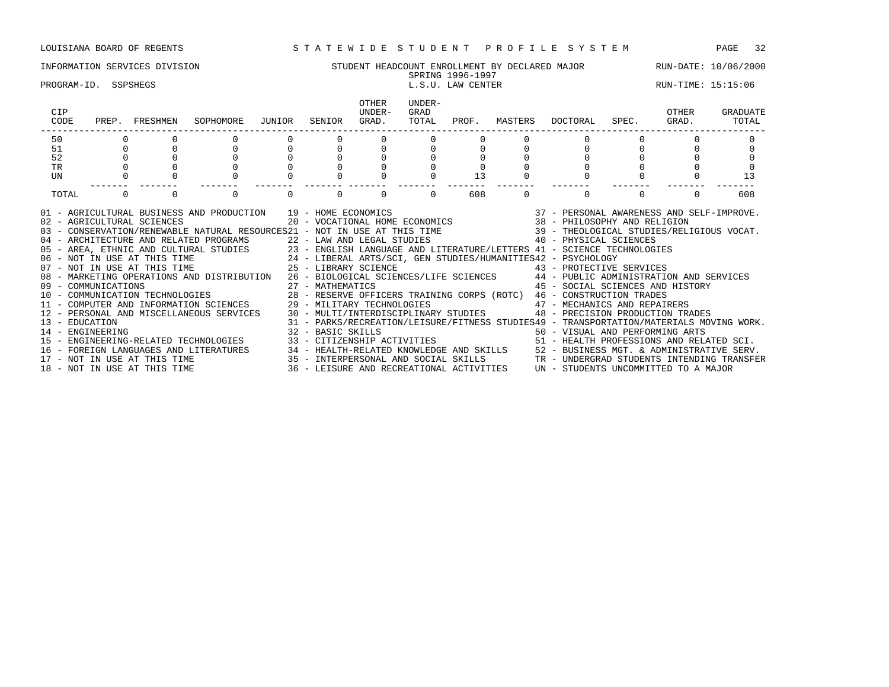| INFORMATION SERVICES DIVISION | T HEADCOUNT ENROLLMENT BY DECLARED MAJOR<br>STUDENT | 10/06/2000<br>RUN-DATE: |
|-------------------------------|-----------------------------------------------------|-------------------------|
|                               | .1005<br>$1996 -$<br>SPRING<br>.                    |                         |

## PROGRAM-ID. SSPSHEGS L.S.U. LAW CENTER LETTER RUN-TIME: 15:15:06

| CIP<br>CODE                        | PREP. | FRESHMEN                                                                                   | SOPHOMORE                                                                                                                                                                                                                                                                                                                                                                                                                                                                                                                                                                                                                                                                                                                                                                                                                                                                                                                                                                                        | JUNIOR | SENIOR            | <b>OTHER</b><br>IJNDER-<br>GRAD. | UNDER-<br>GRAD<br>TOTAL | PROF. | MASTERS | DOCTORAL                                                                                                                                                                                                                                                                                                                                                                                   | SPEC. | OTHER<br>GRAD. | GRADUATE<br>TOTAL |
|------------------------------------|-------|--------------------------------------------------------------------------------------------|--------------------------------------------------------------------------------------------------------------------------------------------------------------------------------------------------------------------------------------------------------------------------------------------------------------------------------------------------------------------------------------------------------------------------------------------------------------------------------------------------------------------------------------------------------------------------------------------------------------------------------------------------------------------------------------------------------------------------------------------------------------------------------------------------------------------------------------------------------------------------------------------------------------------------------------------------------------------------------------------------|--------|-------------------|----------------------------------|-------------------------|-------|---------|--------------------------------------------------------------------------------------------------------------------------------------------------------------------------------------------------------------------------------------------------------------------------------------------------------------------------------------------------------------------------------------------|-------|----------------|-------------------|
| 50                                 |       |                                                                                            |                                                                                                                                                                                                                                                                                                                                                                                                                                                                                                                                                                                                                                                                                                                                                                                                                                                                                                                                                                                                  |        |                   |                                  |                         |       |         |                                                                                                                                                                                                                                                                                                                                                                                            |       |                |                   |
| 51                                 |       |                                                                                            |                                                                                                                                                                                                                                                                                                                                                                                                                                                                                                                                                                                                                                                                                                                                                                                                                                                                                                                                                                                                  |        |                   |                                  |                         |       |         |                                                                                                                                                                                                                                                                                                                                                                                            |       |                |                   |
| 52                                 |       |                                                                                            |                                                                                                                                                                                                                                                                                                                                                                                                                                                                                                                                                                                                                                                                                                                                                                                                                                                                                                                                                                                                  |        |                   |                                  |                         |       |         |                                                                                                                                                                                                                                                                                                                                                                                            |       |                |                   |
| <b>TR</b>                          |       |                                                                                            |                                                                                                                                                                                                                                                                                                                                                                                                                                                                                                                                                                                                                                                                                                                                                                                                                                                                                                                                                                                                  |        |                   |                                  |                         |       |         |                                                                                                                                                                                                                                                                                                                                                                                            |       |                |                   |
| UN                                 |       |                                                                                            |                                                                                                                                                                                                                                                                                                                                                                                                                                                                                                                                                                                                                                                                                                                                                                                                                                                                                                                                                                                                  |        |                   |                                  |                         | 13    |         |                                                                                                                                                                                                                                                                                                                                                                                            |       |                | 13                |
| TOTAL                              |       |                                                                                            | $\Omega$                                                                                                                                                                                                                                                                                                                                                                                                                                                                                                                                                                                                                                                                                                                                                                                                                                                                                                                                                                                         |        |                   | $\Omega$                         | $\Omega$                | 608   | 0       | $\Omega$                                                                                                                                                                                                                                                                                                                                                                                   |       | $\Omega$       | 608               |
| 13 - EDUCATION<br>14 - ENGINEERING |       | 02 - AGRICULTURAL SCIENCES<br>07 - NOT IN USE AT THIS TIME<br>17 - NOT IN USE AT THIS TIME | 01 - AGRICULTURAL BUSINESS AND PRODUCTION 19 - HOME ECONOMICS<br>20 - VOCATIONAL HOME ECONOMICS<br>04 - ARCHITECTURE AND RELATED PROGRAMS 22 - LAW AND LEGAL STUDIES 40 - PHYSICAL SCIENCES<br>05 - AREA, ETHNIC AND CULTURAL STUDIES 23 - ENGLISH LANGUAGE AND LITERATURE/LETTERS 41 - SCIENCE TECHNOLOGIES<br>06 - NOT IN USE AT THIS TIME 24 - LIBERAL ARTS/SCI, GEN STUDIES/HUMANITIES42 - PSYCHOLOGY<br>25 - LIBRARY SCIENCE<br>08 - MARKETING OPERATIONS AND DISTRIBUTION 26 - BIOLOGICAL SCIENCES/LIFE SCIENCES 44 - PUBLIC ADMINISTRATION AND SERVICES<br>11 - COMPUTER AND INFORMATION SCIENCES 29 - MILITARY TECHNOLOGIES<br>12 - PERSONAL AND MISCELLANEOUS SERVICES 30 - MULTI/INTERDISCIPLINARY STUDIES 48 - PRECISION PRODUCTION TRADES<br>15 - ENGINEERING-RELATED TECHNOLOGIES 33 - CITIZENSHIP ACTIVITIES 51 - HEALTH PROFESSIONS AND RELATED SCI.<br>16 - FOREIGN LANGUAGES AND LITERATURES 34 - HEALTH-RELATED KNOWLEDGE AND SKILLS 52 - BUSINESS MGT. & ADMINISTRATIVE SERV. |        | 32 - BASIC SKILLS |                                  |                         |       |         | 37 - PERSONAL AWARENESS AND SELF-IMPROVE.<br>38 - PHILOSOPHY AND RELIGION<br>43 - PROTECTIVE SERVICES<br>45 - SOCIAL SCIENCES AND HISTORY<br>47 - MECHANICS AND REPAIRERS<br>31 - PARKS/RECREATION/LEISURE/FITNESS STUDIES49 - TRANSPORTATION/MATERIALS MOVING WORK.<br>50 - VISUAL AND PERFORMING ARTS<br>35 - INTERPERSONAL AND SOCIAL SKILLS TR - UNDERGRAD STUDENTS INTENDING TRANSFER |       |                |                   |

18 - NOT IN USE AT THIS TIME 36 - LEISURE AND RECREATIONAL ACTIVITIES UN - STUDENTS UNCOMMITTED TO A MAJOR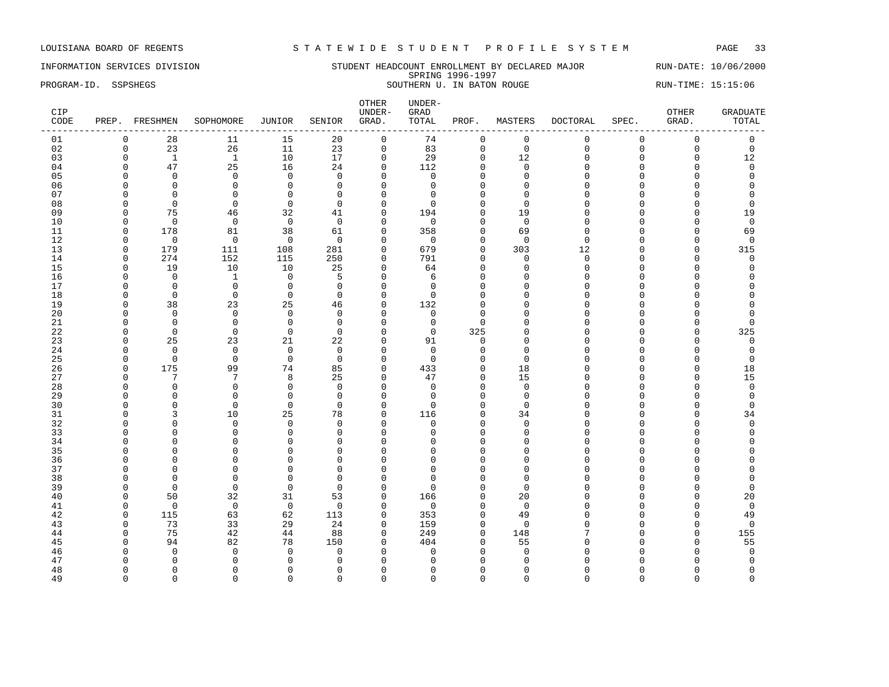### INFORMATION SERVICES DIVISION STUDENT HEADCOUNT ENROLLMENT BY DECLARED MAJOR RUN-DATE: 10/06/2000 SPRING 1996-1997 PROGRAM-ID. SSPSHEGS SOUTHERN U. IN BATON ROUGE RUN-TIME: 15:15:06

| CIP<br>CODE |               | PREP. FRESHMEN          | SOPHOMORE            | JUNIOR                   | SENIOR               | OTHER<br>UNDER-<br>GRAD. | UNDER-<br>GRAD<br>TOTAL | PROF.               | MASTERS       | DOCTORAL             | SPEC.         | OTHER<br>GRAD.       | <b>GRADUATE</b><br>TOTAL |
|-------------|---------------|-------------------------|----------------------|--------------------------|----------------------|--------------------------|-------------------------|---------------------|---------------|----------------------|---------------|----------------------|--------------------------|
| 01          | $\mathbf 0$   | 28                      | 11                   | 15                       | 20                   | 0                        | 74                      | 0                   | $\mathbf 0$   | 0                    | $\mathbf 0$   | 0                    | 0                        |
| 02          | $\mathbf 0$   | 23                      | 26                   | 11                       | 23                   | $\mathsf 0$              | 83                      | $\mathsf{O}\xspace$ | $\mathbf 0$   | 0                    | $\mathsf 0$   | $\mathbf 0$          | $\mathsf{O}$             |
| 03          | $\Omega$      | <sup>1</sup>            | 1                    | 10                       | 17                   | $\mathbf{0}$             | 29                      | $\Omega$            | 12            | $\Omega$             | $\Omega$      | $\Omega$             | 12                       |
| 04          | $\Omega$      | 47                      | 25                   | 16                       | 24                   | $\mathbf{0}$             | 112                     | 0                   | $\Omega$      | $\Omega$             | $\Omega$      | $\Omega$             | $\mathbf 0$              |
| 05          | $\Omega$      | $\mathbf 0$             | $\Omega$             | $\mathbf 0$              | $\Omega$             | $\Omega$                 | $\mathbf 0$             | $\Omega$            | $\Omega$      | $\Omega$             | $\Omega$      | $\Omega$             | $\Omega$                 |
| 06          | $\Omega$      | $\mathbf 0$             | $\mathbf 0$          | 0                        | $\mathbf 0$          | $\Omega$                 | $\mathbf 0$             | $\Omega$            | $\Omega$      | $\Omega$             | $\Omega$      | $\Omega$             | $\Omega$                 |
| 07          | $\Omega$      | 0                       | $\Omega$             | $\mathbf 0$              | $\Omega$             | $\Omega$                 | $\Omega$                | $\mathbf 0$         | $\Omega$      | U                    | $\cap$        | $\Omega$             | 0                        |
| 08          | ∩             | $\Omega$                | $\Omega$             | $\Omega$                 | $\Omega$             | $\Omega$                 | $\Omega$                | $\Omega$            | $\Omega$      | U                    | $\sqrt{ }$    | ∩                    | $\Omega$                 |
| 09          | $\Omega$      | 75                      | 46                   | 32                       | 41                   | $\Omega$                 | 194                     | $\Omega$            | 19            | $\Omega$             | $\Omega$      | $\Omega$             | 19                       |
| 10          | $\Omega$      | $\mathbf 0$             | $\mathbf 0$          | $\mathbf 0$              | $\overline{0}$       | $\Omega$                 | $\mathbf 0$             | $\mathbf 0$         | $\mathbf 0$   | O                    | $\Omega$      | $\Omega$             | $\mathsf 0$              |
| 11          | $\Omega$      | 178                     | 81                   | 38                       | 61                   | $\mathbf{0}$             | 358                     | $\Omega$            | 69            | $\Omega$             | $\Omega$      | $\Omega$             | 69                       |
| 12          | $\Omega$      | $\mathbf 0$             | $\mathbf 0$          | $\mathbf 0$              | $\mathbf 0$          | $\Omega$                 | $\mathbf 0$             | $\mathbf 0$         | $\Omega$      | $\Omega$             | $\Omega$      | $\Omega$             | $\mathbf 0$              |
| 13          | $\Omega$      | 179                     | 111                  | 108                      | 281                  | $\Omega$                 | 679                     | $\Omega$            | 303           | 12                   | $\Omega$      | $\cap$               | 315                      |
| 14          | $\Omega$      | 274                     | 152                  | 115                      | 250                  | $\mathbf{0}$             | 791                     | $\mathbf{0}$        | $\mathbf 0$   | 0                    | $\Omega$      | $\Omega$             | $\mathbf 0$              |
| 15          | $\Omega$      | 19                      | 10                   | 10                       | 25                   | $\mathbf{0}$             | 64                      | $\mathbf 0$         | $\Omega$      | 0                    | $\Omega$      | $\Omega$             | $\Omega$                 |
| 16          | $\Omega$      | $\mathbf 0$             | 1                    | $\mathbf{0}$             | 5                    | $\Omega$                 | 6                       | $\Omega$            | $\Omega$      | $\Omega$             | $\cap$        | ∩                    | $\Omega$                 |
| 17          | $\Omega$      | $\mathbf{0}$            | $\Omega$             | $\mathbf 0$              | $\Omega$             | $\Omega$                 | $\Omega$                | $\Omega$            | $\cap$        | $\Omega$             | $\cap$        | $\Omega$             | $\Omega$                 |
| 18          | $\Omega$      | $\mathbf 0$             | $\Omega$             | $\mathbf{0}$             | $\Omega$             | $\mathbf 0$              | $\Omega$                | $\Omega$            | $\Omega$      | U                    | $\Omega$      | ∩                    | $\Omega$                 |
| 19          | $\Omega$      | 38                      | 23                   | 25                       | 46                   | $\mathbf{0}$             | 132                     | $\Omega$            | $\cap$        | $\Omega$             | $\Omega$      | $\Omega$             | $\Omega$                 |
| 20          | $\Omega$      | $\mathbf 0$             | $\mathbf 0$          | $\mathbf 0$              | $\Omega$             | $\Omega$                 | $\mathbf 0$             | $\Omega$            | $\Omega$      | $\Omega$             | $\sqrt{ }$    | $\Omega$             | $\Omega$                 |
| 21<br>22    | n<br>$\Omega$ | $\mathbf 0$<br>$\Omega$ | $\Omega$<br>$\Omega$ | $\mathbf{0}$<br>$\Omega$ | $\Omega$<br>$\Omega$ | $\Omega$<br>$\Omega$     | $\mathbf 0$<br>$\Omega$ | $\Omega$<br>325     | n<br>$\Omega$ | $\Omega$<br>$\Omega$ | $\Omega$      | $\Omega$             | 0<br>325                 |
|             | $\Omega$      | 25                      |                      | 21                       |                      | $\mathbf{0}$             | 91                      | $\mathbf 0$         | $\Omega$      | O                    | $\Omega$      | $\Omega$<br>$\Omega$ | 0                        |
| 23<br>24    | $\Omega$      | $\mathbf 0$             | 23<br>$\Omega$       | $\mathsf 0$              | 22<br>$\mathbf 0$    | $\Omega$                 | $\Omega$                | $\mathbf 0$         | $\Omega$      | $\Omega$             | $\cap$        | $\Omega$             | $\mathbf 0$              |
| 25          | $\Omega$      | $\mathbf 0$             | $\mathbf 0$          | $\mathbf 0$              | $\Omega$             | $\Omega$                 | $\Omega$                | $\Omega$            | $\Omega$      | U                    | $\cap$        | $\Omega$             | $\Omega$                 |
| 26          | $\Omega$      | 175                     | 99                   | 74                       | 85                   | $\Omega$                 | 433                     | $\mathbf 0$         | 18            | O                    | $\cap$        | $\Omega$             | 18                       |
| 27          | $\Omega$      | 7                       | 7                    | 8                        | 25                   | $\mathbf{0}$             | 47                      | 0                   | 15            | $\Omega$             | $\mathcal{C}$ | $\Omega$             | 15                       |
| 28          | $\Omega$      | $\mathbf 0$             | $\mathbf 0$          | $\mathbf 0$              | $\mathbf 0$          | $\mathbf{0}$             | $\mathbf 0$             | $\Omega$            | $\Omega$      | $\Omega$             | $\Omega$      | $\Omega$             | $\mathsf 0$              |
| 29          | ∩             | $\Omega$                | $\Omega$             | $\mathbf 0$              | $\Omega$             | $\Omega$                 | $\Omega$                | $\Omega$            | $\Omega$      | U                    | $\cap$        | O                    | $\mathbf 0$              |
| 30          | ∩             | $\Omega$                | $\Omega$             | $\Omega$                 | $\Omega$             | $\Omega$                 | $\Omega$                | $\Omega$            | $\Omega$      | U                    | $\Omega$      | $\Omega$             | $\Omega$                 |
| 31          | $\Omega$      | 3                       | 10                   | 25                       | 78                   | $\mathbf{0}$             | 116                     | $\mathbf 0$         | 34            | 0                    | $\Omega$      | $\Omega$             | 34                       |
| 32          | $\Omega$      | $\mathbf 0$             | $\Omega$             | 0                        | $\mathbf 0$          | $\Omega$                 | 0                       | $\Omega$            | $\Omega$      | O                    | $\sqrt{ }$    | $\Omega$             | $\mathbf 0$              |
| 33          | $\cap$        | $\mathbf 0$             | $\Omega$             | $\mathbf 0$              | $\Omega$             | $\Omega$                 | $\Omega$                | $\Omega$            | $\Omega$      | $\Omega$             | $\Omega$      | $\Omega$             | $\Omega$                 |
| 34          | ∩             | $\mathbf 0$             | $\Omega$             | 0                        | $\Omega$             | $\Omega$                 | $\Omega$                | $\Omega$            | $\cap$        | U                    | C             | O                    | $\Omega$                 |
| 35          |               | $\Omega$                | $\Omega$             | $\Omega$                 | $\Omega$             | $\Omega$                 | $\Omega$                | $\Omega$            | O             | $\Omega$             | $\sqrt{ }$    | O                    | $\Omega$                 |
| 36          | $\Omega$      | $\mathbf 0$             | $\Omega$             | $\mathbf 0$              | $\mathbf 0$          | $\Omega$                 | $\Omega$                | $\mathbf 0$         | $\Omega$      | $\Omega$             | $\sqrt{ }$    | $\Omega$             | $\Omega$                 |
| 37          | $\Omega$      | $\mathbf 0$             | $\Omega$             | $\mathbf 0$              | $\Omega$             | $\Omega$                 | $\Omega$                | $\mathbf 0$         | $\Omega$      | O                    | $\sqrt{ }$    | $\Omega$             | $\Omega$                 |
| 38          | $\Omega$      | $\Omega$                | $\Omega$             | $\Omega$                 | $\Omega$             | $\Omega$                 | $\Omega$                | $\Omega$            | $\Omega$      | U                    | $\cap$        | $\Omega$             | $\Omega$                 |
| 39          | $\Omega$      | $\Omega$                | $\Omega$             | $\mathbf 0$              | $\Omega$             | $\Omega$                 | $\Omega$                | $\Omega$            | $\Omega$      | U                    | $\cap$        | $\Omega$             | $\Omega$                 |
| 40          | $\Omega$      | 50                      | 32                   | 31                       | 53                   | $\mathbf 0$              | 166                     | $\mathbf 0$         | 20            | U                    | $\Omega$      | $\Omega$             | 20                       |
| 41          | $\Omega$      | $\mathbf 0$             | $\mathbf 0$          | $\mathbf 0$              | $\Omega$             | $\Omega$                 | $\mathbf 0$             | $\Omega$            | $\Omega$      | $\Omega$             | $\Omega$      | $\Omega$             | $\mathsf 0$              |
| 42          | 0             | 115                     | 63                   | 62                       | 113                  | $\mathbf 0$              | 353                     | $\mathbf 0$         | 49            | O                    | ∩             | $\Omega$             | 49                       |
| 43          | $\Omega$      | 73                      | 33                   | 29                       | 24                   | $\Omega$                 | 159                     | $\Omega$            | $\Omega$      | U                    | $\cap$        | $\Omega$             | $\mathbf 0$              |
| 44          | $\Omega$      | 75                      | 42                   | 44                       | 88                   | $\mathbf{0}$             | 249                     | $\mathbf 0$         | 148           | 7                    | $\Omega$      | $\mathbf 0$          | 155                      |
| 45          | $\Omega$      | 94                      | 82                   | 78                       | 150                  | $\Omega$                 | 404                     | $\Omega$            | 55            | O                    | $\Omega$      | $\Omega$             | 55                       |
| 46          | ∩             | $\Omega$                | $\Omega$             | $\Omega$                 | $\Omega$             | $\Omega$                 | $\Omega$                | $\Omega$            | $\Omega$      | O                    | $\sqrt{ }$    | $\Omega$             | $\mathbf 0$              |
| 47          |               | $\Omega$                |                      | $\Omega$                 | $\Omega$             | $\Omega$                 | ∩                       | $\Omega$            | n             | U                    |               | ∩                    | $\Omega$                 |
| 48          | $\Omega$      | $\Omega$                | n                    | 0                        | $\Omega$             | $\Omega$                 | n                       | $\Omega$            | O             | O                    | C             | O                    | 0                        |
| 49          | $\Omega$      | $\Omega$                | $\Omega$             | $\Omega$                 | $\Omega$             | $\Omega$                 | $\Omega$                | $\Omega$            | $\Omega$      | $\Omega$             | $\Omega$      | $\Omega$             | $\Omega$                 |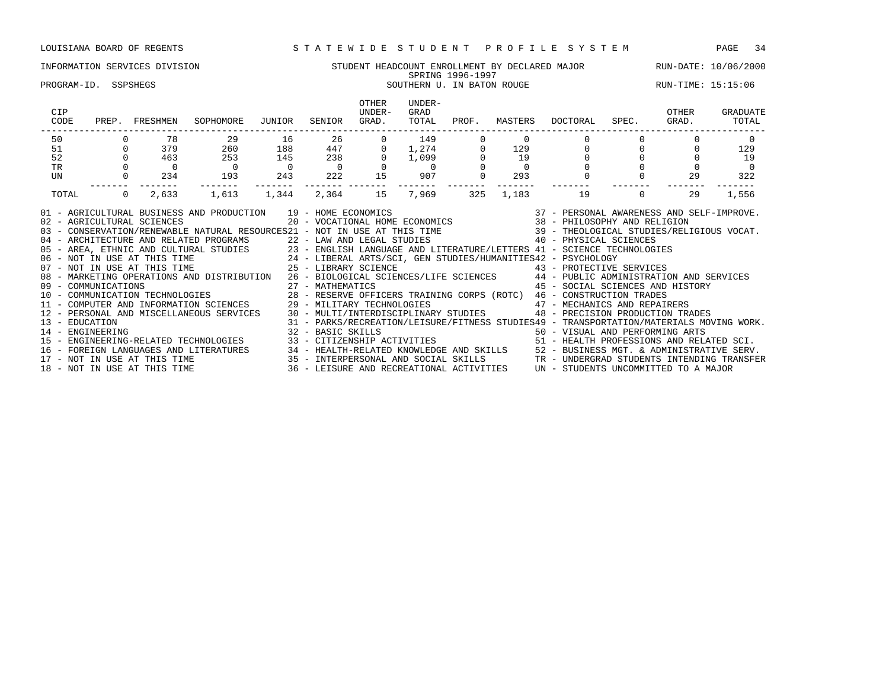### INFORMATION SERVICES DIVISION STUDENT HEADCOUNT ENROLLMENT BY DECLARED MAJOR RUN-DATE: 10/06/2000 SPRING 1996-1997 SPRING 1996-1997<br>SOUTHERN U. IN BATON ROUGE RUN-TIME: 15:15:06 SOUTHERN U. IN BATON ROUGE

| CIP<br>CODE                                                                                                                                                                                                                                                                                                                                                                                                                                                                                                                                                                                                                                                                                                                                                                                                                                                                                                                                                                                                                                                                                                                                                                              | PREP. FRESHMEN |                | SOPHOMORE JUNIOR                                                                                                                  |                                              | SENIOR                                  | OTHER<br>UNDER-<br>GRAD. | UNDER-<br>GRAD<br>TOTAL                                          | PROF.          |          | MASTERS DOCTORAL SPEC. GRAD.                                                                                                |          | OTHER    | GRADUATE<br>TOTAL |
|------------------------------------------------------------------------------------------------------------------------------------------------------------------------------------------------------------------------------------------------------------------------------------------------------------------------------------------------------------------------------------------------------------------------------------------------------------------------------------------------------------------------------------------------------------------------------------------------------------------------------------------------------------------------------------------------------------------------------------------------------------------------------------------------------------------------------------------------------------------------------------------------------------------------------------------------------------------------------------------------------------------------------------------------------------------------------------------------------------------------------------------------------------------------------------------|----------------|----------------|-----------------------------------------------------------------------------------------------------------------------------------|----------------------------------------------|-----------------------------------------|--------------------------|------------------------------------------------------------------|----------------|----------|-----------------------------------------------------------------------------------------------------------------------------|----------|----------|-------------------|
| 50                                                                                                                                                                                                                                                                                                                                                                                                                                                                                                                                                                                                                                                                                                                                                                                                                                                                                                                                                                                                                                                                                                                                                                                       |                | 78             | 29 16                                                                                                                             |                                              | 26                                      |                          | $\begin{array}{c} 149 \\ 1,274 \\ 1,099 \\ 0 \\ 907 \end{array}$ |                | $\Omega$ |                                                                                                                             |          |          | $\Omega$          |
| 51                                                                                                                                                                                                                                                                                                                                                                                                                                                                                                                                                                                                                                                                                                                                                                                                                                                                                                                                                                                                                                                                                                                                                                                       |                | $0$ 379        | 260                                                                                                                               | 188                                          | $447$ 0                                 |                          |                                                                  | $\overline{0}$ | 129      | $\begin{matrix}0&&&0\0&&&0\end{matrix}$                                                                                     |          | $\Omega$ | 129               |
| 52                                                                                                                                                                                                                                                                                                                                                                                                                                                                                                                                                                                                                                                                                                                                                                                                                                                                                                                                                                                                                                                                                                                                                                                       | $\Omega$       | 463            | 253                                                                                                                               | 145                                          | $\begin{array}{c} 238 \\ 0 \end{array}$ | $\overline{0}$           |                                                                  |                | 19       |                                                                                                                             |          |          | 19                |
| $\operatorname{TR}$                                                                                                                                                                                                                                                                                                                                                                                                                                                                                                                                                                                                                                                                                                                                                                                                                                                                                                                                                                                                                                                                                                                                                                      |                | $\overline{0}$ | $\overline{0}$                                                                                                                    | $\begin{matrix}0&&&0\\243&&&222\end{matrix}$ |                                         |                          |                                                                  |                |          | $\overline{0}$                                                                                                              |          |          | $\sim$ 0          |
| UN                                                                                                                                                                                                                                                                                                                                                                                                                                                                                                                                                                                                                                                                                                                                                                                                                                                                                                                                                                                                                                                                                                                                                                                       |                | $0 \t 234$     | 193<br>$- - - - - - - -$                                                                                                          |                                              | -------- -------                        | 15                       | 907<br>--------                                                  |                | 293      |                                                                                                                             |          | 29       | 322               |
| TOTAL                                                                                                                                                                                                                                                                                                                                                                                                                                                                                                                                                                                                                                                                                                                                                                                                                                                                                                                                                                                                                                                                                                                                                                                    | $\Omega$       | 2,633          | 1,613                                                                                                                             | 1,344                                        | 2,364 15                                |                          | 7,969                                                            | 325            |          |                                                                                                                             | $\Omega$ | 29       | 1,556             |
| 01 - AGRICULTURAL BUSINESS AND PRODUCTION 19 - HOME ECONOMICS<br>02 - AGRICULTURAL SCIENCES<br>03 - CONSERVATION/RENEWABLE NATURAL RESOURCES21 - NOT IN USE AT THIS TIME 39 - THEOLOGICAL STUDIES/RELIGIOUS VOCAT.<br>04 - ARCHITECTURE AND RELATED PROGRAMS 22 - LAW AND LEGAL STUDIES 40 - PHYSICAL SCIENCES<br>05 - AREA, ETHNIC AND CULTURAL STUDIES 23 - ENGLISH LANGUAGE AND LITERATURE/LETTERS 41 - SCIENCE TECHNOLOGIES<br>06 - NOT IN USE AT THIS TIME 24 - LIBERAL ARTS/SCI, GEN STUDIES/HUMANITIES42 - PSYCHOLOGY<br>07 - NOT IN USE AT THI<br>08 - MARKETING OPERATIONS AND DISTRIBUTION 26 - BIOLOGICAL SCIENCES/LIFE SCIENCES 44 - PUBLIC ADMINISTRATION AND SERVICES<br>12 - PERSONAL AND MISCELLANEOUS SERVICES 30 - MULTI/INTERDISCIPLINARY STUDIES 48 - PRECISION PRODUCTION TRADES<br>13 - EDUCATION<br>14 - ENGINEERING ARTS 32 - BASIC SKILLS 50 - VISUAL AND PERFORMING ARTS 32 - BASIC SKILLS 50 - VISUAL AND PERFORMING ARTS<br>16 - FOREIGN LANGUAGES AND LITERATURES 34 - HEALTH-RELATED KNOWLEDGE AND SKILLS 52 - BUSINESS MGT. & ADMINISTRATIVE SERV.<br>17 - NOT IN USE AT THIS TIME 35 - INTERPERSONAL AND SOCIAL SKILLS TR - UNDERGRAD STUDENTS INTENDING |                |                | AND PRODUCTION 19 - HOME ECONOMICS 6 20 - VOCATIONAL HOME ECONOMICS 6 20 - VOCATIONAL HOME ECONOMICS 48 - PHILOSOPHY AND RELIGION |                                              |                                         |                          |                                                                  |                |          | 45 - SOCIAL SCIENCES AND HISTORY<br>31 - PARKS/RECREATION/LEISURE/FITNESS STUDIES49 - TRANSPORTATION/MATERIALS MOVING WORK. |          |          |                   |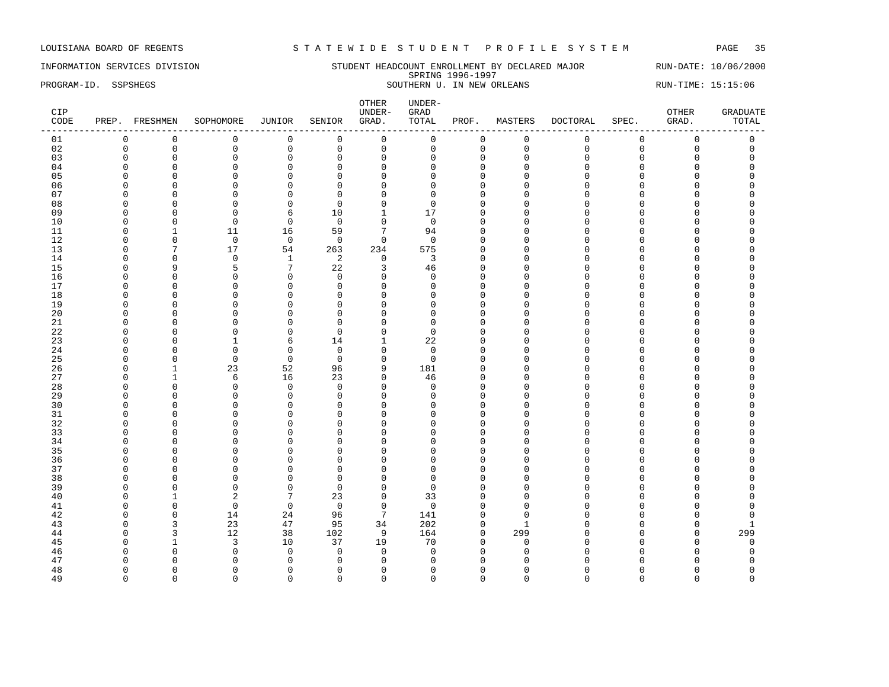### INFORMATION SERVICES DIVISION STUDENT HEADCOUNT ENROLLMENT BY DECLARED MAJOR RUN-DATE: 10/06/2000 SPRING 1996-1997 PROGRAM-ID. SSPSHEGS SOUTHERN U. IN NEW ORLEANS RUN-TIME: 15:15:06

| CIP<br>CODE |             | PREP. FRESHMEN | SOPHOMORE            | JUNIOR                       | SENIOR                     | OTHER<br>UNDER-<br>GRAD.   | UNDER-<br>${\tt GRAD}$<br>TOTAL | PROF.        | MASTERS     | DOCTORAL    | SPEC.       | OTHER<br>GRAD.      | <b>GRADUATE</b><br>TOTAL |
|-------------|-------------|----------------|----------------------|------------------------------|----------------------------|----------------------------|---------------------------------|--------------|-------------|-------------|-------------|---------------------|--------------------------|
| 01          | $\mathbf 0$ | $\mathbf 0$    | $\mathsf 0$          | $\mathsf 0$                  | $\mathbf 0$                | $\mathsf 0$                | 0                               | $\mathsf 0$  | $\mathsf 0$ | $\mathbf 0$ | $\mathsf 0$ | $\mathsf 0$         | $\mathsf 0$              |
| 02          | $\mathbf 0$ | $\mathsf 0$    | $\mathbf 0$          | $\mathsf 0$                  | $\mathsf 0$                | $\mathsf{O}$               | $\Omega$                        | 0            | $\mathbf 0$ | $\Omega$    | $\mathbf 0$ | $\mathsf{O}\xspace$ | $\mathsf 0$              |
| 03          | $\mathbf 0$ | $\mathbf 0$    | $\mathbf 0$          | $\mathbf 0$                  | $\mathbf 0$                | $\mathbf 0$                | $\Omega$                        | $\mathbf{0}$ | $\mathbf 0$ | $\Omega$    | $\mathbf 0$ | $\mathbf 0$         | $\Omega$                 |
| 04          | $\Omega$    | $\mathbf 0$    | $\mathbf 0$          | $\mathsf 0$                  | $\mathbf 0$                | $\mathbf 0$                | $\Omega$                        | $\mathbf 0$  | $\Omega$    | $\cap$      | $\Omega$    | $\Omega$            | $\Omega$                 |
| 05          |             | $\Omega$       | $\Omega$             | $\Omega$                     | $\Omega$                   | $\Omega$                   | U                               | $\Omega$     | $\Omega$    |             | C           | O                   |                          |
| 06          | n           | $\Omega$       | $\Omega$             | $\mathbf 0$                  | $\Omega$                   | $\Omega$                   | U                               | $\Omega$     | n           | $\cap$      | C           | O                   |                          |
| 07          | ∩           | $\mathbf 0$    | $\mathbf 0$          | $\mathsf 0$                  | 0                          | $\mathbf{0}$               | n                               | $\Omega$     | ∩           |             | n           | O                   |                          |
| 08          | $\Omega$    | $\overline{0}$ | $\Omega$             | $\mathbf 0$                  | $\Omega$                   | $\mathbf 0$                | $\Omega$                        | $\Omega$     | $\Omega$    |             | $\cap$      | O                   |                          |
| 09          | n           | $\Omega$       | $\Omega$             | 6                            | 10                         | $\mathbf{1}$               | 17                              | $\Omega$     | ∩           |             | U           | U                   |                          |
| 10          |             | $\Omega$       | $\Omega$             | $\mathbf 0$                  | $\mathbf 0$                | $\mathbf 0$                | $\Omega$                        | $\Omega$     | ∩           |             |             | O                   |                          |
| 11          | $\Omega$    | $\mathbf{1}$   | 11                   | 16                           | 59                         | 7                          | 94                              | $\Omega$     | $\Omega$    |             | $\cap$      | O                   |                          |
| 12          | n           | $\mathbf 0$    | $\mathbf 0$          | $\overline{0}$               | $\Omega$                   | $\mathbf 0$                | $\Omega$                        | $\Omega$     | ∩           |             | n           | O                   |                          |
| 13          | $\Omega$    | 7              | 17                   | 54                           | 263                        | 234                        | 575                             | $\Omega$     | $\Omega$    |             | C           | O                   |                          |
| 14          | $\Omega$    | $\mathbf 0$    | $\mathbf 0$          | $\mathbf{1}$                 | 2                          | $\mathsf{O}$               | 3                               | $\Omega$     | U           |             | $\cap$      | O                   |                          |
| 15          |             | 9              | 5                    | $7\phantom{.0}$              | 22                         | 3                          | 46                              | $\Omega$     | ∩           |             |             | U                   |                          |
|             | n           | $\mathbf 0$    | $\mathbf 0$          | $\mathbf 0$                  | $\mathbf 0$                | $\mathbf 0$                | $\mathbf 0$                     | $\Omega$     |             |             | C           | 0                   |                          |
| 16<br>17    | ∩           | $\mathbf 0$    | $\Omega$             | 0                            | $\Omega$                   | $\mathbf{0}$               | $\Omega$                        | $\Omega$     | ∩           |             | n           | O                   |                          |
|             | $\Omega$    | $\Omega$       | $\Omega$             | $\mathbf 0$                  | $\Omega$                   | $\mathbf 0$                | $\Omega$                        | $\Omega$     | $\cap$      |             | U           | O                   |                          |
| 18          | n           | $\Omega$       | $\Omega$             | $\mathbf{0}$                 | $\Omega$                   | $\Omega$                   | $\cap$                          | $\Omega$     | $\Omega$    |             | C           | O                   |                          |
| 19          | ∩           |                |                      |                              |                            | $\Omega$                   | U                               | $\Omega$     | $\cap$      |             | C           | O                   |                          |
| 20          | $\Omega$    | $\mathbf 0$    | $\Omega$<br>$\Omega$ | $\mathbf{0}$<br>$\mathbf{0}$ | 0                          |                            | $\Omega$                        | $\Omega$     | $\cap$      |             | $\cap$      | O                   |                          |
| 21<br>22    | ∩           | $\mathbf 0$    | $\Omega$             | $\mathbf 0$                  | $\overline{0}$<br>$\Omega$ | $\mathbf 0$<br>$\mathbf 0$ | $\Omega$                        | $\Omega$     | ∩           |             | n           | O                   |                          |
|             |             | $\mathbf 0$    |                      |                              |                            |                            |                                 |              |             |             |             | O                   |                          |
| 23          |             | $\Omega$       | 1                    | 6                            | 14                         | $\mathbf{1}$               | 22                              | $\Omega$     |             |             | n           |                     |                          |
| 24          | $\cap$      | $\mathbf 0$    | $\mathbf 0$          | $\mathbf 0$<br>$\Omega$      | $\mathbf 0$                | $\mathbf 0$                | $\Omega$                        | $\mathbf{0}$ | $\cap$      |             | $\cap$      | O<br>U              |                          |
| 25          |             | $\Omega$       | $\Omega$             |                              | $\Omega$                   | $\mathbf 0$                | $\Omega$                        | $\Omega$     | n           |             |             |                     |                          |
| 26          | n           | $\mathbf{1}$   | 23                   | 52                           | 96                         | 9                          | 181                             | $\mathbf{0}$ |             |             | $\Omega$    | O                   |                          |
| 27          | ∩           | $\mathbf{1}$   | 6                    | 16                           | 23                         | $\mathbf 0$                | 46                              | $\Omega$     | ∩           |             | C           | 0                   |                          |
| 28          | ∩           | $\mathbf 0$    | $\mathbf 0$          | $\mathbf 0$                  | $\Omega$                   | $\mathbf 0$                | $\Omega$                        | $\Omega$     | ∩           |             |             | O                   |                          |
| 29          | n           | $\overline{0}$ | $\mathbf 0$          | $\mathbf 0$                  | 0                          | $\mathbf 0$                | $\Omega$                        | $\Omega$     | U           |             | C           | O                   |                          |
| 30          | ∩           | $\Omega$       | $\Omega$             | $\mathbf{0}$                 | $\Omega$                   | $\mathbf{0}$               |                                 | $\cap$       | ∩           |             |             | U                   |                          |
| 31          |             | $\mathbf 0$    | $\Omega$             | $\mathbf 0$                  | $\Omega$                   | $\mathbf 0$                | n                               | $\Omega$     | ∩           |             | C           | O                   |                          |
| 32          |             | $\Omega$       | $\Omega$             | $\mathbf{0}$                 | $\Omega$                   | $\Omega$                   |                                 | $\Omega$     | ∩           |             |             | O                   |                          |
| 33          | ∩           | $\Omega$       | $\Omega$             | $\mathbf 0$                  | $\mathbf 0$                | $\mathbf 0$                |                                 | $\Omega$     | Λ           |             | n           | O                   |                          |
| 34          | $\cap$      | $\Omega$       | $\Omega$             | $\mathbf 0$                  | $\Omega$                   | $\mathbf 0$                | $\cap$                          | $\Omega$     | U           |             | $\cap$      | O                   |                          |
| 35          | ∩           | $\Omega$       | $\Omega$             | $\Omega$                     | $\Omega$                   | $\Omega$                   |                                 | $\cap$       | ∩           |             | U           | U                   |                          |
| 36          |             | $\overline{0}$ | $\Omega$             | $\mathbf{0}$                 | $\mathbf 0$                | $\Omega$                   | U                               | $\Omega$     |             |             | C           | O                   |                          |
| 37          |             | $\overline{0}$ | $\Omega$             | $\mathbf{0}$                 | $\Omega$                   | $\Omega$                   | $\cap$                          | $\Omega$     |             |             |             | O                   |                          |
| 38          | ∩           | $\Omega$       | $\Omega$             | $\mathbf{0}$                 | $\Omega$                   | $\Omega$                   | n                               | $\cap$       |             |             |             | U                   |                          |
| 39          | O           | $\overline{0}$ | $\mathbf 0$          | $\mathsf 0$                  | $\overline{0}$             | $\mathbf 0$                | $\Omega$                        | $\mathbf 0$  | $\cap$      |             | C           | O                   |                          |
| 40          |             |                | 2                    | 7                            | 23                         | $\mathbf 0$                | 33                              | $\Omega$     | $\Omega$    |             | $\cap$      | U                   |                          |
| 41          |             | $\overline{0}$ | $\mathbf 0$          | $\mathbf 0$                  | $\mathbf 0$                | $\mathbf 0$                | $\Omega$                        | $\Omega$     | $\Omega$    |             | C           | U                   | ∩                        |
| 42          |             | $\mathbf 0$    | 14                   | 24                           | 96                         | $7\phantom{.0}$            | 141                             | $\mathbf 0$  | $\Omega$    |             | C           | 0                   | $\Omega$                 |
| 43          | ∩           | 3              | 23                   | 47                           | 95                         | 34                         | 202                             | $\mathbf{0}$ | -1          |             | C           | 0                   | -1                       |
| 44          |             | 3              | 12                   | 38                           | 102                        | 9                          | 164                             | 0            | 299         |             | C           | $\mathbf 0$         | 299                      |
| 45          |             | $\mathbf{1}$   | 3                    | 10                           | 37                         | 19                         | 70                              | $\Omega$     | $\Omega$    |             | C           | $\Omega$            | 0                        |
| 46          |             | $\Omega$       | $\Omega$             | $\mathbf 0$                  | $\Omega$                   | $\mathbf 0$                | $\Omega$                        | $\Omega$     | $\Omega$    |             |             | O                   | $\Omega$                 |
| 47          |             | $\Omega$       | $\Omega$             | $\mathbf 0$                  | $\Omega$                   | $\mathbf 0$                | $\cap$                          | $\Omega$     |             |             |             | U                   | $\Omega$                 |
| 48          | n           | $\Omega$       | $\Omega$             | $\mathbf{0}$                 | 0                          | $\mathbf 0$                | U                               | $\Omega$     | n           |             | U           | O                   | $\Omega$                 |
| 49          | $\Omega$    | $\Omega$       | $\Omega$             | $\Omega$                     | $\Omega$                   | $\Omega$                   | $\Omega$                        | $\Omega$     | $\Omega$    | $\Omega$    | $\Omega$    | $\Omega$            | $\Omega$                 |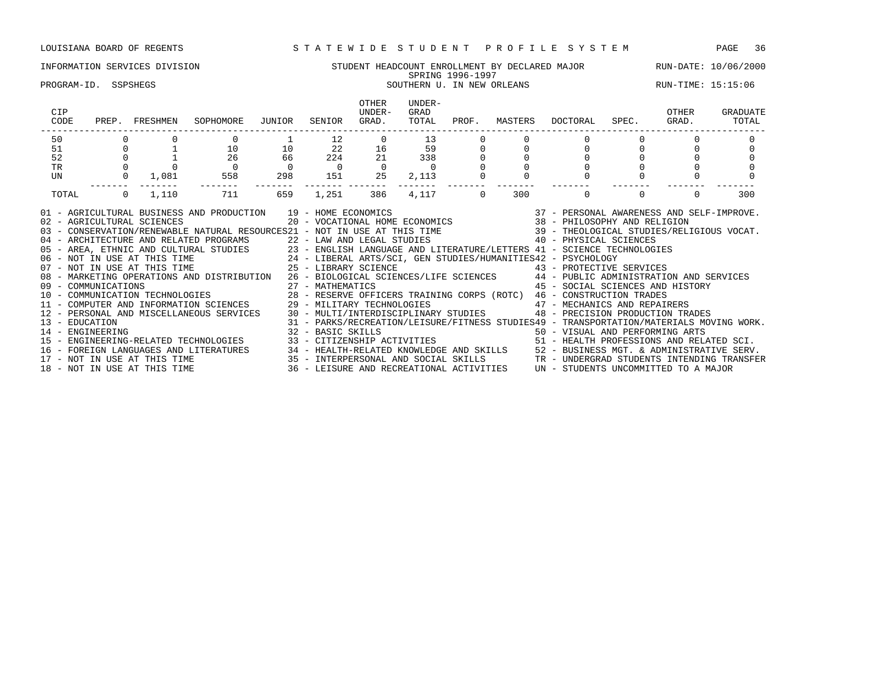## INFORMATION SERVICES DIVISION SUNG STUDENT HEADCOUNT ENROLLMENT BY DECLARED MAJOR RUN-DATE: 10/06/2000<br>SPRING 1996-1997 SPRING 1996-1997

### PROGRAM-ID. SSPSHEGS SOUTHERN U. IN NEW ORLEANS SOUTHERN U. IN NEW ORLEANS RUN-TIME: 15:15:06

| CIP<br>CODE | PREP. FRESHMEN                              | SOPHOMORE                                                                                                                                                                                                                                                                                                                                                                                                                                                                                                                                                                                                                                                                                                                                                                                                                                                                                                                                                                                                                                                                                                                                                                                                                                                                                                                                                                                                                                                                                                                                                                                                                                                                                                                                                                                      | JUNIOR         | SENIOR         | OTHER<br>UNDER-<br>GRAD.                                                      | UNDER-<br>GRAD<br>TOTAL | PROF.   |     | MASTERS DOCTORAL                      | SPEC.    | OTHER<br>GRAD. | GRADUATE<br>TOTAL |
|-------------|---------------------------------------------|------------------------------------------------------------------------------------------------------------------------------------------------------------------------------------------------------------------------------------------------------------------------------------------------------------------------------------------------------------------------------------------------------------------------------------------------------------------------------------------------------------------------------------------------------------------------------------------------------------------------------------------------------------------------------------------------------------------------------------------------------------------------------------------------------------------------------------------------------------------------------------------------------------------------------------------------------------------------------------------------------------------------------------------------------------------------------------------------------------------------------------------------------------------------------------------------------------------------------------------------------------------------------------------------------------------------------------------------------------------------------------------------------------------------------------------------------------------------------------------------------------------------------------------------------------------------------------------------------------------------------------------------------------------------------------------------------------------------------------------------------------------------------------------------|----------------|----------------|-------------------------------------------------------------------------------|-------------------------|---------|-----|---------------------------------------|----------|----------------|-------------------|
| 50          |                                             |                                                                                                                                                                                                                                                                                                                                                                                                                                                                                                                                                                                                                                                                                                                                                                                                                                                                                                                                                                                                                                                                                                                                                                                                                                                                                                                                                                                                                                                                                                                                                                                                                                                                                                                                                                                                |                | 12             |                                                                               | $\overline{0}$          | 13      |     |                                       |          |                |                   |
| 51          |                                             | $\begin{matrix} 1 \end{matrix} \qquad \qquad \begin{matrix} 10 \end{matrix}$                                                                                                                                                                                                                                                                                                                                                                                                                                                                                                                                                                                                                                                                                                                                                                                                                                                                                                                                                                                                                                                                                                                                                                                                                                                                                                                                                                                                                                                                                                                                                                                                                                                                                                                   | 10             |                |                                                                               |                         |         |     |                                       |          |                |                   |
| 52          | $\begin{bmatrix} 0 \\ 0 \\ 0 \end{bmatrix}$ | 26                                                                                                                                                                                                                                                                                                                                                                                                                                                                                                                                                                                                                                                                                                                                                                                                                                                                                                                                                                                                                                                                                                                                                                                                                                                                                                                                                                                                                                                                                                                                                                                                                                                                                                                                                                                             | 66             |                | $\begin{array}{cccc} 22 & 16 & 59 \\ 224 & 21 & 338 \\ 0 & 0 & 0 \end{array}$ |                         |         |     | $\begin{array}{c} 0 \\ 0 \end{array}$ |          |                |                   |
| TR          |                                             |                                                                                                                                                                                                                                                                                                                                                                                                                                                                                                                                                                                                                                                                                                                                                                                                                                                                                                                                                                                                                                                                                                                                                                                                                                                                                                                                                                                                                                                                                                                                                                                                                                                                                                                                                                                                | $\overline{0}$ | $\overline{0}$ | $\overline{0}$                                                                | $\sim$ 0                |         |     |                                       |          |                |                   |
| UN          |                                             | $0 \t 1,081 \t 558$                                                                                                                                                                                                                                                                                                                                                                                                                                                                                                                                                                                                                                                                                                                                                                                                                                                                                                                                                                                                                                                                                                                                                                                                                                                                                                                                                                                                                                                                                                                                                                                                                                                                                                                                                                            | 298            |                | 151 25                                                                        | 2,113                   |         |     | $\mathbf 0$                           |          |                |                   |
| TOTAL       | $0 \t 1,110$                                | 711                                                                                                                                                                                                                                                                                                                                                                                                                                                                                                                                                                                                                                                                                                                                                                                                                                                                                                                                                                                                                                                                                                                                                                                                                                                                                                                                                                                                                                                                                                                                                                                                                                                                                                                                                                                            | 659            | 1,251          | 386                                                                           |                         | 4,117 0 | 300 | $\overline{0}$                        | $\Omega$ | $\Omega$       | 300               |
|             | 02 - AGRICULTURAL SCIENCES                  | $\begin{array}{ccccccccc} \textsc{AND} & \textsc{PRODUCTION} & & 19 & - & \textsc{HOME} & \textsc{ECONOMICS} & & & & & 37 & - & \textsc{PERSONAL} & \textsc{AWARENESS} & \textsc{AND} & \textsc{SELF-IMPROVE} \texttt{.} \\ & & 20 & - & \textsc{VOCATIONAL} & \textsc{HOME} & \textsc{ECONOMICS} & & & & 38 & - & \textsc{PHILOSOPHY} & \textsc{AND} & \textsc{RELIGION} \end{array}$<br>01 - AGRICULTURAL BUSINESS AND PRODUCTION 19 - HOME ECONOMICS<br>03 - CONSERVATION/RENEWABLE NATURAL RESOURCES21 - NOT IN USE AT THIS TIME 39 - THEOLOGICAL STUDIES/RELIGIOUS VOCAT.<br>04 - ARCHITECTURE AND RELATED PROGRAMS<br>05 - AREA, ETHNIC AND CULTURAL STUDIES<br>05 - AREA, ETHNIC AND CULTURAL STUDIES<br>06 - NOT IN USE AT THIS TIME<br>07 - NOT IN USE AT THIS TIME<br>07 - NOT IN USE AT THIS TIME<br>07 - NOT IN<br>08 - MARKETING OPERATIONS AND DISTRIBUTION 26 - BIOLOGICAL SCIENCES/LIFE SCIENCES 44 - PUBLIC ADMINISTRATION AND SERVICES<br>09 - COMMUNICATIONS 27 - MATHEMATICS 45 - SOCIAL SCIENCES AND HIST (1999)<br>10 - COMMUNICATION TECHNOLOGIES 28 - RESERVE OFFICERS TRAINING CORPS (ROTC) 46 - CONSTRUCTION TRADES<br>11 - COMPUTER AND INFORMATION SCIENCES 29 - MIL<br>12 - PERSONAL AND MISCELLANEOUS SERVICES 30 - MULTI/INTERDISCIPLINARY STUDIES 48 - PRECISION PRODUCTION TRADES<br>- EDUCATION MATERIALS MOVING WORK.<br>14 - ENGINEERING RELATED TECHNOLOGIES 31 - PARKS/RECREATION/LEISURE/FITNESS STUDIES49 - TRANSPORTATION/MATERIALS MOVING WORK.<br>15 - ENGINEERING-RELATED TECHNOLOGIES 33 - CITIZENSHIP ACTIVI<br>16 - FOREIGN LANGUAGES AND LITERATURES 34 - HEALTH-RELATED KNOWLEDGE AND SKILLS 52 - BUSINESS MGT. & ADMINISTRATIVE SERV.<br>17 - NOT IN USE AT THIS TIME 35 - INTERPERSONAL AND SOCIAL SKILLS TR - UNDERGRAD STUDENTS INTENDING |                |                |                                                                               |                         |         |     | 45 - SOCIAL SCIENCES AND HISTORY      |          |                |                   |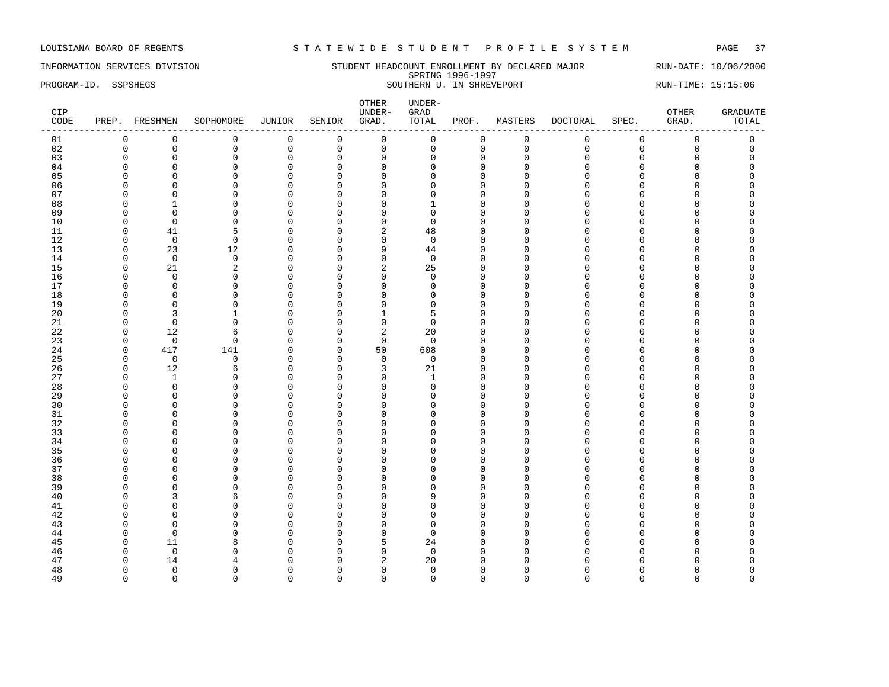INFORMATION SERVICES DIVISION SUNDERT STUDENT HEADCOUNT ENROLLMENT BY DECLARED MAJOR RUN-DATE: 10/06/2000 SPRING 1996-1997 PROGRAM-ID. SSPSHEGS SOUTHERN U. IN SHREVEPORT SOUTHERN U. IN SHREVEPORT

| CIP<br>CODE |              | PREP. FRESHMEN | SOPHOMORE      | JUNIOR       | SENIOR      | OTHER<br>UNDER-<br>GRAD. | UNDER-<br>${\tt GRAD}$<br>TOTAL | PROF.        | MASTERS     | DOCTORAL    | SPEC.       | OTHER<br>GRAD.      | <b>GRADUATE</b><br>TOTAL |
|-------------|--------------|----------------|----------------|--------------|-------------|--------------------------|---------------------------------|--------------|-------------|-------------|-------------|---------------------|--------------------------|
| 01          | $\mathbf 0$  | $\mathbf 0$    | $\mathsf 0$    | $\mathsf 0$  | $\mathbb O$ | $\mathsf 0$              | 0                               | $\mathsf 0$  | $\mathsf 0$ | $\mathbf 0$ | $\mathsf 0$ | $\mathsf 0$         | $\mathsf 0$              |
| 02          | $\mathbf 0$  | $\mathsf 0$    | $\mathbf 0$    | $\mathsf 0$  | $\mathsf 0$ | $\mathsf{O}$             | $\mathbf 0$                     | 0            | $\mathbf 0$ | $\Omega$    | $\mathbf 0$ | $\mathsf{O}\xspace$ | $\mathsf 0$              |
| 03          | $\mathbf 0$  | $\mathbf 0$    | $\mathbf 0$    | $\mathbf 0$  | $\mathbf 0$ | $\mathbf 0$              | $\Omega$                        | $\mathbf{0}$ | $\mathbf 0$ | $\Omega$    | $\mathbf 0$ | $\mathbf 0$         | $\Omega$                 |
| 04          | $\Omega$     | $\mathbf 0$    | $\mathbf 0$    | $\mathsf 0$  | $\mathbf 0$ | $\mathbf 0$              | $\Omega$                        | $\mathbf{0}$ | $\Omega$    | $\cap$      | $\Omega$    | $\Omega$            | $\Omega$                 |
| 05          | ∩            | $\Omega$       | $\Omega$       | $\mathbf 0$  | $\Omega$    | $\mathbf 0$              | U                               | $\Omega$     | $\Omega$    | ∩           | C           | O                   |                          |
| 06          | n            | $\Omega$       | $\Omega$       | $\mathbf 0$  | $\Omega$    | $\mathbf 0$              |                                 | $\Omega$     | n           | $\cap$      | $\Omega$    | O                   |                          |
| 07          | O            | $\mathbf 0$    | $\mathbf 0$    | $\mathsf 0$  | $\mathbf 0$ | $\mathbf{0}$             | U                               | $\Omega$     | n           |             | C           | 0                   |                          |
| 08          | $\Omega$     | $\mathbf{1}$   | $\Omega$       | $\mathbf 0$  | $\Omega$    | $\mathbf 0$              |                                 | $\Omega$     | $\Omega$    |             | $\cap$      | O                   |                          |
| 09          | ∩            | $\Omega$       | $\Omega$       | $\mathbf 0$  | $\Omega$    | $\mathbf 0$              | <sup>0</sup>                    | $\Omega$     | ∩           |             | U           | U                   |                          |
| 10          | n            | $\mathbf 0$    | $\Omega$       | $\mathbf{0}$ | $\Omega$    | $\mathbf 0$              | $\Omega$                        | $\Omega$     | ∩           |             | C           | O                   |                          |
| 11          | $\Omega$     | 41             | 5              | $\mathbf 0$  | $\mathbf 0$ | $\sqrt{2}$               | 48                              | $\Omega$     | $\Omega$    | $\cap$      | $\Omega$    | O                   |                          |
| 12          | $\Omega$     | $\overline{0}$ | $\Omega$       | $\mathbf 0$  | $\Omega$    | $\mathbf 0$              | $\Omega$                        | $\Omega$     | ∩           |             | U           | O                   |                          |
| 13          | $\Omega$     | 23             | 12             | 0            | $\mathbf 0$ | 9                        | 44                              | $\Omega$     | $\Omega$    |             | C           | O                   |                          |
| 14          | $\Omega$     | $\mathbf 0$    | $\mathbf 0$    |              | $\mathbf 0$ | $\mathsf 0$              | $\mathbf 0$                     | $\Omega$     | U           |             | $\cap$      | O                   |                          |
|             |              |                |                | 0            |             |                          |                                 |              | ∩           |             |             | U                   |                          |
| 15          | ∩            | 21             | $\overline{2}$ | $\Omega$     | $\Omega$    | $\overline{2}$           | 25                              | $\Omega$     |             |             |             |                     |                          |
| 16          | $\Omega$     | $\mathbf 0$    | $\mathbf 0$    | $\mathbf 0$  | $\mathbf 0$ | $\mathbf 0$              | $\mathbf 0$                     | $\Omega$     | n           |             | O           | 0                   |                          |
| 17          | <sup>0</sup> | $\mathbf 0$    | $\Omega$       | 0            | $\Omega$    | $\mathbf{0}$             | $\Omega$                        | $\Omega$     | ∩           |             | C           | O                   |                          |
| 18          | $\Omega$     | $\Omega$       | $\Omega$       | $\mathbf 0$  | $\Omega$    | $\mathbf 0$              | $\Omega$                        | $\Omega$     | $\cap$      |             | C           | O                   |                          |
| 19          | $\Omega$     | $\Omega$       | $\Omega$       | $\mathbf 0$  | $\Omega$    | $\mathbf{0}$             | $\Omega$                        | $\Omega$     | $\Omega$    |             | C           | O                   |                          |
| 20          | ∩            | 3              | 1              | $\mathbf 0$  | $\mathbf 0$ | 1                        | 5                               | $\Omega$     | $\Omega$    |             | C           | O                   |                          |
| 21          | $\Omega$     | $\overline{0}$ | $\Omega$       | $\mathbf 0$  | 0           | $\mathbf 0$              | $\Omega$                        | $\Omega$     | $\Omega$    | $\cap$      | $\cap$      | O                   |                          |
| 22          | $\Omega$     | 12             | 6              | $\mathbf 0$  | 0           | 2                        | 20                              | $\Omega$     | ∩           | ∩           | U           | O                   |                          |
| 23          | $\mathbf 0$  | $\mathbf 0$    | $\mathbf 0$    | $\mathsf 0$  | $\mathbf 0$ | $\mathsf 0$              | $\Omega$                        | $\Omega$     | $\Omega$    |             | C           | O                   |                          |
| 24          | $\mathbf 0$  | 417            | 141            | $\mathsf 0$  | $\mathbf 0$ | 50                       | 608                             | $\mathbf{0}$ | $\Omega$    |             | $\cap$      | O                   |                          |
| 25          | $\Omega$     | $\mathbf 0$    | $\Omega$       | $\Omega$     | $\Omega$    | $\mathbf 0$              | $\Omega$                        | $\Omega$     | ∩           |             | n           | U                   |                          |
| 26          | $\Omega$     | 12             | 6              | 0            | $\mathbf 0$ | 3                        | 21                              | $\Omega$     |             |             | $\Omega$    | 0                   |                          |
| 27          | $\Omega$     | $\mathbf{1}$   | $\Omega$       | $\mathbf 0$  | $\mathbf 0$ | $\mathbf 0$              | $\overline{1}$                  | $\Omega$     | ∩           | ∩           | C           | 0                   |                          |
| 28          | $\Omega$     | $\mathbf 0$    | $\Omega$       | $\mathbf{0}$ | $\Omega$    | $\mathbf 0$              | $\Omega$                        | $\Omega$     | ∩           |             | U           | O                   |                          |
| 29          | $\Omega$     | $\mathbf 0$    | $\Omega$       | $\mathbf 0$  | 0           | $\mathbf 0$              | U                               | $\mathbf 0$  | $\Omega$    |             | C           | O                   |                          |
| 30          | ∩            | $\Omega$       | $\Omega$       | $\mathbf{0}$ | $\Omega$    | $\Omega$                 |                                 | $\Omega$     | $\cap$      |             | C           | U                   |                          |
| 31          | ∩            | $\overline{0}$ | $\Omega$       | $\mathbf 0$  | $\Omega$    | $\overline{0}$           | n                               | $\Omega$     | ∩           |             | C           | O                   |                          |
| 32          |              | $\Omega$       | $\Omega$       | $\mathbf{0}$ | $\Omega$    | $\Omega$                 |                                 | $\Omega$     | n           |             | n           | O                   |                          |
| 33          | ∩            | $\Omega$       | $\Omega$       | $\mathbf 0$  | $\Omega$    | $\mathbf 0$              |                                 | $\Omega$     | ∩           |             | C           | O                   |                          |
| 34          | $\Omega$     | $\mathbf 0$    | $\Omega$       | 0            | $\Omega$    | $\mathbf 0$              | O                               | $\mathbf 0$  | $\cap$      |             | $\cap$      | O                   |                          |
| 35          | ∩            | $\Omega$       | $\Omega$       | $\Omega$     | $\Omega$    | $\Omega$                 | ∩                               | $\cap$       | ∩           |             | U           | U                   |                          |
| 36          |              | $\overline{0}$ | $\Omega$       | $\mathbf{0}$ | $\mathbf 0$ | $\overline{0}$           | n                               | $\Omega$     | ∩           |             | C           | O                   |                          |
| 37          |              | $\overline{0}$ | $\Omega$       | $\mathbf{0}$ | $\Omega$    | $\overline{0}$           | U                               | $\Omega$     | $\cap$      |             | n           | O                   |                          |
| 38          | ∩            | $\Omega$       | $\Omega$       | $\mathbf 0$  | $\Omega$    | $\mathbf 0$              | U                               | $\Omega$     | ∩           |             | U           | O                   |                          |
| 39          | $\Omega$     | $\overline{0}$ | $\Omega$       | 0            | $\mathbf 0$ | $\mathbf 0$              | U                               | $\mathbf 0$  | $\Omega$    |             | $\cap$      | 0                   |                          |
| 40          | ∩            | 3              | б              | $\mathbf 0$  | $\mathbf 0$ | $\Omega$                 | Q                               | $\Omega$     | $\Omega$    |             | $\cap$      | U                   |                          |
| 41          | n            | $\Omega$       | $\Omega$       | $\mathbf{0}$ | $\Omega$    | $\overline{0}$           | U                               | $\Omega$     | ∩           |             | C           | U                   |                          |
| 42          | n            | $\mathbf 0$    | $\mathbf 0$    | $\mathbf{0}$ | 0           | $\mathbf{0}$             | U                               | $\mathbf 0$  | O           | ∩           | C           | O                   |                          |
| 43          | O            | $\overline{0}$ | $\Omega$       | $\mathbf 0$  | $\mathbf 0$ | $\mathbf 0$              | $\Omega$                        | $\Omega$     | $\Omega$    |             | n           | O                   |                          |
| 44          | <sup>0</sup> | $\overline{0}$ | $\Omega$       | $\mathbf 0$  | $\Omega$    | $\mathbf 0$              | $\Omega$                        | $\Omega$     | ∩           |             | n           | O                   |                          |
| 45          | $\Omega$     | 11             | 8              | $\Omega$     | $\Omega$    | 5                        | 24                              | $\Omega$     | $\cap$      |             | C           | U                   |                          |
| 46          | ∩            | $\mathbf 0$    | $\Omega$       | $\mathbf{0}$ | $\Omega$    | $\mathbf 0$              | $\Omega$                        | $\Omega$     | Λ           |             |             | O                   |                          |
| 47          |              | 14             |                | $\mathbf 0$  | $\Omega$    | 2                        | 20                              | $\Omega$     |             |             |             | U                   |                          |
| 48          | ∩            | $\mathbf 0$    | ∩              | $\mathbf 0$  | 0           | $\mathbf 0$              | $\Omega$                        | $\Omega$     | ∩           |             | C           | O                   | $\Omega$                 |
| 49          | $\Omega$     | $\Omega$       | $\Omega$       | $\Omega$     | $\Omega$    | $\mathbf 0$              | $\Omega$                        | $\Omega$     | $\Omega$    | $\Omega$    | $\Omega$    | $\Omega$            | $\Omega$                 |
|             |              |                |                |              |             |                          |                                 |              |             |             |             |                     |                          |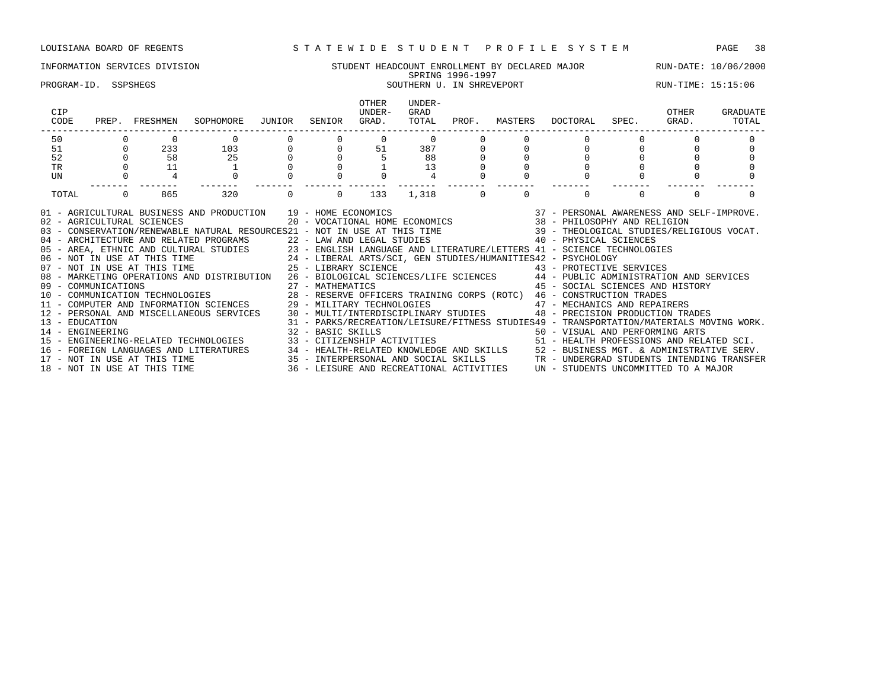### INFORMATION SERVICES DIVISION STUDENT HEADCOUNT ENROLLMENT BY DECLARED MAJOR RUN-DATE: 10/06/2000 SPRING 1996-1997 EXTING 1990 1997.<br>SOUTHERN U. IN SHREVEPORT SOUTHERN SOUTHERN U. IN SHREVEPORT SUN-TIME: 15:15:06

| CIP<br>CODE                                                                                                                                                                                                                                                                                                                                                                                                                                                                                                                                                                                                                                                                                                                                                                                                                                                                                                                                                                                                                                                                                                                                                                                                                                                                                                                                                                                                                   | PREP. FRESHMEN        | SOPHOMORE JUNIOR                                                                                                                                                                                                                                                                      |                     | SENIOR                              | OTHER<br>UNDER-<br>GRAD. | UNDER-<br>GRAD<br>TOTAL |                  |          | PROF. MASTERS DOCTORAL SPEC.                                                                                                                                                                                                                     | OTHER<br>GRAD. | GRADUATE<br>TOTAL |
|-------------------------------------------------------------------------------------------------------------------------------------------------------------------------------------------------------------------------------------------------------------------------------------------------------------------------------------------------------------------------------------------------------------------------------------------------------------------------------------------------------------------------------------------------------------------------------------------------------------------------------------------------------------------------------------------------------------------------------------------------------------------------------------------------------------------------------------------------------------------------------------------------------------------------------------------------------------------------------------------------------------------------------------------------------------------------------------------------------------------------------------------------------------------------------------------------------------------------------------------------------------------------------------------------------------------------------------------------------------------------------------------------------------------------------|-----------------------|---------------------------------------------------------------------------------------------------------------------------------------------------------------------------------------------------------------------------------------------------------------------------------------|---------------------|-------------------------------------|--------------------------|-------------------------|------------------|----------|--------------------------------------------------------------------------------------------------------------------------------------------------------------------------------------------------------------------------------------------------|----------------|-------------------|
| 50                                                                                                                                                                                                                                                                                                                                                                                                                                                                                                                                                                                                                                                                                                                                                                                                                                                                                                                                                                                                                                                                                                                                                                                                                                                                                                                                                                                                                            |                       | $\mathbf 0$                                                                                                                                                                                                                                                                           |                     |                                     | $\Omega$                 |                         | $\Omega$         |          |                                                                                                                                                                                                                                                  |                |                   |
| 51                                                                                                                                                                                                                                                                                                                                                                                                                                                                                                                                                                                                                                                                                                                                                                                                                                                                                                                                                                                                                                                                                                                                                                                                                                                                                                                                                                                                                            | 233                   | 103                                                                                                                                                                                                                                                                                   |                     | $\begin{matrix}0\\0\end{matrix}$    | $0$ 51                   |                         | $\frac{387}{88}$ |          | $0 \qquad \qquad$                                                                                                                                                                                                                                |                |                   |
| 52                                                                                                                                                                                                                                                                                                                                                                                                                                                                                                                                                                                                                                                                                                                                                                                                                                                                                                                                                                                                                                                                                                                                                                                                                                                                                                                                                                                                                            | 58                    | 25                                                                                                                                                                                                                                                                                    | $\overline{0}$<br>0 |                                     |                          | 88                      |                  |          |                                                                                                                                                                                                                                                  |                |                   |
| TR                                                                                                                                                                                                                                                                                                                                                                                                                                                                                                                                                                                                                                                                                                                                                                                                                                                                                                                                                                                                                                                                                                                                                                                                                                                                                                                                                                                                                            | 11                    |                                                                                                                                                                                                                                                                                       |                     |                                     |                          | 13                      |                  |          |                                                                                                                                                                                                                                                  |                |                   |
| UN                                                                                                                                                                                                                                                                                                                                                                                                                                                                                                                                                                                                                                                                                                                                                                                                                                                                                                                                                                                                                                                                                                                                                                                                                                                                                                                                                                                                                            |                       |                                                                                                                                                                                                                                                                                       |                     |                                     |                          |                         |                  |          |                                                                                                                                                                                                                                                  |                |                   |
| TOTAL                                                                                                                                                                                                                                                                                                                                                                                                                                                                                                                                                                                                                                                                                                                                                                                                                                                                                                                                                                                                                                                                                                                                                                                                                                                                                                                                                                                                                         | $\overline{0}$<br>865 | 320                                                                                                                                                                                                                                                                                   |                     | $\begin{matrix} 0 & 0 \end{matrix}$ | 133                      |                         | $1,318$ 0        | $\Omega$ | $\Omega$                                                                                                                                                                                                                                         | $\Omega$       |                   |
| 01 - AGRICULTURAL BUSINESS AND PRODUCTION 19 - HOME ECONOMICS<br>02 - AGRICULTURAL SCIENCES<br>03 - CONSERVATION/RENEWABLE NATURAL RESOURCES21 - NOT IN USE AT THIS TIME 39 - THEOLOGICAL STUDIES/RELIGIOUS VOCAT.<br>04 - ARCHITECTURE AND RELATED PROGRAMS 22 - LAW AND LEGAL STUDIES 40 - PHYSICAL SCIENCES<br>05 - AREA, ETHNIC AND CULTURAL STUDIES 23 - ENGLISH LANGUAGE AND LITERATURE/LETTERS 41 - SCIENCE TECHNOLOGIES<br>06 - NOT IN USE AT THIS TIME 24 - LIBERAL ARTS/SCI, GEN STUDIES/HUMANITIES42 - PSYCHOLOGY<br>07 - NOT IN USE AT THI<br>08 - MARKETING OPERATIONS AND DISTRIBUTION 26 - BIOLOGICAL SCIENCES/LIFE SCIENCES 44 - PUBLIC ADMINISTRATION AND SERVICES<br>09 - COMMUNICATIONS<br>10 - COMMUNICATION TECHNOLOGIES<br>28 - RESERVE OFFICERS TRAINING CORPS (ROTC) 46 - CONSTRUCTION TRADES<br>11 - COMPUTER AND INFORMATION SCIENCES 29 - MILITARY TECHNOLOGIES 47 - MECHANICS AND REPAIRERS<br>12 - PERSONAL AND MISCELLANEOUS SERVICES 30 - MULTI/INTERDISCIPLINARY STUDIES<br>13 - EDUCATION<br>14 - ENGINEERING ARTS (1999) 32 - BASIC SKILLS (1999) 50 - VISUAL AND PERFORMING ARTS (1999) 15 - ENGINEERING-RELATED SCI.<br>16 - FOREIGN LANGUAGES AND LITERATURES 34 - HEALTH-RELATED KNOWLEDGE AND SKILLS 52 - BUSINESS MGT. & ADMINISTRATIVE SERV.<br>17 - NOT IN USE AT THIS TIME 35 - INTERPERSONAL AND SOCIAL SKILLS TRONDERGRAD STUDENTS INTENDING TRA<br>18 - NOT IN USE AT THIS TIME |                       | $\begin{tabular}{lllllllllll} \hline & AND \texttt{ PRODUCTION} & 19 & - HOME \texttt{ECONOMICS} & 37 & - \texttt{PERSONAL AWARENESS AND SELF-IMPROVE.} \\ & 20 & - \texttt{VOCATIONAL HOME ECONOMICS} & 38 & - \texttt{PHILOSOPHY AND RELIGION} \end{tabular}.$<br>32 - BASIC SKILLS |                     |                                     |                          |                         |                  |          | 45 - SOCIAL SCIENCES AND HISTORY<br>48 - PRECISION PRODUCTION TRADES<br>31 - PARKS/RECREATION/LEISURE/FITNESS STUDIES49 - TRANSPORTATION/MATERIALS MOVING WORK.<br>36 - LEISURE AND RECREATIONAL ACTIVITIES UN - STUDENTS UNCOMMITTED TO A MAJOR |                |                   |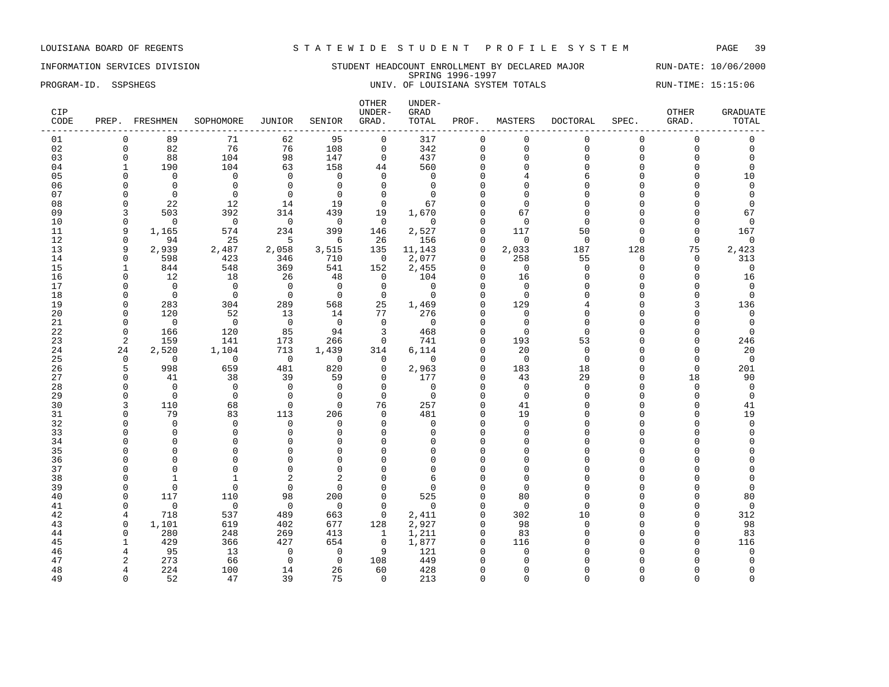### INFORMATION SERVICES DIVISION STUDENT HEADCOUNT ENROLLMENT BY DECLARED MAJOR RUN-DATE: 10/06/2000 SPRING 1996-1997 PROGRAM-ID. SSPSHEGS **EXECUTE A SECUTE A SECUTE LOUISIANA** SYSTEM TOTALS RUN-TIME: 15:15:06

| CIP<br>CODE |                      | PREP. FRESHMEN | SOPHOMORE               | <b>JUNIOR</b>        | SENIOR             | OTHER<br>UNDER-<br>GRAD. | UNDER-<br>GRAD<br>TOTAL | PROF.                | MASTERS                 | <b>DOCTORAL</b>      | SPEC.                | <b>OTHER</b><br>GRAD. | <b>GRADUATE</b><br>TOTAL |
|-------------|----------------------|----------------|-------------------------|----------------------|--------------------|--------------------------|-------------------------|----------------------|-------------------------|----------------------|----------------------|-----------------------|--------------------------|
| 01          | $\mathbf{0}$         | 89             | 71                      | 62                   | 95                 | $\mathbf 0$              | 317                     | $\mathbf{0}$         | $\mathbf 0$             | $\mathbf{0}$         | $\mathbf 0$          | $\mathbf 0$           | $\mathbf 0$              |
| 02          | $\mathbf 0$          | 82             | 76                      | 76                   | 108                | $\mathsf 0$              | 342                     | $\mathbf 0$          | $\mathbf 0$             | $\mathbf{0}$         | $\mathbf 0$          | 0                     | $\mathsf 0$              |
| 03          | $\mathbf 0$          | 88             | 104                     | 98                   | 147                | $\mathbf 0$              | 437                     | $\mathbf{0}$         | $\Omega$                | $\Omega$             | $\mathbf 0$          | $\overline{0}$        | $\mathbf 0$              |
| 04          | 1                    | 190            | 104                     | 63                   | 158                | 44                       | 560                     | $\Omega$             | $\Omega$                | $\Omega$             | $\Omega$             | O                     | $\Omega$                 |
| 05          | $\Omega$             | $\Omega$       | $\mathbf 0$             | $\Omega$             | $\overline{0}$     | $\Omega$                 | $\Omega$                | $\Omega$             | 4                       | 6                    | $\Omega$             | U                     | 10                       |
| 06          | $\Omega$             | $\Omega$       | $\Omega$                | $\Omega$             | $\Omega$           | $\Omega$                 | $\Omega$                | $\Omega$             | $\Omega$                | $\cap$               | $\Omega$             | U                     | $\mathbf 0$              |
| 07          | $\Omega$             | $\mathbf 0$    | $\mathbf 0$             | $\mathbf{0}$         | $\mathbf 0$        | $\mathbf 0$              | $\Omega$                | $\Omega$             | $\Omega$                | $\Omega$             | $\Omega$             | O                     | $\overline{0}$           |
| 08          | $\Omega$             | 22             | 12                      | 14                   | 19                 | $\mathbf 0$              | 67                      | $\Omega$             | $\Omega$                | $\Omega$             | $\Omega$             | O                     | $\mathbf 0$              |
| 09          | 3                    | 503            | 392                     | 314                  | 439                | 19                       | 1,670                   | $\Omega$             | 67                      | $\Omega$             | $\Omega$             | U                     | 67                       |
| 10          | $\mathbf 0$          | $\Omega$       | $\mathbf 0$             | $\mathbf 0$          | $\overline{0}$     | $\Omega$                 | $\Omega$                | $\Omega$             | $\Omega$                | $\Omega$             | $\Omega$             | $\mathbf 0$           | $\mathbf 0$              |
| 11          | 9                    | 1,165          | 574                     | 234                  | 399                | 146                      | 2,527                   | $\Omega$             | 117                     | 50                   | $\Omega$             | $\Omega$              | 167                      |
| 12          | $\mathsf 0$          | 94             | 25                      | 5                    | 6                  | 26                       | 156                     | $\mathbf{0}$         | $\mathbf 0$             | $\mathbf 0$          | $\Omega$             | $\mathsf 0$           | $\mathbf 0$              |
| 13          | 9                    | 2,939          | 2,487                   | 2,058                | 3,515              | 135                      | 11,143                  | $\mathbf 0$          | 2,033                   | 187                  | 128                  | 75                    | 2,423                    |
| 14          | $\mathbf 0$          | 598            | 423                     | 346                  | 710                | $\circ$                  | 2,077                   | $\Omega$             | 258                     | 55                   | 0                    | $\mathbf 0$           | 313                      |
| 15          | $\mathbf{1}$         | 844            | 548                     | 369                  | 541                | 152                      | 2,455                   | $\Omega$             | $\mathbf 0$             | $\Omega$             | $\Omega$             | $\mathbf 0$           | $\mathbf 0$              |
| 16          | $\Omega$             | 12             | 18                      | 26                   | 48                 | $\Omega$                 | 104                     | $\Omega$             | 16                      | $\Omega$             | $\Omega$             | $\Omega$              | 16                       |
| 17          | $\Omega$<br>$\Omega$ | $\mathbf 0$    | $\mathbf 0$<br>$\Omega$ | $\mathbf 0$          | $\mathbf 0$        | $\mathbf 0$              | 0<br>$\Omega$           | $\Omega$             | $\mathbf 0$<br>$\Omega$ | $\Omega$<br>$\Omega$ | $\Omega$<br>$\Omega$ | 0<br>$\Omega$         | $\mathbf 0$<br>$\Omega$  |
| 18          | $\Omega$             | $\mathbf 0$    |                         | $\mathbf 0$          | $\mathbf 0$        | $\mathbf 0$              |                         | $\Omega$<br>$\Omega$ |                         | $\overline{4}$       | $\Omega$             | 3                     |                          |
| 19<br>20    | 0                    | 283<br>120     | 304<br>52               | 289                  | 568<br>14          | 25<br>77                 | 1,469<br>276            | O                    | 129<br>$\mathbf 0$      | $\Omega$             | $\Omega$             | 0                     | 136<br>0                 |
| 21          | $\Omega$             | $\mathbf 0$    | $\Omega$                | 13<br>$\overline{0}$ | $\Omega$           | $\Omega$                 | $\Omega$                | $\cap$               | $\Omega$                | $\Omega$             | $\Omega$             | O                     | $\mathbf 0$              |
| 22          | $\mathbf 0$          | 166            | 120                     | 85                   | 94                 | 3                        | 468                     | $\mathbf{0}$         | $\mathbf 0$             | $\Omega$             | $\Omega$             | 0                     | $\mathbf 0$              |
| 23          | $\overline{2}$       | 159            | 141                     | 173                  | 266                | $\mathbf 0$              | 741                     | $\Omega$             | 193                     | 53                   | $\Omega$             | 0                     | 246                      |
| 24          | 24                   | 2,520          | 1,104                   | 713                  | 1,439              | 314                      | 6,114                   | $\Omega$             | 20                      | $\Omega$             | $\Omega$             | $\Omega$              | 20                       |
| 25          | $\mathbf 0$          | $\mathbf 0$    | $\mathbf 0$             | 0                    | $\overline{0}$     | $\mathbf 0$              | 0                       | $\Omega$             | 0                       | $\Omega$             | $\Omega$             | $\Omega$              | $\mathbf 0$              |
| 26          | 5                    | 998            | 659                     | 481                  | 820                | $\mathbf 0$              | 2,963                   | $\Omega$             | 183                     | 18                   | $\Omega$             | $\mathbf 0$           | 201                      |
| 27          | $\Omega$             | 41             | 38                      | 39                   | 59                 | $\Omega$                 | 177                     | $\Omega$             | 43                      | 29                   | $\Omega$             | 18                    | 90                       |
| 28          | $\mathbf 0$          | $\mathbf 0$    | $\mathbf 0$             | $\mathbf 0$          | $\overline{0}$     | $\mathbf 0$              | $\mathbf 0$             | $\Omega$             | $\mathbf 0$             | $\Omega$             | $\Omega$             | $\mathbf 0$           | $\mathbf 0$              |
| 29          | $\mathbf 0$          | $\mathbf 0$    | $\mathbf 0$             | $\mathbf 0$          | $\overline{0}$     | $\mathbf 0$              | $\mathbf 0$             | $\Omega$             | $\mathbf 0$             | $\Omega$             | $\Omega$             | 0                     | $\mathbf 0$              |
| 30          | 3                    | 110            | 68                      | $\mathbf 0$          | $\mathbf 0$        | 76                       | 257                     | $\Omega$             | 41                      | $\Omega$             | $\Omega$             | $\Omega$              | 41                       |
| 31          | $\mathbf 0$          | 79             | 83                      | 113                  | 206                | $\mathbf 0$              | 481                     | $\Omega$             | 19                      | $\Omega$             | $\Omega$             | 0                     | 19                       |
| 32          | $\Omega$             | $\Omega$       | $\Omega$                | $\mathbf 0$          | $\overline{0}$     | $\Omega$                 | $\Omega$                | $\Omega$             | $\Omega$                | $\Omega$             | $\Omega$             | U                     | $\mathbf 0$              |
| 33          | $\Omega$             | $\mathbf 0$    | $\mathbf 0$             | $\mathbf 0$          | $\mathbf 0$        | $\mathbf{0}$             | $\mathbf 0$             | $\Omega$             | $\mathbf 0$             | $\Omega$             | $\Omega$             | 0                     | $\Omega$                 |
| 34          | $\Omega$             | $\mathbf 0$    | $\Omega$                | $\mathbf{0}$         | $\mathbf 0$        | $\mathbf 0$              | 0                       | $\Omega$             | $\Omega$                | $\Omega$             | $\Omega$             | O                     | $\Omega$                 |
| 35          | $\Omega$             | $\Omega$       | $\Omega$                | $\Omega$             | $\Omega$           | $\Omega$                 | $\Omega$                | $\Omega$             | $\Omega$                | $\Omega$             | $\Omega$             | O                     | $\Omega$                 |
| 36          | $\Omega$             | $\Omega$       | $\Omega$                | $\mathbf{0}$         | $\mathbf 0$        | $\Omega$                 | $\Omega$                | $\Omega$             | $\Omega$                | $\Omega$             | $\Omega$             | O                     | $\Omega$                 |
| 37          | $\Omega$             | $\Omega$       | $\Omega$                | $\mathbf{0}$         | $\mathbf 0$        | $\Omega$                 | $\Omega$                | $\cap$               | $\Omega$                | $\Omega$             | $\cap$               | O                     | $\Omega$                 |
| 38          | $\Omega$             | $\mathbf{1}$   | 1                       | $\overline{a}$       | $\overline{2}$     | $\Omega$                 | 6                       | $\Omega$             | $\Omega$                | $\Omega$             | $\Omega$             | O                     | $\Omega$                 |
| 39          | $\mathbf 0$          | $\mathbf 0$    | $\mathbf 0$             | $\mathbf 0$          | $\mathbf 0$        | $\mathbf 0$              | $\Omega$                | $\Omega$             | $\Omega$                | $\Omega$             | $\Omega$             | 0                     | $\Omega$                 |
| 40          | $\Omega$             | 117            | 110                     | 98                   | 200                | $\Omega$                 | 525                     | $\Omega$             | 80                      | $\Omega$             | $\Omega$             | U                     | 80                       |
| 41          | $\Omega$             | $\mathbf 0$    | $\mathbf 0$             | $\mathbf 0$          | $\mathbf 0$        | $\mathbf 0$              | $\Omega$                | $\Omega$             | $\Omega$                | $\Omega$             | $\Omega$             | $\Omega$              | $\mathbf 0$              |
| 42          | 4                    | 718            | 537                     | 489                  | 663                | $\mathbf 0$              | 2,411                   | $\Omega$             | 302                     | 10                   | $\Omega$             | $\mathbf 0$           | 312                      |
| 43          | $\mathbf 0$          | 1,101          | 619                     | 402                  | 677                | 128                      | 2,927                   | $\Omega$             | 98                      | $\mathbf{0}$         | $\Omega$             | $\overline{0}$        | 98                       |
| 44          | $\mathbf 0$          | 280            | 248                     | 269                  | 413                | $\mathbf{1}$             | 1,211                   | $\Omega$<br>$\Omega$ | 83                      | $\Omega$<br>$\cap$   | $\Omega$<br>$\Omega$ | $\mathbf 0$<br>O      | 83                       |
| 45<br>46    | $\mathbf{1}$<br>4    | 429<br>95      | 366<br>13               | 427<br>$\mathbf 0$   | 654<br>$\mathbf 0$ | $\mathbf 0$<br>9         | 1,877<br>121            | $\Omega$             | 116<br>$\Omega$         | $\Omega$             | $\Omega$             | O                     | 116<br>0                 |
| 47          | 2                    | 273            | 66                      | $\mathbf 0$          | $\overline{0}$     | 108                      | 449                     | $\Omega$             | $\Omega$                | $\cap$               | U                    | U                     | $\Omega$                 |
| 48          | 4                    | 224            | 100                     | 14                   | 26                 | 60                       | 428                     | $\Omega$             | $\Omega$                | $\cap$               | $\Omega$             | 0                     | $\mathbf 0$              |
| 49          | $\Omega$             | 52             | 47                      | 39                   | 75                 | $\Omega$                 | 213                     | $\Omega$             | $\Omega$                | $\Omega$             | $\Omega$             | $\Omega$              | $\Omega$                 |
|             |                      |                |                         |                      |                    |                          |                         |                      |                         |                      |                      |                       |                          |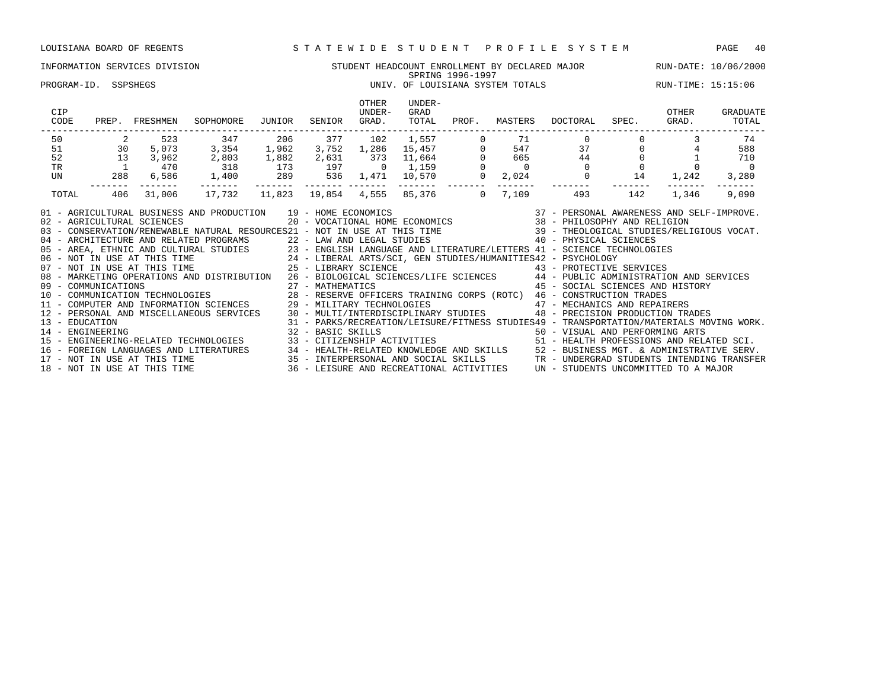### INFORMATION SERVICES DIVISION STUDENT HEADCOUNT ENROLLMENT BY DECLARED MAJOR RUN-DATE: 10/06/2000 SPRING 1996-1997 PROGRAM-ID. SSPSHEGS UNIV. OF LOUISIANA SYSTEM TOTALS RUN-TIME: 15:15:06 OTHER UNDER-<br>UNDER- GRAD CIP UNDER- GRAD OTHER GRADUATE CODE PREP. FRESHMEN SOPHOMORE JUNIOR SENIOR GRAD. TOTAL PROF. MASTERS DOCTORAL SPEC. GRAD. TOTAL ------------------------------------------------------------------------------------------------------------------------------------ 50 2 523 347 206 377 102 1,557 0 71 0 0 3 74 51 30 5,073 3,354 1,962 3,752 1,286 15,457 0 547 37 0 4 588 52 13 3,962 2,803 1,882 2,631 373 11,664 0 665 44 0 1 710 TR 1 470 318 173 197 0 1,159 0 0 0 0 0 0 UN 288 6,586 1,400 289 536 1,471 10,570 0 2,024 0 14 1,242 3,280 ------- ------- ------- ------- ------- ------- ------- ------- ------- ------- ------- ------- ------- TOTAL 406 31,006 17,732 11,823 19,854 4,555 85,376 0 7,109 493 142 1,346 9,090 01 - AGRICULTURAL BUSINESS AND PRODUCTION 39 - HOME ECONOMICS 37 - PERSONAL AWARENESS AND SELF-IMPROVE. 02 - AGRICULTURAL SCIENCES 20 - VOCATIONAL HOME ECONOMICS 38 - PHILOSOPHY AND RELIGION 03 - CONSERVATION/RENEWABLE NATURAL RESOURCES21 - NOT IN USE AT THIS TIME 39 - THEOLOGICAL STUDIES/RELIGIOUS VOCAT. 04 - ARCHITECTURE AND RELATED PROGRAMS 22 - LAW AND LEGAL STUDIES 40 - PHYSICAL SCIENCES 05 - AREA, ETHNIC AND CULTURAL STUDIES 23 - ENGLISH LANGUAGE AND LITERATURE/LETTERS 41 - SCIENCE TECHNOLOGIES 06 - NOT IN USE AT THIS TIME 24 - LIBERAL ARTS/SCI, GEN STUDIES/HUMANITIES42 - PSYCHOLOGY 07 - NOT IN USE AT THIS TIME  $25$  - LIBRARY SCIENCE  $43$  - PROTECTIVE SERVICES 08 - MARKETING OPERATIONS AND DISTRIBUTION 26 - BIOLOGICAL SCIENCES/LIFE SCIENCES 44 - PUBLIC ADMINISTRATION AND SERVICES 09 - COMMUNICATIONS 27 - MATHEMATICS 45 - SOCIAL SCIENCES AND HISTORY 10 - COMMUNICATIONS<br>
10 - COMMUNICATION TECHNOLOGIES 28 - RESERVE OFFICERS TRAINING CORPS (ROTC) 46 - CONSTRUCTION TRADES<br>
28 - RESERVE OFFICERS TRAINING CORPS (ROTC) 46 - CONSTRUCTION TRADES 11 - COMPUTER AND INFORMATION SCIENCES 29 - MILITARY TECHNOLOGIES 47 - MECHANICS AND REPAIRERS 12 - PERSONAL AND MISCELLANEOUS SERVICES 30 - MULTI/INTERDISCIPLINARY STUDIES 48 - PRECISION PRODUCTION TRADES 13 - EDUCATION 31 - PARKS/RECREATION/LEISURE/FITNESS STUDIES49 - TRANSPORTATION/MATERIALS MOVING WORK.

14 - ENGINEERING 32 - BASIC SKILLS 50 - VISUAL AND PERFORMING ARTS

15 - ENGINEERING-RELATED TECHNOLOGIES 33 - CITIZENSHIP ACTIVITIES 51 - HEALTH PROFESSIONS AND RELATED SCI. 16 - FOREIGN LANGUAGES AND LITERATURES 34 - HEALTH-RELATED KNOWLEDGE AND SKILLS 52 - BUSINESS MGT. & ADMINISTRATIVE SERV. 17 - NOT IN USE AT THIS TIME 35 - INTERPERSONAL AND SOCIAL SKILLS TR - UNDERGRAD STUDENTS INTENDING TRANSFER 18 - NOT IN USE AT THIS TIME 36 - LEISURE AND RECREATIONAL ACTIVITIES UN - STUDENTS UNCOMMITTED TO A MAJOR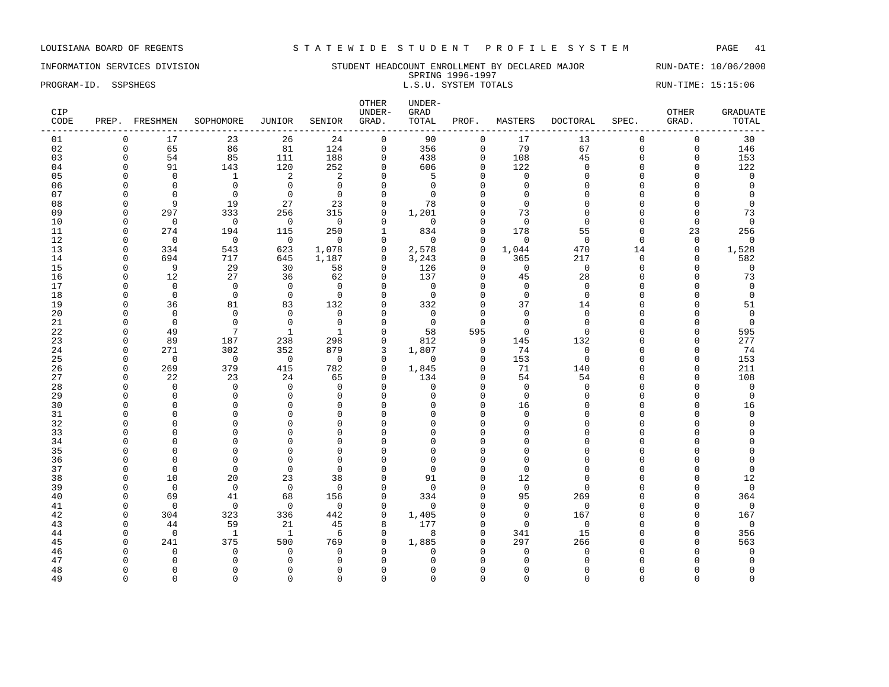### INFORMATION SERVICES DIVISION STUDENT HEADCOUNT ENROLLMENT BY DECLARED MAJOR RUN-DATE: 10/06/2000 SPRING 1996-1997 PROGRAM-ID. SSPSHEGS **EXECUTE:** 15:15:06 L.S.U. SYSTEM TOTALS RUN-TIME: 15:15:06

| CIP<br>CODE |              | PREP. FRESHMEN       | SOPHOMORE               | JUNIOR                  | SENIOR               | OTHER<br>UNDER-<br>GRAD. | UNDER-<br><b>GRAD</b><br>TOTAL | PROF.              | MASTERS        | <b>DOCTORAL</b> | SPEC.    | OTHER<br>GRAD. | <b>GRADUATE</b><br>TOTAL |
|-------------|--------------|----------------------|-------------------------|-------------------------|----------------------|--------------------------|--------------------------------|--------------------|----------------|-----------------|----------|----------------|--------------------------|
| 01          | $\mathbf 0$  | 17                   | 23                      | 26                      | 24                   | $\mathsf{O}$             | 90                             | $\mathbf 0$        | 17             | 13              | $\Omega$ | $\mathsf 0$    | 30                       |
| 02          | $\mathbf 0$  | 65                   | 86                      | 81                      | 124                  | $\mathbf 0$              | 356                            | $\mathbf 0$        | 79             | 67              | $\Omega$ | 0              | 146                      |
| 03          | $\Omega$     | 54                   | 85                      | 111                     | 188                  | $\mathbf 0$              | 438                            | $\Omega$           | 108            | 45              | $\Omega$ | $\mathbf 0$    | 153                      |
| 04          | $\Omega$     | 91                   | 143                     | 120                     | 252                  | $\mathbf 0$              | 606                            | $\Omega$           | 122            | $\Omega$        | $\Omega$ | $\mathbf 0$    | 122                      |
| 05          | $\Omega$     | $\Omega$             | $\mathbf{1}$            | 2                       | 2                    | $\Omega$                 | 5                              | $\cap$             | $\Omega$       | $\Omega$        | $\Omega$ | $\cap$         | $\mathbf 0$              |
| 06          | <sup>0</sup> | $\mathbf 0$          | $\mathbf 0$             | $\mathbf 0$             | $\mathbf{0}$         | $\mathbf 0$              | $\Omega$                       | $\Omega$           | $\Omega$       | $\cap$          | $\cap$   | O              | $\overline{0}$           |
| 07          | n            | $\Omega$             | $\Omega$                | $\mathbf 0$             | $\mathbf 0$          | $\Omega$                 | $\Omega$                       | $\cap$             | $\Omega$       |                 | U        | U              | $\Omega$                 |
| 08          | $\Omega$     | 9                    | 19                      | 27                      | 23                   | $\mathbf 0$              | 78                             | $\Omega$           | $\Omega$       | $\cap$          | $\Omega$ | O              | $\mathbf 0$              |
| 09          | $\Omega$     | 297                  | 333                     | 256                     | 315                  | $\mathbf 0$              | 1,201                          | $\Omega$           | 73             | $\Omega$        | $\Omega$ | $\Omega$       | 73                       |
| 10          | $\Omega$     | $\mathbf 0$          | $\mathbf 0$             | $\overline{0}$          | $\Omega$             | $\mathbf 0$              | $\mathbf 0$                    | $\Omega$           | $\Omega$       | $\Omega$        | $\Omega$ | $\mathbf{0}$   | $\mathbf 0$              |
| 11          | $\Omega$     | 274                  | 194                     | 115                     | 250                  | $\mathbf{1}$             | 834                            | $\Omega$           | 178            | 55              | $\Omega$ | 23             | 256                      |
| 12          | $\Omega$     | $\Omega$             | $\overline{0}$          | $\Omega$                | $\Omega$             | $\Omega$                 | $\Omega$                       | $\Omega$           | $\Omega$       | $\Omega$        | $\Omega$ | $\Omega$       | $\Omega$                 |
| 13          | $\Omega$     | 334                  | 543                     | 623                     | 1,078                | $\mathbf 0$              | 2,578                          | 0                  | 1,044          | 470             | 14       | 0              | 1,528                    |
| 14          | $\Omega$     | 694                  | 717                     | 645                     | 1,187                | $\mathbf 0$              | 3,243                          | $\Omega$           | 365            | 217             | $\Omega$ | $\Omega$       | 582                      |
| 15          | $\Omega$     | 9                    | 29                      | 30                      | 58                   | $\Omega$                 | 126                            | $\cap$             | $\mathbf 0$    | $\Omega$        | $\Omega$ | $\Omega$       | $\mathbf 0$              |
| 16          | $\Omega$     | 12                   | 27                      | 36                      | 62                   | $\mathbf 0$              | 137                            | $\Omega$           | 45             | 28              | $\Omega$ | U              | 73                       |
| 17          | $\Omega$     | $\Omega$             | $\Omega$                | $\mathbf 0$             | $\Omega$             | $\Omega$                 | $\mathbf 0$                    | $\Omega$           | $\Omega$       | $\Omega$        | $\Omega$ | $\Omega$       | $\mathbf 0$              |
| 18          | $\Omega$     | $\Omega$             | $\Omega$                | $\Omega$                | $\Omega$             | $\Omega$                 | $\Omega$                       | $\Omega$           | $\Omega$       | $\Omega$        | $\Omega$ | U              | $\mathbf 0$              |
| 19          | <sup>0</sup> | 36                   | 81                      | 83                      | 132                  | $\Omega$                 | 332                            | $\Omega$           | 37             | 14              | $\Omega$ | $\Omega$       | 51                       |
| 20          | ∩            | $\Omega$             | $\Omega$                | $\mathbf 0$             | $\mathbf{0}$         | $\Omega$                 | $\mathbf 0$                    | $\Omega$           | $\Omega$       | $\Omega$        | $\Omega$ | O              | $\mathbf 0$              |
| 21          | ∩            | $\mathbf 0$          | $\Omega$                | $\mathbf 0$             | $\mathbf 0$          | $\Omega$                 | $\mathbf 0$                    | $\Omega$           | $\Omega$       | $\Omega$        | $\Omega$ | O              | $\mathbf 0$              |
| 22          | $\Omega$     | 49                   | 7                       | 1                       | $\mathbf{1}$         | $\Omega$                 | 58                             | 595                | $\Omega$       | $\cap$          | $\cap$   | $\Omega$       | 595                      |
| 23          | <sup>0</sup> | 89                   | 187                     | 238                     | 298                  | $\mathsf 0$              | 812                            | $\mathbf 0$        | 145            | 132             | $\Omega$ | $\Omega$       | 277                      |
| 24          | $\Omega$     | 271                  | 302                     | 352                     | 879                  | 3                        | 1,807                          | $\Omega$           | 74             | $\Omega$        | ∩        | $\Omega$       | 74                       |
| 25          | $\Omega$     | $\mathbf 0$          | $\overline{0}$          | $\overline{0}$          | $\Omega$             | $\mathbf 0$              | $\Omega$                       | $\Omega$           | 153            | $\Omega$        | $\Omega$ | $\Omega$       | 153                      |
| 26          | $\Omega$     | 269                  | 379                     | 415                     | 782                  | $\mathbf 0$              | 1,845                          | $\Omega$           | 71             | 140             | C        | $\mathbf 0$    | 211                      |
| 27          | $\Omega$     | 22                   | 23                      | 24                      | 65                   | $\Omega$                 | 134                            | $\Omega$           | 54             | 54              | $\cap$   | $\Omega$       | 108                      |
| 28          | $\Omega$     | $\Omega$             | $\Omega$                | $\Omega$                | $\Omega$             | $\Omega$                 | $\Omega$                       | $\Omega$<br>$\cap$ | $\Omega$       | $\cap$          | $\cap$   | $\Omega$       | $\Omega$                 |
| 29<br>30    | O<br>∩       | $\Omega$<br>$\Omega$ | $\mathbf 0$<br>$\Omega$ | $\mathbf 0$<br>$\Omega$ | $\Omega$             | $\mathbf 0$<br>$\Omega$  | $\Omega$                       | $\cap$             | $\mathbf 0$    | $\Omega$        | C        | 0<br>U         | $\mathbf 0$              |
| 31          |              | $\Omega$             | $\Omega$                | $\Omega$                | $\Omega$<br>$\Omega$ | $\Omega$                 | <sup>0</sup><br>$\cap$         | $\Omega$           | 16<br>$\Omega$ |                 | $\cap$   | O              | 16<br>$\Omega$           |
| 32          |              | $\Omega$             | $\Omega$                | $\Omega$                | $\Omega$             | $\Omega$                 | O                              | $\Omega$           | $\Omega$       |                 |          | O              | $\Omega$                 |
| 33          |              | $\Omega$             | $\Omega$                | $\Omega$                | $\Omega$             | $\Omega$                 | U                              | $\cap$             | $\Omega$       |                 |          | O              |                          |
| 34          |              | $\Omega$             | $\Omega$                | $\mathbf{0}$            | $\Omega$             | $\Omega$                 | $\Omega$                       | $\Omega$           | $\Omega$       | $\cap$          | $\cap$   | U              | $\Omega$                 |
| 35          |              | $\Omega$             | $\Omega$                | $\Omega$                | $\Omega$             | $\Omega$                 | O                              | $\cap$             | $\Omega$       |                 | $\cap$   | U              |                          |
| 36          | O            | $\Omega$             | $\Omega$                | $\mathbf{0}$            | 0                    | $\Omega$                 | O                              | $\Omega$           | $\Omega$       |                 | C        | Λ              | $\Omega$                 |
| 37          | n            | $\Omega$             | $\Omega$                | $\Omega$                | $\Omega$             | $\Omega$                 | $\Omega$                       | $\cap$             | $\Omega$       |                 | C        | U              | $\mathbf 0$              |
| 38          | $\Omega$     | 10                   | 20                      | 23                      | 38                   | $\Omega$                 | 91                             | $\Omega$           | 12             | $\cap$          | $\cap$   | O              | 12                       |
| 39          | $\Omega$     | $\Omega$             | $\Omega$                | $\Omega$                | $\Omega$             | $\Omega$                 | $\Omega$                       | $\cap$             | $\Omega$       | ∩               | C        | O              | $\Omega$                 |
| 40          | $\Omega$     | 69                   | 41                      | 68                      | 156                  | $\mathbf 0$              | 334                            | $\cap$             | 95             | 269             | $\cap$   | O              | 364                      |
| 41          | $\Omega$     | $\Omega$             | $\Omega$                | $\Omega$                | $\Omega$             | $\Omega$                 | $\Omega$                       | $\cap$             | $\Omega$       | $\Omega$        |          | $\Omega$       | $\Omega$                 |
| 42          | $\Omega$     | 304                  | 323                     | 336                     | 442                  | $\Omega$                 | 1,405                          | $\Omega$           | $\Omega$       | 167             | $\cap$   | $\Omega$       | 167                      |
| 43          | <sup>0</sup> | 44                   | 59                      | 21                      | 45                   | 8                        | 177                            | O                  | $\Omega$       | $\Omega$        |          | $\Omega$       | $\mathbf 0$              |
| 44          | $\Omega$     | $\mathbf 0$          | $\mathbf{1}$            | 1                       | 6                    | $\mathbf 0$              | 8                              | $\cap$             | 341            | 15              |          | O              | 356                      |
| 45          | ∩            | 241                  | 375                     | 500                     | 769                  | $\Omega$                 | 1,885                          |                    | 297            | 266             |          | O              | 563                      |
| 46          | <sup>0</sup> | $\mathbf 0$          | $\Omega$                | $\mathbf 0$             | $\mathbf 0$          | $\Omega$                 | $\Omega$                       |                    | $\Omega$       | $\mathbf 0$     |          | U              | $\mathbf 0$              |
| 47          | $\Omega$     | $\Omega$             | $\Omega$                | $\Omega$                | $\Omega$             | $\Omega$                 | $\Omega$                       | $\Omega$           | $\Omega$       | $\Omega$        | $\Omega$ | $\Omega$       | $\mathbf 0$              |

48 0 0 0 0 0 0 0 0 0 0 0 0 0 49 0 0 0 0 0 0 0 0 0 0 0 0 0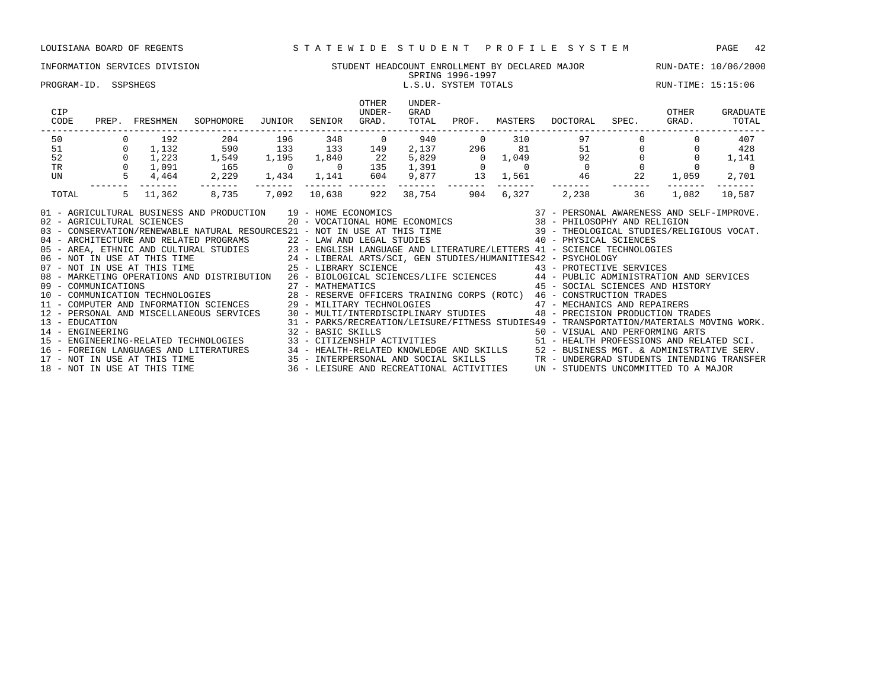### INFORMATION SERVICES DIVISION SUNG STUDENT HEADCOUNT ENROLLMENT BY DECLARED MAJOR RUN-DATE: 10/06/2000<br>SPRING 1996-1997 SPRING 1996-1997

### PROGRAM-ID. SSPSHEGS LEGAL SARRY SERVICES AND RESOLUTION OF L.S.U. SYSTEM TOTALS RESOLUTIONS RUN-TIME: 15:15:06

| CODE<br>SOPHOMORE<br>JUNIOR<br>PREP.<br>FRESHMEN                                                                                                                                                                                                                                                                                                                                                                                                                                                                                                                                                                                                                                                                                                                                                                                                                                                                                                                         |                |             | GRAD.          | TOTAL<br>----------------------------                        | PROF.          | MASTERS        | DOCTORAL                                                                                                                                                        | SPEC. | OTHER<br>GRAD. | GRADUATE<br>TOTAL |
|--------------------------------------------------------------------------------------------------------------------------------------------------------------------------------------------------------------------------------------------------------------------------------------------------------------------------------------------------------------------------------------------------------------------------------------------------------------------------------------------------------------------------------------------------------------------------------------------------------------------------------------------------------------------------------------------------------------------------------------------------------------------------------------------------------------------------------------------------------------------------------------------------------------------------------------------------------------------------|----------------|-------------|----------------|--------------------------------------------------------------|----------------|----------------|-----------------------------------------------------------------------------------------------------------------------------------------------------------------|-------|----------------|-------------------|
| 50<br>204<br>192                                                                                                                                                                                                                                                                                                                                                                                                                                                                                                                                                                                                                                                                                                                                                                                                                                                                                                                                                         | 196            | 348         | $\overline{0}$ | 940                                                          | $\overline{0}$ | 310            | 97                                                                                                                                                              |       |                | 407               |
| 51<br>$\Omega$<br>1,132                                                                                                                                                                                                                                                                                                                                                                                                                                                                                                                                                                                                                                                                                                                                                                                                                                                                                                                                                  | 133            | 133         | 149            | 2,137                                                        | 296            | 81             | 51                                                                                                                                                              |       |                | 428               |
| 590<br>1,549<br>52<br>$\mathbf{0}$<br>1,223                                                                                                                                                                                                                                                                                                                                                                                                                                                                                                                                                                                                                                                                                                                                                                                                                                                                                                                              |                | 1,195 1,840 | 22             | 5,829                                                        | $0 \t 1,049$   |                | 92                                                                                                                                                              |       |                | 1,141             |
| TR<br>$\Omega$<br>1,091 165                                                                                                                                                                                                                                                                                                                                                                                                                                                                                                                                                                                                                                                                                                                                                                                                                                                                                                                                              | $\overline{0}$ | $\sim$ 0    | 135            |                                                              |                | $\overline{0}$ | $\overline{0}$                                                                                                                                                  |       |                |                   |
| 2,229<br>4,464<br>UN                                                                                                                                                                                                                                                                                                                                                                                                                                                                                                                                                                                                                                                                                                                                                                                                                                                                                                                                                     |                | 1,434 1,141 | 604            | $\begin{array}{ccc} 1,391 & & 0 \\ 9,877 & & 13 \end{array}$ |                | 1,561          | 46                                                                                                                                                              | 22    | 1,059          | 2,701             |
| 8,735<br>TOTAL<br>$5 -$<br>11,362                                                                                                                                                                                                                                                                                                                                                                                                                                                                                                                                                                                                                                                                                                                                                                                                                                                                                                                                        | 7,092          | 10,638      | 922            | 38,754                                                       | 904            | 6,327          | 2,238                                                                                                                                                           | 36    | 1,082          | 10,587            |
| 01 - AGRICULTURAL BUSINESS AND PRODUCTION 19 - HOME ECONOMICS (2012) 19 - 2014 100 MM ECONOMICS (2014) 20 - VOCATIONAL HOME ECONOMICS (2014) 20 - VOCATIONAL HOME ECONOMICS (2014) 20 - VOCATIONAL HOME ECONOMICS (2014) 20 -<br>04 - ARCHITECTURE AND RELATED PROGRAMS<br>05 - AREA, ETHNIC AND CULTURAL STUDIES<br>06 - NOT IN USE AT THIS TIME<br>07 - NOT IN USE AT THIS TIME<br>07 - NOT IN USE AT THIS TIME<br>07 - NOT IN USE AT THIS TIME<br>07 - NOT IN USE AT THI<br>08 - MARKETING OPERATIONS AND DISTRIBUTION 26 - BIOLOGICAL SCIENCES/LIFE SCIENCES 44 - PUBLIC ADMINISTRATION AND SERVICES<br>09 - COMMUNICATIONS 27 - MATHEMATICS 45 - SOCIAL SCIENCES AND HIST<br>10 - COMMUNICATION TECHNOLOGIES 28 - RESERVE OFFICERS TRAINING CORPS (ROTC) 46 - CONSTRUCTION TRADES<br>11 - COMPUTER AND INFORMATION SCIENCES 29 - MILITARY T<br>12 - PERSONAL AND MISCELLANEOUS SERVICES 30 - MULTI/INTERDISCIPLINARY STUDIES<br>13 - EDUCATION<br>32 - BASIC SKILLS |                |             |                |                                                              |                |                | 45 - SOCIAL SCIENCES AND HISTORY<br>48 - PRECISION PRODUCTION TRADES<br>31 - PARKS/RECREATION/LEISURE/FITNESS STUDIES49 - TRANSPORTATION/MATERIALS MOVING WORK. |       |                |                   |
| 14 - ENGINEERING ARTS (SAN FECHNOLOGIES ) 2 - BASIC SKILLS (SAN FECHNOROTIES ) 50 - VISUAL AND PERFORMING ARTS<br>15 - ENGINEERING-RELATED TECHNOLOGIES (SAN FECHNOROGIES ) 2 - CITIZENSHIP ACTIVITIES (SAN FECHNOROGIES ) 2 - HE<br>16 – FOREIGN LANGUAGES AND LITERATURES<br>17 – NOT IN USE AT THIS TIME 5ERV.<br>17 – NOT IN USE AT THIS TIME 18 – SANTIERES ON ALL SKILLS TRANSFORM STUDENTS INTENDING TRANSFER<br>18 – NOT IN USE AT THIS TIME 35 – LEISURE AND RECREA                                                                                                                                                                                                                                                                                                                                                                                                                                                                                             |                |             |                |                                                              |                |                |                                                                                                                                                                 |       |                |                   |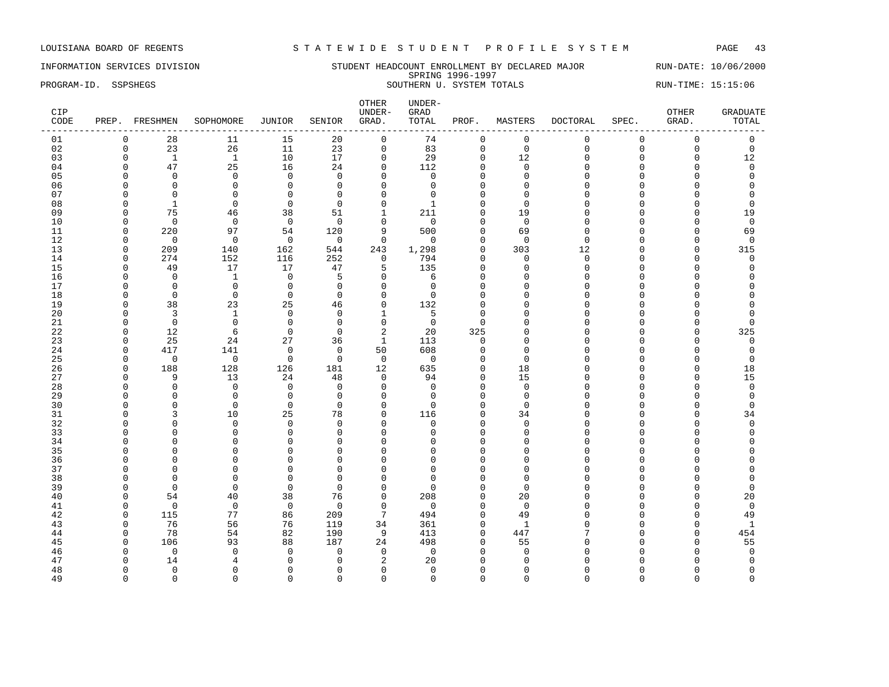INFORMATION SERVICES DIVISION STUDENT HEADCOUNT ENROLLMENT BY DECLARED MAJOR RUN-DATE: 10/06/2000 SPRING 1996-1997 PROGRAM-ID. SSPSHEGS SOUTHERN U. SYSTEM TOTALS RUN-TIME: 15:15:06

| CIP<br>CODE |                      | PREP. FRESHMEN                | SOPHOMORE                   | JUNIOR                     | SENIOR         | OTHER<br>UNDER-<br>GRAD.    | UNDER-<br>GRAD<br>TOTAL | PROF.                | MASTERS              | <b>DOCTORAL</b> | SPEC.       | OTHER<br>GRAD. | <b>GRADUATE</b><br>TOTAL |
|-------------|----------------------|-------------------------------|-----------------------------|----------------------------|----------------|-----------------------------|-------------------------|----------------------|----------------------|-----------------|-------------|----------------|--------------------------|
| 01          | $\mathbf 0$          | 28                            | 11                          | 15                         | 20             | $\mathsf{O}$                | 74                      | $\mathbf 0$          | $\mathsf 0$          | $\mathbf{0}$    | $\mathbf 0$ | $\mathsf 0$    | $\mathsf 0$              |
| 02          | $\mathbf 0$          | 23                            | 26                          | 11                         | 23             | $\mathsf{O}$                | 83                      | $\mathbf 0$          | $\mathbf 0$          | $\Omega$        | $\mathbf 0$ | 0              | $\mathbf 0$              |
| 03          | $\Omega$             | $\mathbf{1}$                  | $\mathbf{1}$                | 10                         | 17             | $\mathbf 0$                 | 29                      | $\Omega$             | 12                   | $\cap$          | $\Omega$    | 0              | 12                       |
| 04          | $\Omega$             | 47                            | 25                          | 16                         | 24             | $\mathbf 0$                 | 112                     | $\mathbf 0$          | $\mathbf 0$          | $\Omega$        | $\Omega$    | $\mathbf 0$    | $\mathbf 0$              |
| 05          | $\Omega$             | $\mathbf 0$                   | $\mathbf 0$                 | $\mathbf 0$                | $\mathbf 0$    | $\Omega$                    | $\Omega$                | $\Omega$             | $\Omega$             | $\Omega$        | $\Omega$    | O              | $\Omega$                 |
| 06          | $\Omega$             | $\Omega$                      | $\mathbf 0$                 | $\mathbf 0$                | $\Omega$       | $\Omega$                    | $\Omega$                | $\Omega$             | $\Omega$             | $\cap$          | $\cap$      | O              | $\Omega$                 |
| 07          | $\Omega$             | $\Omega$                      | $\Omega$                    | $\Omega$                   | $\Omega$       | $\Omega$                    | $\Omega$                | $\Omega$             | $\Omega$             | $\cap$          | $\cap$      | O              | $\Omega$                 |
| 08          | $\Omega$             | $\mathbf{1}$                  | $\mathbf 0$                 | $\mathbf 0$                | $\mathbf 0$    | $\mathbf 0$                 | $\overline{1}$          | $\Omega$             | $\Omega$             | $\cap$          | $\Omega$    | 0              | $\mathbf 0$              |
| 09          | $\Omega$             | 75                            | 46                          | 38                         | 51             | $\mathbf{1}$                | 211                     | $\Omega$             | 19                   | $\Omega$        | $\Omega$    | $\Omega$       | 19                       |
| 10          | $\Omega$             | $\Omega$                      | $\mathbf 0$                 | $\overline{0}$             | $\Omega$       | $\mathbf 0$                 | $\Omega$                | $\Omega$             | $\Omega$             | $\cap$          | C           | O              | $\mathbf 0$              |
| 11          | $\Omega$             | 220                           | 97                          | 54                         | 120            | 9                           | 500                     | $\Omega$             | 69                   | $\cap$          | $\Omega$    | 0              | 69                       |
| 12          | $\Omega$             | $\mathbf 0$                   | $\mathbf 0$                 | $\mathbf 0$                | $\mathbf 0$    | $\mathbf 0$                 | $\Omega$                | $\Omega$             | $\Omega$             | $\Omega$        | $\cap$      | $\Omega$       | $\mathbf 0$              |
| 13          | $\Omega$             | 209                           | 140                         | 162                        | 544            | 243                         | 1,298                   | $\Omega$             | 303                  | 12              | $\cap$      | $\mathbf 0$    | 315                      |
| 14          | $\Omega$             | 274                           | 152                         | 116                        | 252            | $\mathbf 0$                 | 794                     | $\Omega$             | $\Omega$             | $\Omega$        | C           | $\Omega$       | $\mathbf 0$              |
| 15          | $\Omega$             | 49                            | 17                          | 17                         | 47             | 5                           | 135                     | $\mathbf{0}$         | $\mathbf 0$          | $\Omega$        | $\Omega$    | $\Omega$       | $\Omega$                 |
| 16          | $\Omega$             | $\mathbf 0$                   | $\overline{1}$              | $\overline{0}$             | 5              | $\mathbf 0$                 | 6                       | $\Omega$             | $\Omega$             | $\cap$          | $\Omega$    | 0              | $\Omega$                 |
| 17          | $\Omega$             | $\Omega$                      | $\Omega$                    | $\mathbf 0$                | $\Omega$       | $\Omega$                    | $\Omega$                | $\Omega$<br>$\Omega$ | $\Omega$             | $\cap$          | C<br>$\cap$ | O              |                          |
| 18          | $\Omega$             | $\Omega$                      | $\Omega$                    | $\mathbf 0$                | $\Omega$       | $\Omega$                    | $\Omega$                |                      | $\Omega$             | $\cap$          |             | U              |                          |
| 19          | $\Omega$<br>$\Omega$ | 38                            | 23                          | 25                         | 46<br>$\Omega$ | $\mathsf 0$                 | 132                     | $\mathbf{0}$         | $\Omega$<br>$\Omega$ |                 | $\cap$      | O<br>O         | $\Omega$<br>$\Omega$     |
| 20          | $\Omega$             | $\overline{3}$<br>$\mathbf 0$ | $\mathbf{1}$<br>$\mathbf 0$ | $\mathbf 0$<br>$\mathbf 0$ | $\mathbf 0$    | $\mathbf{1}$<br>$\mathsf 0$ | 5                       | $\Omega$<br>$\Omega$ | $\Omega$             | ∩               | C<br>C      | 0              | $\Omega$                 |
| 21<br>22    | $\Omega$             | 12                            | 6                           | $\mathbf 0$                | $\Omega$       | 2                           | $\overline{0}$<br>20    | 325                  | $\Omega$             | $\cap$          |             | $\Omega$       | 325                      |
| 23          | $\Omega$             | 25                            | 24                          | 27                         | 36             | $\mathbf{1}$                | 113                     | $\mathbf 0$          | $\Omega$             | $\cap$          | $\cap$      | $\mathbf 0$    | $\mathbf 0$              |
| 24          | $\mathbf{0}$         | 417                           | 141                         | $\mathsf 0$                | $\mathbf 0$    | 50                          | 608                     | $\mathbf 0$          | $\Omega$             | $\cap$          | $\cap$      | 0              | $\mathbf 0$              |
| 25          | $\Omega$             | $\mathbf 0$                   | $\overline{0}$              | $\Omega$                   | $\Omega$       | $\Omega$                    | $\Omega$                | $\Omega$             | $\Omega$             | ∩               | C           | O              | $\mathbf 0$              |
| 26          | $\Omega$             | 188                           | 128                         | 126                        | 181            | 12                          | 635                     | $\Omega$             | 18                   | $\cap$          | $\Omega$    | 0              | 18                       |
| 27          | $\Omega$             | 9                             | 13                          | 24                         | 48             | $\mathsf 0$                 | 94                      | $\Omega$             | 15                   |                 | C           | $\Omega$       | 15                       |
| 28          | $\Omega$             | $\mathbf 0$                   | $\mathbf 0$                 | $\overline{0}$             | $\Omega$       | $\mathbf 0$                 | $\Omega$                | $\Omega$             | $\Omega$             |                 | $\Omega$    | O              | $\mathbf 0$              |
| 29          | n                    | $\Omega$                      | $\mathbf 0$                 | $\mathbf 0$                | $\Omega$       | $\Omega$                    | $\Omega$                | $\cap$               | $\Omega$             | n               | U           | O              | $\mathbf 0$              |
| 30          |                      | $\Omega$                      | $\Omega$                    | $\mathbf 0$                | $\Omega$       | $\mathbf 0$                 | $\Omega$                | $\Omega$             | $\Omega$             |                 | C           | O              | $\mathbf 0$              |
| 31          | $\Omega$             | 3                             | 10                          | 25                         | 78             | $\mathbf 0$                 | 116                     | $\Omega$             | 34                   |                 | $\Omega$    | 0              | 34                       |
| 32          | n                    | $\Omega$                      | $\mathbf 0$                 | $\mathbf 0$                | $\overline{0}$ | $\Omega$                    | $\Omega$                | $\Omega$             | $\Omega$             | ∩               | C           | 0              | $\Omega$                 |
| 33          |                      | $\Omega$                      | $\Omega$                    | $\Omega$                   | $\Omega$       | $\Omega$                    | $\Omega$                | $\Omega$             | $\Omega$             |                 | U           | O              | $\Omega$                 |
| 34          | $\Omega$             | $\Omega$                      | $\mathbf 0$                 | $\mathbf 0$                | $\mathbf 0$    | $\mathbf{0}$                | $\Omega$                | $\Omega$             | $\Omega$             | $\cap$          | $\cap$      | 0              | $\Omega$                 |
| 35          |                      | $\Omega$                      | $\Omega$                    | $\Omega$                   | $\Omega$       | $\Omega$                    | $\Omega$                | $\Omega$             | $\Omega$             |                 | $\cap$      | $\cap$         |                          |
| 36          | ∩                    | $\Omega$                      | $\Omega$                    | $\mathbf{0}$               | $\Omega$       | $\Omega$                    | $\Omega$                | $\Omega$             | $\Omega$             | $\cap$          | C           | O              |                          |
| 37          | n                    | $\Omega$                      | $\Omega$                    | $\mathbf{0}$               | $\Omega$       | $\Omega$                    | $\Omega$                | $\Omega$             | $\Omega$             | $\cap$          |             | O              | $\Omega$                 |
| 38          | $\Omega$             | $\Omega$                      | $\mathbf 0$                 | $\mathbf{0}$               | $\Omega$       | $\mathbf{0}$                | $\Omega$                | $\Omega$             | $\Omega$             | $\cap$          | $\cap$      | 0              | $\Omega$                 |
| 39          | $\Omega$             | $\Omega$                      | $\mathbf 0$                 | $\mathbf 0$                | $\Omega$       | $\mathbf{0}$                | $\Omega$                | $\Omega$             | $\Omega$             | $\cap$          | $\cap$      | 0              | $\Omega$                 |
| 40          | $\Omega$             | 54                            | 40                          | 38                         | 76             | $\mathbf 0$                 | 208                     | $\Omega$             | 20                   |                 | C           | O              | 20                       |
| 41          | $\Omega$             | $\mathbf 0$                   | $\mathbf 0$                 | $\mathbf 0$                | $\mathbf 0$    | $\mathbf 0$                 | $\mathbf 0$             | $\Omega$             | $\mathbf 0$          |                 | $\cap$      | 0              | $\mathbf 0$              |
| 42          | $\Omega$             | 115                           | 77                          | 86                         | 209            | $7\phantom{.0}$             | 494                     | $\mathbf{0}$         | 49                   | $\cap$          | $\Omega$    | $\Omega$       | 49                       |
| 43          | $\Omega$             | 76                            | 56                          | 76                         | 119            | 34                          | 361                     | $\Omega$             | 1                    |                 | C           | 0              | 1                        |
| 44          | $\Omega$             | 78                            | 54                          | 82                         | 190            | 9                           | 413                     | $\Omega$             | 447                  |                 | $\cap$      | $\mathbf 0$    | 454                      |
| 45          | $\Omega$             | 106                           | 93                          | 88                         | 187            | 24                          | 498                     | $\Omega$             | 55                   |                 | $\cap$      | $\mathbf 0$    | 55                       |
| 46          | $\Omega$             | $\mathbf 0$                   | $\Omega$                    | $\Omega$                   | $\Omega$       | $\mathbf 0$                 | $\mathbf 0$             | $\Omega$             | $\Omega$             | $\cap$          |             | O              | $\mathbf 0$              |
| 47          |                      | 14                            | $\overline{4}$              | $\Omega$                   | $\Omega$       | 2                           | 20                      | O                    | n                    |                 |             | O              | $\Omega$                 |
| 48          | $\Omega$             | $\Omega$                      | $\Omega$                    | $\mathbf{0}$               | $\Omega$       | $\mathbf 0$                 | $\Omega$                | $\Omega$             | $\Omega$             | ∩               | C           | O              | $\mathbf 0$              |
| 49          | $\Omega$             | $\Omega$                      | $\Omega$                    | $\Omega$                   | $\Omega$       | $\Omega$                    | $\Omega$                | $\Omega$             | $\Omega$             | $\Omega$        | $\Omega$    | $\Omega$       | $\Omega$                 |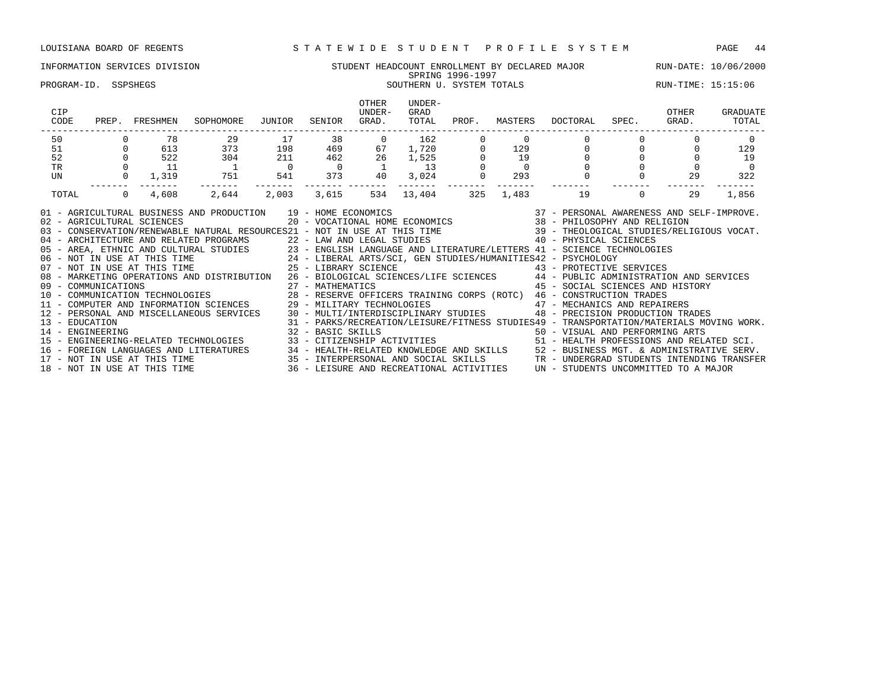### INFORMATION SERVICES DIVISION STUDENT HEADCOUNT ENROLLMENT BY DECLARED MAJOR RUN-DATE: 10/06/2000 SPRING 1996-1997 SPRING 1996-1997<br>SOUTHERN U. SYSTEM TOTALS SOUTHERN SOUTHERN SOUTHERN SOUTHERN SYSTEM TOTALS RUN-TIME: 15:15:06

| CIP<br>CODE                        | PREP.    | FRESHMEN                     | SOPHOMORE                                                                                                                                                                                                                                                                                                                                                                                                                                                                                                                                                                                                                                                                                                                                                                                                                                                                                                               | JUNIOR         | SENIOR            | OTHER<br>UNDER-<br>GRAD. | UNDER-<br>GRAD<br>TOTAL | PROF. | MASTERS  | DOCTORAL                                                                                                                                                       | SPEC.    | OTHER<br>GRAD. | GRADUATE<br>TOTAL |
|------------------------------------|----------|------------------------------|-------------------------------------------------------------------------------------------------------------------------------------------------------------------------------------------------------------------------------------------------------------------------------------------------------------------------------------------------------------------------------------------------------------------------------------------------------------------------------------------------------------------------------------------------------------------------------------------------------------------------------------------------------------------------------------------------------------------------------------------------------------------------------------------------------------------------------------------------------------------------------------------------------------------------|----------------|-------------------|--------------------------|-------------------------|-------|----------|----------------------------------------------------------------------------------------------------------------------------------------------------------------|----------|----------------|-------------------|
| 50                                 |          | 78                           | 29                                                                                                                                                                                                                                                                                                                                                                                                                                                                                                                                                                                                                                                                                                                                                                                                                                                                                                                      | 17             | 38                | $\Omega$                 | 162                     |       | $\Omega$ |                                                                                                                                                                |          |                | $\Omega$          |
| 51                                 |          | 613                          | 373                                                                                                                                                                                                                                                                                                                                                                                                                                                                                                                                                                                                                                                                                                                                                                                                                                                                                                                     | 198            | 469               | 67                       | 1,720                   |       | 129      |                                                                                                                                                                |          |                | 129               |
| 52                                 |          | 522                          | 304                                                                                                                                                                                                                                                                                                                                                                                                                                                                                                                                                                                                                                                                                                                                                                                                                                                                                                                     | 211            | 462               | 26                       | 1,525                   |       | 19       | $\Omega$                                                                                                                                                       |          |                | 19                |
| <b>TR</b>                          |          | 11                           |                                                                                                                                                                                                                                                                                                                                                                                                                                                                                                                                                                                                                                                                                                                                                                                                                                                                                                                         | $\overline{0}$ |                   |                          | 13                      |       |          |                                                                                                                                                                |          |                | $\Omega$          |
| UN                                 |          | 1,319                        | 751                                                                                                                                                                                                                                                                                                                                                                                                                                                                                                                                                                                                                                                                                                                                                                                                                                                                                                                     | 541            | 373               | 40                       | 3,024                   |       | 293      |                                                                                                                                                                |          | 29             | 322               |
| TOTAL                              | $\Omega$ | 4,608                        | 2,644                                                                                                                                                                                                                                                                                                                                                                                                                                                                                                                                                                                                                                                                                                                                                                                                                                                                                                                   | 2,003          | 3,615             | 534                      | 13,404                  | 325   | 1,483    | 19                                                                                                                                                             | $\Omega$ | 29             | 1,856             |
| 09 - COMMUNICATIONS                |          | 02 - AGRICULTURAL SCIENCES   | 01 - AGRICULTURAL BUSINESS AND PRODUCTION 19 - HOME ECONOMICS<br>03 - CONSERVATION/RENEWABLE NATURAL RESOURCES21 - NOT IN USE AT THIS TIME<br>04 - ARCHITECTURE AND RELATED PROGRAMS 22 - LAW AND LEGAL STUDIES<br>05 - AREA, ETHNIC AND CULTURAL STUDIES 23 - ENGLISH LANGUAGE AND LITERATURE/LETTERS 41 - SCIENCE TECHNOLOGIES<br>06 - NOT IN USE AT THIS TIME<br>07 - NOT IN USE AT THIS TIME<br>07 - NOT IN USE AT THIS TIME<br>25 - LIBRARY SCIENCE<br>25 - LIBRARY SCIENCE<br>25 - LIBRARY SCIENCE<br>25 - LIBRARY SCIENCE<br>25 - LIBRARY SCIENCE<br>25 - LIBRARY SCIENCE<br>08 - MARKETING OPERATIONS AND DISTRIBUTION 26 - BIOLOGICAL SCIENCES/LIFE SCIENCES 44 - PUBLIC ADMINISTRATION AND SERVICES<br>10 - COMMUNICATION TECHNOLOGIES 28 - RESERVE OFFICERS TRAINING CORPS (ROTC) 46 - CONSTRUCTION TRADES<br>11 - COMPUTER AND INFORMATION SCIENCES 29 - MILITARY TECHNOLOGIES 47 - MECHANICS AND REPAIRERS |                | 27 - MATHEMATICS  |                          |                         |       |          | 39 - THEOLOGICAL STUDIES/RELIGIOUS VOCAT.<br>40 - PHYSICAL SCIENCES<br>43 - PROTECTIVE SERVICES<br>45 - SOCIAL SCIENCES AND HISTORY                            |          |                |                   |
| 13 - EDUCATION<br>14 - ENGINEERING |          |                              | 12 - PERSONAL AND MISCELLANEOUS SERVICES 30 - MULTI/INTERDISCIPLINARY STUDIES                                                                                                                                                                                                                                                                                                                                                                                                                                                                                                                                                                                                                                                                                                                                                                                                                                           |                | 32 - BASIC SKILLS |                          |                         |       |          | 48 - PRECISION PRODUCTION TRADES<br>31 - PARKS/RECREATION/LEISURE/FITNESS STUDIES49 - TRANSPORTATION/MATERIALS MOVING WORK.<br>50 - VISUAL AND PERFORMING ARTS |          |                |                   |
|                                    |          | 18 - NOT IN USE AT THIS TIME | 15 - ENGINEERING-RELATED TECHNOLOGIES<br>16 - FOREIGN LANGUAGES AND LITERATURES 34 - HEALTH-RELATED KNOWLEDGE AND SKILLS 52 - BUSINESS MGT. & ADMINISTRATIVE SERV.<br>17 - NOT IN USE AT THIS TIME 35 - INTERPERSONAL AND SOCIAL SKILLS TRANDERGRAD STUDENTS INTENDING TRA                                                                                                                                                                                                                                                                                                                                                                                                                                                                                                                                                                                                                                              |                |                   |                          |                         |       |          | 33 - CITIZENSHIP ACTIVITIES 51 - HEALTH PROFESSIONS AND RELATED SCI.<br>36 - LEISURE AND RECREATIONAL ACTIVITIES UN - STUDENTS UNCOMMITTED TO A MAJOR          |          |                |                   |
|                                    |          |                              |                                                                                                                                                                                                                                                                                                                                                                                                                                                                                                                                                                                                                                                                                                                                                                                                                                                                                                                         |                |                   |                          |                         |       |          |                                                                                                                                                                |          |                |                   |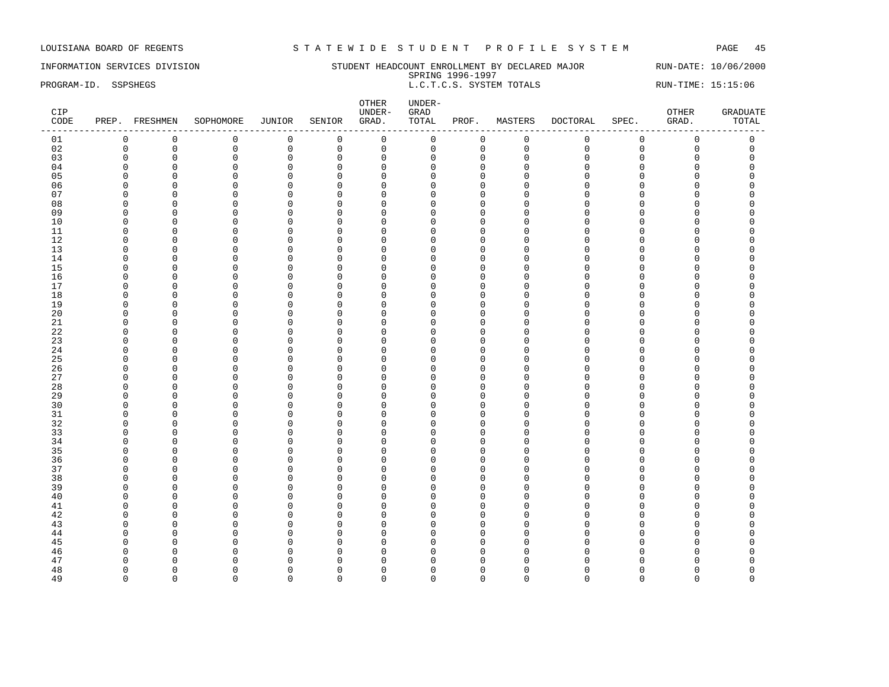INFORMATION SERVICES DIVISION SUNDERT HEADCOUNT ENROLLMENT BY DECLARED MAJOR RUN-DATE: 10/06/2000 SPRING 1996-1997 PROGRAM-ID. SSPSHEGS L.C.T.C.S. SYSTEM TOTALS RUN-TIME: 15:15:06

| $\mathsf 0$<br>$\mathsf 0$<br>$\mathbb O$<br>$\mathsf{O}\xspace$<br>0<br>$\mathsf{O}$<br>$\mathsf 0$<br>$\mathbf 0$<br>$\mathsf 0$<br>$\mathsf 0$<br>01<br>$\mathbf 0$<br>$\mathbf 0$<br>$\mathsf 0$<br>02<br>$\mathbf 0$<br>$\mathsf 0$<br>$\mathsf 0$<br>$\mathsf 0$<br>$\mathsf 0$<br>$\mathsf{O}$<br>0<br>$\mathsf 0$<br>$\mathsf 0$<br>$\Omega$<br>$\mathbf 0$<br>$\mathsf{O}\xspace$<br>$\mathsf 0$<br>03<br>$\mathbf 0$<br>$\mathbf 0$<br>$\mathbf 0$<br>0<br>$\mathbf 0$<br>$\mathbf 0$<br>$\mathbf 0$<br>$\Omega$<br>$\mathbf{0}$<br>$\mathbf 0$<br>$\Omega$<br>$\mathbf 0$<br>$\mathbf 0$<br>$\mathbf 0$<br>$\Omega$<br>$\mathsf 0$<br>$\mathbf 0$<br>04<br>$\mathbf 0$<br>$\mathbf 0$<br>$\Omega$<br>$\Omega$<br>$\Omega$<br>$\Omega$<br>$\Omega$<br>$\cap$<br>$\Omega$<br>05<br>$\Omega$<br>$\mathbf 0$<br>$\mathbf 0$<br>$\Omega$<br>O<br>$\Omega$<br>$\Omega$<br>$\Omega$<br>$\cap$<br>n<br>∩<br>$\Omega$<br>U<br>06<br>$\Omega$<br>$\mathbf 0$<br>$\overline{0}$<br>$\Omega$<br>$\Omega$<br>$\Omega$<br>$\Omega$<br>$\Omega$<br>$\cap$<br>$\Omega$<br>O<br>U<br>$\Omega$<br>$\mathsf 0$<br>07<br>$\overline{0}$<br>$\mathbf 0$<br>$\Omega$<br>$\mathbf 0$<br>$\mathbf 0$<br>$\mathbf 0$<br>$\Omega$<br>O<br>U<br>∩<br>C<br>C<br>08<br>$\overline{0}$<br>$\mathbf 0$<br>$\Omega$<br>$\mathbf 0$<br>O<br>$\Omega$<br>$\Omega$<br>$\Omega$<br>$\Omega$<br>$\cap$<br>$\Omega$<br>09<br>$\mathbf 0$<br>$\mathbf 0$<br>$\mathbf 0$<br>$\Omega$<br>$\Omega$<br>$\Omega$<br>$\Omega$<br>U<br>n<br>∩<br>n<br>C<br>10<br>$\mathbf 0$<br>$\overline{0}$<br>$\mathbf 0$<br>$\mathbf 0$<br>$\Omega$<br>O<br>$\Omega$<br>$\Omega$<br>n<br>n<br>C<br>11<br>$\mathbf 0$<br>$\overline{0}$<br>$\mathbf 0$<br>$\mathbf 0$<br>$\overline{0}$<br>$\mathbf{0}$<br>O<br>$\Omega$<br>$\Omega$<br>$\Omega$<br>$\cap$<br>$\Omega$<br>12<br>$\mathbf 0$<br>$\mathbf 0$<br>$\mathbf 0$<br>$\Omega$<br>$\Omega$<br>O<br>O<br>$\Omega$<br>∩<br>n<br>∩<br>C<br>13<br>$\overline{0}$<br>0<br>$\mathbf 0$<br>$\mathbf 0$<br>$\mathbf{0}$<br>0<br>$\Omega$<br>$\mathbf 0$<br>$\Omega$<br>$\Omega$<br>U<br>14<br>$\mathsf 0$<br>$\mathbf 0$<br>$\Omega$<br>$\mathbf 0$<br>$\mathbf 0$<br>$\mathbf{0}$<br>O<br>$\Omega$<br>$\Omega$<br>$\Omega$<br>$\Omega$<br>15<br>$\Omega$<br>$\Omega$<br>$\Omega$<br>$\Omega$<br>$\Omega$<br>$\Omega$<br>U<br>n<br>n<br>C<br>U<br>16<br>$\overline{0}$<br>$\mathbf 0$<br>$\mathbf 0$<br>$\overline{0}$<br>0<br>$\Omega$<br>$\mathbf 0$<br>$\mathbf 0$<br>$\Omega$<br>$\cap$<br>$\Omega$<br>U<br>17<br>$\overline{0}$<br>0<br>$\Omega$<br>0<br>$\Omega$<br>$\Omega$<br>$\Omega$<br>$\Omega$<br>U<br>O<br>∩<br>C<br>C<br>18<br>$\overline{0}$<br>$\mathbf 0$<br>$\Omega$<br>$\mathbf 0$<br>O<br>$\Omega$<br>$\Omega$<br>$\Omega$<br>$\Omega$<br>$\Omega$<br>n<br>19<br>$\mathbf 0$<br>$\mathbf 0$<br>$\Omega$<br>$\mathbf 0$<br>O<br>$\Omega$<br>$\Omega$<br><sup>n</sup><br>$\Omega$<br>$\Omega$<br>$\cap$<br>$\cap$<br>20<br>$\mathbf 0$<br>$\mathbf 0$<br>$\Omega$<br>O<br>$\Omega$<br>$\mathbf 0$<br>$\Omega$<br>$\Omega$<br>n<br>U<br>∩<br>C<br>21<br>$\mathbf 0$<br>$\mathbf 0$<br>$\Omega$<br>$\mathbf 0$<br>$\mathbf 0$<br>$\mathbf 0$<br>0<br>$\Omega$<br><sup>n</sup><br>$\Omega$<br>$\cap$<br>$\Omega$<br>$\Omega$<br>22<br>$\mathbf 0$<br>$\mathbf 0$<br>$\mathbf 0$<br>$\Omega$<br>$\Omega$<br>$\Omega$<br>O<br>O<br>∩<br>n<br>∩<br>C<br>23<br>$\mathsf 0$<br>$\mathbf 0$<br>$\Omega$<br>$\mathbf 0$<br>$\mathbf 0$<br>$\Omega$<br>O<br>$\Omega$<br>$\Omega$<br>$\cap$<br>U<br>24<br>$\mathsf 0$<br>$\mathbf 0$<br>$\Omega$<br>$\mathbf 0$<br>$\Omega$<br>$\mathbf 0$<br>$\mathbf{0}$<br>$\Omega$<br>0<br>$\Omega$<br>$\cap$<br>$\Omega$<br>25<br>$\Omega$<br>$\mathbf 0$<br>$\Omega$<br>$\Omega$<br>$\Omega$<br>$\Omega$<br>U<br>n<br>U<br>n<br>∩<br>C<br>$\mathsf 0$<br>26<br>$\overline{0}$<br>$\Omega$<br>$\mathbf 0$<br>$\mathbf 0$<br>$\mathbf{0}$<br>0<br>$\Omega$<br>$\Omega$<br>$\cap$<br>$\Omega$<br>U<br>27<br>$\mathsf 0$<br>$\overline{0}$<br>$\mathbf 0$<br>$\overline{0}$<br>0<br>$\Omega$<br>$\Omega$<br>$\mathbf 0$<br>$\cap$<br>$\cap$<br>U<br>O<br>C<br>28<br>$\Omega$<br>$\mathbf 0$<br>$\Omega$<br>$\overline{0}$<br>O<br>$\Omega$<br>$\Omega$<br>n<br>n<br>∩<br>∩<br>C<br>29<br>$\overline{0}$<br>$\mathbf 0$<br>$\mathbf 0$<br>$\mathbf{0}$<br>$\Omega$<br>$\Omega$<br>$\mathbf 0$<br>$\Omega$<br>$\cap$<br>$\Omega$<br>0<br>U<br>$\mathbf 0$<br>30<br>$\overline{0}$<br>$\Omega$<br>$\Omega$<br>O<br>$\Omega$<br>$\Omega$<br>$\Omega$<br>n<br>U<br>C<br>31<br>$\overline{0}$<br>$\mathbf 0$<br>$\overline{0}$<br>$\Omega$<br>$\Omega$<br>$\Omega$<br>$\Omega$<br>$\cap$<br>O<br>O<br>U<br>∩<br>32<br>$\mathbf 0$<br>$\mathbf 0$<br>$\Omega$<br>$\Omega$<br>$\Omega$<br>$\Omega$<br>$\Omega$<br>O<br>U<br>∩<br>∩<br>C<br>33<br>$\mathsf 0$<br>$\Omega$<br>$\mathbf 0$<br>$\mathbf 0$<br>0<br>$\Omega$<br>$\mathbf 0$<br>$\Omega$<br>$\Omega$<br>$\cap$<br>U<br>∩<br>34<br>0<br>$\mathbf 0$<br>$\Omega$<br>$\mathbf 0$<br>$\Omega$<br>0<br>$\mathbf 0$<br>$\Omega$<br>0<br>$\cap$<br>$\cap$<br>$\cap$<br>35<br>$\mathbf 0$<br>$\mathbf 0$<br>$\mathbf 0$<br>$\Omega$<br>$\Omega$<br>$\Omega$<br>$\Omega$<br>U<br>∩<br>∩<br>$\cap$<br>36<br>$\mathbf 0$<br>$\overline{0}$<br>$\Omega$<br>$\mathbf 0$<br>$\mathbf 0$<br>$\Omega$<br>O<br>$\Omega$<br>$\cap$<br>$\Omega$<br>∩<br>U<br>37<br>$\mathbf 0$<br>$\overline{0}$<br>$\Omega$<br>$\overline{0}$<br>$\mathbf{0}$<br>O<br>$\Omega$<br>$\Omega$<br>$\cap$<br>$\Omega$<br>$\cap$<br>$\cap$<br>38<br>$\overline{0}$<br>$\mathbf 0$<br>$\mathbf 0$<br>O<br>$\Omega$<br>$\Omega$<br>$\Omega$<br>$\cap$<br>∩<br>U<br>∩<br>C<br>39<br>$\overline{0}$<br>0<br>$\mathbf 0$<br>$\mathbf 0$<br>$\mathbf{0}$<br>$\Omega$<br>$\Omega$<br>$\mathbf 0$<br>$\cap$<br>$\Omega$<br>$\cap$<br>$\Omega$<br>40<br>$\overline{0}$<br>$\Omega$<br>0<br>$\mathbf 0$<br>$\Omega$<br>$\Omega$<br>O<br>$\Omega$<br>$\Omega$<br>$\Omega$<br>U<br>$\overline{0}$<br>$\mathbf 0$<br>$\mathbf 0$<br>41<br>$\Omega$<br>$\Omega$<br>$\Omega$<br>O<br>∩<br>U<br>∩<br>∩<br>$\cap$<br>42<br>$\mathbf 0$<br>$\mathbf 0$<br>$\mathbf 0$<br>$\mathbf 0$<br>0<br>$\mathbf 0$<br>$\Omega$<br>0<br><sup>0</sup><br>U<br>∩<br>O<br>O<br>43<br>$\mathsf 0$<br>$\Omega$<br>$\mathbf 0$<br>$\mathbf 0$<br>$\mathbf 0$<br>0<br>$\Omega$<br>$\Omega$<br>$\Omega$<br>$\cap$<br>$\Omega$<br>U<br>44<br>0<br>$\mathbf 0$<br>$\mathbf 0$<br>$\Omega$<br>$\Omega$<br>$\mathbf 0$<br>$\Omega$<br>O<br>∩<br>U<br>C<br>45<br>$\Omega$<br>$\mathbf 0$<br>$\Omega$<br>$\Omega$<br>$\Omega$<br>$\Omega$<br>$\Omega$<br>O<br>∩<br>U<br>$\cap$<br>46<br>$\mathbf{0}$<br>$\overline{0}$<br>O<br>$\Omega$<br>$\Omega$<br>$\Omega$<br>$\Omega$<br>n<br>U<br>C<br>47<br>$\mathbf 0$<br>$\Omega$<br>$\Omega$<br>O<br>$\cap$<br>$\Omega$<br>$\Omega$<br>$\cap$<br>$\Omega$<br>O<br>$\mathbf 0$<br>$\mathbf 0$<br>$\mathbf 0$<br>48<br>$\Omega$<br>$\Omega$<br>$\Omega$<br>O<br>$\Omega$<br>O<br>U<br>n<br>C<br>n<br>49<br>$\Omega$<br>$\Omega$<br>$\Omega$<br>$\Omega$<br>$\Omega$<br>$\Omega$<br>$\Omega$<br>$\Omega$<br>$\Omega$<br>$\Omega$<br>$\Omega$<br>$\Omega$<br>$\Omega$ | CIP<br>CODE | PREP. FRESHMEN | SOPHOMORE | JUNIOR | SENIOR | OTHER<br>UNDER-<br>GRAD. | UNDER-<br>${\tt GRAD}$<br>TOTAL | PROF. | MASTERS | DOCTORAL | SPEC. | OTHER<br>GRAD. | <b>GRADUATE</b><br>TOTAL |
|---------------------------------------------------------------------------------------------------------------------------------------------------------------------------------------------------------------------------------------------------------------------------------------------------------------------------------------------------------------------------------------------------------------------------------------------------------------------------------------------------------------------------------------------------------------------------------------------------------------------------------------------------------------------------------------------------------------------------------------------------------------------------------------------------------------------------------------------------------------------------------------------------------------------------------------------------------------------------------------------------------------------------------------------------------------------------------------------------------------------------------------------------------------------------------------------------------------------------------------------------------------------------------------------------------------------------------------------------------------------------------------------------------------------------------------------------------------------------------------------------------------------------------------------------------------------------------------------------------------------------------------------------------------------------------------------------------------------------------------------------------------------------------------------------------------------------------------------------------------------------------------------------------------------------------------------------------------------------------------------------------------------------------------------------------------------------------------------------------------------------------------------------------------------------------------------------------------------------------------------------------------------------------------------------------------------------------------------------------------------------------------------------------------------------------------------------------------------------------------------------------------------------------------------------------------------------------------------------------------------------------------------------------------------------------------------------------------------------------------------------------------------------------------------------------------------------------------------------------------------------------------------------------------------------------------------------------------------------------------------------------------------------------------------------------------------------------------------------------------------------------------------------------------------------------------------------------------------------------------------------------------------------------------------------------------------------------------------------------------------------------------------------------------------------------------------------------------------------------------------------------------------------------------------------------------------------------------------------------------------------------------------------------------------------------------------------------------------------------------------------------------------------------------------------------------------------------------------------------------------------------------------------------------------------------------------------------------------------------------------------------------------------------------------------------------------------------------------------------------------------------------------------------------------------------------------------------------------------------------------------------------------------------------------------------------------------------------------------------------------------------------------------------------------------------------------------------------------------------------------------------------------------------------------------------------------------------------------------------------------------------------------------------------------------------------------------------------------------------------------------------------------------------------------------------------------------------------------------------------------------------------------------------------------------------------------------------------------------------------------------------------------------------------------------------------------------------------------------------------------------------------------------------------------------------------------------------------------------------------------------------------------------------------------------------------------------------------------------------------------------------------------------------------------------------------------------------------------------------------------------------------------------------------------------------------------------------------------------------------------------------------------------------------------------------------------------------------------------------------------------------------------------------------------------------------------------------------------------------------------------------------------------------------------------------------------------------------------------------------------------------------------------------------------------------------------------------------------------------------------------------------------------------------------------------------------------------------------------------------------------------------------------------------------------------------------------------------------------------------------------------------------------------------------------------------------------------------------------------------------------------------------------------------------------------------------------------------------------------------------------------------------------------------------------------------------------------------------------------------------------------------------------------------------------------------------------------------------------------------------------------------------------------------------------------------------------------------------------------------------------------------------------------------------------------------------------------------------------------------------|-------------|----------------|-----------|--------|--------|--------------------------|---------------------------------|-------|---------|----------|-------|----------------|--------------------------|
|                                                                                                                                                                                                                                                                                                                                                                                                                                                                                                                                                                                                                                                                                                                                                                                                                                                                                                                                                                                                                                                                                                                                                                                                                                                                                                                                                                                                                                                                                                                                                                                                                                                                                                                                                                                                                                                                                                                                                                                                                                                                                                                                                                                                                                                                                                                                                                                                                                                                                                                                                                                                                                                                                                                                                                                                                                                                                                                                                                                                                                                                                                                                                                                                                                                                                                                                                                                                                                                                                                                                                                                                                                                                                                                                                                                                                                                                                                                                                                                                                                                                                                                                                                                                                                                                                                                                                                                                                                                                                                                                                                                                                                                                                                                                                                                                                                                                                                                                                                                                                                                                                                                                                                                                                                                                                                                                                                                                                                                                                                                                                                                                                                                                                                                                                                                                                                                                                                                                                                                                                                                                                                                                                                                                                                                                                                                                                                                                                                                                                                                                                                                                                                                                                                                                                                                                                                                                                                                                                                                                                                                                                                                     |             |                |           |        |        |                          |                                 |       |         |          |       |                |                          |
|                                                                                                                                                                                                                                                                                                                                                                                                                                                                                                                                                                                                                                                                                                                                                                                                                                                                                                                                                                                                                                                                                                                                                                                                                                                                                                                                                                                                                                                                                                                                                                                                                                                                                                                                                                                                                                                                                                                                                                                                                                                                                                                                                                                                                                                                                                                                                                                                                                                                                                                                                                                                                                                                                                                                                                                                                                                                                                                                                                                                                                                                                                                                                                                                                                                                                                                                                                                                                                                                                                                                                                                                                                                                                                                                                                                                                                                                                                                                                                                                                                                                                                                                                                                                                                                                                                                                                                                                                                                                                                                                                                                                                                                                                                                                                                                                                                                                                                                                                                                                                                                                                                                                                                                                                                                                                                                                                                                                                                                                                                                                                                                                                                                                                                                                                                                                                                                                                                                                                                                                                                                                                                                                                                                                                                                                                                                                                                                                                                                                                                                                                                                                                                                                                                                                                                                                                                                                                                                                                                                                                                                                                                                     |             |                |           |        |        |                          |                                 |       |         |          |       |                |                          |
|                                                                                                                                                                                                                                                                                                                                                                                                                                                                                                                                                                                                                                                                                                                                                                                                                                                                                                                                                                                                                                                                                                                                                                                                                                                                                                                                                                                                                                                                                                                                                                                                                                                                                                                                                                                                                                                                                                                                                                                                                                                                                                                                                                                                                                                                                                                                                                                                                                                                                                                                                                                                                                                                                                                                                                                                                                                                                                                                                                                                                                                                                                                                                                                                                                                                                                                                                                                                                                                                                                                                                                                                                                                                                                                                                                                                                                                                                                                                                                                                                                                                                                                                                                                                                                                                                                                                                                                                                                                                                                                                                                                                                                                                                                                                                                                                                                                                                                                                                                                                                                                                                                                                                                                                                                                                                                                                                                                                                                                                                                                                                                                                                                                                                                                                                                                                                                                                                                                                                                                                                                                                                                                                                                                                                                                                                                                                                                                                                                                                                                                                                                                                                                                                                                                                                                                                                                                                                                                                                                                                                                                                                                                     |             |                |           |        |        |                          |                                 |       |         |          |       |                |                          |
|                                                                                                                                                                                                                                                                                                                                                                                                                                                                                                                                                                                                                                                                                                                                                                                                                                                                                                                                                                                                                                                                                                                                                                                                                                                                                                                                                                                                                                                                                                                                                                                                                                                                                                                                                                                                                                                                                                                                                                                                                                                                                                                                                                                                                                                                                                                                                                                                                                                                                                                                                                                                                                                                                                                                                                                                                                                                                                                                                                                                                                                                                                                                                                                                                                                                                                                                                                                                                                                                                                                                                                                                                                                                                                                                                                                                                                                                                                                                                                                                                                                                                                                                                                                                                                                                                                                                                                                                                                                                                                                                                                                                                                                                                                                                                                                                                                                                                                                                                                                                                                                                                                                                                                                                                                                                                                                                                                                                                                                                                                                                                                                                                                                                                                                                                                                                                                                                                                                                                                                                                                                                                                                                                                                                                                                                                                                                                                                                                                                                                                                                                                                                                                                                                                                                                                                                                                                                                                                                                                                                                                                                                                                     |             |                |           |        |        |                          |                                 |       |         |          |       |                |                          |
|                                                                                                                                                                                                                                                                                                                                                                                                                                                                                                                                                                                                                                                                                                                                                                                                                                                                                                                                                                                                                                                                                                                                                                                                                                                                                                                                                                                                                                                                                                                                                                                                                                                                                                                                                                                                                                                                                                                                                                                                                                                                                                                                                                                                                                                                                                                                                                                                                                                                                                                                                                                                                                                                                                                                                                                                                                                                                                                                                                                                                                                                                                                                                                                                                                                                                                                                                                                                                                                                                                                                                                                                                                                                                                                                                                                                                                                                                                                                                                                                                                                                                                                                                                                                                                                                                                                                                                                                                                                                                                                                                                                                                                                                                                                                                                                                                                                                                                                                                                                                                                                                                                                                                                                                                                                                                                                                                                                                                                                                                                                                                                                                                                                                                                                                                                                                                                                                                                                                                                                                                                                                                                                                                                                                                                                                                                                                                                                                                                                                                                                                                                                                                                                                                                                                                                                                                                                                                                                                                                                                                                                                                                                     |             |                |           |        |        |                          |                                 |       |         |          |       |                |                          |
|                                                                                                                                                                                                                                                                                                                                                                                                                                                                                                                                                                                                                                                                                                                                                                                                                                                                                                                                                                                                                                                                                                                                                                                                                                                                                                                                                                                                                                                                                                                                                                                                                                                                                                                                                                                                                                                                                                                                                                                                                                                                                                                                                                                                                                                                                                                                                                                                                                                                                                                                                                                                                                                                                                                                                                                                                                                                                                                                                                                                                                                                                                                                                                                                                                                                                                                                                                                                                                                                                                                                                                                                                                                                                                                                                                                                                                                                                                                                                                                                                                                                                                                                                                                                                                                                                                                                                                                                                                                                                                                                                                                                                                                                                                                                                                                                                                                                                                                                                                                                                                                                                                                                                                                                                                                                                                                                                                                                                                                                                                                                                                                                                                                                                                                                                                                                                                                                                                                                                                                                                                                                                                                                                                                                                                                                                                                                                                                                                                                                                                                                                                                                                                                                                                                                                                                                                                                                                                                                                                                                                                                                                                                     |             |                |           |        |        |                          |                                 |       |         |          |       |                |                          |
|                                                                                                                                                                                                                                                                                                                                                                                                                                                                                                                                                                                                                                                                                                                                                                                                                                                                                                                                                                                                                                                                                                                                                                                                                                                                                                                                                                                                                                                                                                                                                                                                                                                                                                                                                                                                                                                                                                                                                                                                                                                                                                                                                                                                                                                                                                                                                                                                                                                                                                                                                                                                                                                                                                                                                                                                                                                                                                                                                                                                                                                                                                                                                                                                                                                                                                                                                                                                                                                                                                                                                                                                                                                                                                                                                                                                                                                                                                                                                                                                                                                                                                                                                                                                                                                                                                                                                                                                                                                                                                                                                                                                                                                                                                                                                                                                                                                                                                                                                                                                                                                                                                                                                                                                                                                                                                                                                                                                                                                                                                                                                                                                                                                                                                                                                                                                                                                                                                                                                                                                                                                                                                                                                                                                                                                                                                                                                                                                                                                                                                                                                                                                                                                                                                                                                                                                                                                                                                                                                                                                                                                                                                                     |             |                |           |        |        |                          |                                 |       |         |          |       |                |                          |
|                                                                                                                                                                                                                                                                                                                                                                                                                                                                                                                                                                                                                                                                                                                                                                                                                                                                                                                                                                                                                                                                                                                                                                                                                                                                                                                                                                                                                                                                                                                                                                                                                                                                                                                                                                                                                                                                                                                                                                                                                                                                                                                                                                                                                                                                                                                                                                                                                                                                                                                                                                                                                                                                                                                                                                                                                                                                                                                                                                                                                                                                                                                                                                                                                                                                                                                                                                                                                                                                                                                                                                                                                                                                                                                                                                                                                                                                                                                                                                                                                                                                                                                                                                                                                                                                                                                                                                                                                                                                                                                                                                                                                                                                                                                                                                                                                                                                                                                                                                                                                                                                                                                                                                                                                                                                                                                                                                                                                                                                                                                                                                                                                                                                                                                                                                                                                                                                                                                                                                                                                                                                                                                                                                                                                                                                                                                                                                                                                                                                                                                                                                                                                                                                                                                                                                                                                                                                                                                                                                                                                                                                                                                     |             |                |           |        |        |                          |                                 |       |         |          |       |                |                          |
|                                                                                                                                                                                                                                                                                                                                                                                                                                                                                                                                                                                                                                                                                                                                                                                                                                                                                                                                                                                                                                                                                                                                                                                                                                                                                                                                                                                                                                                                                                                                                                                                                                                                                                                                                                                                                                                                                                                                                                                                                                                                                                                                                                                                                                                                                                                                                                                                                                                                                                                                                                                                                                                                                                                                                                                                                                                                                                                                                                                                                                                                                                                                                                                                                                                                                                                                                                                                                                                                                                                                                                                                                                                                                                                                                                                                                                                                                                                                                                                                                                                                                                                                                                                                                                                                                                                                                                                                                                                                                                                                                                                                                                                                                                                                                                                                                                                                                                                                                                                                                                                                                                                                                                                                                                                                                                                                                                                                                                                                                                                                                                                                                                                                                                                                                                                                                                                                                                                                                                                                                                                                                                                                                                                                                                                                                                                                                                                                                                                                                                                                                                                                                                                                                                                                                                                                                                                                                                                                                                                                                                                                                                                     |             |                |           |        |        |                          |                                 |       |         |          |       |                |                          |
|                                                                                                                                                                                                                                                                                                                                                                                                                                                                                                                                                                                                                                                                                                                                                                                                                                                                                                                                                                                                                                                                                                                                                                                                                                                                                                                                                                                                                                                                                                                                                                                                                                                                                                                                                                                                                                                                                                                                                                                                                                                                                                                                                                                                                                                                                                                                                                                                                                                                                                                                                                                                                                                                                                                                                                                                                                                                                                                                                                                                                                                                                                                                                                                                                                                                                                                                                                                                                                                                                                                                                                                                                                                                                                                                                                                                                                                                                                                                                                                                                                                                                                                                                                                                                                                                                                                                                                                                                                                                                                                                                                                                                                                                                                                                                                                                                                                                                                                                                                                                                                                                                                                                                                                                                                                                                                                                                                                                                                                                                                                                                                                                                                                                                                                                                                                                                                                                                                                                                                                                                                                                                                                                                                                                                                                                                                                                                                                                                                                                                                                                                                                                                                                                                                                                                                                                                                                                                                                                                                                                                                                                                                                     |             |                |           |        |        |                          |                                 |       |         |          |       |                |                          |
|                                                                                                                                                                                                                                                                                                                                                                                                                                                                                                                                                                                                                                                                                                                                                                                                                                                                                                                                                                                                                                                                                                                                                                                                                                                                                                                                                                                                                                                                                                                                                                                                                                                                                                                                                                                                                                                                                                                                                                                                                                                                                                                                                                                                                                                                                                                                                                                                                                                                                                                                                                                                                                                                                                                                                                                                                                                                                                                                                                                                                                                                                                                                                                                                                                                                                                                                                                                                                                                                                                                                                                                                                                                                                                                                                                                                                                                                                                                                                                                                                                                                                                                                                                                                                                                                                                                                                                                                                                                                                                                                                                                                                                                                                                                                                                                                                                                                                                                                                                                                                                                                                                                                                                                                                                                                                                                                                                                                                                                                                                                                                                                                                                                                                                                                                                                                                                                                                                                                                                                                                                                                                                                                                                                                                                                                                                                                                                                                                                                                                                                                                                                                                                                                                                                                                                                                                                                                                                                                                                                                                                                                                                                     |             |                |           |        |        |                          |                                 |       |         |          |       |                |                          |
|                                                                                                                                                                                                                                                                                                                                                                                                                                                                                                                                                                                                                                                                                                                                                                                                                                                                                                                                                                                                                                                                                                                                                                                                                                                                                                                                                                                                                                                                                                                                                                                                                                                                                                                                                                                                                                                                                                                                                                                                                                                                                                                                                                                                                                                                                                                                                                                                                                                                                                                                                                                                                                                                                                                                                                                                                                                                                                                                                                                                                                                                                                                                                                                                                                                                                                                                                                                                                                                                                                                                                                                                                                                                                                                                                                                                                                                                                                                                                                                                                                                                                                                                                                                                                                                                                                                                                                                                                                                                                                                                                                                                                                                                                                                                                                                                                                                                                                                                                                                                                                                                                                                                                                                                                                                                                                                                                                                                                                                                                                                                                                                                                                                                                                                                                                                                                                                                                                                                                                                                                                                                                                                                                                                                                                                                                                                                                                                                                                                                                                                                                                                                                                                                                                                                                                                                                                                                                                                                                                                                                                                                                                                     |             |                |           |        |        |                          |                                 |       |         |          |       |                |                          |
|                                                                                                                                                                                                                                                                                                                                                                                                                                                                                                                                                                                                                                                                                                                                                                                                                                                                                                                                                                                                                                                                                                                                                                                                                                                                                                                                                                                                                                                                                                                                                                                                                                                                                                                                                                                                                                                                                                                                                                                                                                                                                                                                                                                                                                                                                                                                                                                                                                                                                                                                                                                                                                                                                                                                                                                                                                                                                                                                                                                                                                                                                                                                                                                                                                                                                                                                                                                                                                                                                                                                                                                                                                                                                                                                                                                                                                                                                                                                                                                                                                                                                                                                                                                                                                                                                                                                                                                                                                                                                                                                                                                                                                                                                                                                                                                                                                                                                                                                                                                                                                                                                                                                                                                                                                                                                                                                                                                                                                                                                                                                                                                                                                                                                                                                                                                                                                                                                                                                                                                                                                                                                                                                                                                                                                                                                                                                                                                                                                                                                                                                                                                                                                                                                                                                                                                                                                                                                                                                                                                                                                                                                                                     |             |                |           |        |        |                          |                                 |       |         |          |       |                |                          |
|                                                                                                                                                                                                                                                                                                                                                                                                                                                                                                                                                                                                                                                                                                                                                                                                                                                                                                                                                                                                                                                                                                                                                                                                                                                                                                                                                                                                                                                                                                                                                                                                                                                                                                                                                                                                                                                                                                                                                                                                                                                                                                                                                                                                                                                                                                                                                                                                                                                                                                                                                                                                                                                                                                                                                                                                                                                                                                                                                                                                                                                                                                                                                                                                                                                                                                                                                                                                                                                                                                                                                                                                                                                                                                                                                                                                                                                                                                                                                                                                                                                                                                                                                                                                                                                                                                                                                                                                                                                                                                                                                                                                                                                                                                                                                                                                                                                                                                                                                                                                                                                                                                                                                                                                                                                                                                                                                                                                                                                                                                                                                                                                                                                                                                                                                                                                                                                                                                                                                                                                                                                                                                                                                                                                                                                                                                                                                                                                                                                                                                                                                                                                                                                                                                                                                                                                                                                                                                                                                                                                                                                                                                                     |             |                |           |        |        |                          |                                 |       |         |          |       |                |                          |
|                                                                                                                                                                                                                                                                                                                                                                                                                                                                                                                                                                                                                                                                                                                                                                                                                                                                                                                                                                                                                                                                                                                                                                                                                                                                                                                                                                                                                                                                                                                                                                                                                                                                                                                                                                                                                                                                                                                                                                                                                                                                                                                                                                                                                                                                                                                                                                                                                                                                                                                                                                                                                                                                                                                                                                                                                                                                                                                                                                                                                                                                                                                                                                                                                                                                                                                                                                                                                                                                                                                                                                                                                                                                                                                                                                                                                                                                                                                                                                                                                                                                                                                                                                                                                                                                                                                                                                                                                                                                                                                                                                                                                                                                                                                                                                                                                                                                                                                                                                                                                                                                                                                                                                                                                                                                                                                                                                                                                                                                                                                                                                                                                                                                                                                                                                                                                                                                                                                                                                                                                                                                                                                                                                                                                                                                                                                                                                                                                                                                                                                                                                                                                                                                                                                                                                                                                                                                                                                                                                                                                                                                                                                     |             |                |           |        |        |                          |                                 |       |         |          |       |                |                          |
|                                                                                                                                                                                                                                                                                                                                                                                                                                                                                                                                                                                                                                                                                                                                                                                                                                                                                                                                                                                                                                                                                                                                                                                                                                                                                                                                                                                                                                                                                                                                                                                                                                                                                                                                                                                                                                                                                                                                                                                                                                                                                                                                                                                                                                                                                                                                                                                                                                                                                                                                                                                                                                                                                                                                                                                                                                                                                                                                                                                                                                                                                                                                                                                                                                                                                                                                                                                                                                                                                                                                                                                                                                                                                                                                                                                                                                                                                                                                                                                                                                                                                                                                                                                                                                                                                                                                                                                                                                                                                                                                                                                                                                                                                                                                                                                                                                                                                                                                                                                                                                                                                                                                                                                                                                                                                                                                                                                                                                                                                                                                                                                                                                                                                                                                                                                                                                                                                                                                                                                                                                                                                                                                                                                                                                                                                                                                                                                                                                                                                                                                                                                                                                                                                                                                                                                                                                                                                                                                                                                                                                                                                                                     |             |                |           |        |        |                          |                                 |       |         |          |       |                |                          |
|                                                                                                                                                                                                                                                                                                                                                                                                                                                                                                                                                                                                                                                                                                                                                                                                                                                                                                                                                                                                                                                                                                                                                                                                                                                                                                                                                                                                                                                                                                                                                                                                                                                                                                                                                                                                                                                                                                                                                                                                                                                                                                                                                                                                                                                                                                                                                                                                                                                                                                                                                                                                                                                                                                                                                                                                                                                                                                                                                                                                                                                                                                                                                                                                                                                                                                                                                                                                                                                                                                                                                                                                                                                                                                                                                                                                                                                                                                                                                                                                                                                                                                                                                                                                                                                                                                                                                                                                                                                                                                                                                                                                                                                                                                                                                                                                                                                                                                                                                                                                                                                                                                                                                                                                                                                                                                                                                                                                                                                                                                                                                                                                                                                                                                                                                                                                                                                                                                                                                                                                                                                                                                                                                                                                                                                                                                                                                                                                                                                                                                                                                                                                                                                                                                                                                                                                                                                                                                                                                                                                                                                                                                                     |             |                |           |        |        |                          |                                 |       |         |          |       |                |                          |
|                                                                                                                                                                                                                                                                                                                                                                                                                                                                                                                                                                                                                                                                                                                                                                                                                                                                                                                                                                                                                                                                                                                                                                                                                                                                                                                                                                                                                                                                                                                                                                                                                                                                                                                                                                                                                                                                                                                                                                                                                                                                                                                                                                                                                                                                                                                                                                                                                                                                                                                                                                                                                                                                                                                                                                                                                                                                                                                                                                                                                                                                                                                                                                                                                                                                                                                                                                                                                                                                                                                                                                                                                                                                                                                                                                                                                                                                                                                                                                                                                                                                                                                                                                                                                                                                                                                                                                                                                                                                                                                                                                                                                                                                                                                                                                                                                                                                                                                                                                                                                                                                                                                                                                                                                                                                                                                                                                                                                                                                                                                                                                                                                                                                                                                                                                                                                                                                                                                                                                                                                                                                                                                                                                                                                                                                                                                                                                                                                                                                                                                                                                                                                                                                                                                                                                                                                                                                                                                                                                                                                                                                                                                     |             |                |           |        |        |                          |                                 |       |         |          |       |                |                          |
|                                                                                                                                                                                                                                                                                                                                                                                                                                                                                                                                                                                                                                                                                                                                                                                                                                                                                                                                                                                                                                                                                                                                                                                                                                                                                                                                                                                                                                                                                                                                                                                                                                                                                                                                                                                                                                                                                                                                                                                                                                                                                                                                                                                                                                                                                                                                                                                                                                                                                                                                                                                                                                                                                                                                                                                                                                                                                                                                                                                                                                                                                                                                                                                                                                                                                                                                                                                                                                                                                                                                                                                                                                                                                                                                                                                                                                                                                                                                                                                                                                                                                                                                                                                                                                                                                                                                                                                                                                                                                                                                                                                                                                                                                                                                                                                                                                                                                                                                                                                                                                                                                                                                                                                                                                                                                                                                                                                                                                                                                                                                                                                                                                                                                                                                                                                                                                                                                                                                                                                                                                                                                                                                                                                                                                                                                                                                                                                                                                                                                                                                                                                                                                                                                                                                                                                                                                                                                                                                                                                                                                                                                                                     |             |                |           |        |        |                          |                                 |       |         |          |       |                |                          |
|                                                                                                                                                                                                                                                                                                                                                                                                                                                                                                                                                                                                                                                                                                                                                                                                                                                                                                                                                                                                                                                                                                                                                                                                                                                                                                                                                                                                                                                                                                                                                                                                                                                                                                                                                                                                                                                                                                                                                                                                                                                                                                                                                                                                                                                                                                                                                                                                                                                                                                                                                                                                                                                                                                                                                                                                                                                                                                                                                                                                                                                                                                                                                                                                                                                                                                                                                                                                                                                                                                                                                                                                                                                                                                                                                                                                                                                                                                                                                                                                                                                                                                                                                                                                                                                                                                                                                                                                                                                                                                                                                                                                                                                                                                                                                                                                                                                                                                                                                                                                                                                                                                                                                                                                                                                                                                                                                                                                                                                                                                                                                                                                                                                                                                                                                                                                                                                                                                                                                                                                                                                                                                                                                                                                                                                                                                                                                                                                                                                                                                                                                                                                                                                                                                                                                                                                                                                                                                                                                                                                                                                                                                                     |             |                |           |        |        |                          |                                 |       |         |          |       |                |                          |
|                                                                                                                                                                                                                                                                                                                                                                                                                                                                                                                                                                                                                                                                                                                                                                                                                                                                                                                                                                                                                                                                                                                                                                                                                                                                                                                                                                                                                                                                                                                                                                                                                                                                                                                                                                                                                                                                                                                                                                                                                                                                                                                                                                                                                                                                                                                                                                                                                                                                                                                                                                                                                                                                                                                                                                                                                                                                                                                                                                                                                                                                                                                                                                                                                                                                                                                                                                                                                                                                                                                                                                                                                                                                                                                                                                                                                                                                                                                                                                                                                                                                                                                                                                                                                                                                                                                                                                                                                                                                                                                                                                                                                                                                                                                                                                                                                                                                                                                                                                                                                                                                                                                                                                                                                                                                                                                                                                                                                                                                                                                                                                                                                                                                                                                                                                                                                                                                                                                                                                                                                                                                                                                                                                                                                                                                                                                                                                                                                                                                                                                                                                                                                                                                                                                                                                                                                                                                                                                                                                                                                                                                                                                     |             |                |           |        |        |                          |                                 |       |         |          |       |                |                          |
|                                                                                                                                                                                                                                                                                                                                                                                                                                                                                                                                                                                                                                                                                                                                                                                                                                                                                                                                                                                                                                                                                                                                                                                                                                                                                                                                                                                                                                                                                                                                                                                                                                                                                                                                                                                                                                                                                                                                                                                                                                                                                                                                                                                                                                                                                                                                                                                                                                                                                                                                                                                                                                                                                                                                                                                                                                                                                                                                                                                                                                                                                                                                                                                                                                                                                                                                                                                                                                                                                                                                                                                                                                                                                                                                                                                                                                                                                                                                                                                                                                                                                                                                                                                                                                                                                                                                                                                                                                                                                                                                                                                                                                                                                                                                                                                                                                                                                                                                                                                                                                                                                                                                                                                                                                                                                                                                                                                                                                                                                                                                                                                                                                                                                                                                                                                                                                                                                                                                                                                                                                                                                                                                                                                                                                                                                                                                                                                                                                                                                                                                                                                                                                                                                                                                                                                                                                                                                                                                                                                                                                                                                                                     |             |                |           |        |        |                          |                                 |       |         |          |       |                |                          |
|                                                                                                                                                                                                                                                                                                                                                                                                                                                                                                                                                                                                                                                                                                                                                                                                                                                                                                                                                                                                                                                                                                                                                                                                                                                                                                                                                                                                                                                                                                                                                                                                                                                                                                                                                                                                                                                                                                                                                                                                                                                                                                                                                                                                                                                                                                                                                                                                                                                                                                                                                                                                                                                                                                                                                                                                                                                                                                                                                                                                                                                                                                                                                                                                                                                                                                                                                                                                                                                                                                                                                                                                                                                                                                                                                                                                                                                                                                                                                                                                                                                                                                                                                                                                                                                                                                                                                                                                                                                                                                                                                                                                                                                                                                                                                                                                                                                                                                                                                                                                                                                                                                                                                                                                                                                                                                                                                                                                                                                                                                                                                                                                                                                                                                                                                                                                                                                                                                                                                                                                                                                                                                                                                                                                                                                                                                                                                                                                                                                                                                                                                                                                                                                                                                                                                                                                                                                                                                                                                                                                                                                                                                                     |             |                |           |        |        |                          |                                 |       |         |          |       |                |                          |
|                                                                                                                                                                                                                                                                                                                                                                                                                                                                                                                                                                                                                                                                                                                                                                                                                                                                                                                                                                                                                                                                                                                                                                                                                                                                                                                                                                                                                                                                                                                                                                                                                                                                                                                                                                                                                                                                                                                                                                                                                                                                                                                                                                                                                                                                                                                                                                                                                                                                                                                                                                                                                                                                                                                                                                                                                                                                                                                                                                                                                                                                                                                                                                                                                                                                                                                                                                                                                                                                                                                                                                                                                                                                                                                                                                                                                                                                                                                                                                                                                                                                                                                                                                                                                                                                                                                                                                                                                                                                                                                                                                                                                                                                                                                                                                                                                                                                                                                                                                                                                                                                                                                                                                                                                                                                                                                                                                                                                                                                                                                                                                                                                                                                                                                                                                                                                                                                                                                                                                                                                                                                                                                                                                                                                                                                                                                                                                                                                                                                                                                                                                                                                                                                                                                                                                                                                                                                                                                                                                                                                                                                                                                     |             |                |           |        |        |                          |                                 |       |         |          |       |                |                          |
|                                                                                                                                                                                                                                                                                                                                                                                                                                                                                                                                                                                                                                                                                                                                                                                                                                                                                                                                                                                                                                                                                                                                                                                                                                                                                                                                                                                                                                                                                                                                                                                                                                                                                                                                                                                                                                                                                                                                                                                                                                                                                                                                                                                                                                                                                                                                                                                                                                                                                                                                                                                                                                                                                                                                                                                                                                                                                                                                                                                                                                                                                                                                                                                                                                                                                                                                                                                                                                                                                                                                                                                                                                                                                                                                                                                                                                                                                                                                                                                                                                                                                                                                                                                                                                                                                                                                                                                                                                                                                                                                                                                                                                                                                                                                                                                                                                                                                                                                                                                                                                                                                                                                                                                                                                                                                                                                                                                                                                                                                                                                                                                                                                                                                                                                                                                                                                                                                                                                                                                                                                                                                                                                                                                                                                                                                                                                                                                                                                                                                                                                                                                                                                                                                                                                                                                                                                                                                                                                                                                                                                                                                                                     |             |                |           |        |        |                          |                                 |       |         |          |       |                |                          |
|                                                                                                                                                                                                                                                                                                                                                                                                                                                                                                                                                                                                                                                                                                                                                                                                                                                                                                                                                                                                                                                                                                                                                                                                                                                                                                                                                                                                                                                                                                                                                                                                                                                                                                                                                                                                                                                                                                                                                                                                                                                                                                                                                                                                                                                                                                                                                                                                                                                                                                                                                                                                                                                                                                                                                                                                                                                                                                                                                                                                                                                                                                                                                                                                                                                                                                                                                                                                                                                                                                                                                                                                                                                                                                                                                                                                                                                                                                                                                                                                                                                                                                                                                                                                                                                                                                                                                                                                                                                                                                                                                                                                                                                                                                                                                                                                                                                                                                                                                                                                                                                                                                                                                                                                                                                                                                                                                                                                                                                                                                                                                                                                                                                                                                                                                                                                                                                                                                                                                                                                                                                                                                                                                                                                                                                                                                                                                                                                                                                                                                                                                                                                                                                                                                                                                                                                                                                                                                                                                                                                                                                                                                                     |             |                |           |        |        |                          |                                 |       |         |          |       |                |                          |
|                                                                                                                                                                                                                                                                                                                                                                                                                                                                                                                                                                                                                                                                                                                                                                                                                                                                                                                                                                                                                                                                                                                                                                                                                                                                                                                                                                                                                                                                                                                                                                                                                                                                                                                                                                                                                                                                                                                                                                                                                                                                                                                                                                                                                                                                                                                                                                                                                                                                                                                                                                                                                                                                                                                                                                                                                                                                                                                                                                                                                                                                                                                                                                                                                                                                                                                                                                                                                                                                                                                                                                                                                                                                                                                                                                                                                                                                                                                                                                                                                                                                                                                                                                                                                                                                                                                                                                                                                                                                                                                                                                                                                                                                                                                                                                                                                                                                                                                                                                                                                                                                                                                                                                                                                                                                                                                                                                                                                                                                                                                                                                                                                                                                                                                                                                                                                                                                                                                                                                                                                                                                                                                                                                                                                                                                                                                                                                                                                                                                                                                                                                                                                                                                                                                                                                                                                                                                                                                                                                                                                                                                                                                     |             |                |           |        |        |                          |                                 |       |         |          |       |                |                          |
|                                                                                                                                                                                                                                                                                                                                                                                                                                                                                                                                                                                                                                                                                                                                                                                                                                                                                                                                                                                                                                                                                                                                                                                                                                                                                                                                                                                                                                                                                                                                                                                                                                                                                                                                                                                                                                                                                                                                                                                                                                                                                                                                                                                                                                                                                                                                                                                                                                                                                                                                                                                                                                                                                                                                                                                                                                                                                                                                                                                                                                                                                                                                                                                                                                                                                                                                                                                                                                                                                                                                                                                                                                                                                                                                                                                                                                                                                                                                                                                                                                                                                                                                                                                                                                                                                                                                                                                                                                                                                                                                                                                                                                                                                                                                                                                                                                                                                                                                                                                                                                                                                                                                                                                                                                                                                                                                                                                                                                                                                                                                                                                                                                                                                                                                                                                                                                                                                                                                                                                                                                                                                                                                                                                                                                                                                                                                                                                                                                                                                                                                                                                                                                                                                                                                                                                                                                                                                                                                                                                                                                                                                                                     |             |                |           |        |        |                          |                                 |       |         |          |       |                |                          |
|                                                                                                                                                                                                                                                                                                                                                                                                                                                                                                                                                                                                                                                                                                                                                                                                                                                                                                                                                                                                                                                                                                                                                                                                                                                                                                                                                                                                                                                                                                                                                                                                                                                                                                                                                                                                                                                                                                                                                                                                                                                                                                                                                                                                                                                                                                                                                                                                                                                                                                                                                                                                                                                                                                                                                                                                                                                                                                                                                                                                                                                                                                                                                                                                                                                                                                                                                                                                                                                                                                                                                                                                                                                                                                                                                                                                                                                                                                                                                                                                                                                                                                                                                                                                                                                                                                                                                                                                                                                                                                                                                                                                                                                                                                                                                                                                                                                                                                                                                                                                                                                                                                                                                                                                                                                                                                                                                                                                                                                                                                                                                                                                                                                                                                                                                                                                                                                                                                                                                                                                                                                                                                                                                                                                                                                                                                                                                                                                                                                                                                                                                                                                                                                                                                                                                                                                                                                                                                                                                                                                                                                                                                                     |             |                |           |        |        |                          |                                 |       |         |          |       |                |                          |
|                                                                                                                                                                                                                                                                                                                                                                                                                                                                                                                                                                                                                                                                                                                                                                                                                                                                                                                                                                                                                                                                                                                                                                                                                                                                                                                                                                                                                                                                                                                                                                                                                                                                                                                                                                                                                                                                                                                                                                                                                                                                                                                                                                                                                                                                                                                                                                                                                                                                                                                                                                                                                                                                                                                                                                                                                                                                                                                                                                                                                                                                                                                                                                                                                                                                                                                                                                                                                                                                                                                                                                                                                                                                                                                                                                                                                                                                                                                                                                                                                                                                                                                                                                                                                                                                                                                                                                                                                                                                                                                                                                                                                                                                                                                                                                                                                                                                                                                                                                                                                                                                                                                                                                                                                                                                                                                                                                                                                                                                                                                                                                                                                                                                                                                                                                                                                                                                                                                                                                                                                                                                                                                                                                                                                                                                                                                                                                                                                                                                                                                                                                                                                                                                                                                                                                                                                                                                                                                                                                                                                                                                                                                     |             |                |           |        |        |                          |                                 |       |         |          |       |                |                          |
|                                                                                                                                                                                                                                                                                                                                                                                                                                                                                                                                                                                                                                                                                                                                                                                                                                                                                                                                                                                                                                                                                                                                                                                                                                                                                                                                                                                                                                                                                                                                                                                                                                                                                                                                                                                                                                                                                                                                                                                                                                                                                                                                                                                                                                                                                                                                                                                                                                                                                                                                                                                                                                                                                                                                                                                                                                                                                                                                                                                                                                                                                                                                                                                                                                                                                                                                                                                                                                                                                                                                                                                                                                                                                                                                                                                                                                                                                                                                                                                                                                                                                                                                                                                                                                                                                                                                                                                                                                                                                                                                                                                                                                                                                                                                                                                                                                                                                                                                                                                                                                                                                                                                                                                                                                                                                                                                                                                                                                                                                                                                                                                                                                                                                                                                                                                                                                                                                                                                                                                                                                                                                                                                                                                                                                                                                                                                                                                                                                                                                                                                                                                                                                                                                                                                                                                                                                                                                                                                                                                                                                                                                                                     |             |                |           |        |        |                          |                                 |       |         |          |       |                |                          |
|                                                                                                                                                                                                                                                                                                                                                                                                                                                                                                                                                                                                                                                                                                                                                                                                                                                                                                                                                                                                                                                                                                                                                                                                                                                                                                                                                                                                                                                                                                                                                                                                                                                                                                                                                                                                                                                                                                                                                                                                                                                                                                                                                                                                                                                                                                                                                                                                                                                                                                                                                                                                                                                                                                                                                                                                                                                                                                                                                                                                                                                                                                                                                                                                                                                                                                                                                                                                                                                                                                                                                                                                                                                                                                                                                                                                                                                                                                                                                                                                                                                                                                                                                                                                                                                                                                                                                                                                                                                                                                                                                                                                                                                                                                                                                                                                                                                                                                                                                                                                                                                                                                                                                                                                                                                                                                                                                                                                                                                                                                                                                                                                                                                                                                                                                                                                                                                                                                                                                                                                                                                                                                                                                                                                                                                                                                                                                                                                                                                                                                                                                                                                                                                                                                                                                                                                                                                                                                                                                                                                                                                                                                                     |             |                |           |        |        |                          |                                 |       |         |          |       |                |                          |
|                                                                                                                                                                                                                                                                                                                                                                                                                                                                                                                                                                                                                                                                                                                                                                                                                                                                                                                                                                                                                                                                                                                                                                                                                                                                                                                                                                                                                                                                                                                                                                                                                                                                                                                                                                                                                                                                                                                                                                                                                                                                                                                                                                                                                                                                                                                                                                                                                                                                                                                                                                                                                                                                                                                                                                                                                                                                                                                                                                                                                                                                                                                                                                                                                                                                                                                                                                                                                                                                                                                                                                                                                                                                                                                                                                                                                                                                                                                                                                                                                                                                                                                                                                                                                                                                                                                                                                                                                                                                                                                                                                                                                                                                                                                                                                                                                                                                                                                                                                                                                                                                                                                                                                                                                                                                                                                                                                                                                                                                                                                                                                                                                                                                                                                                                                                                                                                                                                                                                                                                                                                                                                                                                                                                                                                                                                                                                                                                                                                                                                                                                                                                                                                                                                                                                                                                                                                                                                                                                                                                                                                                                                                     |             |                |           |        |        |                          |                                 |       |         |          |       |                |                          |
|                                                                                                                                                                                                                                                                                                                                                                                                                                                                                                                                                                                                                                                                                                                                                                                                                                                                                                                                                                                                                                                                                                                                                                                                                                                                                                                                                                                                                                                                                                                                                                                                                                                                                                                                                                                                                                                                                                                                                                                                                                                                                                                                                                                                                                                                                                                                                                                                                                                                                                                                                                                                                                                                                                                                                                                                                                                                                                                                                                                                                                                                                                                                                                                                                                                                                                                                                                                                                                                                                                                                                                                                                                                                                                                                                                                                                                                                                                                                                                                                                                                                                                                                                                                                                                                                                                                                                                                                                                                                                                                                                                                                                                                                                                                                                                                                                                                                                                                                                                                                                                                                                                                                                                                                                                                                                                                                                                                                                                                                                                                                                                                                                                                                                                                                                                                                                                                                                                                                                                                                                                                                                                                                                                                                                                                                                                                                                                                                                                                                                                                                                                                                                                                                                                                                                                                                                                                                                                                                                                                                                                                                                                                     |             |                |           |        |        |                          |                                 |       |         |          |       |                |                          |
|                                                                                                                                                                                                                                                                                                                                                                                                                                                                                                                                                                                                                                                                                                                                                                                                                                                                                                                                                                                                                                                                                                                                                                                                                                                                                                                                                                                                                                                                                                                                                                                                                                                                                                                                                                                                                                                                                                                                                                                                                                                                                                                                                                                                                                                                                                                                                                                                                                                                                                                                                                                                                                                                                                                                                                                                                                                                                                                                                                                                                                                                                                                                                                                                                                                                                                                                                                                                                                                                                                                                                                                                                                                                                                                                                                                                                                                                                                                                                                                                                                                                                                                                                                                                                                                                                                                                                                                                                                                                                                                                                                                                                                                                                                                                                                                                                                                                                                                                                                                                                                                                                                                                                                                                                                                                                                                                                                                                                                                                                                                                                                                                                                                                                                                                                                                                                                                                                                                                                                                                                                                                                                                                                                                                                                                                                                                                                                                                                                                                                                                                                                                                                                                                                                                                                                                                                                                                                                                                                                                                                                                                                                                     |             |                |           |        |        |                          |                                 |       |         |          |       |                |                          |
|                                                                                                                                                                                                                                                                                                                                                                                                                                                                                                                                                                                                                                                                                                                                                                                                                                                                                                                                                                                                                                                                                                                                                                                                                                                                                                                                                                                                                                                                                                                                                                                                                                                                                                                                                                                                                                                                                                                                                                                                                                                                                                                                                                                                                                                                                                                                                                                                                                                                                                                                                                                                                                                                                                                                                                                                                                                                                                                                                                                                                                                                                                                                                                                                                                                                                                                                                                                                                                                                                                                                                                                                                                                                                                                                                                                                                                                                                                                                                                                                                                                                                                                                                                                                                                                                                                                                                                                                                                                                                                                                                                                                                                                                                                                                                                                                                                                                                                                                                                                                                                                                                                                                                                                                                                                                                                                                                                                                                                                                                                                                                                                                                                                                                                                                                                                                                                                                                                                                                                                                                                                                                                                                                                                                                                                                                                                                                                                                                                                                                                                                                                                                                                                                                                                                                                                                                                                                                                                                                                                                                                                                                                                     |             |                |           |        |        |                          |                                 |       |         |          |       |                |                          |
|                                                                                                                                                                                                                                                                                                                                                                                                                                                                                                                                                                                                                                                                                                                                                                                                                                                                                                                                                                                                                                                                                                                                                                                                                                                                                                                                                                                                                                                                                                                                                                                                                                                                                                                                                                                                                                                                                                                                                                                                                                                                                                                                                                                                                                                                                                                                                                                                                                                                                                                                                                                                                                                                                                                                                                                                                                                                                                                                                                                                                                                                                                                                                                                                                                                                                                                                                                                                                                                                                                                                                                                                                                                                                                                                                                                                                                                                                                                                                                                                                                                                                                                                                                                                                                                                                                                                                                                                                                                                                                                                                                                                                                                                                                                                                                                                                                                                                                                                                                                                                                                                                                                                                                                                                                                                                                                                                                                                                                                                                                                                                                                                                                                                                                                                                                                                                                                                                                                                                                                                                                                                                                                                                                                                                                                                                                                                                                                                                                                                                                                                                                                                                                                                                                                                                                                                                                                                                                                                                                                                                                                                                                                     |             |                |           |        |        |                          |                                 |       |         |          |       |                |                          |
|                                                                                                                                                                                                                                                                                                                                                                                                                                                                                                                                                                                                                                                                                                                                                                                                                                                                                                                                                                                                                                                                                                                                                                                                                                                                                                                                                                                                                                                                                                                                                                                                                                                                                                                                                                                                                                                                                                                                                                                                                                                                                                                                                                                                                                                                                                                                                                                                                                                                                                                                                                                                                                                                                                                                                                                                                                                                                                                                                                                                                                                                                                                                                                                                                                                                                                                                                                                                                                                                                                                                                                                                                                                                                                                                                                                                                                                                                                                                                                                                                                                                                                                                                                                                                                                                                                                                                                                                                                                                                                                                                                                                                                                                                                                                                                                                                                                                                                                                                                                                                                                                                                                                                                                                                                                                                                                                                                                                                                                                                                                                                                                                                                                                                                                                                                                                                                                                                                                                                                                                                                                                                                                                                                                                                                                                                                                                                                                                                                                                                                                                                                                                                                                                                                                                                                                                                                                                                                                                                                                                                                                                                                                     |             |                |           |        |        |                          |                                 |       |         |          |       |                |                          |
|                                                                                                                                                                                                                                                                                                                                                                                                                                                                                                                                                                                                                                                                                                                                                                                                                                                                                                                                                                                                                                                                                                                                                                                                                                                                                                                                                                                                                                                                                                                                                                                                                                                                                                                                                                                                                                                                                                                                                                                                                                                                                                                                                                                                                                                                                                                                                                                                                                                                                                                                                                                                                                                                                                                                                                                                                                                                                                                                                                                                                                                                                                                                                                                                                                                                                                                                                                                                                                                                                                                                                                                                                                                                                                                                                                                                                                                                                                                                                                                                                                                                                                                                                                                                                                                                                                                                                                                                                                                                                                                                                                                                                                                                                                                                                                                                                                                                                                                                                                                                                                                                                                                                                                                                                                                                                                                                                                                                                                                                                                                                                                                                                                                                                                                                                                                                                                                                                                                                                                                                                                                                                                                                                                                                                                                                                                                                                                                                                                                                                                                                                                                                                                                                                                                                                                                                                                                                                                                                                                                                                                                                                                                     |             |                |           |        |        |                          |                                 |       |         |          |       |                |                          |
|                                                                                                                                                                                                                                                                                                                                                                                                                                                                                                                                                                                                                                                                                                                                                                                                                                                                                                                                                                                                                                                                                                                                                                                                                                                                                                                                                                                                                                                                                                                                                                                                                                                                                                                                                                                                                                                                                                                                                                                                                                                                                                                                                                                                                                                                                                                                                                                                                                                                                                                                                                                                                                                                                                                                                                                                                                                                                                                                                                                                                                                                                                                                                                                                                                                                                                                                                                                                                                                                                                                                                                                                                                                                                                                                                                                                                                                                                                                                                                                                                                                                                                                                                                                                                                                                                                                                                                                                                                                                                                                                                                                                                                                                                                                                                                                                                                                                                                                                                                                                                                                                                                                                                                                                                                                                                                                                                                                                                                                                                                                                                                                                                                                                                                                                                                                                                                                                                                                                                                                                                                                                                                                                                                                                                                                                                                                                                                                                                                                                                                                                                                                                                                                                                                                                                                                                                                                                                                                                                                                                                                                                                                                     |             |                |           |        |        |                          |                                 |       |         |          |       |                |                          |
|                                                                                                                                                                                                                                                                                                                                                                                                                                                                                                                                                                                                                                                                                                                                                                                                                                                                                                                                                                                                                                                                                                                                                                                                                                                                                                                                                                                                                                                                                                                                                                                                                                                                                                                                                                                                                                                                                                                                                                                                                                                                                                                                                                                                                                                                                                                                                                                                                                                                                                                                                                                                                                                                                                                                                                                                                                                                                                                                                                                                                                                                                                                                                                                                                                                                                                                                                                                                                                                                                                                                                                                                                                                                                                                                                                                                                                                                                                                                                                                                                                                                                                                                                                                                                                                                                                                                                                                                                                                                                                                                                                                                                                                                                                                                                                                                                                                                                                                                                                                                                                                                                                                                                                                                                                                                                                                                                                                                                                                                                                                                                                                                                                                                                                                                                                                                                                                                                                                                                                                                                                                                                                                                                                                                                                                                                                                                                                                                                                                                                                                                                                                                                                                                                                                                                                                                                                                                                                                                                                                                                                                                                                                     |             |                |           |        |        |                          |                                 |       |         |          |       |                |                          |
|                                                                                                                                                                                                                                                                                                                                                                                                                                                                                                                                                                                                                                                                                                                                                                                                                                                                                                                                                                                                                                                                                                                                                                                                                                                                                                                                                                                                                                                                                                                                                                                                                                                                                                                                                                                                                                                                                                                                                                                                                                                                                                                                                                                                                                                                                                                                                                                                                                                                                                                                                                                                                                                                                                                                                                                                                                                                                                                                                                                                                                                                                                                                                                                                                                                                                                                                                                                                                                                                                                                                                                                                                                                                                                                                                                                                                                                                                                                                                                                                                                                                                                                                                                                                                                                                                                                                                                                                                                                                                                                                                                                                                                                                                                                                                                                                                                                                                                                                                                                                                                                                                                                                                                                                                                                                                                                                                                                                                                                                                                                                                                                                                                                                                                                                                                                                                                                                                                                                                                                                                                                                                                                                                                                                                                                                                                                                                                                                                                                                                                                                                                                                                                                                                                                                                                                                                                                                                                                                                                                                                                                                                                                     |             |                |           |        |        |                          |                                 |       |         |          |       |                |                          |
|                                                                                                                                                                                                                                                                                                                                                                                                                                                                                                                                                                                                                                                                                                                                                                                                                                                                                                                                                                                                                                                                                                                                                                                                                                                                                                                                                                                                                                                                                                                                                                                                                                                                                                                                                                                                                                                                                                                                                                                                                                                                                                                                                                                                                                                                                                                                                                                                                                                                                                                                                                                                                                                                                                                                                                                                                                                                                                                                                                                                                                                                                                                                                                                                                                                                                                                                                                                                                                                                                                                                                                                                                                                                                                                                                                                                                                                                                                                                                                                                                                                                                                                                                                                                                                                                                                                                                                                                                                                                                                                                                                                                                                                                                                                                                                                                                                                                                                                                                                                                                                                                                                                                                                                                                                                                                                                                                                                                                                                                                                                                                                                                                                                                                                                                                                                                                                                                                                                                                                                                                                                                                                                                                                                                                                                                                                                                                                                                                                                                                                                                                                                                                                                                                                                                                                                                                                                                                                                                                                                                                                                                                                                     |             |                |           |        |        |                          |                                 |       |         |          |       |                |                          |
|                                                                                                                                                                                                                                                                                                                                                                                                                                                                                                                                                                                                                                                                                                                                                                                                                                                                                                                                                                                                                                                                                                                                                                                                                                                                                                                                                                                                                                                                                                                                                                                                                                                                                                                                                                                                                                                                                                                                                                                                                                                                                                                                                                                                                                                                                                                                                                                                                                                                                                                                                                                                                                                                                                                                                                                                                                                                                                                                                                                                                                                                                                                                                                                                                                                                                                                                                                                                                                                                                                                                                                                                                                                                                                                                                                                                                                                                                                                                                                                                                                                                                                                                                                                                                                                                                                                                                                                                                                                                                                                                                                                                                                                                                                                                                                                                                                                                                                                                                                                                                                                                                                                                                                                                                                                                                                                                                                                                                                                                                                                                                                                                                                                                                                                                                                                                                                                                                                                                                                                                                                                                                                                                                                                                                                                                                                                                                                                                                                                                                                                                                                                                                                                                                                                                                                                                                                                                                                                                                                                                                                                                                                                     |             |                |           |        |        |                          |                                 |       |         |          |       |                |                          |
|                                                                                                                                                                                                                                                                                                                                                                                                                                                                                                                                                                                                                                                                                                                                                                                                                                                                                                                                                                                                                                                                                                                                                                                                                                                                                                                                                                                                                                                                                                                                                                                                                                                                                                                                                                                                                                                                                                                                                                                                                                                                                                                                                                                                                                                                                                                                                                                                                                                                                                                                                                                                                                                                                                                                                                                                                                                                                                                                                                                                                                                                                                                                                                                                                                                                                                                                                                                                                                                                                                                                                                                                                                                                                                                                                                                                                                                                                                                                                                                                                                                                                                                                                                                                                                                                                                                                                                                                                                                                                                                                                                                                                                                                                                                                                                                                                                                                                                                                                                                                                                                                                                                                                                                                                                                                                                                                                                                                                                                                                                                                                                                                                                                                                                                                                                                                                                                                                                                                                                                                                                                                                                                                                                                                                                                                                                                                                                                                                                                                                                                                                                                                                                                                                                                                                                                                                                                                                                                                                                                                                                                                                                                     |             |                |           |        |        |                          |                                 |       |         |          |       |                |                          |
|                                                                                                                                                                                                                                                                                                                                                                                                                                                                                                                                                                                                                                                                                                                                                                                                                                                                                                                                                                                                                                                                                                                                                                                                                                                                                                                                                                                                                                                                                                                                                                                                                                                                                                                                                                                                                                                                                                                                                                                                                                                                                                                                                                                                                                                                                                                                                                                                                                                                                                                                                                                                                                                                                                                                                                                                                                                                                                                                                                                                                                                                                                                                                                                                                                                                                                                                                                                                                                                                                                                                                                                                                                                                                                                                                                                                                                                                                                                                                                                                                                                                                                                                                                                                                                                                                                                                                                                                                                                                                                                                                                                                                                                                                                                                                                                                                                                                                                                                                                                                                                                                                                                                                                                                                                                                                                                                                                                                                                                                                                                                                                                                                                                                                                                                                                                                                                                                                                                                                                                                                                                                                                                                                                                                                                                                                                                                                                                                                                                                                                                                                                                                                                                                                                                                                                                                                                                                                                                                                                                                                                                                                                                     |             |                |           |        |        |                          |                                 |       |         |          |       |                |                          |
|                                                                                                                                                                                                                                                                                                                                                                                                                                                                                                                                                                                                                                                                                                                                                                                                                                                                                                                                                                                                                                                                                                                                                                                                                                                                                                                                                                                                                                                                                                                                                                                                                                                                                                                                                                                                                                                                                                                                                                                                                                                                                                                                                                                                                                                                                                                                                                                                                                                                                                                                                                                                                                                                                                                                                                                                                                                                                                                                                                                                                                                                                                                                                                                                                                                                                                                                                                                                                                                                                                                                                                                                                                                                                                                                                                                                                                                                                                                                                                                                                                                                                                                                                                                                                                                                                                                                                                                                                                                                                                                                                                                                                                                                                                                                                                                                                                                                                                                                                                                                                                                                                                                                                                                                                                                                                                                                                                                                                                                                                                                                                                                                                                                                                                                                                                                                                                                                                                                                                                                                                                                                                                                                                                                                                                                                                                                                                                                                                                                                                                                                                                                                                                                                                                                                                                                                                                                                                                                                                                                                                                                                                                                     |             |                |           |        |        |                          |                                 |       |         |          |       |                |                          |
|                                                                                                                                                                                                                                                                                                                                                                                                                                                                                                                                                                                                                                                                                                                                                                                                                                                                                                                                                                                                                                                                                                                                                                                                                                                                                                                                                                                                                                                                                                                                                                                                                                                                                                                                                                                                                                                                                                                                                                                                                                                                                                                                                                                                                                                                                                                                                                                                                                                                                                                                                                                                                                                                                                                                                                                                                                                                                                                                                                                                                                                                                                                                                                                                                                                                                                                                                                                                                                                                                                                                                                                                                                                                                                                                                                                                                                                                                                                                                                                                                                                                                                                                                                                                                                                                                                                                                                                                                                                                                                                                                                                                                                                                                                                                                                                                                                                                                                                                                                                                                                                                                                                                                                                                                                                                                                                                                                                                                                                                                                                                                                                                                                                                                                                                                                                                                                                                                                                                                                                                                                                                                                                                                                                                                                                                                                                                                                                                                                                                                                                                                                                                                                                                                                                                                                                                                                                                                                                                                                                                                                                                                                                     |             |                |           |        |        |                          |                                 |       |         |          |       |                |                          |
|                                                                                                                                                                                                                                                                                                                                                                                                                                                                                                                                                                                                                                                                                                                                                                                                                                                                                                                                                                                                                                                                                                                                                                                                                                                                                                                                                                                                                                                                                                                                                                                                                                                                                                                                                                                                                                                                                                                                                                                                                                                                                                                                                                                                                                                                                                                                                                                                                                                                                                                                                                                                                                                                                                                                                                                                                                                                                                                                                                                                                                                                                                                                                                                                                                                                                                                                                                                                                                                                                                                                                                                                                                                                                                                                                                                                                                                                                                                                                                                                                                                                                                                                                                                                                                                                                                                                                                                                                                                                                                                                                                                                                                                                                                                                                                                                                                                                                                                                                                                                                                                                                                                                                                                                                                                                                                                                                                                                                                                                                                                                                                                                                                                                                                                                                                                                                                                                                                                                                                                                                                                                                                                                                                                                                                                                                                                                                                                                                                                                                                                                                                                                                                                                                                                                                                                                                                                                                                                                                                                                                                                                                                                     |             |                |           |        |        |                          |                                 |       |         |          |       |                |                          |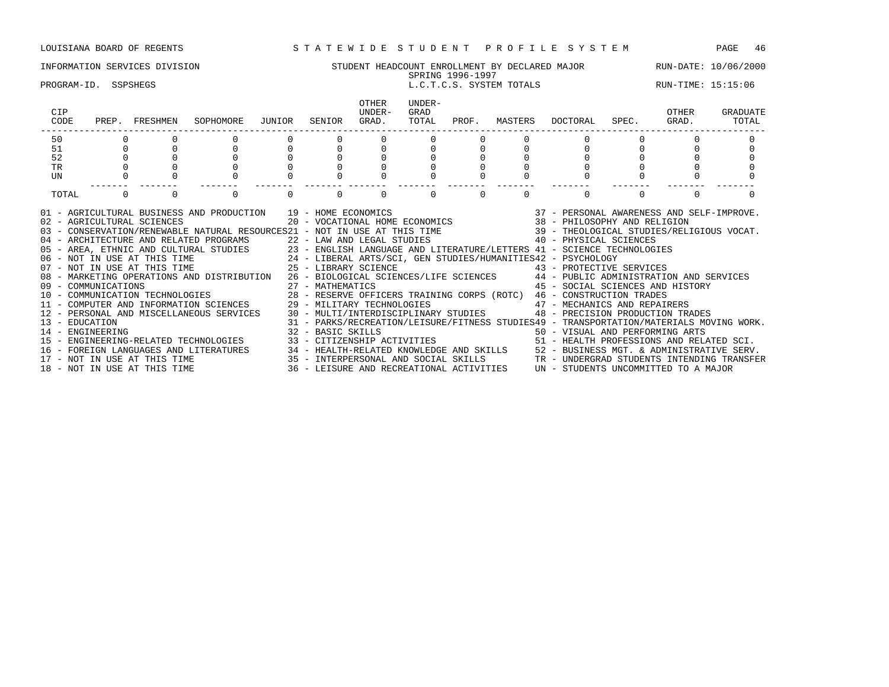### INFORMATION SERVICES DIVISION STUDENT HEADCOUNT ENROLLMENT BY DECLARED MAJOR RUN-DATE: 10/06/2000 SPRING 1996-1997 PROGRAM-ID. SSPSHEGS L.C.T.C.S. SYSTEM TOTALS RUN-TIME: 15:15:06 OTHER UNDER-<br>UNDER- GRAD CIP UNDER- GRAD OTHER GRADUATE CODE PREP. FRESHMEN SOPHOMORE JUNIOR SENIOR GRAD. TOTAL PROF. MASTERS DOCTORAL SPEC. GRAD. TOTAL ------------------------------------------------------------------------------------------------------------------------------------ 50 0 0 0 0 0 0 0 0 0 0 0 0 0 51 0 0 0 0 0 0 0 0 0 0 0 0 0 52 0 0 0 0 0 0 0 0 0 0 0 0 0 TR 0 0 0 0 0 0 0 0 0 0 0 0 0 UN 0 0 0 0 0 0 0 0 0 0 0 0 0 ------- ------- ------- ------- ------- ------- ------- ------- ------- ------- ------- ------- ------- TOTAL 0 0 0 0 0 0 0 0 0 0 01 - AGRICULTURAL BUSINESS AND PRODUCTION 39 - HOME ECONOMICS 37 - PERSONAL AWARENESS AND SELF-IMPROVE. 02 - AGRICULTURAL SCIENCES 20 - VOCATIONAL HOME ECONOMICS 38 - PHILOSOPHY AND RELIGION 03 - CONSERVATION/RENEWABLE NATURAL RESOURCES21 - NOT IN USE AT THIS TIME 39 - THEOLOGICAL STUDIES/RELIGIOUS VOCAT. 04 - ARCHITECTURE AND RELATED PROGRAMS 22 - LAW AND LEGAL STUDIES 40 - PHYSICAL SCIENCES 05 - AREA, ETHNIC AND CULTURAL STUDIES 23 - ENGLISH LANGUAGE AND LITERATURE/LETTERS 41 - SCIENCE TECHNOLOGIES<br>06 - NOT IN USE AT THIS TIME 24 - LIBERAL ARTS/SCI, GEN STUDIES/HUMANITIES42 - PSYCHOLOGY 06 - NOT IN USE AT THIS TIME 24 - LIBERAL ARTS/SCI, GEN STUDIES/HUMANITIES42 - PSYCHOLOGY

07 - NOT IN USE AT THIS TIME  $25$  - LIBRARY SCIENCE  $43$  - PROTECTIVE SERVICES 08 - MARKETING OPERATIONS AND DISTRIBUTION 26 - BIOLOGICAL SCIENCES/LIFE SCIENCES 44 - PUBLIC ADMINISTRATION AND SERVICES 09 - COMMUNICATIONS 27 - MATHEMATICS 45 - SOCIAL SCIENCES AND HISTORY 10 - COMMUNICATION TECHNOLOGIES 28 - RESERVE OFFICERS TRAINING CORPS (ROTC) 46 - CONSTRUCTION TRADES 11 - COMPUTER AND INFORMATION SCIENCES 29 - MILITARY TECHNOLOGIES 47 - MECHANICS AND REPAIRERS 12 - PERSONAL AND MISCELLANEOUS SERVICES 30 - MULTI/INTERDISCIPLINARY STUDIES 48 - PRECISION PRODUCTION TRADES 13 - EDUCATION 31 - PARKS/RECREATION/LEISURE/FITNESS STUDIES49 - TRANSPORTATION/MATERIALS MOVING WORK. 14 - ENGINEERING 32 - BASIC SKILLS 50 - VISUAL AND PERFORMING ARTS 15 - ENGINEERING-RELATED TECHNOLOGIES 33 - CITIZENSHIP ACTIVITIES 51 - HEALTH PROFESSIONS AND RELATED SCI. 16 - FOREIGN LANGUAGES AND LITERATURES 34 - HEALTH-RELATED KNOWLEDGE AND SKILLS 52 - BUSINESS MGT. & ADMINISTRATIVE SERV.<br>17 - NOT IN USE AT THIS TIME 35 - INTERPERSONAL AND SOCIAL SKILLS TR - UNDERGRAD STUDENTS INTENDING 15 - INTERPERSONAL AND SOCIAL SKILLS TR - UNDERGRAD STUDENTS INTENDING TRANSFER 36 - LEISURE AND RECREATIONAL ACTIVITIES  $\,$  UN - STUDENTS UNCOMMITTED TO A MAJOR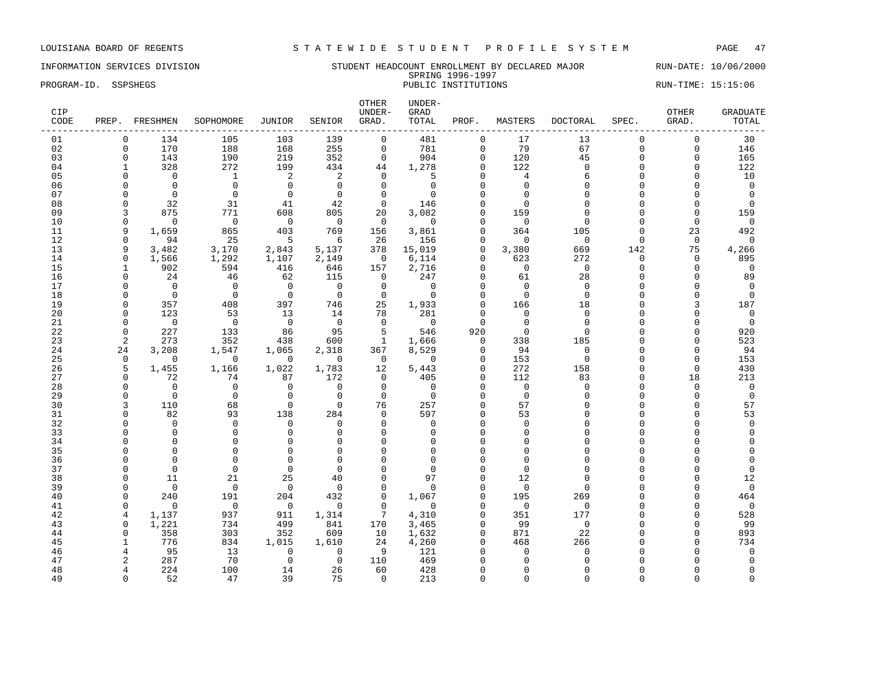INFORMATION SERVICES DIVISION SERVICES NUMBER STUDENT HEADCOUNT ENROLLMENT BY DECLARED MAJOR RUN-DATE: 10/06/2000 SPRING 1996-1997 PROGRAM-ID. SSPSHEGS PUBLIC INSTITUTIONS PUBLIC INSTITUTIONS RUN-TIME: 15:15:06

| CIP<br>CODE |                | PREP. FRESHMEN          | SOPHOMORE           | JUNIOR            | SENIOR                  | OTHER<br>UNDER-<br>GRAD. | UNDER-<br>GRAD<br>TOTAL | PROF.         | MASTERS        | DOCTORAL        | SPEC.              | <b>OTHER</b><br>GRAD. | <b>GRADUATE</b><br>TOTAL |
|-------------|----------------|-------------------------|---------------------|-------------------|-------------------------|--------------------------|-------------------------|---------------|----------------|-----------------|--------------------|-----------------------|--------------------------|
| 01          | $\Omega$       | 134                     | 105                 | 103               | 139                     | $\mathbf 0$              | 481                     | $\mathbf 0$   | 17             | 13              | $\mathbf 0$        | $\mathbf 0$           | 30                       |
| 02          | $\mathbf 0$    | 170                     | 188                 | 168               | 255                     | $\mathsf{O}$             | 781                     | 0             | 79             | 67              | $\Omega$           | 0                     | 146                      |
| 03          | $\mathbf 0$    | 143                     | 190                 | 219               | 352                     | $\mathbf 0$              | 904                     | $\mathbf 0$   | 120            | 45              | $\Omega$           | $\mathbf 0$           | 165                      |
| 04          | 1              | 328                     | 272                 | 199               | 434                     | 44                       | 1,278                   | $\Omega$      | 122            | $\Omega$        | $\Omega$           | $\Omega$              | 122                      |
| 05          |                | $\Omega$                | <sup>1</sup>        | 2                 | 2                       | $\Omega$                 | 5                       | $\Omega$      | $\overline{4}$ | 6               | $\Omega$           | $\Omega$              | 10                       |
| 06          | O              | $\Omega$                | $\Omega$            | $\Omega$          | $\Omega$                | $\Omega$                 | $\Omega$                | $\cap$        | $\Omega$       | $\Omega$        | $\cap$             | O                     | $\Omega$                 |
| 07          | O              | $\Omega$                | $\Omega$            | $\mathbf 0$       | $\Omega$                | $\mathbf 0$              | $\Omega$                | $\cap$        | $\Omega$       | $\cap$          |                    | $\Omega$              | $\overline{0}$           |
| 08          | $\Omega$       | 32                      | 31                  | 41                | 42                      | $\mathbf 0$              | 146                     |               | $\Omega$       |                 | $\cap$             | $\Omega$              | $\Omega$                 |
| 09          | 3              | 875                     | 771                 | 608               | 805                     | 20                       | 3,082                   | ∩             | 159            | $\cap$          |                    | $\Omega$              | 159                      |
| 10          | $\Omega$       | $\Omega$                | $\bigcirc$          | $\bigcirc$        | $\Omega$                | $\Omega$                 | $\Omega$                | $\cap$        | $\Omega$       | $\Omega$        | ∩                  | $\Omega$              | $\Omega$                 |
| 11          | 9              | 1,659                   | 865                 | 403               | 769                     | 156                      | 3,861                   | $\Omega$      | 364            | 105             | $\Omega$           | 23                    | 492                      |
| 12          | $\Omega$       | 94                      | 25                  | $-5$              | 6                       | 26                       | 156                     | $\Omega$      | $\Omega$       | $\Omega$        | $\Omega$           | $\mathbf 0$           | $\Omega$                 |
| 13          | 9              | 3,482                   | 3,170               | 2,843             | 5,137                   | 378                      | 15,019                  | $\Omega$      | 3,380          | 669             | 142                | 75                    | 4,266                    |
| 14          | $\mathbf 0$    | 1,566                   | 1,292               | 1,107             | 2,149                   | $\overline{0}$           | 6,114                   | $\Omega$      | 623            | 272             | $\Omega$           | $\mathbf 0$           | 895                      |
| 15          | $\mathbf{1}$   | 902                     | 594                 | 416               | 646                     | 157                      | 2,716                   | $\Omega$      | $\overline{0}$ | $\Omega$        | $\Omega$           | $\Omega$              | $\Omega$                 |
| 16          | $\Omega$       | 24                      | 46                  | 62                | 115                     | $\mathbf 0$              | 247                     | $\Omega$      | 61             | 28              | $\Omega$           | $\mathbf 0$           | 89                       |
| 17          | O              | $\Omega$                | $\Omega$            | $\overline{0}$    | $\Omega$                | $\mathbf 0$              | $\Omega$                | $\cap$        | $\Omega$       | $\Omega$        |                    | $\mathbf 0$           | $\Omega$                 |
| 18          | $\Omega$       | $\overline{0}$          | $\bigcirc$          | $\Omega$          | $\overline{0}$          | $\Omega$                 | $\Omega$                | $\cap$        | $\Omega$       | $\Omega$        | $\cap$             | $\Omega$              | $\Omega$                 |
| 19          | $\Omega$       | 357                     | 408                 | 397               | 746                     | 25                       | 1,933                   | $\Omega$      | 166            | 18              | $\cap$             | 3                     | 187                      |
| 20          | $\Omega$       | 123                     | 53                  | 13                | 14                      | 78                       | 281                     | $\Omega$      | $\Omega$       | $\Omega$        |                    | $\Omega$              | $\mathbf 0$              |
| 21          | $\Omega$       | $\overline{0}$          | $\overline{0}$      | $\overline{0}$    | $\overline{0}$          | $\Omega$                 | $\overline{0}$          | $\Omega$      | $\Omega$       | $\Omega$        | $\Omega$           | $\Omega$              | $\overline{0}$           |
| 22          | $\Omega$       | 227                     | 133                 | 86                | 95                      | 5                        | 546                     | 920           | $\Omega$       | $\cap$          |                    | $\Omega$              | 920                      |
| 23          | $\overline{2}$ | 273                     | 352                 | 438               | 600                     | $\mathbf{1}$             | 1,666                   | $\mathbf 0$   | 338            | 185<br>$\Omega$ | $\cap$<br>$\Omega$ | $\Omega$              | 523                      |
| 24<br>25    | 24<br>$\Omega$ | 3,208<br>$\overline{0}$ | 1,547<br>$\bigcirc$ | 1,065<br>$\Omega$ | 2,318<br>$\overline{0}$ | 367<br>$\Omega$          | 8,529<br>$\Omega$       | 0<br>$\Omega$ | 94<br>153      | $\Omega$        | $\cap$             | $\Omega$<br>$\Omega$  | 94<br>153                |
| 26          | 5              | 1,455                   | 1,166               | 1,022             | 1,783                   | 12                       | 5,443                   | $\Omega$      | 272            | 158             | $\Omega$           | $\mathbf 0$           | 430                      |
| 27          | $\Omega$       | 72                      | 74                  | 87                | 172                     | $\mathbf 0$              | 405                     | $\Omega$      | 112            | 83              | $\Omega$           | 18                    | 213                      |
| 28          | $\Omega$       | $\Omega$                | $\mathbf 0$         | $\Omega$          | $\Omega$                | $\Omega$                 | $\Omega$                |               | $\Omega$       | $\Omega$        | U                  | $\Omega$              | $\mathbf 0$              |
| 29          | $\Omega$       | $\mathbf 0$             | $\mathbf 0$         | $\mathbf 0$       | $\mathbf{0}$            | $\mathbf 0$              | 0                       | $\Omega$      | $\mathbf 0$    | $\cap$          |                    | $\mathbf 0$           | $\mathbf 0$              |
| 30          | 3              | 110                     | 68                  | $\Omega$          | $\Omega$                | 76                       | 257                     | $\Omega$      | 57             |                 |                    | $\Omega$              | 57                       |
| 31          | $\Omega$       | 82                      | 93                  | 138               | 284                     | $\Omega$                 | 597                     | $\cap$        | 53             |                 | U                  | $\Omega$              | 53                       |
| 32          |                | $\Omega$                | $\Omega$            | $\Omega$          | $\Omega$                | $\Omega$                 | $\Omega$                | $\Omega$      | $\Omega$       |                 |                    | U                     | $\Omega$                 |
| 33          |                | $\Omega$                | $\mathbf 0$         | $\mathbf 0$       | $\Omega$                | $\Omega$                 | $\Omega$                |               | $\Omega$       |                 |                    | U                     | $\Omega$                 |
| 34          |                | $\Omega$                | $\Omega$            | $\mathbf 0$       | $\Omega$                | $\Omega$                 | $\Omega$                | $\Omega$      | $\Omega$       |                 |                    | O                     |                          |
| 35          |                | $\Omega$                | $\Omega$            | $\Omega$          | $\Omega$                | $\Omega$                 |                         |               | $\cap$         |                 |                    | Λ                     |                          |
| 36          |                | $\Omega$                | $\Omega$            | $\Omega$          | $\Omega$                | $\Omega$                 | ∩                       |               | $\Omega$       |                 |                    |                       | $\Omega$                 |
| 37          |                | $\Omega$                | $\Omega$            | $\Omega$          | $\Omega$                | $\Omega$                 | $\Omega$                |               | $\Omega$       | $\cap$          |                    | O                     | $\mathbf 0$              |
| 38          | ∩              | 11                      | 21                  | 25                | 40                      | $\Omega$                 | 97                      |               | 12             | $\cap$          |                    | U                     | 12                       |
| 39          | $\Omega$       | $\mathbf 0$             | $\mathbf 0$         | $\overline{0}$    | $\Omega$                | $\mathbf 0$              | $\Omega$                | $\Omega$      | $\mathbf 0$    |                 |                    | $\Omega$              | $\mathbf 0$              |
| 40          | $\Omega$       | 240                     | 191                 | 204               | 432                     | $\Omega$                 | 1,067                   | $\Omega$      | 195            | 269             |                    | O                     | 464                      |
| 41          | $\Omega$       | $\Omega$                | $\Omega$            | $\Omega$          | $\Omega$                | $\Omega$                 | $\Omega$                | $\cap$        | $\Omega$       | $\Omega$        | U                  | $\cap$                | $\mathbf 0$              |
| 42          | 4              | 1,137                   | 937                 | 911               | 1,314                   | $7\overline{ }$          | 4,310                   | 0             | 351            | 177             | C                  | $\Omega$              | 528                      |
| 43          | $\mathbf 0$    | 1,221                   | 734                 | 499               | 841                     | 170                      | 3,465                   | $\Omega$      | 99             | $\mathbf 0$     |                    | $\Omega$              | 99                       |
| 44          | $\Omega$       | 358                     | 303                 | 352               | 609                     | 10                       | 1,632                   | $\Omega$      | 871            | 22              |                    | $\Omega$              | 893                      |
| 45          | -1             | 776                     | 834                 | 1,015             | 1,610                   | 24                       | 4,260                   | $\Omega$      | 468            | 266             |                    | $\Omega$              | 734                      |
| 46          | 4              | 95                      | 13                  | $\mathbf 0$       | $\mathbf 0$             | 9                        | 121                     |               | $\Omega$       | $\Omega$        |                    | U                     | $\mathbf 0$              |
| 47          | 2              | 287                     | 70                  | $\mathbf 0$       | $\Omega$                | 110                      | 469                     |               |                |                 |                    |                       | $\Omega$                 |
| 48          | 4              | 224                     | 100                 | 14                | 26                      | 60                       | 428                     | ∩             | ∩              |                 |                    | U                     | $\Omega$                 |
| 49          | $\Omega$       | 52                      | 47                  | 39                | 75                      | $\Omega$                 | 213                     | $\Omega$      | $\Omega$       | $\Omega$        | $\cap$             | $\Omega$              | $\Omega$                 |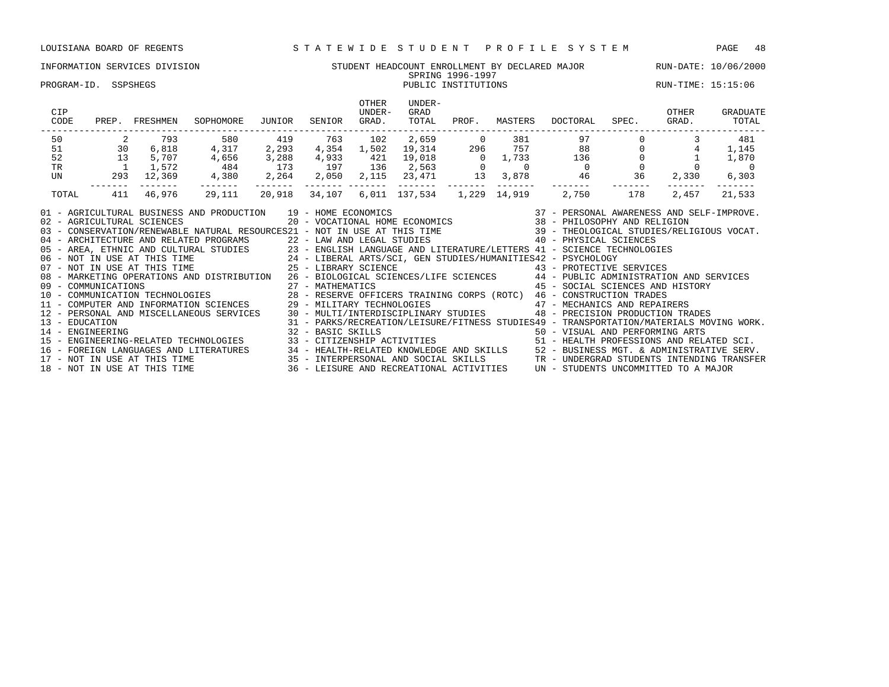### INFORMATION SERVICES DIVISION STUDENT HEADCOUNT ENROLLMENT BY DECLARED MAJOR RUN-DATE: 10/06/2000 SPRING 1996-1997<br>PUBLIC INSTITUTIONS PROGRAM-ID. SSPSHEGS **PROGRAM-ID.** SSPSHEGS **PUBLIC INSTITUTIONS** PUBLIC INSTITUTIONS **PROGRAM-ID.** SSPSHEGS OTHER UNDER-<br>UNDER- GRAD CIP UNDER- GRAD OTHER GRADUATE CODE PREP. FRESHMEN SOPHOMORE JUNIOR SENIOR GRAD. TOTAL PROF. MASTERS DOCTORAL SPEC. GRAD. TOTAL ------------------------------------------------------------------------------------------------------------------------------------ 50 2 793 580 419 763 102 2,659 0 381 97 0 3 481 51 30 6,818 4,317 2,293 4,354 1,502 19,314 296 757 88 0 4 1,145 52 13 5,707 4,656 3,288 4,933 421 19,018 0 1,733 136 0 1 1,870 TR 1 1,572 484 173 197 136 2,563 0 0 0 0 0 0 UN 293 12,369 4,380 2,264 2,050 2,115 23,471 13 3,878 46 36 2,330 6,303 ------- ------- ------- ------- ------- ------- ------- ------- ------- ------- ------- ------- ------- TOTAL 411 46,976 29,111 20,918 34,107 6,011 137,534 1,229 14,919 2,750 178 2,457 21,533 01 - AGRICULTURAL BUSINESS AND PRODUCTION 39 - HOME ECONOMICS 37 - PERSONAL AWARENESS AND SELF-IMPROVE. 02 - AGRICULTURAL SCIENCES 20 - VOCATIONAL HOME ECONOMICS 38 - PHILOSOPHY AND RELIGION 03 - CONSERVATION/RENEWABLE NATURAL RESOURCES21 - NOT IN USE AT THIS TIME 39 - THEOLOGICAL STUDIES/RELIGIOUS VOCAT. 02 - AGRICULTURAL SCIENCES<br>03 - CONSERVATION/RENEWABLE NATURAL RESOURCES21 - NOT IN USE AT THIS TIME 40 - PHYSICAL SCIENCES 05 - AREA, ETHNIC AND CULTURAL STUDIES 23 - ENGLISH LANGUAGE AND LITERATURE/LETTERS 41 - SCIENCE TECHNOLOGIES 06 - NOT IN USE AT THIS TIME 24 - LIBERAL ARTS/SCI, GEN STUDIES/HUMANITIES42 - PSYCHOLOGY 07 - NOT IN USE AT THIS TIME  $25$  - LIBRARY SCIENCE  $43$  - PROTECTIVE SERVICES 08 - MARKETING OPERATIONS AND DISTRIBUTION 26 - BIOLOGICAL SCIENCES/LIFE SCIENCES 44 - PUBLIC ADMINISTRATION AND SERVICES 09 - COMMUNICATIONS 27 - MATHEMATICS 45 - SOCIAL SCIENCES AND HISTORY 10 - COMMUNICATIONS<br>10 - COMMUNICATION TECHNOLOGIES 28 - RESERVE OFFICERS TRAINING CORPS (ROTC) 45 - SOCIAL SCIENCES AND<br>11 - COMPUTER AND INFORMATION COLENCES 28 - MILITARY TRADES CATES

11 - COMPUTER AND INFORMATION SCIENCES 29 - MILITARY TECHNOLOGIES 47 - MECHANICS AND REPAIRERS 12 - PERSONAL AND MISCELLANEOUS SERVICES 30 - MULTI/INTERDISCIPLINARY STUDIES 48 - PRECISION PRODUCTION TRADES

14 - ENGINEERING 32 - BASIC SKILLS 50 - VISUAL AND PERFORMING ARTS

13 - EDUCATION 31 - PARKS/RECREATION/LEISURE/FITNESS STUDIES49 - TRANSPORTATION/MATERIALS MOVING WORK.

15 - ENGINEERING-RELATED TECHNOLOGIES 33 - CITIZENSHIP ACTIVITIES 51 - HEALTH PROFESSIONS AND RELATED SCI. 16 - FOREIGN LANGUAGES AND LITERATURES 34 - HEALTH-RELATED KNOWLEDGE AND SKILLS 52 - BUSINESS MGT. & ADMINISTRATIVE SERV. 17 - NOT IN USE AT THIS TIME 35 - INTERPERSONAL AND SOCIAL SKILLS TR - UNDERGRAD STUDENTS INTENDING TRANSFER 18 - NOT IN USE AT THIS TIME 36 - LEISURE AND RECREATIONAL ACTIVITIES UN - STUDENTS UNCOMMITTED TO A MAJOR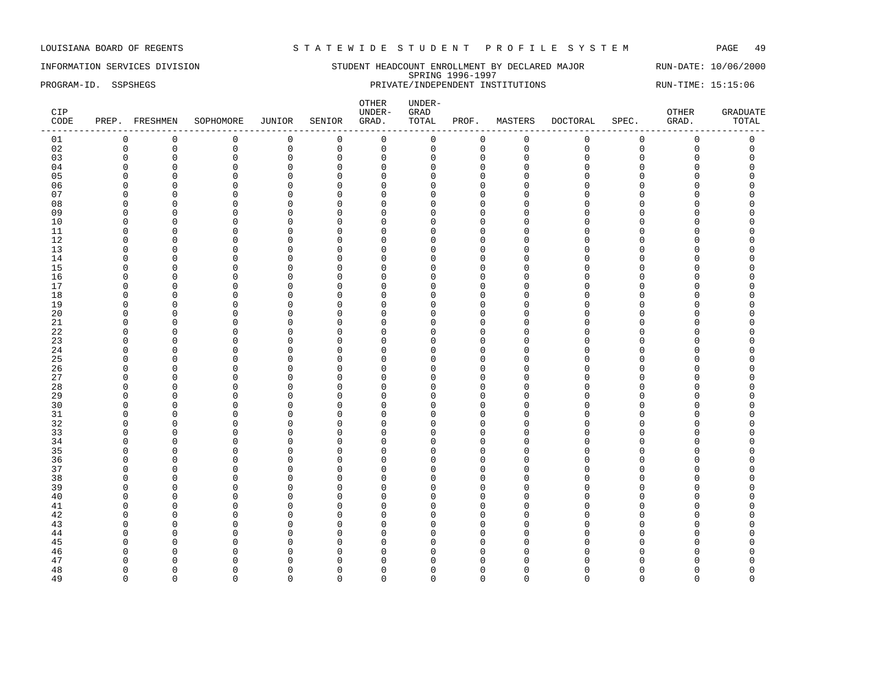INFORMATION SERVICES DIVISION STUDENT HEADCOUNT ENROLLMENT BY DECLARED MAJOR RUN-DATE: 10/06/2000 SPRING 1996-1997 PROGRAM-ID. SSPSHEGS PRIVATE/INDEPENDENT INSTITUTIONS RUN-TIME: 15:15:06

| CIP<br>CODE | PREP. FRESHMEN |             | SOPHOMORE   | JUNIOR       | SENIOR      | ${\small \texttt{OTHER}}$<br>UNDER-<br>GRAD. | UNDER-<br>GRAD<br>TOTAL | PROF.        | MASTERS     | <b>DOCTORAL</b> | SPEC.       | OTHER<br>GRAD.      | <b>GRADUATE</b><br>TOTAL |
|-------------|----------------|-------------|-------------|--------------|-------------|----------------------------------------------|-------------------------|--------------|-------------|-----------------|-------------|---------------------|--------------------------|
| 01          | 0              | 0           | $\mathbf 0$ | 0            | $\mathbf 0$ | $\mathbf 0$                                  | 0                       | 0            | $\mathbf 0$ | $\mathbf 0$     | 0           | $\mathbf 0$         | 0                        |
| 02          | $\mathsf 0$    | $\mathbf 0$ | $\mathsf 0$ | $\mathbf 0$  | $\mathbf 0$ | $\mathsf 0$                                  | 0                       | $\mathbf{0}$ | $\mathsf 0$ | $\mathbf{0}$    | $\mathbf 0$ | $\mathsf{O}\xspace$ | $\mathbf 0$              |
| 03          | $\mathbf 0$    | $\mathbf 0$ | $\mathbf 0$ | 0            | $\mathbf 0$ | $\mathbf 0$                                  | $\mathbf 0$             | $\mathbf 0$  | $\Omega$    | $\Omega$        | $\mathbf 0$ | 0                   | $\mathbf 0$              |
| 04          | $\Omega$       | $\Omega$    | $\Omega$    | $\mathbf 0$  | $\mathbf 0$ | $\mathbf 0$                                  | $\Omega$                | $\mathbf{0}$ | $\Omega$    | $\cap$          | $\Omega$    | O                   | $\Omega$                 |
| 05          | $\Omega$       | $\mathbf 0$ | $\Omega$    | $\mathbf 0$  | $\mathbf 0$ | $\mathbf 0$                                  | $\Omega$                | $\mathbf{0}$ | $\Omega$    | $\Omega$        | $\Omega$    | $\overline{0}$      | $\Omega$                 |
| 06          | $\Omega$       | $\Omega$    | $\Omega$    | $\mathbf 0$  | $\mathbf 0$ | $\Omega$                                     | $\Omega$                | $\mathbf 0$  | $\Omega$    | $\Omega$        | $\Omega$    | 0                   | $\Omega$                 |
| 07          | $\Omega$       | 0           | $\Omega$    | 0            | $\mathbf 0$ | 0                                            | 0                       | $\mathbf 0$  | $\Omega$    | $\Omega$        | 0           | 0                   | $\Omega$                 |
| 08          | $\mathbf 0$    | $\Omega$    | $\mathbf 0$ | $\mathbf 0$  | $\mathbf 0$ | $\Omega$                                     | $\Omega$                | $\Omega$     | $\Omega$    | $\Omega$        | $\Omega$    | 0                   | $\cap$                   |
| 09          | $\Omega$       | $\Omega$    | $\Omega$    | $\mathbf 0$  | $\mathbf 0$ | $\Omega$                                     | $\Omega$                | $\Omega$     | $\Omega$    | $\Omega$        | $\Omega$    | O                   | $\cap$                   |
| 10          | 0              | $\mathbf 0$ | $\mathbf 0$ | 0            | $\mathbf 0$ | $\mathbf 0$                                  | 0                       | $\mathbf 0$  | $\Omega$    | $\Omega$        | 0           | 0                   | $\Omega$                 |
| 11          | $\Omega$       | $\Omega$    | $\Omega$    | $\mathbf 0$  | $\mathbf 0$ | $\Omega$                                     | $\Omega$                | $\mathbf{0}$ | $\Omega$    | $\Omega$        | $\Omega$    | 0                   | $\Omega$                 |
| 12          | $\Omega$       | $\Omega$    | $\Omega$    | 0            | $\mathbf 0$ | $\mathbf 0$                                  | $\Omega$                | $\Omega$     | $\Omega$    | $\Omega$        | $\mathbf 0$ | 0                   | $\Omega$                 |
| 13          | 0              | $\Omega$    | $\Omega$    | 0            | $\mathbf 0$ | $\Omega$                                     | 0                       | $\mathbf 0$  | $\Omega$    | $\Omega$        | $\Omega$    | 0                   | $\Omega$                 |
| 14          | $\Omega$       | $\mathbf 0$ | $\Omega$    | 0            | $\mathbf 0$ | $\mathbf 0$                                  | $\Omega$                | $\Omega$     | $\Omega$    | $\Omega$        | $\Omega$    | 0                   | $\Omega$                 |
| 15          | 0              | $\Omega$    | $\Omega$    | 0            | $\mathbf 0$ | $\Omega$                                     | $\Omega$                | $\Omega$     | $\Omega$    | $\Omega$        | $\Omega$    | 0                   | $\Omega$                 |
| 16          | $\Omega$       | $\Omega$    | $\Omega$    | $\mathbf 0$  | $\mathbf 0$ | $\Omega$                                     | $\Omega$                | $\Omega$     | $\Omega$    | $\Omega$        | $\Omega$    | 0                   | C                        |
| 17          | $\Omega$       | $\Omega$    | $\Omega$    | $\mathbf 0$  | $\mathbf 0$ | $\overline{0}$                               | $\Omega$                | $\Omega$     | $\Omega$    | $\Omega$        | $\Omega$    | 0                   | $\Omega$                 |
| 18          | $\mathbf{0}$   | $\mathbf 0$ | $\Omega$    | 0            | $\mathbf 0$ | $\mathbf 0$                                  | 0                       | $\Omega$     | $\Omega$    | $\Omega$        | 0           | 0                   | $\Omega$                 |
| 19          | $\Omega$       | $\mathbf 0$ | $\mathbf 0$ | $\mathsf 0$  | $\mathbf 0$ | $\mathbf 0$                                  | 0                       | $\Omega$     | $\Omega$    | $\Omega$        | 0           | 0                   | $\Omega$                 |
| 20          | $\Omega$       | $\mathbf 0$ | $\Omega$    | $\mathsf 0$  | $\mathbf 0$ | $\mathbf 0$                                  | $\Omega$                | $\mathbf{0}$ | $\Omega$    | $\Omega$        | $\Omega$    | $\overline{0}$      | $\Omega$                 |
| 21          | $\Omega$       | $\Omega$    | $\Omega$    | $\mathbf 0$  | 0           | $\Omega$                                     | 0                       | $\Omega$     | $\Omega$    | $\Omega$        | $\Omega$    | 0                   | C                        |
| 22          | $\Omega$       | $\Omega$    | $\Omega$    | $\mathbf 0$  | $\mathbf 0$ | $\Omega$                                     | 0                       | $\Omega$     | $\Omega$    | $\Omega$        | $\Omega$    | 0                   | C                        |
| 23          | $\Omega$       | $\Omega$    | $\Omega$    | $\mathbf 0$  | $\mathbf 0$ | $\Omega$                                     | $\Omega$                | $\Omega$     | $\Omega$    | $\Omega$        | $\Omega$    | O                   | $\Omega$                 |
| 24          | $\Omega$       | $\Omega$    | $\Omega$    | $\mathbf{0}$ | $\mathbf 0$ | $\Omega$                                     | $\Omega$                | $\Omega$     | $\Omega$    | $\Omega$        | $\Omega$    | 0                   | $\Omega$                 |
| 25          | $\Omega$       | $\mathbf 0$ | $\Omega$    | 0            | $\mathbf 0$ | $\mathbf 0$                                  | $\Omega$                | $\mathbf{0}$ | $\Omega$    | $\Omega$        | $\Omega$    | 0                   | $\Omega$                 |
| 26          | $\mathbf 0$    | $\mathbf 0$ | $\Omega$    | 0            | $\mathbf 0$ | $\mathbf 0$                                  | $\Omega$                | $\Omega$     | $\Omega$    | $\Omega$        | $\mathbf 0$ | 0                   | $\Omega$                 |
| 27          | $\mathbf 0$    | $\mathbf 0$ | $\Omega$    | $\mathsf 0$  | $\mathbf 0$ | $\mathbf 0$                                  | $\mathbf 0$             | $\Omega$     | $\Omega$    | $\Omega$        | $\mathbf 0$ | 0                   | $\Omega$                 |
| 28          | $\Omega$       | $\Omega$    | $\Omega$    | $\mathbf 0$  | $\mathbf 0$ | $\Omega$                                     | $\Omega$                | $\Omega$     | $\Omega$    | $\Omega$        | $\Omega$    | O                   | $\Omega$                 |
| 29          | $\Omega$       | $\Omega$    | $\Omega$    | $\mathbf 0$  | $\mathbf 0$ | $\Omega$                                     | $\Omega$                | $\Omega$     | $\Omega$    | $\Omega$        | $\Omega$    | 0                   | $\Omega$                 |
| 30          | $\Omega$       | $\mathbf 0$ | $\Omega$    | 0            | $\mathbf 0$ | $\Omega$                                     | 0                       | $\mathbf 0$  | $\Omega$    | $\Omega$        | $\Omega$    | 0                   | $\Omega$                 |
| 31          | $\Omega$       | $\Omega$    | $\Omega$    | $\mathbf 0$  | $\mathbf 0$ | $\Omega$                                     | $\Omega$                | $\Omega$     | $\Omega$    | $\Omega$        | $\Omega$    | 0                   |                          |
| 32          | $\Omega$       | $\Omega$    | $\Omega$    | $\mathbf 0$  | $\mathbf 0$ | $\Omega$                                     | $\Omega$                | $\Omega$     | $\Omega$    | $\Omega$        | $\Omega$    | 0                   | $\Omega$                 |
| 33          | $\Omega$       | $\mathbf 0$ | $\Omega$    | 0            | $\mathbf 0$ | $\mathbf 0$                                  | $\Omega$                | $\Omega$     | $\Omega$    | $\Omega$        | 0           | 0                   | $\Omega$                 |
| 34          | $\Omega$       | $\mathbf 0$ | $\mathbf 0$ | $\mathsf 0$  | $\mathbf 0$ | $\mathbf 0$                                  | 0                       | $\mathbf{0}$ | $\Omega$    | $\Omega$        | $\Omega$    | 0                   | $\Omega$                 |
| 35          | $\Omega$       | $\Omega$    | $\Omega$    | $\mathbf{0}$ | $\mathbf 0$ | $\Omega$                                     | $\Omega$                | $\Omega$     | $\Omega$    | $\Omega$        | $\Omega$    | 0                   | $\Omega$                 |
| 36          | $\Omega$       | 0           | $\Omega$    | 0            | 0           | 0                                            | $\Omega$                | $\Omega$     | $\Omega$    | $\Omega$        | 0           | 0                   | $\Omega$                 |
| 37          | $\Omega$       | $\Omega$    | $\Omega$    | 0            | $\mathbf 0$ | $\Omega$                                     | $\Omega$                | $\mathbf 0$  | $\Omega$    | $\Omega$        | $\Omega$    | 0                   | $\Omega$                 |
| 38          | $\Omega$       | $\Omega$    | $\Omega$    | $\mathbf 0$  | $\mathbf 0$ | $\Omega$                                     | $\Omega$                | $\Omega$     | $\Omega$    | $\Omega$        | $\Omega$    | O                   | C                        |
| 39          | $\Omega$       | $\Omega$    | $\Omega$    | $\mathbf 0$  | $\mathbf 0$ | $\Omega$                                     | 0                       | $\Omega$     | $\Omega$    | $\Omega$        | $\Omega$    | 0                   | C                        |
| 40          | $\Omega$       | $\mathbf 0$ | $\Omega$    | $\mathbf 0$  | $\mathbf 0$ | $\Omega$                                     | 0                       | $\Omega$     | $\Omega$    | $\Omega$        | $\Omega$    | 0                   | $\Omega$                 |
| 41          | $\Omega$       | $\mathbf 0$ | $\Omega$    | 0            | $\mathbf 0$ | $\mathbf 0$                                  | $\mathbf 0$             | $\Omega$     | $\Omega$    | $\mathbf{0}$    | $\mathbf 0$ | 0                   | $\Omega$                 |
| 42          | $\mathbf 0$    | $\mathbf 0$ | $\mathbf 0$ | $\mathsf 0$  | $\mathbf 0$ | $\mathbf 0$                                  | 0                       | $\mathbf 0$  | $\Omega$    | $\Omega$        | $\Omega$    | 0                   | $\Omega$                 |
| 43          | $\Omega$       | $\mathbf 0$ | $\Omega$    | 0            | $\mathbf 0$ | $\mathbf 0$                                  | $\Omega$                | $\Omega$     | $\Omega$    | $\Omega$        | $\Omega$    | 0                   | $\Omega$                 |
| 44          | $\Omega$       | $\Omega$    | $\Omega$    | 0            | $\mathbf 0$ | $\Omega$                                     | 0                       | $\Omega$     | $\Omega$    | $\Omega$        | $\Omega$    | 0                   | $\Omega$                 |
| 45          | <sup>0</sup>   | $\Omega$    | $\Omega$    | $\mathbf 0$  | $\mathbf 0$ | $\Omega$                                     | $\Omega$                | $\Omega$     | $\Omega$    | $\Omega$        | $\Omega$    | 0                   | C                        |
| 46          | $\Omega$       | $\Omega$    | $\Omega$    | $\mathbf 0$  | $\mathbf 0$ | $\Omega$                                     | $\Omega$                | $\Omega$     | $\Omega$    | $\Omega$        | $\Omega$    | 0                   | $\Omega$                 |
| 47          | $\Omega$       | $\Omega$    | $\Omega$    | $\mathbf{0}$ | $\Omega$    | $\Omega$                                     | $\Omega$                | $\Omega$     | O           | $\Omega$        | O           | O                   | O                        |
| 48          | $\mathbf 0$    | $\mathbf 0$ | $\Omega$    | 0            | $\mathbf 0$ | $\mathbf 0$                                  | 0                       | $\mathbf 0$  | $\Omega$    | $\Omega$        | $\Omega$    | 0                   | 0                        |
| 49          | $\Omega$       | $\Omega$    | $\Omega$    | $\Omega$     | $\mathbf 0$ | $\mathbf 0$                                  | $\Omega$                | $\Omega$     | $\Omega$    | $\Omega$        | $\Omega$    | 0                   | $\Omega$                 |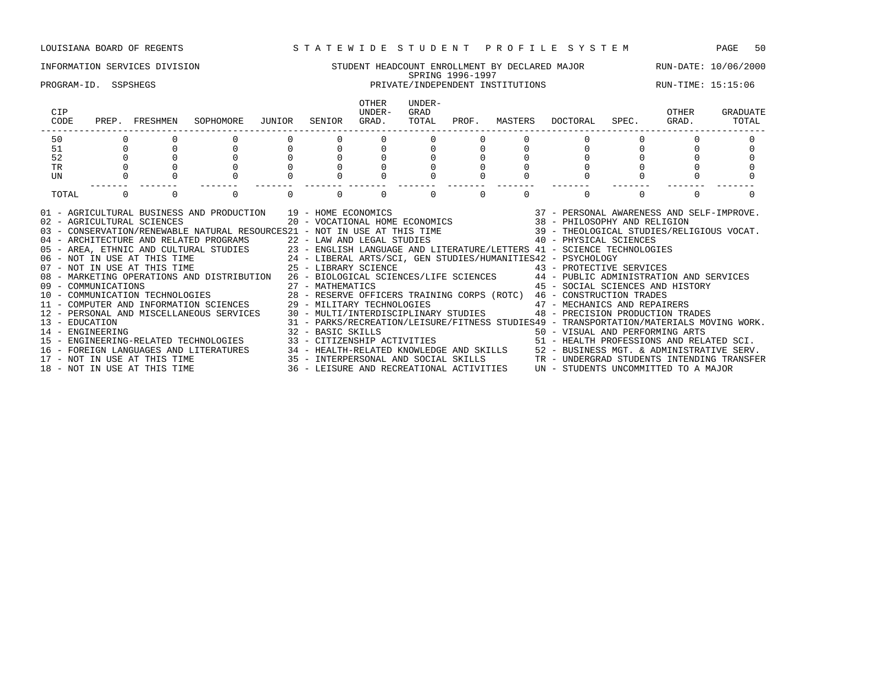### INFORMATION SERVICES DIVISION STUDENT HEADCOUNT ENROLLMENT BY DECLARED MAJOR RUN-DATE: 10/06/2000 SPRING 1996-1997 PROGRAM-ID. SSPSHEGS PRIVATE/INDEPENDENT INSTITUTIONS RUN-TIME: 15:15:06 OTHER UNDER-<br>UNDER- GRAD CIP UNDER- GRAD OTHER GRADUATE CODE PREP. FRESHMEN SOPHOMORE JUNIOR SENIOR GRAD. TOTAL PROF. MASTERS DOCTORAL SPEC. GRAD. TOTAL ------------------------------------------------------------------------------------------------------------------------------------ 50 0 0 0 0 0 0 0 0 0 0 0 0 0 51 0 0 0 0 0 0 0 0 0 0 0 0 0 52 0 0 0 0 0 0 0 0 0 0 0 0 0 TR 0 0 0 0 0 0 0 0 0 0 0 0 0 UN 0 0 0 0 0 0 0 0 0 0 0 0 0 ------- ------- ------- ------- ------- ------- ------- ------- ------- ------- ------- ------- ------- TOTAL 0 0 0 0 0 0 0 0 0 0 01 - AGRICULTURAL BUSINESS AND PRODUCTION 39 - HOME ECONOMICS 37 - PERSONAL AWARENESS AND SELF-IMPROVE. 02 - AGRICULTURAL SCIENCES 20 - VOCATIONAL HOME ECONOMICS 38 - PHILOSOPHY AND RELIGION 03 - CONSERVATION/RENEWABLE NATURAL RESOURCES21 - NOT IN USE AT THIS TIME 39 - THEOLOGICAL STUDIES/RELIGIOUS VOCAT. 04 - ARCHITECTURE AND RELATED PROGRAMS 22 - LAW AND LEGAL STUDIES 40 - PHYSICAL SCIENCES 05 - AREA, ETHNIC AND CULTURAL STUDIES 23 - ENGLISH LANGUAGE AND LITERATURE/LETTERS 41 - SCIENCE TECHNOLOGIES<br>06 - NOT IN USE AT THIS TIME 24 - LIBERAL ARTS/SCI, GEN STUDIES/HUMANITIES42 - PSYCHOLOGY 06 - NOT IN USE AT THIS TIME 24 - LIBERAL ARTS/SCI, GEN STUDIES/HUMANITIES42 - PSYCHOLOGY 07 - NOT IN USE AT THIS TIME  $25$  - LIBRARY SCIENCE  $43$  - PROTECTIVE SERVICES 08 - MARKETING OPERATIONS AND DISTRIBUTION 26 - BIOLOGICAL SCIENCES/LIFE SCIENCES 44 - PUBLIC ADMINISTRATION AND SERVICES

09 - COMMUNICATIONS 27 - MATHEMATICS 45 - SOCIAL SCIENCES AND HISTORY

14 - ENGINEERING 32 - BASIC SKILLS 50 - VISUAL AND PERFORMING ARTS

13 - EDUCATION 31 - PARKS/RECREATION/LEISURE/FITNESS STUDIES49 - TRANSPORTATION/MATERIALS MOVING WORK.

15 - ENGINEERING-RELATED TECHNOLOGIES 33 - CITIZENSHIP ACTIVITIES 51 - HEALTH PROFESSIONS AND RELATED SCI. 16 - FOREIGN LANGUAGES AND LITERATURES 34 - HEALTH-RELATED KNOWLEDGE AND SKILLS 52 - BUSINESS MGT. & ADMINISTRATIVE SERV.<br>17 - NOT IN USE AT THIS TIME 35 - INTERPERSONAL AND SOCIAL SKILLS TR - UNDERGRAD STUDENTS INTENDING

15 - INTERPERSONAL AND SOCIAL SKILLS TR - UNDERGRAD STUDENTS INTENDING TRANSFER 36 - LEISURE AND RECREATIONAL ACTIVITIES  $\,$  UN - STUDENTS UNCOMMITTED TO A MAJOR

10 - COMMUNICATION TECHNOLOGIES 28 - RESERVE OFFICERS TRAINING CORPS (ROTC) 46 - CONSTRUCTION TRADES 11 - COMPUTER AND INFORMATION SCIENCES 29 - MILITARY TECHNOLOGIES 47 - MECHANICS AND REPAIRERS 12 - PERSONAL AND MISCELLANEOUS SERVICES 30 - MULTI/INTERDISCIPLINARY STUDIES 48 - PRECISION PRODUCTION TRADES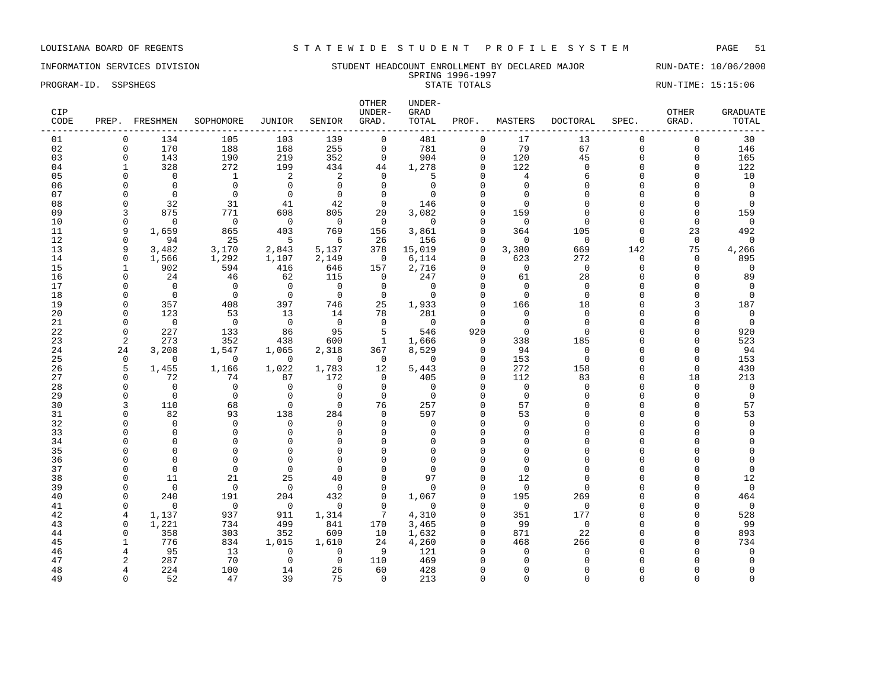### INFORMATION SERVICES DIVISION SUNDERT STUDENT HEADCOUNT ENROLLMENT BY DECLARED MAJOR RUN-DATE: 10/06/2000 SPRING 1996-1997 PROGRAM-ID. SSPSHEGS STATE TOTALS STATE TOTALS STATE TOTALS RUN-TIME: 15:15:06

| CIP<br>CODE |                | PREP. FRESHMEN       | SOPHOMORE            | JUNIOR               | SENIOR               | OTHER<br>UNDER-<br>GRAD. | UNDER-<br>GRAD<br>TOTAL | PROF.                | MASTERS              | <b>DOCTORAL</b>     | SPEC.                | OTHER<br>GRAD.    | <b>GRADUATE</b><br>TOTAL |
|-------------|----------------|----------------------|----------------------|----------------------|----------------------|--------------------------|-------------------------|----------------------|----------------------|---------------------|----------------------|-------------------|--------------------------|
| 01          | 0              | 134                  | 105                  | 103                  | 139                  | $\mathbf 0$              | 481                     | $\mathbf{0}$         | 17                   | 13                  | $\Omega$             | $\mathbf 0$       | 30                       |
| 02          | $\Omega$       | 170                  | 188                  | 168                  | 255                  | $\mathbf 0$              | 781                     | $\Omega$             | 79                   | 67                  | $\Omega$             | $\Omega$          | 146                      |
| 03          | $\mathbf 0$    | 143                  | 190                  | 219                  | 352                  | $\mathbf 0$              | 904                     | $\mathbf 0$          | 120                  | 45                  | $\mathbf 0$          | $\mathbf 0$       | 165                      |
| 04          | 1              | 328                  | 272                  | 199                  | 434                  | 44                       | 1,278                   | $\Omega$             | 122                  | $\Omega$            | $\Omega$             | $\Omega$          | 122                      |
| 05          | $\Omega$       | $\mathbf 0$          | $\mathbf{1}$         | $\overline{2}$       | 2                    | $\mathbf 0$              | 5                       | $\Omega$             | 4                    | 6                   | $\Omega$             | O                 | 10                       |
| 06          | $\Omega$       | $\overline{0}$       | $\mathbf 0$          | $\mathbf{0}$         | $\mathbf 0$          | $\mathbf 0$              | $\mathbf 0$             | $\cap$               | $\Omega$             | $\Omega$            | $\cap$               | O                 | $\overline{0}$           |
| 07          | $\Omega$       | $\overline{0}$       | $\mathbf 0$          | $\mathbf{0}$         | $\overline{0}$       | $\mathbf 0$              | $\Omega$                |                      | $\Omega$             | $\cap$              | $\cap$               | O                 | $\Omega$                 |
| 08          | $\Omega$       | 32                   | 31                   | 41                   | 42                   | $\mathbf 0$              | 146                     | $\Omega$             | $\Omega$             | $\cap$              | $\cap$               | O                 | $\Omega$                 |
| 09          | 3<br>$\Omega$  | 875                  | 771                  | 608                  | 805                  | 20                       | 3,082                   | $\cap$<br>$\cap$     | 159                  | ∩<br>$\Omega$       | U                    | $\Omega$          | 159                      |
| 10          | 9              | $\Omega$             | $\mathbf 0$          | $\Omega$<br>403      | $\overline{0}$       | $\mathbf 0$              | $\mathbf 0$             | $\Omega$             | $\Omega$             |                     | $\Omega$<br>$\Omega$ | $\Omega$          | $\mathbf 0$              |
| 11<br>12    | $\mathbf 0$    | 1,659<br>94          | 865<br>25            | 5                    | 769<br>6             | 156<br>26                | 3,861<br>156            | $\mathbf{0}$         | 364<br>$\mathbf 0$   | 105<br>$\mathbf{0}$ | $\mathbf 0$          | 23<br>$\mathbf 0$ | 492<br>0                 |
| 13          | 9              | 3,482                | 3,170                | 2,843                | 5,137                | 378                      | 15,019                  | $\mathbf 0$          | 3,380                | 669                 | 142                  | 75                | 4,266                    |
| 14          | $\mathbf 0$    | 1,566                | 1,292                | 1,107                | 2,149                | $\mathbf 0$              | 6,114                   | $\Omega$             | 623                  | 272                 | $\Omega$             | $\mathbf 0$       | 895                      |
| 15          | $\mathbf{1}$   | 902                  | 594                  | 416                  | 646                  | 157                      | 2,716                   | $\Omega$             | $\mathbf 0$          | $\mathbf{0}$        | $\Omega$             | $\mathbf 0$       | 0                        |
| 16          | $\Omega$       | 24                   | 46                   | 62                   | 115                  | 0                        | 247                     | $\cap$               | 61                   | 28                  | U                    | $\Omega$          | 89                       |
| 17          | $\Omega$       | $\Omega$             | $\Omega$             | $\mathbf 0$          | $\Omega$             | $\mathbf 0$              | $\mathbf 0$             | $\Omega$             | $\Omega$             | $\Omega$            | $\Omega$             | O                 | 0                        |
| 18          | $\Omega$       | $\Omega$             | $\Omega$             | $\Omega$             | $\Omega$             | $\mathbf 0$              | $\Omega$                | $\Omega$             | $\Omega$             | $\Omega$            | $\cap$               | 0                 | $\Omega$                 |
| 19          | $\Omega$       | 357                  | 408                  | 397                  | 746                  | 25                       | 1,933                   | $\Omega$             | 166                  | 18                  | $\cap$               | 3                 | 187                      |
| 20          | $\Omega$       | 123                  | 53                   | 13                   | 14                   | 78                       | 281                     | $\Omega$             | $\Omega$             | $\Omega$            | $\Omega$             | U                 | $\Omega$                 |
| 21          | $\Omega$       | $\mathbf 0$          | $\mathbf 0$          | $\mathbf 0$          | $\overline{0}$       | $\mathbf 0$              | $\mathbf 0$             | $\Omega$             | $\Omega$             | $\Omega$            | $\Omega$             | O                 | 0                        |
| 22          | $\mathbf{0}$   | 227                  | 133                  | 86                   | 95                   | 5                        | 546                     | 920                  | $\mathbf 0$          | $\Omega$            | $\Omega$             | $\Omega$          | 920                      |
| 23          | $\overline{2}$ | 273                  | 352                  | 438                  | 600                  | $\mathbf{1}$             | 1,666                   | $\mathbf{0}$         | 338                  | 185                 | $\Omega$             | $\Omega$          | 523                      |
| 24          | 24             | 3,208                | 1,547                | 1,065                | 2,318                | 367                      | 8,529                   | $\mathbf{0}$         | 94                   | $\mathbf{0}$        | $\Omega$             | $\Omega$          | 94                       |
| 25          | $\mathbf 0$    | $\Omega$             | $\Omega$             | $\Omega$             | $\overline{0}$       | 0                        | $\Omega$                | $\Omega$             | 153                  | $\Omega$            | $\cap$               | $\mathbf 0$       | 153                      |
| 26          | 5              | 1,455                | 1,166                | 1,022                | 1,783                | 12                       | 5,443                   | $\Omega$             | 272                  | 158                 | $\Omega$             | $\Omega$          | 430                      |
| 27          | $\Omega$       | 72                   | 74                   | 87                   | 172                  | $\mathbf 0$              | 405                     | $\Omega$             | 112                  | 83                  | $\Omega$             | 18                | 213                      |
| 28          | $\Omega$       | $\Omega$             | $\Omega$             | $\Omega$             | $\mathbf 0$          | $\Omega$                 | $\Omega$                | $\Omega$             | $\Omega$             | $\Omega$            | $\Omega$             | $\Omega$          | $\Omega$                 |
| 29          | $\Omega$       | $\Omega$             | $\mathbf 0$          | $\Omega$             | $\overline{0}$       | $\mathbf 0$              | $\Omega$                | $\Omega$             | $\Omega$             | $\Omega$            | $\Omega$             | $\Omega$          | $\mathbf 0$              |
| 30          | 3              | 110                  | 68                   | $\mathbf{0}$         | $\mathbf 0$          | 76                       | 257                     | $\Omega$             | 57                   | $\cap$              | $\cap$               | $\Omega$          | 57                       |
| 31          | $\Omega$       | 82                   | 93                   | 138                  | 284                  | $\mathbf 0$              | 597                     | $\Omega$             | 53                   | $\cap$              | $\cap$               | O                 | 53                       |
| 32          | $\Omega$       | $\mathbf 0$          | $\mathbf 0$          | $\mathbf 0$          | $\mathbf 0$          | $\mathbf 0$              | $\mathbf 0$             | $\Omega$             | $\mathbf 0$          | $\cap$              | $\Omega$             | O                 | $\Omega$                 |
| 33          | $\Omega$       | $\Omega$             | $\Omega$             | $\Omega$             | $\Omega$             | $\Omega$                 | $\Omega$                | $\Omega$             | $\Omega$             | $\cap$              | $\cap$               | O                 | $\Omega$                 |
| 34          | n<br>n         | $\Omega$<br>$\Omega$ | $\Omega$             | $\Omega$<br>$\Omega$ | $\Omega$             | $\Omega$<br>$\Omega$     | $\Omega$<br>$\Omega$    | $\Omega$<br>$\Omega$ | $\Omega$             | $\cap$              | U<br>C               | O<br>U            | $\Omega$                 |
| 35          | n              | $\Omega$             | $\Omega$<br>$\Omega$ | $\mathbf{0}$         | $\Omega$<br>$\Omega$ | $\Omega$                 | $\Omega$                | $\cap$               | $\Omega$<br>$\Omega$ | $\cap$              | $\cap$               | U                 | $\Omega$                 |
| 36<br>37    | $\Omega$       | $\Omega$             | $\Omega$             | $\Omega$             | $\Omega$             | $\Omega$                 | $\Omega$                | $\cap$               | $\Omega$             | $\cap$              | $\cap$               | O                 | $\Omega$                 |
| 38          | $\Omega$       | 11                   | 21                   | 25                   | 40                   | $\Omega$                 | 97                      | $\Omega$             | 12                   | $\cap$              | $\Omega$             | O                 | 12                       |
| 39          | $\Omega$       | $\mathbf 0$          | $\mathbf 0$          | $\mathbf 0$          | $\mathbf 0$          | $\mathbf 0$              | $\mathbf 0$             | $\Omega$             | $\mathbf 0$          | $\cap$              | $\cap$               | O                 | $\mathbf 0$              |
| 40          | $\Omega$       | 240                  | 191                  | 204                  | 432                  | $\Omega$                 | 1,067                   | $\Omega$             | 195                  | 269                 | $\cap$               | $\Omega$          | 464                      |
| 41          | $\Omega$       | $\mathbf 0$          | $\mathbf 0$          | $\mathbf 0$          | $\mathbf 0$          | $\mathbf 0$              | $\mathbf 0$             | $\Omega$             | $\mathbf 0$          | $\mathbf{0}$        | $\Omega$             | 0                 | $\mathbf 0$              |
| 42          | 4              | 1,137                | 937                  | 911                  | 1,314                | 7                        | 4,310                   | $\Omega$             | 351                  | 177                 | $\cap$               | 0                 | 528                      |
| 43          | $\Omega$       | 1,221                | 734                  | 499                  | 841                  | 170                      | 3,465                   | $\Omega$             | 99                   | $\mathbf{0}$        | $\cap$               | $\Omega$          | 99                       |
| 44          | $\Omega$       | 358                  | 303                  | 352                  | 609                  | 10                       | 1,632                   | $\Omega$             | 871                  | 22                  | $\Omega$             | $\Omega$          | 893                      |
| 45          | 1              | 776                  | 834                  | 1,015                | 1,610                | 24                       | 4,260                   | $\cap$               | 468                  | 266                 | $\cap$               | $\Omega$          | 734                      |
| 46          | $\overline{4}$ | 95                   | 13                   | $\Omega$             | $\mathbf 0$          | 9                        | 121                     | $\cap$               | $\Omega$             | $\Omega$            | C                    | U                 | $\Omega$                 |
| 47          | 2              | 287                  | 70                   | $\mathbf{0}$         | $\Omega$             | 110                      | 469                     | O                    | ∩                    | $\cap$              |                      | O                 | $\Omega$                 |
| 48          | 4              | 224                  | 100                  | 14                   | 26                   | 60                       | 428                     | $\Omega$             | $\Omega$             | ∩                   |                      | O                 | $\Omega$                 |
| 49          | $\Omega$       | 52                   | 47                   | 39                   | 75                   | $\Omega$                 | 213                     | $\Omega$             | $\Omega$             | $\Omega$            | $\Omega$             | $\Omega$          | $\Omega$                 |